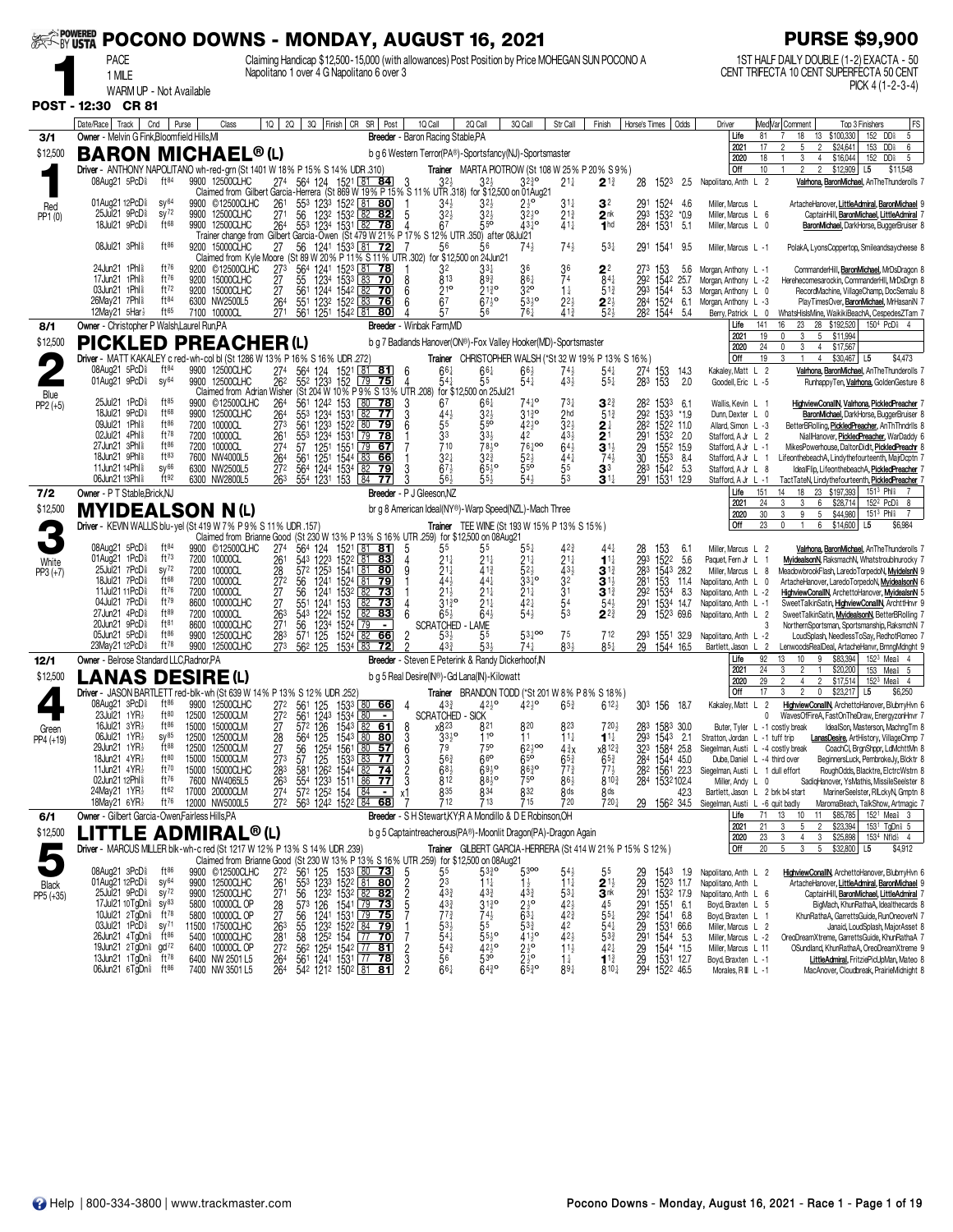|                     | ※ <sup>≧powered</sup> POCONO DOWNS - MONDAY, AUGUST 16, 2021                                                 |                                        |                                                                                                                      |                                             |                                                                                                                                                          |                                                                                                                                                                                                                                                                                      |                                            |                                                                          |                                                                                                      |                                                 |                                                       |                                                                    |                                                                                |                                                                      | <b>PURSE \$9,900</b>                                                                                                                                 |
|---------------------|--------------------------------------------------------------------------------------------------------------|----------------------------------------|----------------------------------------------------------------------------------------------------------------------|---------------------------------------------|----------------------------------------------------------------------------------------------------------------------------------------------------------|--------------------------------------------------------------------------------------------------------------------------------------------------------------------------------------------------------------------------------------------------------------------------------------|--------------------------------------------|--------------------------------------------------------------------------|------------------------------------------------------------------------------------------------------|-------------------------------------------------|-------------------------------------------------------|--------------------------------------------------------------------|--------------------------------------------------------------------------------|----------------------------------------------------------------------|------------------------------------------------------------------------------------------------------------------------------------------------------|
|                     | <b>PACE</b>                                                                                                  |                                        |                                                                                                                      |                                             |                                                                                                                                                          | Claiming Handicap \$12,500-15,000 (with allowances) Post Position by Price MOHEGAN SUN POCONO A                                                                                                                                                                                      |                                            |                                                                          |                                                                                                      |                                                 |                                                       |                                                                    |                                                                                |                                                                      | 1ST HALF DAILY DOUBLE (1-2) EXACTA - 50                                                                                                              |
|                     | 1 MILE<br>WARM UP - Not Available                                                                            |                                        |                                                                                                                      |                                             |                                                                                                                                                          | Napolitano 1 over 4 G Napolitano 6 over 3                                                                                                                                                                                                                                            |                                            |                                                                          |                                                                                                      |                                                 |                                                       |                                                                    |                                                                                |                                                                      | CENT TRIFECTA 10 CENT SUPERFECTA 50 CENT<br>PICK 4 $(1-2-3-4)$                                                                                       |
|                     | POST - 12:30 CR 81                                                                                           |                                        |                                                                                                                      |                                             |                                                                                                                                                          |                                                                                                                                                                                                                                                                                      |                                            |                                                                          |                                                                                                      |                                                 |                                                       |                                                                    |                                                                                |                                                                      |                                                                                                                                                      |
| 3/1                 | Date/Race   Track<br>Cnd<br>Owner - Melvin G Fink, Bloomfield Hills, MI                                      | Purse                                  | Class                                                                                                                | 10 <sup>1</sup><br><b>2Q</b>                | 3Q Finish CR                                                                                                                                             | SR                                                                                                                                                                                                                                                                                   | Post                                       | 1Q Call<br>Breeder - Baron Racing Stable, PA                             | 2Q Call                                                                                              | 3Q Call                                         | Str Call                                              | Finish                                                             | Odds<br>Horse's Times                                                          | Driver<br>81<br>Life                                                 | Med Var Comment<br>FS<br>Top 3 Finishers<br>152 DD\$<br>5<br>18<br>13<br>\$100,330                                                                   |
| \$12,500            | <b>BARON MICHAEL®(L)</b>                                                                                     |                                        |                                                                                                                      |                                             |                                                                                                                                                          |                                                                                                                                                                                                                                                                                      |                                            |                                                                          | b g 6 Western Terror(PA®)-Sportsfancy(NJ)-Sportsmaster                                               |                                                 |                                                       |                                                                    |                                                                                | 2021<br>17<br>2020<br>18                                             | $\overline{2}$<br>\$24,641<br>153<br>DD <sub>\$</sub><br>6<br>5<br>\$16,044<br>152<br>DD <sup>§</sup><br>$\overline{1}$<br>3<br>$\overline{4}$<br>-5 |
|                     | Driver - ANTHONY NAPOLITANO wh-red-grn (St 1401 W 18% P 15% S 14% UDR 310)<br>08Aug21 5PcD <sup>§</sup>      | ft <sup>84</sup>                       | 9900 12500CLHC                                                                                                       | 27 <sup>4</sup>                             |                                                                                                                                                          | 564 124 1521 81 84                                                                                                                                                                                                                                                                   |                                            |                                                                          | 32}                                                                                                  | $3^{230}$                                       | $21\frac{1}{4}$                                       | <b>Trainer</b> MARTA PIOTROW (St 108 W 25% P 20% S 9%)<br>$2^{13}$ | 28<br>1523<br>2.5                                                              | Off<br>10<br>Napolitano, Anth L 2                                    | \$12,909<br>$\overline{2}$<br>$\mathfrak{p}$<br>L5<br>\$11,548<br>Valrhona, BaronMichael, AnThe Thunderolls                                          |
|                     | 01Aug21 12PcD <sup>§</sup>                                                                                   | SV <sup>64</sup>                       | Claimed from Gilbert Garcia-Herrera (St 869 W 19% P 15% S 11% UTR 318) for \$12,500 on 01Aug21<br>©12500CLHC<br>9900 | 261                                         |                                                                                                                                                          |                                                                                                                                                                                                                                                                                      |                                            | $34\frac{1}{2}$                                                          |                                                                                                      |                                                 | 31‡                                                   | 3 <sup>2</sup>                                                     | 4.6                                                                            | Miller, Marcus L                                                     | ArtacheHanover, LittleAdmiral, BaronMichael 9                                                                                                        |
| Red<br>PP1(0)       | 25Jul21 9PcD <sup>§</sup><br>18Jul21 9PcD <sup>§</sup>                                                       | SV <sup>72</sup><br>$ft^{68}$          | 9900 12500CLHC<br>9900 12500CLHC                                                                                     | 27 <sup>1</sup><br>264                      |                                                                                                                                                          | 553 1233 1522 81 80<br>1232 1532 82<br>553 1234 1531 82 78                                                                                                                                                                                                                           | 5<br>4                                     | $3^{2}$<br>67                                                            | $3^{2}$<br>$5^{50}$                                                                                  | $3^{210}$<br>43 <sup>1</sup> °                  | $21\frac{3}{4}$<br>$41\frac{1}{4}$                    | 2 <sup>nk</sup><br>1 <sub>hd</sub>                                 | 1524<br>1532<br>291<br>293<br>$*0.9$<br>5.1<br>284<br>1531                     | Miller, Marcus L 6<br>Miller, Marcus L 0                             | CaptainHill, BaronMichael, LittleAdmiral                                                                                                             |
|                     | 08Jul21 3Phl <sup>§</sup>                                                                                    | $ft^{86}$                              | Trainer change from<br>9200 15000CLHC                                                                                | 27                                          |                                                                                                                                                          | Gilbert Garcia-Owen (St 479 W 21% P 17% S 12% UTR 350) after 08Jul 21<br>56 1241 1533 81 72                                                                                                                                                                                          |                                            | 56                                                                       | 56                                                                                                   | $74\frac{1}{2}$                                 | $74\frac{1}{2}$                                       | $53\frac{1}{4}$                                                    | 291 1541<br>9.5                                                                | Miller, Marcus L -1                                                  | BaronMichael, DarkHorse, BuggerBruiser 8<br>PolakA, LyonsCoppertop, Smileandsaycheese 8                                                              |
|                     | 24Jun21 1Phl <sup>§</sup>                                                                                    | ft76                                   | Claimed from Kyle Moore (St 89 W 20% P 11% S 11% UTR 302) for \$12,500 on 24Jun21<br>9200 © 12500CLHC                | 273                                         |                                                                                                                                                          |                                                                                                                                                                                                                                                                                      |                                            | 32                                                                       | 33†                                                                                                  |                                                 | 36                                                    | 2 <sup>2</sup>                                                     | 273<br>153<br>5.6                                                              | Morgan, Anthony L -1                                                 | CommanderHill, BaronMichael, MrDsDragon 8                                                                                                            |
|                     | 17Jun21 1Phl<br>03Jun21 1Phl <sup>§</sup>                                                                    | ft76<br>ft72                           | 9200 15000CLHC<br>9200 15000CLHC                                                                                     | 27<br>27                                    | 561 1244 1542 82                                                                                                                                         | 564 1241 1523 81 78<br>55 1234 1533 83 70                                                                                                                                                                                                                                            | 8<br>70<br>6                               | 813                                                                      | 89}<br>$21\frac{3}{4}$ <sup>o</sup>                                                                  | $86\frac{1}{4}$<br>32 <sup>o</sup>              | 74<br>$1\frac{1}{4}$                                  | $84\frac{1}{4}$<br>$5^{13}$                                        | 292<br>1542<br>25.7<br>5.3<br>293<br>1544                                      | Morgan, Anthony L -2<br>Morgan, Anthony L 0                          | Herehecomesarockin, CommanderHII, MrDsDrgn &<br>RecordMachine, VillageChamp, DocSemalu 8                                                             |
|                     | 26May21 7Phl <sup>§</sup><br>12May21 5Har}                                                                   | ft84<br>$ft^{65}$                      | 6300 NW2500L5<br>7100 10000CL                                                                                        | 264<br>271                                  | 55 <sup>1</sup><br>561 1251 1542 81                                                                                                                      | 123 <sup>2</sup> 152 <sup>2</sup> 83                                                                                                                                                                                                                                                 | 76<br>6<br>80<br>Δ                         | $\frac{216}{67}$<br>57                                                   | $67\frac{1}{2}$ °<br>56                                                                              | 5310<br>761                                     | $2^{2}$<br>41}                                        | $2^{2}$<br>52 <sub>3</sub>                                         | 284<br>152 <sup>4</sup><br>6.1<br>1544<br>282<br>5.4                           | Morgan, Anthony L -3<br>Berry, Patrick L 0                           | PlayTimesOver, BaronMichael, MrHasaniN 7<br>WhatsHislsMine, WaikikiBeachA, CespedesZTam 7                                                            |
| 8/1                 | Owner - Christopher P Walsh, Laurel Run, PA                                                                  |                                        |                                                                                                                      |                                             |                                                                                                                                                          |                                                                                                                                                                                                                                                                                      |                                            | Breeder - Winbak Farm.MD                                                 |                                                                                                      |                                                 |                                                       |                                                                    |                                                                                | Life<br>141<br>2021<br>19                                            | 150 <sup>4</sup> PcD <sub>8</sub> 4<br>16<br>23<br>28 \$192,520<br>$\mathbf{0}$<br>3<br>5 \$11,994                                                   |
| \$12,500            | <b>PICKLED</b><br>Driver - MATT KAKALEY c red-wh-col bl (St 1286 W 13% P 16% S 16% UDR .272)                 |                                        | <b>PREACHER(L)</b>                                                                                                   |                                             |                                                                                                                                                          |                                                                                                                                                                                                                                                                                      |                                            |                                                                          | b g 7 Badlands Hanover(ON®)-Fox Valley Hooker(MD)-Sportsmaster                                       |                                                 |                                                       | Trainer CHRISTOPHER WALSH (*St 32 W 19% P 13% S 16%)               |                                                                                | 24<br>2020<br>Off<br>19                                              | 0<br>3<br>4 \$17,567<br>3<br>$\mathbf{1}$<br>4<br>\$30,467<br>L5<br>\$4,473                                                                          |
|                     | 08Aug21 5PcD <sup>§</sup>                                                                                    | $ft^{84}$<br>SV <sup>64</sup>          | 9900 12500CLHC                                                                                                       | $\frac{274}{262}$                           | $\frac{564}{552}$<br>124<br>123 <sup>3</sup>                                                                                                             | 1521<br>152<br><u>81</u><br>$\overline{79}$                                                                                                                                                                                                                                          | 81<br>6<br>75                              | $66\frac{1}{4}$                                                          | 66‡                                                                                                  | $66\frac{1}{2}$<br>$54\frac{1}{4}$              | $74\frac{1}{2}$<br>43 <sup>1</sup>                    | $5^{41}_{51}$                                                      | $\frac{274}{283}$<br>153<br>153<br>14.3                                        | Kakaley, Matt L 2                                                    | Valrhona, BaronMichael, AnTheThunderolls 7                                                                                                           |
| Blue                | 01Aug21 9PcD <sup>§</sup>                                                                                    | ft85                                   | 9900 12500CLHC<br>Claimed from Adrian Wisher                                                                         |                                             |                                                                                                                                                          | (St 204 W 10% P 9% S 13% UTR 208) for \$12,500 on 25 Jul 21                                                                                                                                                                                                                          | 4                                          |                                                                          | 55                                                                                                   |                                                 |                                                       |                                                                    | 2.0                                                                            | Goodell, Eric L -5                                                   | RunhappyTen, Valrhona, GoldenGesture 8                                                                                                               |
| $PP2 (+5)$          | 25Jul21 1PcD <sup>§</sup><br>18Jul21 9PcD<br>09Jul21 1Phl \$                                                 | ft68<br>ft86                           | 9900 ©12500CLHC<br>9900 12500CLHC                                                                                    | $^{264}_{264}$                              | $\frac{561}{553}$<br>1242<br>1234                                                                                                                        | 153<br>1531<br>80<br>$\sqrt{82}$                                                                                                                                                                                                                                                     | 78<br>$_3^3$<br>77<br>6                    | 67<br>$44\frac{1}{2}$<br>55                                              | 66‡<br>$32\frac{1}{2}$<br>55 <sup>o</sup>                                                            | $31\frac{3}{4}$ <sup>o</sup><br>$42^{10}$       | 731<br>2 <sub>hd</sub><br>$32\frac{1}{2}$             | $3^{2}$<br>$5^{13}$                                                | 28 <sup>2</sup><br>292<br>1533<br>6.1<br>1533<br>*1.9                          | Wallis, Kevin L 1<br>Dunn Dexter L 0                                 | HighviewConallN, Valrhona, PickledPreacher<br>BaronMichael, DarkHorse, BuggerBruiser 8                                                               |
|                     | 02Jul21 4Phl <sup>§</sup><br>27Jun21 3Phl <sup>§</sup>                                                       | ft78<br>ft86                           | 7200 10000CL<br>7200 10000CL<br>10000CL                                                                              | 273<br>$\frac{261}{274}$                    | 561 1233<br>1234<br>1251<br>$\frac{55^3}{57}$                                                                                                            | 1522 80<br>1531<br>1551<br>79<br>$\sqrt{79}$                                                                                                                                                                                                                                         | -79<br><u>78</u><br>67                     | 33<br>710                                                                | $33\frac{1}{2}$<br>$78\bar{1}$ <sup>o</sup>                                                          | 42<br>$76\frac{1}{6}$ 00                        | 43}<br>$64\frac{1}{2}$                                | $2^{\frac{1}{4}}$<br>$\bar{2}^{1}_{1\frac{1}{2}}$                  | 282<br>1522 11.0<br>153 <sup>2</sup> 2.0<br>155 <sup>2</sup> 15.9<br>291<br>29 | Allard, Simon L -3<br>Stafford, A Jr L 2                             | BetterBRolling, PickledPreacher, AnThThndrlls 8<br>NiallHanover, PickledPreacher, WarDaddy 6                                                         |
|                     | 18Jun21 9Phl <sup>§</sup><br>11Jun21 14Phl <sup>§</sup>                                                      | $ft^{83}$<br>$SV^{66}$                 | 7200<br>7600 NW4000L5<br>6300 NW2500L5                                                                               | 264<br>27 <sup>2</sup>                      | 561 1251 1544                                                                                                                                            | 83<br>82                                                                                                                                                                                                                                                                             | 66<br>79<br>3                              | $3^{21}$<br>$67\frac{1}{2}$                                              | $3^{2^{3}}$<br>$65\frac{1}{2}$ °                                                                     | $52\frac{1}{2}$<br>55 <sup>o</sup>              | 44                                                    | $74\frac{1}{2}$<br>3 <sup>3</sup>                                  | 30<br>1553<br>8.4<br>5.3                                                       | Stafford, A Jr L -1<br>Stafford, A Jr L 1                            | MikesPowerhouse, DaltonDidlt, PickledPreachr &<br>LifeonthebeachA, Lindythefourteenth, MajrDcptn 7                                                   |
|                     | 06Jun21 13Phl <sup>§</sup>                                                                                   | ft92                                   | 6300 NW2800L5                                                                                                        | 263                                         | 564 1244 1534<br>554 1231 153                                                                                                                            | 84                                                                                                                                                                                                                                                                                   | Š<br>77                                    | 56}                                                                      | 55,                                                                                                  | 543                                             | $\frac{55}{53}$                                       | 3 <sup>11</sup>                                                    | 283<br>1542<br>$\frac{1}{2}91$<br>1531<br>12.9                                 | Stafford, A Jr L 8<br>Stafford, A Jr L -1<br>151<br>Life             | IdealFlip, LifeonthebeachA, PickledPreacher<br>TactTateN, Lindythefourteenth, PickledPreacher<br>23 \$197,393<br>14<br>18                            |
| 7/2<br>\$12,500     | Owner - P T Stable, Brick, NJ<br><b>MYIDEALSON N(L)</b>                                                      |                                        |                                                                                                                      |                                             |                                                                                                                                                          |                                                                                                                                                                                                                                                                                      |                                            | Breeder - P J Gleeson, NZ                                                | br g 8 American Ideal(NY®)-Warp Speed(NZL)-Mach Three                                                |                                                 |                                                       |                                                                    |                                                                                | 2021<br>24<br>30<br>2020                                             | $151^3$ Phis<br>3<br>3<br>6<br>\$28,714<br>$152^2$ PcD <sup>§</sup><br>- 8<br>3<br>9<br>5<br>\$44,980<br>$151^3$ Phis                                |
| 2                   | Driver - KEVIN WALLIS blu-yel (St 419 W 7% P 9% S 11% UDR .157)                                              |                                        | Claimed from Brianne Good (St 230 W 13% P 13% S 16% UTR 259) for \$12,500 on 08Aug21                                 |                                             |                                                                                                                                                          |                                                                                                                                                                                                                                                                                      |                                            |                                                                          | Trainer TEE WINE (St 193 W 15% P 13% S 15%)                                                          |                                                 |                                                       |                                                                    |                                                                                | Off<br>23                                                            | $\theta$<br>6<br>\$6,984<br>\$14,600<br>L5                                                                                                           |
|                     | 08Aug21 5PcD<br>01Aug21 1PcD <sup>§</sup>                                                                    | ft <sup>84</sup><br>$ft^{73}$          | 9900 © 12500CLHC<br>7200 10000CL                                                                                     | $^{274}_{261}$                              | $\frac{564}{543}$<br>124<br>1223                                                                                                                         | 1521<br>1522<br>81<br>$81$ 83                                                                                                                                                                                                                                                        | 81<br>5<br>4                               | 55<br>$21\frac{1}{4}$                                                    | 55<br>21‡                                                                                            | $5.5^{+}$<br>$21\frac{1}{4}$                    | 423<br>$21\frac{1}{4}$                                | $1^{11}$                                                           | $\frac{28}{293}$<br>6.1<br>153<br>1522<br>5.6                                  | Miller, Marcus L 2<br>Paquet, Fern Jr L                              | Valrhona, BaronMichael, AnTheThunderolls 7<br>MyidealsonN, RaksmachN, Whatstroublnurocky 7                                                           |
| White<br>$PP3 (+7)$ | 25Jul21 7PcD <sup>§</sup><br>18Jul21 7PcD <sup>5</sup>                                                       | SV <sup>72</sup><br>ft68               | 7200 10000CL<br>7200 10000CL                                                                                         | 28                                          | 572 1253                                                                                                                                                 | $1541 \mid 81$ 80                                                                                                                                                                                                                                                                    | 9<br>79                                    | $21\frac{1}{4}$<br>44}                                                   | 41}<br>441                                                                                           | $52\frac{1}{2}$<br>$33^{10}$                    | $43\frac{1}{2}$                                       | $3^{13}$                                                           | 283<br>1543 28.2<br>281<br>114                                                 | Miller, Marcus L 8<br>Napolitano, Anth L 0                           | MeadowbrookFlash, LaredoTorpedoN, MyidelsnN 9<br>ArtacheHanover, LaredoTorpedoN, MyidealsonN 6                                                       |
|                     | 11Jul21 11PcD <sup>§</sup><br>04Jul21 7PcD <sup>§</sup>                                                      | ft76<br>ft79                           | 7200 10000CL<br>8600 10000CLHC                                                                                       | 272<br>27<br>27                             | 56<br>56<br>551<br>1241                                                                                                                                  | 1241 1524 81<br>1241 1532 82<br>$\frac{1}{82}$ 73<br>153<br>82                                                                                                                                                                                                                       | 73                                         | $21\frac{1}{2}$<br>$\overline{3}$ <sub>1</sub> <sup>3</sup> <sup>o</sup> | $21\frac{1}{4}$<br>$\overline{2}$ <sup>1</sup> <sup>1</sup>                                          | $21\frac{1}{4}$<br>421                          | $\frac{3^2}{3^1}$<br>54                               | $3^{11}_{3}$<br>$3^{13}_{4}$<br>$54\frac{1}{2}$                    | 153<br>1534<br>292<br>8.3<br>291<br>1534<br>14.7                               | Napolitano, Anth L -2<br>Napolitano, Anth L -1                       | HighviewConallN, ArchettoHanover, MyidealsnN 5<br>SweetTalkinSatin, HighviewConallN, ArchttHnvr 9                                                    |
|                     | 27Jun21 4PcD <sup>§</sup><br>20Jun21 9PcD <sup>§</sup>                                                       | ft89<br>ft81                           | 7200 10000CL<br>10000CLHC<br>8600                                                                                    | $\frac{263}{271}$                           | $\frac{1224}{123^4}$<br>$\frac{543}{56}$                                                                                                                 | $\frac{152}{1524}$<br>82<br>$\overline{79}$                                                                                                                                                                                                                                          | 83<br>6<br>$\blacksquare$                  | $65\frac{1}{2}$<br><b>SCRATCHED</b>                                      | 643<br>- Lame                                                                                        | $54\frac{1}{2}$                                 | 53                                                    | $2^{2^{3}}$                                                        | 29<br>1523 69.6                                                                | Napolitano, Anth L 2<br>3                                            | SweetTalkinSatin, MyidealsonN, BetterBRolling 7<br>NorthernSportsman, Sportsmanship, RaksmchN 7                                                      |
|                     | 05Jun21 5PcD <sup>§</sup><br>23May21 12PcD <sup>§</sup>                                                      | ft86<br>$ft^{78}$                      | 9900<br>12500CLHC<br>9900<br>12500CLHC                                                                               | 283<br>273                                  | 125<br>571<br>562 125                                                                                                                                    | -82<br>1524<br>1534 83                                                                                                                                                                                                                                                               | 66<br>2<br>2<br>72                         | $53\frac{1}{2}$<br>$43\frac{3}{7}$                                       | 55<br>533                                                                                            | 53100<br>$74\frac{1}{4}$                        | 75<br>831                                             | 712<br>$85\frac{1}{4}$                                             | 293<br>1551<br>32.9<br>29<br>1544 16.5                                         | Napolitano, Anth L -2<br>Bartlett, Jason L 2                         | LoudSplash, NeedlessToSay, RedhotRomeo 7<br>LenwoodsRealDeal, ArtacheHanvr, BrnngMdnght 9                                                            |
| 12/1                | Owner - Belrose Standard LLC, Radnor, PA                                                                     |                                        |                                                                                                                      |                                             |                                                                                                                                                          |                                                                                                                                                                                                                                                                                      |                                            |                                                                          | Breeder - Steven E Peterink & Randy Dickerhoof, IN                                                   |                                                 |                                                       |                                                                    |                                                                                | 92<br>Life<br>2021<br>24                                             | \$83,394<br>152 <sup>3</sup> Mea <sup>§</sup> 4<br>13<br>10<br>9<br>3<br>$\overline{2}$<br>\$20,200<br>153<br>$\mathbf{1}$<br>Mea <sup>§</sup> 5     |
| \$12,500            | LANAS DESIRE (L)<br>Driver - JASON BARTLETT red-blk-wh (St 639 W 14% P 13% S 12% UDR .252)                   |                                        |                                                                                                                      |                                             |                                                                                                                                                          |                                                                                                                                                                                                                                                                                      |                                            |                                                                          | b g 5 Real Desire(IN®)-Gd Lana(IN)-Kilowatt<br><b>Trainer</b> BRANDON TODD (*St 201 W 8% P 8% S 18%) |                                                 |                                                       |                                                                    |                                                                                | 29<br>2020<br>17<br>Off                                              | $\overline{2}$<br>$\overline{2}$<br>\$17,514<br>152 <sup>3</sup> Mea <sup>§</sup> 4<br>$\overline{4}$<br>3<br>0<br>\$23,217<br>L5<br>\$6,250         |
|                     | 08Aug21 3PcD <sup>§</sup><br>23Jul21 1YR}                                                                    | $ft^{86}$<br>ft80                      | 9900 12500CLHC<br>12500 12500CLM                                                                                     | 27 <sup>2</sup><br>272                      | 561 125<br>561 1243 1534 80                                                                                                                              | 1533 80 66                                                                                                                                                                                                                                                                           | 4                                          | $43\frac{3}{7}$<br><b>SCRATCHED - SICK</b>                               | $42\frac{1}{2}$ <sup>o</sup>                                                                         | $42\frac{1}{2}$ <sup>o</sup>                    | $65\frac{3}{4}$                                       | $612\frac{1}{2}$                                                   | 303 156 18.7                                                                   | Kakaley, Matt L 2<br>0                                               | HighviewConallN, ArchettoHanover, BlubrryHvn 6<br>WavesOfFireA, FastOnTheDraw, EnergyzonHnvr 7                                                       |
| Green<br>PP4 (+19)  | 16Jul21 3YR}<br>06Jul21 1YR}                                                                                 | $ft^{86}$<br>sy <sup>85</sup><br>12500 | 15000 15000CLM<br>12500CLM                                                                                           |                                             | $572 \t126 \t1543$<br>$564 \t125 \t1543$<br>$566 \t1254 \t1561$<br>$57 \t125 \t1533$<br>$581 \t1262 \t1544$<br>$572 \t1252 \t1544$<br>$572 \t1252 \t154$ | $1543 \overline{)82 \overline{)61}}$<br>1543 80 80<br>1543 80 57<br>1533 83 77<br>1544 82 74                                                                                                                                                                                         | 8<br>6<br>6                                | x823                                                                     | 821<br>11 <sup>o</sup>                                                                               | 820<br>11                                       | 823<br>$11\frac{1}{4}$                                | 720}<br>$1^{11}$                                                   | 283<br>1583 30.0<br>1543 2.1                                                   | Buter, Tyler L -1 costly break<br>Stratton, Jordan L -1 tuff trip    | IdealSon, Masterson, MachngTm 8<br>LanasDesire, ArtHistory, VillageChmp 7                                                                            |
|                     | 29Jun21 1YR}<br>18Jun21 4YR}                                                                                 | $ft^{88}$<br>12500<br>ft80<br>15000    | 12500CLM<br>15000CLM                                                                                                 | 27<br>28<br>27<br>28<br>28<br>26<br>27<br>4 |                                                                                                                                                          |                                                                                                                                                                                                                                                                                      |                                            | $\frac{3310}{79}$<br>563                                                 | 75 <sup>o</sup><br>66                                                                                | $62^{100}_{2}$<br>65 <sup>o</sup>               | $4\frac{3}{4}x$<br>$65\frac{3}{4}$                    | x8123<br>$65\frac{3}{4}$                                           | $\frac{293}{323}$<br>1584 25.8<br>284<br>1544 45.0                             | Siegelman, Austi L -4 costly break<br>Dube, Daniel L -4 third over   | CoachCl, BrgnShppr, LdMchttMn 8<br>BeginnersLuck, PembrokeJy, Blcktr 8                                                                               |
|                     | 11Jun21 4YR}<br>02Jun21 12Phl <sup>§</sup>                                                                   | ft70<br>ft76                           | 15000 15000CLHC<br>7600 NW4065L5                                                                                     |                                             |                                                                                                                                                          | 1511 86 77                                                                                                                                                                                                                                                                           | $\frac{3}{3}$                              | $68\frac{1}{2}$<br>$\check{8}$ 12                                        | $69\frac{1}{2}$ <sup>o</sup><br>$88\bar{3}$ <sup>o</sup>                                             | $86^{30}_{4}$<br>$75^{\circ}$                   | $77\frac{3}{4}$<br>863                                | $77\frac{1}{2}$<br>8103                                            | 1561 22.3<br>282<br>284<br>1532102.4                                           | Siegelman, Austi L 1 dull effort<br>Miller, Andy L 0                 | RoughOdds, Blacktre, ElctrcWstrn 8<br>SadigHanover, YsMathis, MissileSeelster 8                                                                      |
|                     | 24May21 1YR}<br>18May21 6YR}                                                                                 | ft62<br>ft76                           | 17000 20000CLM<br>12000 NW5000L5                                                                                     | 272                                         | 563 1242 1522 84                                                                                                                                         | $\sqrt{84}$                                                                                                                                                                                                                                                                          | $\blacksquare$<br>x1<br>68                 | 835<br>712                                                               | 834<br>713                                                                                           | 832<br>715                                      | 8 <sub>ds</sub><br>720                                | 8ds<br>720+                                                        | 42.3<br>1562 34.5<br>29                                                        | Bartlett, Jason L 2 brk b4 start<br>Siegelman, Austi L -6 quit badly | MarinerSeelster, RILckyN, Gmptn 8<br>MaromaBeach, TalkShow, Artmagic 7                                                                               |
| 6/1                 | Owner - Gilbert Garcia-Owen, Fairless Hills, PA                                                              |                                        |                                                                                                                      |                                             |                                                                                                                                                          |                                                                                                                                                                                                                                                                                      |                                            |                                                                          | Breeder - S H Stewart, KY; R A Mondillo & D E Robinson, OH                                           |                                                 |                                                       |                                                                    |                                                                                | 71<br>Life<br>2021<br>21                                             | 13<br>10<br>11<br>\$85,785<br>152 <sup>1</sup> Mea <sup>§</sup> 3<br>3<br>$\overline{2}$<br>\$23,394<br>5<br>153 <sup>1</sup> ToDn <sup>§</sup> 5    |
| \$12,500            | $\blacksquare$ ittle admiral®(L)<br>Driver - MARCUS MILLER blk-wh-c red (St 1217 W 12% P 13% S 14% UDR .239) |                                        |                                                                                                                      |                                             |                                                                                                                                                          |                                                                                                                                                                                                                                                                                      |                                            |                                                                          | b g 5 Captaintreacherous(PA®)-Moonlit Dragon(PA)-Dragon Again                                        |                                                 |                                                       | Trainer GILBERT GARCIA-HERRERA (St 414 W 21% P 15% S 12%)          |                                                                                | 2020<br>23<br>20<br>Off                                              | 153 <sup>4</sup> Nfld <sub>2</sub> 4<br>3<br>3<br>\$25,898<br>4<br>$5\phantom{.0}$<br>$5\phantom{.0}$<br>\$32,800<br>3<br>\$4,912<br>L5              |
|                     | 08Aug21 3PcD <sup>§</sup>                                                                                    | $ft^{86}$                              | Claimed from Brianne Good (St 230 W 13% P 13% S 16% UTR 259) for \$12,500 on 08Aug21<br>9900 ©12500CLHC              |                                             |                                                                                                                                                          |                                                                                                                                                                                                                                                                                      | 5                                          | 55                                                                       | 5330                                                                                                 | 5300                                            | $54\frac{1}{2}$                                       | 55                                                                 | 1543<br>1.9                                                                    | Napolitano, Anth L<br>$\overline{2}$                                 | HighviewConallN, ArchettoHanover, BlubrryHvn 6                                                                                                       |
| Black<br>PP5 (+35)  | 01Aug21 12PcD <sup>§</sup><br>$25$ Jul $21$ $9$ Pc $D_{8}$                                                   | sy <sup>64</sup><br>$sy^{72}$          | 9900 12500CLHC<br>12500CLHC<br>9900                                                                                  | $\frac{272}{261}$                           |                                                                                                                                                          |                                                                                                                                                                                                                                                                                      | $\frac{2}{5}$                              | $\frac{23}{434}$                                                         | 11‡<br>433                                                                                           | $43\frac{3}{4}$                                 | $11\frac{1}{4}$<br>$53\frac{1}{4}$                    | $\frac{2^{1\frac{1}{2}}}{3^{nk}}$                                  | 29<br>29<br>291<br>1523<br>11.7<br>1532 17.9                                   | Napolitano, Anth L<br>Napolitano, Anth L 6                           | ArtacheHanover, LittleAdmiral, BaronMichael 9<br>CaptainHill, BaronMichael, LittleAdmiral 7                                                          |
|                     | 17Jul21 10TgDn <sup>§</sup><br>10Jul21 2TgDn <sup>§</sup>                                                    | $SV^{83}$<br>$ft^{78}$                 | 5800 10000CL OP<br>10000CL OP<br>5800                                                                                | $\frac{28}{27}$                             |                                                                                                                                                          |                                                                                                                                                                                                                                                                                      |                                            | 43 <sub>4</sub><br>$77_{4}^{3}$                                          | $31\frac{3}{4}$ <sup>o</sup>                                                                         | $2\frac{1}{2}$<br>63 <sup>1</sup>               | $42\frac{1}{2}$<br>$4^{23}_{4}$                       | 45                                                                 | 291<br>1551<br>6.1<br>1541 6.8                                                 | Boyd, Braxten L 5<br>Boyd, Braxten L 1                               | BigMach, KhunRathaA, Idealthecards 8<br>KhunRathaA, GarrettsGuide, RunOneoverN 7                                                                     |
|                     | 03Jul21 1PcD <sup>5</sup><br>26Jun21 4TgDn <sup>§</sup>                                                      | sy <sup>71</sup><br>11500<br>$ft^{86}$ | 17500CLHC<br>5400 10000CLHC                                                                                          |                                             |                                                                                                                                                          | $[356]$<br>$[36]$<br>$[36]$<br>$[36]$<br>$[36]$<br>$[36]$<br>$[36]$<br>$[36]$<br>$[36]$<br>$[36]$<br>$[36]$<br>$[36]$<br>$[36]$<br>$[36]$<br>$[36]$<br>$[36]$<br>$[36]$<br>$[36]$<br>$[36]$<br>$[36]$<br>$[36]$<br>$[36]$<br>$[36]$<br>$[36]$<br>$[36]$<br>$[36]$<br>$[36]$<br>$[36$ |                                            | $\frac{53\frac{1}{2}}{54\frac{1}{4}}$                                    | $7^{41}_{5}$<br>$55\frac{1}{2}$ <sup>o</sup>                                                         | $53\frac{3}{4}$<br>$41\frac{1}{2}$ <sup>c</sup> |                                                       | $5^{5\frac{1}{4}}$<br>$5^{4\frac{1}{4}}$<br>$5^{3\frac{3}{4}}$     | $\frac{29^2}{29}$<br>1531 66.6<br>1544<br>5.3                                  | Miller, Marcus L 2<br>Miller, Marcus L -2                            | Janaid, LoudSplash, MajorAsset 8<br>OreoDreamXtreme, GarrettsGuide, KhunRathaA 7                                                                     |
|                     | 19Jun21 2TgDn <sup>§</sup><br>gd <sup>72</sup><br>13Jun21 $1$ TgDn $\frac{5}{8}$                             | ft $^{78}$                             | 10000CL OP<br>6400<br>6400 NW 2501 L5                                                                                | 281<br>272<br>264                           |                                                                                                                                                          |                                                                                                                                                                                                                                                                                      | $\begin{array}{c} 2 \\ 3 \\ 2 \end{array}$ | $\frac{543}{56}$                                                         | $42\frac{1}{2}$ <sup>o</sup><br>$5^{36}$                                                             | $2\frac{1}{2}$ <sup>o</sup><br>$2\frac{1}{2}$ o | $42\frac{1}{2}$<br>1 <sup>1</sup> $\frac{1}{2}$<br>11 | $42\frac{1}{4}$<br>$1^{13}$                                        | 291<br>29<br>294<br>1544 *1.5<br>1531 12.7                                     | Miller, Marcus L 11<br>Boyd, Braxten L -1                            | OSundland, KhunRathaA, OreoDreamXtreme 9<br>LittleAdmiral, FritziePicUpMan, Mateo 8                                                                  |
|                     | 06Jun21 6TgDn <sup>§</sup>                                                                                   | $ft^{86}$                              | 7400 NW 3501 L5                                                                                                      | 264                                         |                                                                                                                                                          | 542 1212 1502 81 81                                                                                                                                                                                                                                                                  |                                            | $66\frac{1}{4}$                                                          | $643$ °                                                                                              | $65\frac{3}{4}$ <sup>o</sup>                    | 891                                                   | $8^{10}$                                                           | 1522 46.5                                                                      | Morales, R III L -1                                                  | MacAnover, Cloudbreak, PrairieMidnight 8                                                                                                             |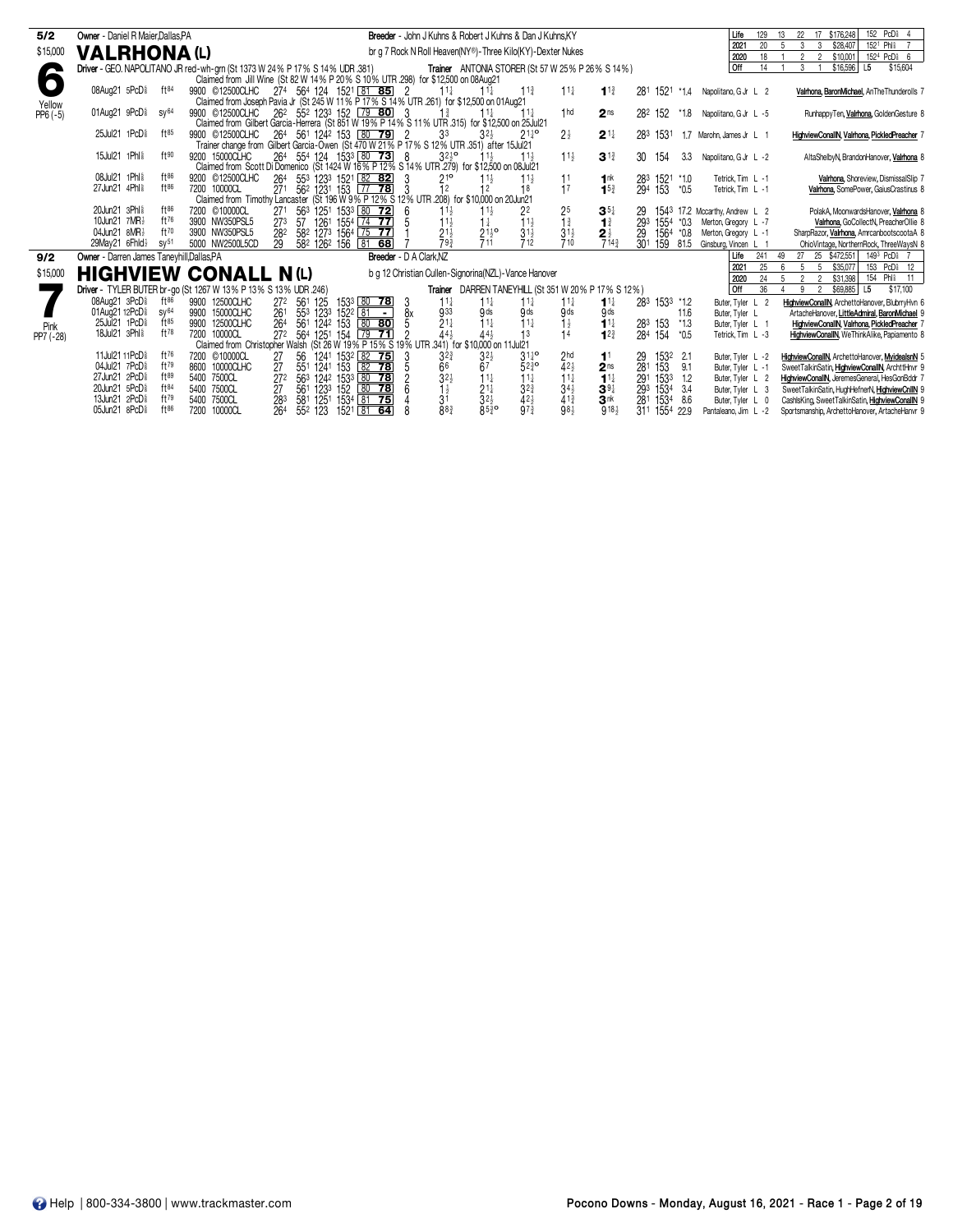| 5/2                | Owner - Daniel R Maier.Dallas.PA                                            |              |                                                                                                  |                   |              |                                                                     |                |                                   | Breeder - John J Kuhns & Robert J Kuhns & Dan J Kuhns, KY  |                              |                                                                    |                                                     |                 |               |        | Life                               | 129 | 22<br>13                                        | 17 \$176,248  | 152 PcD <sup>§</sup>                          |  |
|--------------------|-----------------------------------------------------------------------------|--------------|--------------------------------------------------------------------------------------------------|-------------------|--------------|---------------------------------------------------------------------|----------------|-----------------------------------|------------------------------------------------------------|------------------------------|--------------------------------------------------------------------|-----------------------------------------------------|-----------------|---------------|--------|------------------------------------|-----|-------------------------------------------------|---------------|-----------------------------------------------|--|
| \$15,000           |                                                                             |              |                                                                                                  |                   |              |                                                                     |                |                                   |                                                            |                              |                                                                    |                                                     |                 |               |        | 2021                               | 20  | 3<br>$5\overline{a}$<br>$\mathbf{3}$            | \$28,407      | 152 <sup>1</sup> Phl <sup>§</sup>             |  |
|                    | <b>VALRHONA(L)</b>                                                          |              |                                                                                                  |                   |              |                                                                     |                |                                   | br g 7 Rock N Roll Heaven(NY®)-Three Kilo(KY)-Dexter Nukes |                              |                                                                    |                                                     |                 |               |        | 2020                               | 18  | $\overline{2}$<br>2                             | \$10,001      | 1524 PcD <sub>8</sub> 6                       |  |
|                    | Driver - GEO. NAPOLITANO JR red-wh-grn (St 1373 W 24% P 17% S 14% UDR .381) |              |                                                                                                  |                   |              |                                                                     |                |                                   |                                                            |                              |                                                                    | Trainer ANTONIA STORER (St 57 W 25% P 26% S 14%)    |                 |               |        | <b>Off</b>                         | 14  | 3 <sup>1</sup>                                  | \$16,596      | \$15,604<br>L5                                |  |
| 6                  |                                                                             |              | Claimed from Jill Wine (St 82 W 14% P 20% S 10% UTR 298) for \$12,500 on 08Aug21                 |                   |              |                                                                     |                |                                   |                                                            |                              |                                                                    |                                                     |                 |               |        |                                    |     |                                                 |               |                                               |  |
|                    | 08Aug21 5PcD <sup>§</sup>                                                   | ft84         | 9900 © 12500 CLHC 274 564 124 1521 81 85 2                                                       |                   |              |                                                                     |                | $11\frac{1}{2}$                   | $11\frac{1}{2}$                                            | 11 <sup>3</sup>              | $11\frac{1}{2}$                                                    | $11\frac{3}{4}$                                     |                 |               |        | 281 1521 *1.4 Napolitano, G Jr L 2 |     |                                                 |               | Valrhona, BaronMichael, AnTheThunderolls 7    |  |
|                    |                                                                             |              | Claimed from Joseph Pavia Jr (St 245 W 11% P 17% S 14% UTR 261) for \$12,500 on 01Aug21          |                   |              |                                                                     |                |                                   |                                                            |                              |                                                                    |                                                     |                 |               |        |                                    |     |                                                 |               |                                               |  |
| Yellow<br>PP6 (-5) | 01Aug21 9PcD <sup>§</sup><br>SV <sup>64</sup>                               |              | 9900 © 12500CLHC                                                                                 |                   |              | 26 <sup>2</sup> 55 <sup>2</sup> 123 <sup>3</sup> 152 79 <b>80</b> 3 |                | $1\frac{3}{4}$                    | $11\frac{1}{2}$                                            | $11\frac{1}{2}$              | 1 <sub>hd</sub>                                                    | 2 <sub>ns</sub>                                     |                 | 282 152 *1.8  |        | Napolitano, G Jr L -5              |     |                                                 |               | RunhappyTen, Valrhona, GoldenGesture &        |  |
|                    |                                                                             |              | Claimed from Gilbert Garcia-Herrera (St 851 W 19% P 14% S 11% UTR 315) for \$12,500 on 25 Jul 21 |                   |              |                                                                     |                |                                   |                                                            |                              |                                                                    |                                                     |                 |               |        |                                    |     |                                                 |               |                                               |  |
|                    | 25Jul21 1PcD <sup>§</sup>                                                   | ft85         | 9900 © 12500CLHC                                                                                 |                   |              | 264 561 1242 153 80 79 2                                            |                | 3 <sup>3</sup>                    | $32\frac{1}{2}$                                            | $21\frac{1}{4}$ <sup>o</sup> | $2\frac{1}{2}$                                                     | $2^{11}$                                            | 283             | 1531          |        | 1.7 Marohn, James Jr L 1           |     |                                                 |               | HighviewConallN, Valrhona, PickledPreacher 7  |  |
|                    |                                                                             |              | Trainer change from Gilbert Garcia-Owen (St 470 W 21% P 17% S 12% UTR 351) after 15Jul 21        |                   |              |                                                                     |                |                                   |                                                            |                              |                                                                    |                                                     |                 |               |        |                                    |     |                                                 |               |                                               |  |
|                    | 15Jul21 1Phl <sup>§</sup>                                                   | $f$ + $90$   | 9200 15000CLHC                                                                                   |                   |              | 264 554 124 1533 80 73 8                                            |                | $3^{25}$                          | $11\frac{1}{2}$                                            | $11\frac{1}{2}$              | $11\frac{1}{2}$                                                    | $3^{13}$                                            | 30              | 154           | 3.3    | Napolitano, G Jr L -2              |     |                                                 |               | AltaShelbyN, BrandonHanover, Valrhona &       |  |
|                    |                                                                             |              | Claimed from Scott Di Domenico (St 1424 W 16% P 12% S 14% UTR 279) for \$12,500 on 08Jul 21      |                   |              |                                                                     |                |                                   |                                                            |                              |                                                                    |                                                     |                 |               |        |                                    |     |                                                 |               |                                               |  |
|                    | 08Jul21 1Phl                                                                | $ft^{86}$    | 9200 © 12500CLHC                                                                                 |                   |              | 264 553 1233 1521 82 82                                             |                | $21^{\circ}$                      | $11\frac{1}{2}$                                            | $11\frac{1}{2}$              | 11                                                                 | 1 <sup>nk</sup>                                     | 283             | 1521 *1.0     |        | Tetrick, Tim L -1                  |     |                                                 |               | Valrhona, Shoreview, DismissalSlip 7          |  |
|                    | 27Jun21 4Phl <sup>§</sup>                                                   | ft86         | 7200 10000CL                                                                                     |                   |              | 271 562 1231 153 77 78                                              |                | 12                                |                                                            |                              | 17                                                                 | $15\frac{3}{4}$                                     | 294             | 153           | $*0.5$ | Tetrick. Tim L -1                  |     |                                                 |               | Valrhona, SomePower, GaiusCrastinus &         |  |
|                    |                                                                             |              | Claimed from Timothy Lancaster (St 196 W 9% P 12% S 12% UTR 208) for \$10,000 on 20 Jun21        |                   |              |                                                                     |                |                                   |                                                            |                              |                                                                    |                                                     |                 |               |        |                                    |     |                                                 |               |                                               |  |
|                    | 20Jun21 3Phl*                                                               | $ft^{86}$    | 7200 ©10000CL                                                                                    | 271               |              | 563 1251 1533 80 72                                                 |                | $11\frac{1}{2}$                   | $11\frac{1}{2}$                                            | 22                           | $2^{5}_{1^{3}_{4}}$                                                | $35\frac{1}{4}$                                     | 29              |               |        | 1543 17.2 Mccarthy, Andrew L 2     |     |                                                 |               | PolakA, MoonwardsHanover, Valrhona &          |  |
|                    | 10Jun21 7MR}                                                                | ft76         | 3900 NW350PSL5                                                                                   | 273<br>57         |              | 1261 1554 74 77                                                     |                | $11\frac{1}{2}$                   | $1\frac{1}{4}$                                             | $11\frac{1}{2}$              |                                                                    | $1\frac{3}{4}$                                      | 293             | 1554          | *0.3   | Merton, Gregory L -7               |     |                                                 |               | Valrhona, GoCollectN, PreacherOllie 8         |  |
|                    | 04Jun21 8MR}                                                                | ft70         | 3900 NW350PSL5                                                                                   | 282               |              | 582 1273 1564 75 77                                                 |                | $2^{1\frac{1}{2}}$                | $21\frac{1}{2}$ <sup>o</sup>                               | $3^{1\frac{1}{2}}$           | $31\frac{1}{2}$<br>710                                             | $\frac{2\frac{1}{2}}{7^{14\frac{3}{4}}}$            | 29              | 1564          | $*0.8$ | Merton, Gregory L -1               |     |                                                 |               | SharpRazor, Valrhona, AmrcanbootscootaA 8     |  |
|                    | 29May21 6Fhld}<br>SV <sup>51</sup>                                          |              | 5000 NW2500L5CD                                                                                  | 29                | 582 1262 156 | 68<br>$\sqrt{81}$                                                   |                | 793                               | 711                                                        | 712                          |                                                                    |                                                     | 30 <sup>1</sup> | 159           | 81.5   | Ginsburg, Vincen L 1               |     |                                                 |               | OhioVintage, NorthernRock, ThreeWaysN 8       |  |
| 9/2                | Owner - Darren James Taneyhill, Dallas, PA                                  |              |                                                                                                  |                   |              |                                                                     |                | Breeder - D A Clark.NZ            |                                                            |                              |                                                                    |                                                     |                 |               |        | Life                               | 241 | 49<br>27 25 \$472,551                           |               | 149 <sup>3</sup> PcD <sub>8</sub> 7           |  |
| \$15,000           | <b>HIGHVIEW CONALL N(L)</b>                                                 |              |                                                                                                  |                   |              |                                                                     |                |                                   | b g 12 Christian Cullen-Signorina(NZL)-Vance Hanover       |                              |                                                                    |                                                     |                 |               |        | 2021                               | 25  | 5 <sup>5</sup><br>6<br>5 <sup>5</sup>           | \$35,077      | 153 PcD <sup>§</sup> 12                       |  |
|                    |                                                                             |              |                                                                                                  |                   |              |                                                                     |                |                                   |                                                            |                              |                                                                    |                                                     |                 |               |        | 2020                               | 24  | 5<br>2<br>2                                     | \$31,398      | 154 Phl <sup>§</sup> 11                       |  |
|                    | Driver - TYLER BUTER br-go (St 1267 W 13% P 13% S 13% UDR .246)             |              |                                                                                                  |                   |              |                                                                     |                |                                   |                                                            |                              |                                                                    | Trainer DARREN TANEYHILL (St 351 W 20% P 17% S 12%) |                 |               |        | <b>Off</b>                         | 36  | 9                                               | 2 \$69,885 L5 | \$17,100                                      |  |
|                    | 08Aug21 3PcD <sup>§</sup>                                                   | $ft^{86}$    | 9900 12500CLHC                                                                                   | 561<br>272        | 125          | 153 80 78                                                           | 3              | $11\frac{1}{4}$                   | $11\frac{1}{4}$                                            | $11\frac{1}{4}$              | $11\frac{1}{4}$                                                    | $1^{11}$                                            |                 | 283 1533 *1.2 |        | Buter, Tyler L 2                   |     | HighviewConallN, ArchettoHanover, BlubrryHvn 6  |               |                                               |  |
|                    | 01Aug21 12PcD <sup>§</sup><br>SV <sup>64</sup>                              |              | 9900 15000CLHC                                                                                   | 261               |              | 553 1233 1522 81                                                    | 8x<br>$\sim$ 1 | 933                               | 9 <sub>ds</sub>                                            | 9 <sub>ds</sub>              | 9ds                                                                | 9ds                                                 |                 |               | 11.6   | Buter, Tyler L                     |     |                                                 |               | ArtacheHanover, LittleAdmiral, BaronMichael 9 |  |
| Pink               | 25Jul21 1PcD <sup>§</sup>                                                   | ft85         | 9900 12500CLHC                                                                                   | 264               |              | 561 1242 153 80 80                                                  |                | $21\frac{1}{4}$                   | $11\frac{1}{4}$                                            | $11\frac{1}{4}$              | $\frac{1}{2}$                                                      | $11\frac{1}{4}$                                     | 283             | 153           | $*1.3$ | Buter, Tyler L 1                   |     |                                                 |               | HighviewConallN, Valrhona, PickledPreacher 7  |  |
| PP7 (-28)          | 18Jul21 3Phl <sup>§</sup>                                                   | $ft^{78}$    | 7200 10000CL                                                                                     | 272 564 1251 154  |              | $79$ 71                                                             |                | $\bar{4}4\frac{1}{2}$             | $44\frac{1}{2}$                                            | 13                           | 14                                                                 | 12 <sup>3</sup>                                     | 284             | 154           | $*0.5$ | Tetrick. Tim L -3                  |     |                                                 |               | HighviewConallN, WeThinkAlike, Papiamento &   |  |
|                    |                                                                             |              | Claimed from Christopher Walsh (St 26 W 19% P 15% S 19% UTR 341) for \$10,000 on 11 Jul 21       |                   |              |                                                                     |                |                                   |                                                            |                              |                                                                    |                                                     |                 |               |        |                                    |     |                                                 |               |                                               |  |
|                    | 11Jul21 11PcD <sup>§</sup>                                                  | ft76         | 7200 ©10000CL                                                                                    | 27<br>56          |              | 1241 1532 82 75                                                     |                | $3^{2^{3}}$                       | $3^{21}$                                                   | $31^{10}_{4}$                | $2hd$<br>4 <sup>2<sub>3</sub></sup><br>1 <sup>1</sup> <sub>4</sub> | 1 <sup>1</sup>                                      | 29              | 1532          | $-2.1$ | Buter, Tyler L -2                  |     | HighviewConallN, ArchettoHanover, MyidealsnN 5  |               |                                               |  |
|                    | 04Jul21 7PcD <sup>§</sup>                                                   | ft79<br>ft89 | 8600 10000CLHC                                                                                   | 27<br>551         | 1241         | 153 82 78                                                           |                | $\frac{66}{3^{2\frac{1}{2}}}$     | 67                                                         | $52\frac{3}{4}$ <sup>o</sup> |                                                                    | $2^{\text{ns}}$<br>$1^{\frac{1}{4}}$                | 281             | 153           | 9.1    | Buter, Tyler L -1                  |     | SweetTalkinSatin, HighviewConallN, ArchttHnvr 9 |               |                                               |  |
|                    | 27Jun21 2PcD <sup>§</sup>                                                   |              | 5400 7500CL                                                                                      | $\overline{27^2}$ |              | 563 1242 1533 80 78                                                 |                |                                   | $11\frac{1}{4}$                                            | $\overline{1}$               |                                                                    |                                                     | 291             | 1533          | 1.2    | Buter, Tyler L 2                   |     | HighviewConallN. JeremesGeneral. HesGonBddr 7   |               |                                               |  |
|                    | 20Jun21 5PcD <sup>§</sup>                                                   | ft84         | 5400 7500CL                                                                                      | 27                |              | 561 1233 152 80 78                                                  |                |                                   | $21\frac{1}{4}$                                            | $3^{2^{3}}$                  | $34\frac{1}{2}$                                                    | $39\frac{1}{4}$                                     | 293             | 1534          | 3.4    | Buter, Tyler L 3                   |     | SweetTalkinSatin, HughHefnerN, HighviewCnllN 9  |               |                                               |  |
|                    | 13Jun21 2PcD <sup>§</sup><br>05Jun21 8PcD <sup>§</sup>                      | ft79<br>ft86 | 5400 7500CL                                                                                      | 283               |              | 581 1251 1534 81 75                                                 |                | 3 <sup>1</sup><br>$88\frac{3}{4}$ | $32\frac{1}{2}$                                            | $42\frac{1}{2}$              | $41\frac{3}{4}$                                                    | $3^{\frac{1}{18}}$                                  | 281             | 1534          | 8.6    | Buter, Tyler L 0                   |     | CashlsKing, SweetTalkinSatin, HighviewConallN 9 |               |                                               |  |
|                    |                                                                             |              | 7200 10000CL                                                                                     | 264               | 552 123      | 1521 81 64                                                          |                |                                   | $85\frac{3}{4}$ <sup>o</sup>                               | $9^{7\frac{3}{4}}$           | 981                                                                |                                                     | 311             | 1554          | 22.9   | Pantaleano, Jim L -2               |     | Sportsmanship, ArchettoHanover, ArtacheHanvr 9  |               |                                               |  |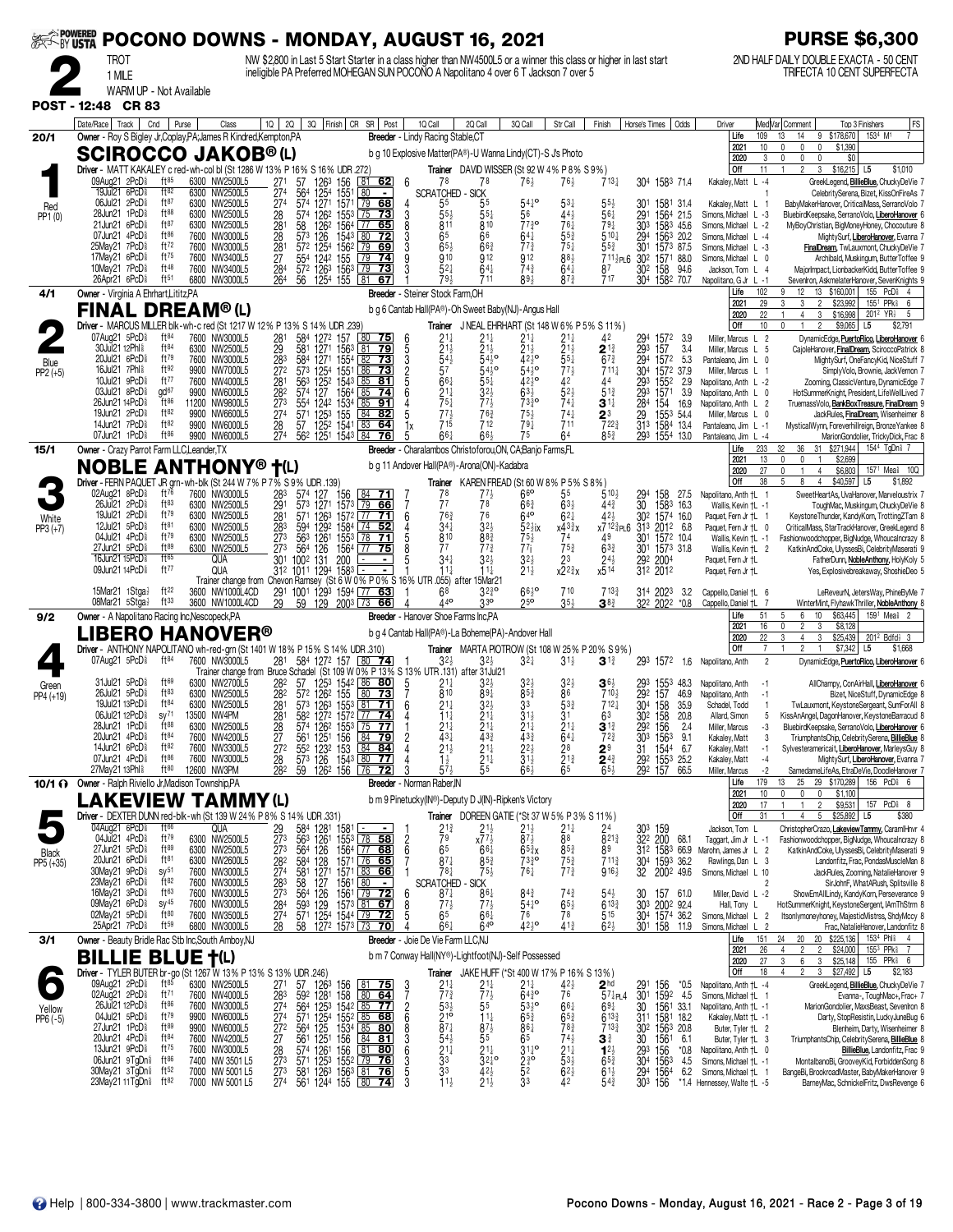|                     | <b>» Powered<br/>~By USTA</b>                          |                                                                                                        |                               |             |                                    |                                                 |                               |                                              |                                                                                                                                   |                      | POCONO DOWNS - MONDAY, AUGUST 16, 2021                                                                            |                                                   |                                                           |                                                                                                      |                                                             |                                     |                                                                   |               |                                                     |                                                                 | <b>PURSE \$6,300</b>                                                                             |
|---------------------|--------------------------------------------------------|--------------------------------------------------------------------------------------------------------|-------------------------------|-------------|------------------------------------|-------------------------------------------------|-------------------------------|----------------------------------------------|-----------------------------------------------------------------------------------------------------------------------------------|----------------------|-------------------------------------------------------------------------------------------------------------------|---------------------------------------------------|-----------------------------------------------------------|------------------------------------------------------------------------------------------------------|-------------------------------------------------------------|-------------------------------------|-------------------------------------------------------------------|---------------|-----------------------------------------------------|-----------------------------------------------------------------|--------------------------------------------------------------------------------------------------|
|                     |                                                        | TROT                                                                                                   |                               |             |                                    |                                                 |                               |                                              |                                                                                                                                   |                      | NW \$2,800 in Last 5 Start Starter in a class higher than NW4500L5 or a winner this class or higher in last start |                                                   |                                                           |                                                                                                      |                                                             |                                     |                                                                   |               |                                                     |                                                                 | 2ND HALF DAILY DOUBLE EXACTA - 50 CENT<br>TRIFECTA 10 CENT SUPERFECTA                            |
|                     |                                                        | 1 MILE<br>WARM UP - Not Available                                                                      |                               |             |                                    |                                                 |                               |                                              |                                                                                                                                   |                      | ineligible PA Preferred MOHEGAN SUN POCONO A Napolitano 4 over 6 T Jackson 7 over 5                               |                                                   |                                                           |                                                                                                      |                                                             |                                     |                                                                   |               |                                                     |                                                                 |                                                                                                  |
| POST - 12:48 CR 83  |                                                        |                                                                                                        |                               |             |                                    |                                                 |                               |                                              |                                                                                                                                   |                      |                                                                                                                   |                                                   |                                                           |                                                                                                      |                                                             |                                     |                                                                   |               |                                                     |                                                                 |                                                                                                  |
|                     | Date/Race   Track                                      |                                                                                                        | Cnd<br>Purse                  |             | Class                              | $10 \mid 20$                                    |                               |                                              | 3Q Finish CR SR Post                                                                                                              |                      | 1Q Call                                                                                                           | 2Q Call                                           | 3Q Call                                                   | Str Call                                                                                             | Finish                                                      |                                     | Horse's Times   Odds                                              |               | Driver                                              | Med Var  Comment                                                | FS<br>Top 3 Finishers                                                                            |
| 20/1                |                                                        | Owner - Roy S Bigley Jr, Coplay, PA; James R Kindred, Kempton, PA                                      |                               |             |                                    |                                                 |                               |                                              |                                                                                                                                   |                      | Breeder - Lindy Racing Stable, CT                                                                                 |                                                   |                                                           |                                                                                                      |                                                             |                                     |                                                                   |               | Life<br>109<br>2021<br>10                           | 13<br>14<br>$\mathbf 0$<br>0<br>0                               | 153 <sup>4</sup> M <sup>1</sup><br>9 \$178,670<br>\$1,390                                        |
|                     |                                                        | <b>SCIROCCO JAKOB®(L)</b>                                                                              |                               |             |                                    |                                                 |                               |                                              |                                                                                                                                   |                      | b g 10 Explosive Matter(PA®)-U Wanna Lindy(CT)-S J's Photo                                                        |                                                   |                                                           |                                                                                                      |                                                             |                                     |                                                                   |               | 2020<br>3                                           | 0<br>0<br>$\mathbf{0}$                                          | \$0                                                                                              |
|                     |                                                        | Driver - MATT KAKALEY c red-wh-col bl (St 1286 W 13% P 16% S 16% UDR 272)<br>09Aug21 2PcD <sup>§</sup> | $ft^{85}$                     |             | 6300 NW2500L5                      | 271                                             | 57                            |                                              | $81$ 62<br>156                                                                                                                    | 6                    | 78                                                                                                                | Trainer DAVID WISSER (St 92 W 4% P 8% S 9%)<br>78 | $76\frac{1}{2}$                                           | $76\frac{1}{2}$                                                                                      | $713\frac{1}{4}$                                            |                                     | 304 1583 71.4                                                     |               | Off<br>11<br>Kakaley, Matt L -4                     | $\overline{2}$<br>$\mathbf{1}$<br>3                             | $$16,215$ L5<br>\$1,010<br>GreekLegend, BillieBlue, ChuckyDeVie 7                                |
|                     |                                                        | 19Jul21 6PcD <sup>§</sup><br>06Jul21 2PcD <sup>§</sup>                                                 | ft82<br>ft87                  |             | 6300 NW2500L5<br>6300 NW2500L5     | $\frac{274}{274}$                               | $\frac{564}{574}$             | 126 <sup>3</sup><br>125 <sup>4</sup><br>1271 | 155<br>80<br>1571<br>  79                                                                                                         | $\blacksquare$<br>68 | <b>SCRATCHED - SICK</b><br>55                                                                                     | 55                                                | $54^{10}_{4}$                                             | $5^{3}$                                                                                              | $55\frac{1}{2}$                                             | 30 <sup>1</sup>                     | 1581 31.4                                                         |               | Kakaley, Matt L                                     |                                                                 | CelebritySerena, Bizet, KissOnFireAs 7<br>BabyMakerHanover, CriticalMass, SerranoVolo 7          |
| Red<br>PP1 (0)      |                                                        | 28Jun21 1PcD <sup>§</sup><br>21Jun21 6PcD <sup>§</sup>                                                 | ft88<br>ft87                  |             | 6300 NW2500L5<br>6300 NW2500L5     | 28                                              | 574                           | 1262                                         | 1553 75<br>73<br>$\overline{77}$                                                                                                  | 3                    | 55)                                                                                                               | 551                                               | 56<br>$77\frac{3}{4}$ <sup>o</sup>                        | $44\frac{1}{2}$<br>761                                                                               | 561<br>$79\frac{1}{4}$                                      | 291                                 | 1564 21.5                                                         |               | Simons, Michael L -3                                |                                                                 | BluebirdKeepsake, SerranoVolo, LiberoHanover 6                                                   |
|                     |                                                        | 07Jun21 4PcD <sup>§</sup>                                                                              | ft86                          |             | 7600 NW3000L5                      | $\frac{28}{28}$                                 | 58<br>573                     | 126 <sup>2</sup><br>126                      | 1564<br>65<br>1543                                                                                                                | 72                   | 811<br>65                                                                                                         | 810<br>66                                         | $64\frac{1}{4}$                                           | $55\frac{3}{4}$                                                                                      | 510 <sub>1</sub>                                            | 303<br>294                          | 1583 45.6<br>1563 20.2                                            |               | Simons, Michael L -2<br>Simons, Michael L -4        |                                                                 | MyBoyChristian, BigMoneyHoney, Chocouture 8<br>MightySurf, LiberoHanover, Evanna 7               |
|                     |                                                        | 25May21 7PcD <sup>§</sup><br>17May21 6PcD <sup>§</sup>                                                 | ft72<br>ft75                  | 7600        | 7600 NW3000L5<br>NW3400L5          | 281<br>$\frac{27}{284}$                         | 572                           | 1254                                         | 1562<br>$\sqrt{79}$<br>69<br>155<br>79<br>74                                                                                      |                      | 65 <sub>3</sub><br>910                                                                                            | $66\frac{3}{4}$<br>912                            | $7^{73}$<br>912                                           | $75\frac{1}{4}$<br>$88\frac{1}{2}$                                                                   | $55\frac{3}{4}$<br>$711\frac{1}{2}$ PL6                     | 301<br>302                          | 1573 87.5<br>1571 88.0                                            |               | Simons, Michael L -3<br>Simons, Michael L 0         |                                                                 | FinalDream, TwLauxmont, ChuckyDeVie 7<br>Archibald, Muskingum, ButterToffee 9                    |
|                     |                                                        | 10May21 7PcD<br>26Apr21 6PcD <sup>§</sup>                                                              | ft48<br>$ft^{51}$             |             | 7600 NW3400L5<br>6800 NW3000L5     | 264                                             | 56                            | 554 1242<br>572 1263                         | 1563<br>1254 155 81<br>67                                                                                                         | 73                   | 521<br>793                                                                                                        | $64\frac{1}{4}$<br>711                            | $74\frac{3}{4}$<br>891                                    | $64\frac{1}{4}$<br>$87\frac{3}{4}$                                                                   | 87<br>717                                                   | 302                                 | 158<br>304 1582 70.7                                              | 94.6          | Jackson, Tom L 4<br>Napolitano, G Jr L -1           |                                                                 | MajorImpact, LionbackerKidd, ButterToffee 9<br>Sevenlron, AskmelaterHanover, SevenKnights 9      |
| 4/1                 |                                                        | Owner - Virginia A Ehrhart, Lititz, PA                                                                 |                               |             |                                    |                                                 |                               |                                              |                                                                                                                                   |                      | Breeder - Steiner Stock Farm, OH                                                                                  |                                                   |                                                           |                                                                                                      |                                                             |                                     |                                                                   |               | 102<br>Life                                         | 12                                                              | 155 PcD <sup>§</sup><br>13 \$160,001                                                             |
|                     |                                                        | FINAL DREAM® (L)                                                                                       |                               |             |                                    |                                                 |                               |                                              |                                                                                                                                   |                      | b g 6 Cantab Hall(PA®)-Oh Sweet Baby(NJ)-Angus Hall                                                               |                                                   |                                                           |                                                                                                      |                                                             |                                     |                                                                   |               | 29<br>2021<br>2020<br>22                            | 3<br>$\overline{2}$<br>3<br>$\overline{4}$<br>3                 | \$23,992<br>155 <sup>1</sup> PPk<br>6<br>\$16,998<br>$201^2$ YR <sub>2</sub><br>5                |
|                     |                                                        | Driver - MARCUS MILLER blk-wh-c red (St 1217 W 12% P 13% S 14% UDR .239)<br>07Aug21 5PcD <sup>§</sup>  | ft84                          |             | 7600 NW3000L5                      |                                                 |                               | 1272                                         | 157<br>80<br>75                                                                                                                   | 6                    |                                                                                                                   | Trainer JNEAL EHRHART (St 148 W 6% P 5% S 11%)    | $21\frac{1}{4}$                                           |                                                                                                      | 42                                                          |                                     | 1572                                                              | 3.9           | Off<br>10<br>Miller, Marcus L 2                     | $\Omega$<br>2                                                   | $$9,065$ L5<br>\$2,791<br>DynamicEdge, PuertoRico, LiberoHanover 6                               |
|                     |                                                        | 30Jul21 12Phl <sup>§</sup><br>20Jul21 6PcD <sup>§</sup>                                                | ft <sup>84</sup><br>ft79      |             | 6300 NW2500L5<br>7600 NW3000L5     | $\begin{array}{c} 281 \\ 29 \\ 283 \end{array}$ | 584<br>581<br>584             | 1271<br>1271                                 | 1563<br>-81<br>1554<br>82                                                                                                         | 5<br>79<br>3         | $2^{11}_{11}$                                                                                                     | $2^{11}_{21}$<br>$54\frac{1}{2}$ <sup>o</sup>     | $\bar{2}$ <sup>1</sup> $\frac{1}{2}$<br>$42\frac{1}{2}$ o | $2^{11}_{21}$<br>$55\frac{1}{4}$                                                                     | $\mathbf{2}$ 1}<br>$67\frac{3}{4}$                          | 294<br>293                          | 157<br>294 1572                                                   | 3.4           | Miller, Marcus L<br>- 5                             |                                                                 | CajoleHanover, FinalDream, SciroccoPatrick 8                                                     |
| Blue<br>$PP2 (+5)$  |                                                        | 16Jul21 7Phl <sup>§</sup>                                                                              | ft92                          | 9900        | NW7000L5                           | 272                                             |                               | 573 1254                                     | 73<br>1551<br>86<br>73                                                                                                            |                      | $54\frac{1}{2}$<br>57                                                                                             | $54^{10}_{2}$                                     | $54^{10}_{2}$                                             | $7^{7\frac{1}{2}}$                                                                                   | $711\frac{1}{4}$                                            |                                     | 304 1572 37.9                                                     | 5.3           | Pantaleano, Jim L 0<br>Miller, Marcus L 1           |                                                                 | MightySurf, OneFancyKid, NiceStuff 7<br>SimplyVolo, Brownie, JackVernon 7                        |
|                     |                                                        | 10Jul21 9PcD <sup>§</sup><br>03Jul21 8PcD <sup>5</sup>                                                 | ft $77$<br>gd <sup>67</sup>   |             | 7600 NW4000L5<br>9900 NW6000L5     | 281<br>282                                      | 563<br>574                    | 1252<br>127                                  | 1543<br>81<br>  85<br>1564 85<br>74                                                                                               | հ                    | $66\frac{1}{4}$<br>$\frac{21\frac{1}{4}}{75\frac{1}{4}}$                                                          | 55‡<br>$3^{2}$                                    | $42\frac{1}{2}$ <sup>o</sup><br>$63\frac{1}{2}$           | $52\frac{1}{2}$                                                                                      | 44<br>$5^{13}$                                              | 293<br>293                          | 1552<br>1571                                                      | 2.9<br>3.9    | Napolitano, Anth L -2<br>Napolitano, Anth L 0       |                                                                 | Zooming, ClassicVenture, DynamicEdge 7<br>HotSummerKnight, President, LifeWellLived 7            |
|                     |                                                        | 26Jun21 14PcD <sup>§</sup><br>19Jun21 2PcD <sup>§</sup>                                                | $ft^{86}$<br>ft82             |             | 11200 NW9800L5<br>9900 NW6600L5    | $\frac{273}{274}$                               | 554<br>571                    | 1242<br>1253                                 | 1534<br>91<br>155<br>-84                                                                                                          | 82<br>5              | $77\frac{1}{2}$                                                                                                   | 771<br>$76\frac{3}{4}$                            | 7330<br>$75\frac{1}{2}$                                   | $74\frac{1}{4}$<br>74 $\frac{1}{4}$                                                                  | $\mathbf{3}^{1\downarrow}$                                  | 284<br>29                           | 154<br>1553                                                       | 16.9<br>54.4  | Napolitano, Anth L 2<br>Miller, Marcus L 0          |                                                                 | TruemassVolo, BankBoxTreasure, FinalDream 9<br>JackRules, FinalDream, Wisenheimer 8              |
|                     |                                                        | 14Jun21 7PcD <sup>§</sup><br>07Jun21 1PcD <sup>§</sup>                                                 | ft82<br>$ft^{86}$             |             | 9900 NW6000L5<br>9900 NW6000L5     | 28<br>274                                       | 57                            | 125 <sup>2</sup>                             | 1541<br>83<br>562 1251 1543 84                                                                                                    | 64<br>76<br>5        | 715<br>1х<br>$66\frac{1}{4}$                                                                                      | 712<br>663                                        | 79}<br>75                                                 | 711<br>64                                                                                            | $\frac{2^3}{7^{22\frac{3}{4}}}$<br>$85\frac{3}{4}$          |                                     | 313 1584 13.4<br>293 1554 13.0                                    |               | Pantaleano, Jim L -1                                |                                                                 | MysticalWynn, Foreverhillreign, BronzeYankee 8                                                   |
| 15/1                |                                                        | Owner - Crazy Parrot Farm LLC, Leander, TX                                                             |                               |             |                                    |                                                 |                               |                                              |                                                                                                                                   |                      | Breeder - Charalambos Christoforou, ON, CA;Banjo Farms, FL                                                        |                                                   |                                                           |                                                                                                      |                                                             |                                     |                                                                   |               | Pantaleano, Jim L -4<br>233<br>Life                 | 32<br>36                                                        | MarionGondolier, TrickyDick, Frac 8<br>31 \$271,944<br>1544 TgDn\$ 7                             |
|                     |                                                        | <b>NOBLE ANTHONY® †(L)</b>                                                                             |                               |             |                                    |                                                 |                               |                                              |                                                                                                                                   |                      | b q 11 Andover Hall(PA®)-Arona(ON)-Kadabra                                                                        |                                                   |                                                           |                                                                                                      |                                                             |                                     |                                                                   |               | 13<br>2021<br>27<br>2020                            | 0<br>$\mathbf 0$<br>0<br>4                                      | \$2,699<br>\$6,803<br>1571 Mea <sup>§</sup> 10Q                                                  |
|                     |                                                        | Driver - FERN PAQUET JR grn-wh-blk (St 244 W 7% P 7% S 9% UDR .139)<br>02Aug21 8PcD <sup>§</sup>       | $ft^{76}$                     |             | 7600 NW3000L5                      |                                                 |                               |                                              |                                                                                                                                   |                      | 78                                                                                                                | Trainer KAREN FREAD (St 60 W 8% P 5% S 8%)        | $6^{60}$                                                  | 55                                                                                                   | $510\frac{1}{2}$                                            |                                     |                                                                   |               | Off<br>38                                           | 5<br>8<br>$\overline{4}$                                        | \$40,597 L5<br>\$1,892                                                                           |
|                     |                                                        | 26Jul21 2PcD <sup>§</sup>                                                                              | ft83                          |             | 6300 NW2500L5                      | $\frac{283}{291}$                               |                               | 574 127<br>573 1271                          | 156<br>1573<br><u>84</u> 71<br>79 66                                                                                              |                      | 77                                                                                                                | 77}<br>78                                         | $66\frac{3}{4}$                                           | $63\frac{1}{2}$                                                                                      | $44\frac{3}{4}$                                             | 294<br>30                           | 158<br>1583 16.3                                                  | 27.5          | Napolitano, Anth +L 1<br>Wallis, Kevin +L -1        |                                                                 | SweetHeartAs, UvaHanover, Marveloustrix 7<br>ToughMac, Muskingum, ChuckyDeVie 8                  |
| White<br>$PP3 (+7)$ |                                                        | 19Jul21 2PcD <sup>§</sup><br>12Jul21 5PcD <sup>§</sup>                                                 | ft79<br>ft <sup>81</sup>      |             | 6300 NW2500L5<br>6300 NW2500L5     | $\frac{28}{283}$                                | 571<br>594                    | 1263<br>1292                                 | 1572 177<br>-71<br>1584<br>$74$ 52                                                                                                |                      | 76)<br>$34\frac{1}{4}$                                                                                            | 76<br>$3^{2}$                                     | $64$ <sup>o</sup><br>$52\frac{1}{2}$ ix                   | $6^{2}$<br>$x\frac{4}{7}\frac{33}{4}x$                                                               | 424<br>x7 <sup>123</sup> <sub>PL6</sub> 313                 |                                     | 302 1574 16.0<br>2012 6.8                                         |               | Paquet, Fern Jr †L 1<br>Paquet, Fern Jr +L 0        |                                                                 | KeystoneThunder, KandyKorn, TrottingZTam 8<br>CriticalMass, StarTrackHanover, GreekLegend 8      |
|                     | 04Jul21                                                | 4PcD <sup>§</sup><br>27Jun21 5PcD <sup>§</sup>                                                         | ft79<br>ft89                  |             | 6300 NW2500L5<br>6300 NW2500L5     | 273<br>273                                      | 563<br>564                    | 1261<br>126                                  | 71<br>1553<br>$\sqrt{78}$<br>1564<br>l 77                                                                                         | 5<br>75              | 810<br>77                                                                                                         | 883<br>773                                        | 75}<br>77i                                                | $75\frac{3}{4}$                                                                                      | 49<br>$63\frac{3}{4}$                                       | 30 <sup>1</sup>                     | 1572 10.4<br>301 1573 31.8                                        |               | Wallis, Kevin +L -1<br>Wallis, Kevin †L 2           |                                                                 | Fashionwoodchopper, BigNudge, Whoucalncrazy 8<br>KatkinAndCoke, UlyssesBi, CelebrityMaserati 9   |
|                     |                                                        | 16Jun21 15PcD <sup>§</sup><br>09Jun21 14PcD <sup>§</sup>                                               | ft65<br>ft77                  |             | QUA<br><b>QUA</b>                  |                                                 | 301 1002 131<br>312 1011 1294 |                                              | 200<br>1583                                                                                                                       | $\blacksquare$       | $34\frac{1}{4}$<br>$11\frac{1}{4}$                                                                                | 32}<br>$11\frac{1}{4}$                            | $3^{2}$<br>$21\frac{1}{2}$                                | 23<br>x223x                                                                                          | $2^{4\frac{1}{2}}$<br>$x5^{14}$                             | 292                                 | 2004<br>312 2012                                                  |               | Paquet, Fern Jr †L<br>Paquet, Fern Jr †L            |                                                                 | FatherDunn, NobleAnthony, HolyKoly 5<br>Yes, Explosivebreakaway, ShoshieDeo 5                    |
|                     |                                                        |                                                                                                        |                               |             |                                    |                                                 |                               |                                              |                                                                                                                                   |                      | Trainer change from Chevon Ramsey (St 6 W 0% P 0% S 16% UTR .055) after 15Mar21                                   |                                                   |                                                           |                                                                                                      |                                                             |                                     |                                                                   |               |                                                     |                                                                 |                                                                                                  |
|                     |                                                        | 15Mar21 1Stga}<br>08Mar21 5Stga}                                                                       | ft <sup>22</sup><br>$ft^{33}$ |             | 3600 NW1000L4CD<br>3600 NW1000L4CD |                                                 |                               |                                              | 291 1001 1293 1594 77 63<br>29 59 129 2003 73 66                                                                                  |                      | 68<br>440                                                                                                         | 3230<br>330                                       | $66^{10}$<br>250                                          | 710<br>$35\frac{1}{2}$                                                                               | $713\frac{3}{4}$<br>$38\frac{3}{4}$                         |                                     | 314 2023<br>322 2022                                              | 3.2<br>$*0.8$ | Cappello, Daniel †L 6<br>Cappello, Daniel +L        |                                                                 | LeReveurN, JetersWay, PhineByMe 7<br>WinterMint, Flyhawk Thriller, NobleAnthony 8                |
| 9/2                 |                                                        | Owner - A Napolitano Racing Inc, Nescopeck, PA                                                         |                               |             |                                    |                                                 |                               |                                              |                                                                                                                                   |                      | Breeder - Hanover Shoe Farms Inc.PA                                                                               |                                                   |                                                           |                                                                                                      |                                                             |                                     |                                                                   |               | 51<br>Life<br>2021<br>16                            | 5<br>10<br>6<br>$\mathbf{0}$<br>$\overline{2}$<br>$\mathcal{R}$ | \$63,445<br>1591 Mea <sup>§</sup> 2<br>\$8,128                                                   |
|                     |                                                        | <b>LIBERO HANOVER®</b>                                                                                 |                               |             |                                    |                                                 |                               |                                              |                                                                                                                                   |                      | b g 4 Cantab Hall(PA®)-La Boheme(PA)-Andover Hall                                                                 |                                                   |                                                           |                                                                                                      |                                                             |                                     |                                                                   |               | 22<br>2020<br>Off                                   | 3<br>$\overline{4}$<br>3<br>$\mathbf{1}$<br>$\overline{2}$      | \$25,439<br>$201^2$ Bdfd $\frac{1}{2}$ 3                                                         |
|                     |                                                        | 07Aug21 5PcD <sup>5</sup>                                                                              | $ft^{84}$                     |             | 7600 NW3000L5                      | 281                                             |                               | 584 1272 157                                 | Driver - ANTHONY NAPOLITANO wh-red-grn (St 1401 W 18% P 15% S 14% UDR 310)<br>80 74                                               |                      | 3 <sup>2</sup>                                                                                                    | 32}                                               | $3^{2+}$                                                  | $31\frac{1}{2}$                                                                                      | Trainer MARTA PIOTROW (St 108 W 25% P 20% S 9%)<br>$3^{13}$ | 293                                 | 1572                                                              | 1.6           | Napolitano, Anth<br>$\overline{2}$                  |                                                                 | $$7,342$ L5<br>\$1,668<br>DynamicEdge, PuertoRico, LiberoHanover 6                               |
| Green               |                                                        | 31Jul21 5PcD <sup>§</sup>                                                                              | $ft^{69}$                     |             | 6300 NW2700L5                      | 282                                             | 57                            |                                              | 1253 1542 L86                                                                                                                     | 80<br>5              | Trainer change from Bruce Schadel (St 109 W 0% P 13% S 13% UTR 131) after 31 Jul 21<br>$21\frac{1}{4}$            | $32\frac{1}{2}$                                   | 32}                                                       | $3^{2}$                                                                                              | $\mathbf{3}$ 6 $\frac{1}{2}$                                | 293                                 | 1553 48.3                                                         |               | Napolitano, Anth<br>-1                              |                                                                 | AllChampy, ConAirHall, LiberoHanover 6                                                           |
| PP4 (+19)           |                                                        | 26Jul21 5PcD <sup>§</sup><br>19Jul21 13PcD <sup>§</sup>                                                | ft83<br>ft84                  | 6300        | 6300 NW2500L5<br>NW2500L5          | 282                                             |                               | 572 1262                                     | 155<br>80<br>73                                                                                                                   | 6                    | 810<br>$21\frac{1}{4}$                                                                                            | $89\frac{1}{4}$<br>$3^{2}$                        | $8^{5.3}$<br>3 <sup>3</sup>                               | 86<br>533                                                                                            | $710\frac{1}{2}$<br>712 <sub>7</sub>                        | 292<br>$\overline{30}$ <sup>4</sup> | 157<br>158                                                        | 46.9<br>35.9  | Napolitano, Anth<br>Schadel, Todd                   |                                                                 | Bizet, NiceStuff, DynamicEdge 8                                                                  |
|                     |                                                        | 06Jul21 12PcD <sup>§</sup>                                                                             | SV <sup>71</sup>              | 13500 NW4PM |                                    | $\frac{28}{28}$ <sup>1</sup>                    |                               |                                              | 573 1263 1553 <b>81 71</b><br>58 <sup>2</sup> 1272 1572 77 <b>74</b>                                                              |                      | $11\frac{1}{4}$                                                                                                   | $21\frac{1}{4}$                                   | $31\frac{1}{2}$                                           | 31                                                                                                   | 63                                                          | 302                                 | 158                                                               | 20.8          | 5<br>Allard, Simon                                  |                                                                 | TwLauxmont, KeystoneSergeant, SumForAll 8<br>KissAnAngel, DagonHanover, KeystoneBarracud 8       |
|                     |                                                        | 28Jun21 1PcD <sup>§</sup><br>20Jun21 4PcD <sup>§</sup>                                                 | ft88<br>$ft^{84}$             |             | 6300 NW2500L5<br>7600 NW4200L5     | $\frac{28}{27}$<br>$\frac{27}{27}$ <sup>2</sup> |                               |                                              |                                                                                                                                   |                      | $2^{11/2}$<br>$4^{31/2}$<br>$2^{11/2}$                                                                            | $21\frac{1}{4}$<br>$43\frac{3}{4}$                | $21\frac{1}{4}$                                           | $2^{11}_{64}$                                                                                        | $3^{13}_{724}$                                              | $\frac{30^3}{31}$                   | 292 156<br>1563                                                   | 2.4<br>9.1    | Miller, Marcus<br>-3<br>Kakalev, Matt<br>3          |                                                                 | BluebirdKeepsake, SerranoVolo, LiberoHanover 6<br>TriumphantsChip, CelebritySerena, BillieBlue 8 |
|                     |                                                        | 14Jun21 6PcD <sup>§</sup><br>07Jun21 4PcD <sup>§</sup>                                                 | ft82<br>$ft^{86}$             |             | 7600 NW3300L5<br>7600 NW3000L5     |                                                 |                               |                                              | 574 1262 1553 <u>755 777</u><br>561 1251 156 <u>84 79</u><br>552 1232 153 84 <b>84</b><br>573 126 1543 80 77<br>59 1262 156 76 72 |                      | $1\frac{1}{2}$                                                                                                    | $21\frac{1}{4}$<br>$21\frac{1}{4}$                | $43\frac{3}{4}$<br>$22\frac{1}{2}$<br>$31\frac{1}{2}$     | 28<br>$21\frac{3}{4}$                                                                                | $\frac{2^9}{2^{43\over 4}}$                                 |                                     | 1544                                                              | 6.7           | Kakaley, Matt<br>$-1$<br>Kakaley, Matt<br>$-4$      |                                                                 | Sylvesteramericait, LiberoHanover, MarleysGuy 8<br>MightySurf, LiberoHanover, Evanna 7           |
|                     |                                                        | 27May21 13Phl <sup>§</sup>                                                                             | $ft^{80}$                     | 12600 NW3PM |                                    | 28<br>282                                       |                               |                                              |                                                                                                                                   |                      | 57 <sub>3</sub>                                                                                                   | 55                                                | $66\frac{1}{2}$                                           | 6 <sup>5</sup>                                                                                       |                                                             |                                     | 29 <sup>2</sup> 155 <sup>3</sup> 25.2<br>29 <sup>2</sup> 157 66.5 |               | Miller, Marcus<br>$-2$<br>Life<br>179               | 13<br>25                                                        | SamedameLifeAs, EtraDeVie, DoodleHanover 7<br>29 \$170,289<br>156 PcD <sup>\$</sup> 6            |
|                     | 10/1 ( Owner - Ralph Riviello Jr, Madison Township, PA | <b>LAKEVIEW</b>                                                                                        |                               |             | <b>TAMMY(L)</b>                    |                                                 |                               |                                              |                                                                                                                                   |                      | Breeder - Norman Raber.IN<br>b m 9 Pinetucky(IN®)-Deputy D J(IN)-Ripken's Victory                                 |                                                   |                                                           |                                                                                                      |                                                             |                                     |                                                                   |               | 10<br>2021                                          | 0<br>0<br>$\mathbf 0$                                           | \$1,100                                                                                          |
|                     |                                                        | Driver - DEXTER DUNN red-blk-wh (St 139 W 24% P 8% S 14% UDR .331)                                     |                               |             |                                    |                                                 |                               |                                              |                                                                                                                                   |                      |                                                                                                                   | Trainer DOREEN GATIE (*St 37 W 5% P 3% S 11%)     |                                                           |                                                                                                      |                                                             |                                     |                                                                   |               | 17<br>2020<br>Off<br>31                             | $\overline{2}$<br>$\overline{4}$<br>5<br>$\overline{1}$         | \$9,531<br>157<br>PcD៖<br>8<br>\$25,892<br>\$380<br>L <sub>5</sub>                               |
|                     |                                                        | 04Aug21 6PcD <sup>§</sup><br>04Jul21 4PcD <sup>§</sup>                                                 | ft $66$<br>$ft^{79}$          |             | QUA<br>6300 NW2500L5               | $\frac{29}{273}$<br>$\frac{273}{282}$           | 584                           | 1281<br>1261                                 | 1581                                                                                                                              |                      | $\frac{2^{13}}{7^9}$                                                                                              | $2^{11/2}$<br>$x7^{71/2}$                         | $21\frac{1}{2}$<br>$87\frac{1}{2}$                        | $\frac{2^{1\frac{1}{4}}}{8^{8}}$                                                                     | 24<br>8213                                                  |                                     | 303 159<br>322 200                                                | 68.1          | Jackson, Tom<br>Taggart, Jim Jr L -1                |                                                                 | ChristopherCrazo, LakeviewTammy, CaramIHnvr 4<br>Fashionwoodchopper, BigNudge, Whoucalncrazy 8   |
| Black<br>PP5 (+35)  |                                                        | 27Jun21 5PcD <sup>§</sup>                                                                              | $ft^{89}$<br>ft <sup>81</sup> |             | 6300 NW2500L5                      |                                                 |                               | $\frac{563}{564}$ 1261                       | 1553 78 58<br>1564 77 68<br>1571 76 65                                                                                            | $\frac{2}{6}$        | 6 <sup>5</sup>                                                                                                    | $66\frac{1}{4}$                                   | $65\frac{3}{4}x$                                          | $85\frac{3}{4}$                                                                                      | 89                                                          |                                     | 312 1583 66.9                                                     |               | Marohn, James Jr L 2                                |                                                                 | KatkinAndCoke, UlyssesBi, CelebrityMaserati 9                                                    |
|                     |                                                        | 20Jun21 6PcD <sup>§</sup><br>30May21 9PcD <sup>§</sup>                                                 | $sy^{51}$                     |             | 6300 NW2600L5<br>7600 NW3000L5     |                                                 | 584                           | 128                                          | 66                                                                                                                                |                      | $87\frac{1}{4}$<br>$78\frac{1}{4}$                                                                                | $85\frac{3}{4}$<br>$75\frac{1}{2}$                | 7330<br>761                                               | $75\frac{3}{4}$<br>$77\frac{3}{4}$                                                                   | $711\frac{3}{4}$<br>$916\frac{1}{2}$                        |                                     | 304 1593 36.2<br>32 200 <sup>2</sup> 49.6                         |               | Rawlings, Dan L 3<br>Simons, Michael L 10           |                                                                 | Landonfitz, Frac, PondasMuscleMan 8<br>JackRules, Zooming, NatalieHanover 9                      |
|                     |                                                        | 23May21 6PcD <sup>§</sup><br>16May21 3PcD <sup>§</sup>                                                 | $ft^{82}$<br>ft63             |             | 7600 NW3000L5<br>7600 NW3000L5     | 274<br>283<br>273                               |                               | 581 1271<br>58 127<br>564 126                | 1571 83<br>1561 80<br>1561 79<br>$\overline{72}$                                                                                  | Ξ<br>6               | <b>SCRATCHED</b><br>$87\frac{1}{4}$                                                                               | <b>SICK</b><br>$86\frac{1}{4}$                    | $8^{4^{3}_{4}}$                                           | 743                                                                                                  | $54\frac{1}{2}$                                             | 30                                  | 157 61.0                                                          |               | $\overline{\phantom{a}}$<br>Miller, David L -2      |                                                                 | SirJohnF, WhatARush, Splitsville 8<br>ShowEmAllLindy, KandyKorn, Perseverance 9                  |
|                     |                                                        | 09May21 6PcD <sup>§</sup><br>02May21 5PcD <sup>§</sup>                                                 | SY <sup>45</sup><br>$ft^{80}$ |             | 7600 NW3000L5<br>7600 NW3500L5     | 284<br>274                                      |                               |                                              | 593 129 1573 81<br>571 1254 1544 79<br>$\frac{67}{72}$                                                                            | 8                    | $77\frac{1}{2}$<br>65                                                                                             | $77\frac{1}{2}$<br>$66\frac{1}{4}$                | $54^{10}_{4}$<br>76                                       | $65\frac{1}{2}$<br>78                                                                                | $6^{13\frac{3}{4}}$<br>515                                  |                                     | 303 2002 92.4<br>304 1574 36.2                                    |               | Hall, Tony L<br>Simons, Michael L 2                 |                                                                 | HotSummerKnight, KeystoneSergent, IAmThStrm 8<br>Itsonlymoneyhoney, MajesticMistrss, ShdyMccy 8  |
|                     |                                                        | 25Apr21 7PcD <sup>§</sup>                                                                              | $ft^{59}$                     |             | 6800 NW3000L5                      | $\overline{2}8$                                 |                               |                                              | 58 1272 1573 73<br>70                                                                                                             |                      | $66\frac{1}{4}$                                                                                                   | $64$ <sup>o</sup>                                 | $42\frac{1}{2}$ <sup>o</sup>                              | $41\frac{3}{7}$                                                                                      | $62\frac{1}{2}$                                             |                                     | 301 158 11.9                                                      |               | Simons, Michael<br>$\overline{2}$                   |                                                                 | Frac, NatalieHanover, Landonfitz 8                                                               |
| 3/1                 |                                                        | Owner - Beauty Bridle Rac Stb Inc, South Amboy, NJ                                                     |                               |             |                                    |                                                 |                               |                                              |                                                                                                                                   |                      | Breeder - Joie De Vie Farm LLC,NJ                                                                                 |                                                   |                                                           |                                                                                                      |                                                             |                                     |                                                                   |               | 151<br>Life<br>2021<br>26                           | 24<br>20<br>$\overline{2}$<br>$\overline{2}$<br>4               | 20 \$225,136<br>1534 Phili 4<br>1553 PPk<br>\$24,000<br>$\overline{7}$                           |
|                     |                                                        | <b>BILLIE BLUE †(L)</b><br>Driver - TYLER BUTER br-go (St 1267 W 13% P 13% S 13% UDR .246)             |                               |             |                                    |                                                 |                               |                                              |                                                                                                                                   |                      | b m 7 Conway Hall(NY®)-Lightfoot(NJ)-Self Possessed                                                               | Trainer JAKE HUFF (*St 400 W 17% P 16% S 13%)     |                                                           |                                                                                                      |                                                             |                                     |                                                                   |               | 27<br>2020<br>Off<br>18                             | 3<br>6<br>3<br>$\overline{\phantom{a}}$<br>$\overline{4}$<br>3  | \$25,148<br>155<br>PPk៖<br>6<br>\$27,492 L5<br>\$2,183                                           |
|                     |                                                        | 09Aug21 2PcD <sup>§</sup>                                                                              | $ft^{85}$                     |             | 6300 NW2500L5                      | 271                                             | 57                            |                                              |                                                                                                                                   | $\frac{3}{7}$        | $2^{11}_{73}$                                                                                                     |                                                   |                                                           | 42}                                                                                                  | 2 <sup>hd</sup>                                             | 291                                 | 156                                                               | $*0.5$        | Napolitano, Anth +L -4                              |                                                                 | GreekLegend, BillieBlue, ChuckyDeVie 7                                                           |
| Yellow              |                                                        | 02Aug21 2PcD <sup>§</sup><br>26Jul21 12PcD <sup>§</sup>                                                | ft <sup>71</sup><br>$ft^{86}$ |             | 7600 NW4000L5<br>7600 NW3000L5     | 28 <sup>3</sup><br>274                          | 592<br>564                    |                                              | $126^3$ 156 <u>81 75</u><br>1281 158 80 64<br>1253 1542 85 77                                                                     | $\overline{c}$       | $53\frac{1}{2}$                                                                                                   | $2^{11}_{77}$<br>$7^{11}_{2}$<br>$5^{5}$          | $2^{11}_{643}$ o<br>6430<br>5310                          | 76<br>664                                                                                            | $57\frac{1}{4}$ PL4<br>$69\frac{1}{4}$                      | 30 <sup>1</sup><br>30               | 1592<br>1561                                                      | 4.5<br>33.1   | Simons, Michael +L 1<br>Napolitano, Anth +L -1      |                                                                 | Evanna-, ToughMac+, Frac+ 7<br>MarionGondolier, MaxsBeast, SevenIron 8                           |
| PP6 (-5)            |                                                        | 04Jul21 5PcD <sup>§</sup><br>27Jun21 1PcD <sup>§</sup>                                                 | $ft^{79}$<br>$ft^{89}$        |             | 9900 NW6000L5<br>9900 NW6000L5     | $\overline{27}$ <sup>4</sup>                    |                               |                                              | 571 1254 1552 85 68<br>564 125 1534 85 80<br>561 1251 156 84 81                                                                   | 6<br>8               | $2^{16}$<br>$8^{7}_{4}$<br>$5^{4}_{2}$                                                                            | $\frac{11\frac{1}{4}}{8\frac{7\frac{1}{2}}{5}}$   | $65\frac{3}{4}$                                           | $65\frac{3}{4}$<br>$78\frac{3}{4}$                                                                   | $6^{13\frac{3}{4}}$<br>$713\frac{3}{4}$                     | 302                                 | 311 1581 18.2<br>1563 20.8                                        |               | Kakaley, Matt +L -1<br>Buter, Tyler †L 2            |                                                                 | Darty, StopResistin, LuckyJuneBug 6<br>Blenheim, Darty, Wisenheimer 8                            |
|                     |                                                        | 20Jun21 4PcD <sup>§</sup><br>13Jun21 9PcD <sup>§</sup>                                                 | ft <sup>84</sup><br>$ft^{75}$ |             | 7600 NW4200L5<br>7600 NW3000L5     | $\frac{272}{27}$                                | 574                           | 1261                                         |                                                                                                                                   | Š<br>6               |                                                                                                                   | $21\frac{1}{4}$                                   | $8^{61}_{65}$<br>$3^{11}$ <sup>o</sup>                    |                                                                                                      | 3∛<br>$1^{2}\frac{1}{2}$                                    | 30<br>293                           | 1561<br>156                                                       | 6.1<br>$*0.8$ | Buter, Tyler †L 3<br>Napolitano, Anth +L 0          |                                                                 | TriumphantsChip, CelebritySerena, BillieBlue 8<br>BillieBlue, Landonfitz, Frac 9                 |
|                     |                                                        | 06Jun21 9TgDn <sup>§</sup>                                                                             | $ft^{86}$                     |             | 7400 NW 3501 L5                    | $\frac{28}{273}$                                |                               | 571 1253<br>581 1263                         | $\frac{156}{155^2}$<br>$\frac{81}{79}$ 76                                                                                         |                      | $\frac{21\overline{4}}{3^{3}}$                                                                                    | $3^{21}$ <sup>o</sup>                             | $\frac{236}{52}$                                          | $74\frac{1}{2}$<br>21 <sup>4</sup> $\frac{1}{4}$<br>53 <sup>3</sup> $\frac{1}{2}$<br>62 <sup>2</sup> | $6^{5\frac{3}{4}}$                                          | 304                                 | 1563                                                              | 4.5           | Simons, Michael +L -1                               |                                                                 | MontalbanoBi, GrooveyKid, ForbiddenSong 8                                                        |
|                     |                                                        | 30May21 3TgDn <sup>§</sup><br>23May21 11 TgDn \$                                                       | ft <sub>52</sub><br>ft $82$   |             | 7000 NW 5001 L5<br>7000 NW 5001 L5 | $\overline{27}$ <sub>3</sub><br>27 <sup>4</sup> |                               |                                              | 156 <sup>3</sup><br>561 1244 155 80 74                                                                                            | 76                   | 3 <sup>3</sup><br>$11\frac{1}{2}$                                                                                 | $42\frac{1}{2}$<br>$21\frac{1}{2}$                | 3 <sup>3</sup>                                            | 42                                                                                                   | $61\frac{1}{2}$<br>$54\frac{3}{4}$                          | 294                                 | 1564<br>303 156                                                   | 6.2           | Simons, Michael †L 1<br>*1.4 Hennessey, Walte +L -5 |                                                                 | BangeBi, BrookroadMaster, BabyMakerHanover 9<br>BarneyMac, SchnickelFritz, DwsRevenge 6          |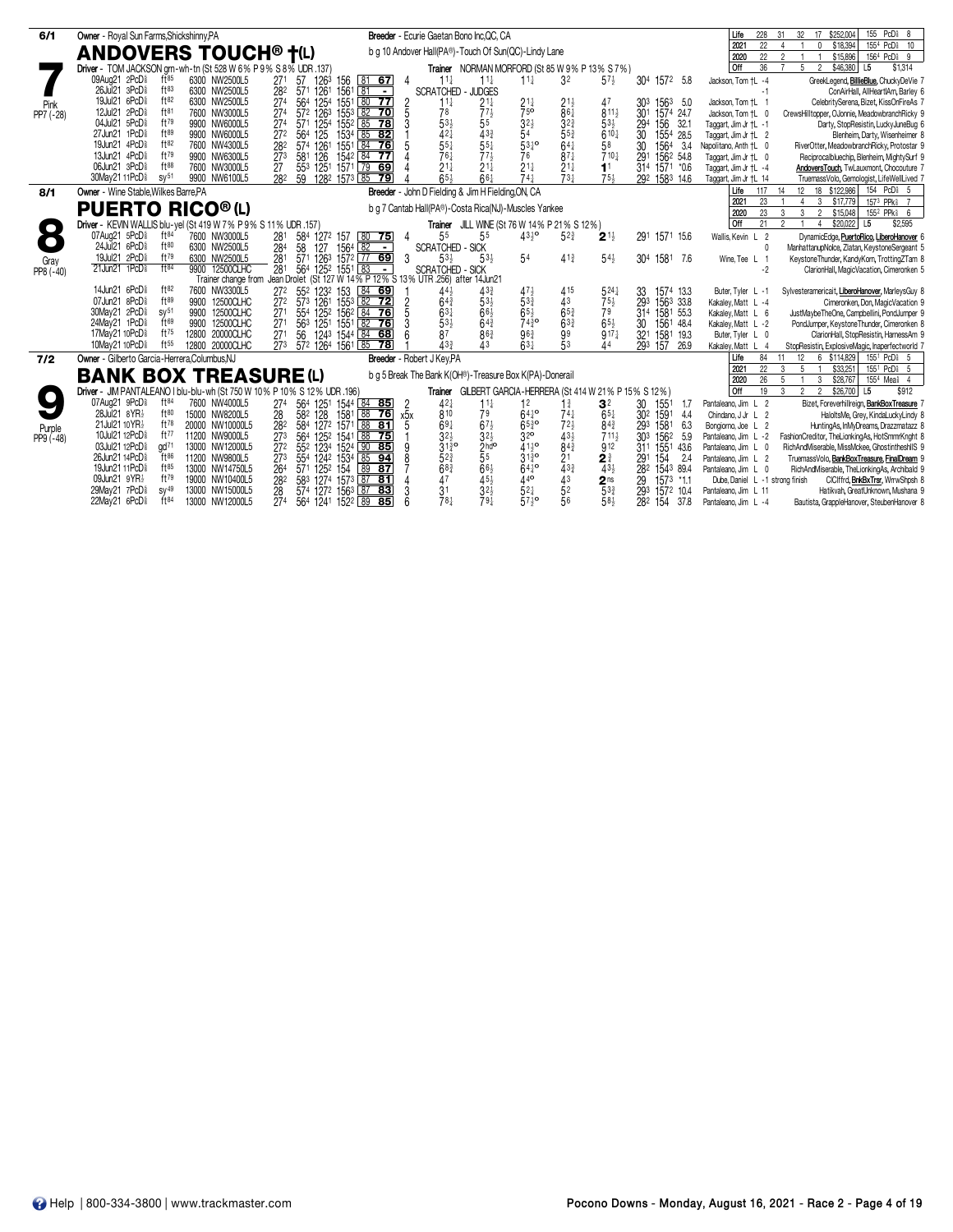|                     |                                                                                                                        |                                                                                                                                                             |                                                                                                                                                  | 155 PcDi 8<br>\$252,004<br>228<br>17                                                                                                      |
|---------------------|------------------------------------------------------------------------------------------------------------------------|-------------------------------------------------------------------------------------------------------------------------------------------------------------|--------------------------------------------------------------------------------------------------------------------------------------------------|-------------------------------------------------------------------------------------------------------------------------------------------|
| 6/1                 | Owner - Royal Sun Farms, Shickshinny, PA                                                                               | Breeder - Ecurie Gaetan Bono Inc.QC, CA                                                                                                                     |                                                                                                                                                  | 32<br>Life<br>31<br>22<br>1554 PcD <sub>8</sub> 10<br>2021<br>\$18,394<br>$\Delta$<br>$\Omega$                                            |
|                     | <b>ANDOVERS TOUCH® †(L)</b>                                                                                            | b g 10 Andover Hall(PA®)-Touch Of Sun(QC)-Lindy Lane                                                                                                        |                                                                                                                                                  | 2020<br>22<br>2<br>\$15,896<br>1564 PcD <sub>8</sub> 9                                                                                    |
|                     | Driver - TOM JACKSON grn-wh-tn (St 528 W 6% P 9% S 8% UDR .137)                                                        |                                                                                                                                                             | Trainer NORMAN MORFORD (St 85 W 9% P 13% S 7%)                                                                                                   | 36<br>5<br>\$46,380<br>l Off<br>$\mathfrak{D}$<br>L5<br>\$1,314                                                                           |
|                     | 09Aug21 2PcD <sup>§</sup><br>f185<br>6300 NW2500L5                                                                     | 27 <sup>1</sup><br>1263 156<br>$11\frac{1}{4}$<br>$11\frac{1}{4}$<br>81 67<br>57<br>4                                                                       | $11\frac{1}{4}$<br>3 <sup>2</sup><br>$57\frac{1}{2}$<br>304 1572 5.8                                                                             | Jackson, Tom +L -4<br>GreekLegend, BillieBlue, ChuckyDeVie 7                                                                              |
|                     | 26Jul 21 3PcD <sup>5</sup><br>$ft^{83}$<br>6300 NW2500L5                                                               | $156^1$ $81 -$<br>- JUDGES<br>282<br>571<br>1261<br><b>SCRATCHED</b>                                                                                        |                                                                                                                                                  | ConAirHall, AllHeartlAm, Barley 6<br>$-1$                                                                                                 |
|                     | 19Jul21 6PcD <sup>5</sup><br>ft82<br>6300 NW2500L5                                                                     | 1551 80 77<br>1254<br>27 <sup>4</sup><br>564<br>$\frac{2}{5}$<br>$11\frac{1}{4}$<br>$21\frac{1}{4}$                                                         | $21\frac{1}{4}$<br>47<br>1563 5.0<br>$2^{11}_{28}$<br>303                                                                                        | Jackson, Tom +L 1<br>CelebritySerena, Bizet, KissOnFireAs 7                                                                               |
| Pink<br>PP7 (-28)   | ft <sup>81</sup><br>12Jul21 2PcD <sup>§</sup><br>7600 NW3000L5                                                         | $77\frac{1}{2}$<br>1553 82 70<br>78<br>572 1263<br>27 <sup>4</sup>                                                                                          | $\overline{7}5^{\circ}$<br>$811\frac{1}{2}$<br>30 <sup>1</sup><br>1574 24.7                                                                      | CrewsHilltopper, OJonnie, MeadowbranchRicky 9<br>Jackson, Tom +L 0                                                                        |
|                     | 04Jul21 5PcD<br>ft79<br>9900 NW6000L5<br>ft89                                                                          | $\overline{27}$ <sup>4</sup><br>$\frac{53\frac{1}{2}}{42\frac{1}{4}}$<br>55<br>571 1254<br>1552 85 78<br>3                                                  | $\frac{3^{2\frac{1}{2}}}{5^{4}}$<br>32 <sub>4</sub><br>$53\frac{1}{2}$<br>32.1<br>294<br>156                                                     | Taggart, Jim Jr +L -1<br>Darty, StopResistin, LuckyJuneBug 6                                                                              |
|                     | 27Jun21 1PcD <sup>§</sup><br>9900 NW6000L5<br>19Jun21 4PcD <sup>§</sup><br>ft82<br>7600 NW4300L5                       | $43\frac{3}{4}$<br>125<br>272<br>564<br>1534 85 82<br>$55\frac{1}{4}$<br>$55\frac{1}{4}$                                                                    | $55\frac{3}{4}$<br>$610\frac{1}{4}$<br>30<br>1554 28.5<br>$53^{10}$<br>$64\frac{1}{4}$<br>58                                                     | Taggart, Jim Jr +L 2<br>Blenheim, Darty, Wisenheimer 8                                                                                    |
|                     | 13Jun21 4PcD <sup>5</sup><br>ft79<br>9900 NW6300L5                                                                     | 574 1261<br>1551 84 76<br>282<br>1542 84 77<br>76 <sub>1</sub><br>$77\frac{1}{2}$<br>273<br>581<br>126                                                      | 30<br>1564<br>3.4<br>$87\frac{1}{4}$<br>76<br>$710\frac{1}{4}$<br>291<br>1562 54.8                                                               | Napolitano, Anth +L 0<br>RiverOtter, MeadowbranchRicky, Protostar 9<br>Taggart, Jim Jr +L 0<br>Reciprocalbluechip, Blenheim, MightySurf 9 |
|                     | 06Jun21 3PcD <sup>§</sup><br>$ft^{88}$<br>7600 NW3000L5                                                                | $21\frac{1}{4}$<br>1251 1571 79 69<br>$21\frac{1}{4}$<br>553<br>27                                                                                          | $21\frac{1}{4}$<br>$21\frac{1}{4}$<br>314 1571 *0.6<br>1 <sup>1</sup>                                                                            | AndoversTouch, TwLauxmont, Chocouture 7<br>Taggart, Jim Jr +L -4                                                                          |
|                     | 30May21 11PcD <sup>§</sup><br>SV <sup>51</sup><br>9900 NW6100L5                                                        | $65+$<br>1282 1573 85<br>$66\frac{1}{4}$<br>282<br>59<br>$\overline{79}$                                                                                    | $\bar{7}3\frac{1}{4}$<br>$74\frac{1}{4}$<br>$75\frac{1}{2}$<br>292<br>1583 14.6                                                                  | Taggart, Jim Jr +L 14<br>TruemassVolo, Gemologist, LifeWellLived 7                                                                        |
| 8/1                 | Owner - Wine Stable. Wilkes Barre. PA                                                                                  | Breeder - John D Fielding & Jim H Fielding, ON, CA                                                                                                          |                                                                                                                                                  | 154 PcD <sup>§</sup> 5<br>Life<br>12 18 \$122,986<br>117<br>14                                                                            |
|                     |                                                                                                                        |                                                                                                                                                             |                                                                                                                                                  | \$17,779<br>157 <sup>3</sup> PPk <sup>§</sup> 7<br>23<br>$\overline{4}$<br>3<br>2021                                                      |
|                     | <b>PUERTO RICO®(L)</b>                                                                                                 | b q 7 Cantab Hall(PA®)-Costa Rica(NJ)-Muscles Yankee                                                                                                        |                                                                                                                                                  | 2020<br>23<br>3<br>3<br>$\overline{2}$<br>\$15,048<br>155 <sup>2</sup> PPk \$6                                                            |
| $\bullet$           | Driver - KEVIN WALLIS blu-yel (St 419 W 7% P 9% S 11% UDR .157)                                                        |                                                                                                                                                             | Trainer JILL WINE (St 76 W 14% P 21% S 12%)                                                                                                      | l off<br>21<br>$\mathfrak{p}$<br>\$20,022<br>L <sub>5</sub><br>\$2,595<br>4                                                               |
| $\bullet$           | 07Aug21 5PcD <sup>§</sup><br>$ft^{84}$<br>7600 NW3000L5                                                                | 55<br>584<br>55<br>281<br>127 <sup>2</sup> 157 80 <b>75</b><br>127 1564 82 -<br>4                                                                           | $43^{10}$<br>$5^{23}$<br>1571 15.6<br>$2^{1\frac{1}{2}}$<br>291                                                                                  | Wallis, Kevin L 2<br>DynamicEdge, PuertoRico, LiberoHanover 6                                                                             |
|                     | 24Jul 21 6PcD <sup>§</sup><br>ft80<br>6300 NW2500L5                                                                    | $\bar{28}$ <sup>4</sup><br>58<br><b>SCRATCHED - SICK</b>                                                                                                    |                                                                                                                                                  | ManhattanupNolce, Zlatan, KeystoneSergeant 5<br>$\theta$                                                                                  |
| Gray                | ft79<br>19Jul21 2PcD <sup>§</sup><br>6300 NW2500L5<br>$ft^{84}$<br>21Jun21 1PcD <sup>§</sup>                           | 571 1263 1572 77 69<br>281<br>3<br>$53\frac{1}{2}$<br>$53\frac{1}{2}$                                                                                       | 54<br>$41\frac{3}{4}$<br>$54\frac{1}{2}$<br>1581 7.6<br>304                                                                                      | Wine, Tee L 1<br>KeystoneThunder, KandyKorn, TrottingZTam 8                                                                               |
| PP8 (-40)           | 9900 12500CLHC                                                                                                         | 281<br>564<br>1252 1551 83<br><b>SCRATCHED - SICK</b><br>$\blacksquare$<br>Trainer change from Jean Drolet (St 127 W 14% P 12% S 13% UTR 256) after 14Jun21 |                                                                                                                                                  | $-2$<br>ClarionHall, MagicVacation, Cimeronken 5                                                                                          |
|                     | 14Jun21 6PcD <sup>§</sup><br>$ft^{82}$<br>7600 NW3300L5                                                                | 272<br>55 <sup>2</sup> 123 <sup>2</sup> 153 84 69<br>433<br>44 <sub>3</sub>                                                                                 | 471<br>415<br>$5^{24}$<br>33<br>1574 13.3                                                                                                        | Buter, Tyler L -1<br>Sylvesteramericait, LiberoHanover, MarleysGuy &                                                                      |
|                     | 07Jun21 8PcD<br>ft89<br>9900 12500CLHC                                                                                 | $53\frac{1}{2}$<br>27 <sup>2</sup><br>573<br>$64\frac{3}{4}$                                                                                                | $75\frac{1}{2}$<br>293<br>533<br>43<br>1563 33.8                                                                                                 | Cimeronken, Don, MagicVacation 9<br>Kakaley, Matt L -4                                                                                    |
|                     | 30May21 2PcD <sup>§</sup><br>SV <sup>51</sup><br>9900 12500CLHC                                                        | 1261 1553 82 72<br>1252 1562 84 76<br>271<br>$63\frac{1}{4}$<br>$66\frac{1}{2}$<br>554                                                                      | $65\frac{3}{4}$<br>$65\frac{1}{2}$<br>79<br>31 <sup>4</sup><br>1581 55.3                                                                         | Kakaley, Matt L 6<br>JustMaybeTheOne, Campbellini, PondJumper 9                                                                           |
|                     | ft69<br>24May21 1PcD <sup>§</sup><br>9900 12500CLHC                                                                    | 53 <sub>3</sub><br>$64\frac{3}{4}$<br>563<br>1251 1551 82 76<br>271                                                                                         | $63\frac{3}{4}$<br>$74^{30}_{4}$<br>$65\frac{1}{2}$<br>30<br>1561 48.4                                                                           | Kakaley, Matt L -2<br>PondJumper, KeystoneThunder, Cimeronken &                                                                           |
|                     | ft75<br>17May21 10PcD <sup>§</sup><br>12800 20000CLHC                                                                  | 86 <sup>3</sup><br>56<br>1243 1544 84 68<br>87<br>27 <sup>1</sup>                                                                                           | $96\frac{3}{4}$<br>$\frac{99}{53}$<br>$9^{17}$<br>32 <sup>1</sup><br>1581 19.3                                                                   | ClarionHall, StopResistin, HarnessAm 9<br>Buter, Tyler L 0                                                                                |
|                     | 10May21 10PcD <sup>§</sup><br>$ft^{55}$<br>12800 20000CLHC                                                             | $\bar{27}3$<br>572 1264 1561 85 78<br>$43_{7}^{3}$<br>$\overline{43}$                                                                                       | $63+$<br>293<br>44<br>157<br>26.9                                                                                                                | StopResistin, ExplosiveMagic, Inaperfectworld 7<br>Kakaley, Matt L 4                                                                      |
| 7/2                 | Owner - Gilberto Garcia-Herrera, Columbus, NJ                                                                          | Breeder - Robert J Key, PA                                                                                                                                  |                                                                                                                                                  | 12<br>6 \$114,829<br>155 <sup>1</sup> PcD <sub>8</sub> 5<br>Life<br>84<br>11                                                              |
|                     | <b>BANK BOX TREASURE (L)</b>                                                                                           | b q 5 Break The Bank K(OH®)-Treasure Box K(PA)-Donerail                                                                                                     |                                                                                                                                                  | 2021<br>22<br>3<br>-5<br>\$33,251<br>155 <sup>1</sup> PcD <sub>8</sub> 5                                                                  |
|                     |                                                                                                                        |                                                                                                                                                             |                                                                                                                                                  | 26<br>2020<br>5<br>\$28,767<br>155 <sup>4</sup> Mea <sup>§</sup> 4<br>3<br>2 <sub>2</sub>                                                 |
|                     | Driver - JIM PANTALEANO I blu-blu-wh (St 750 W 10% P 10% S 12% UDR .196)<br>07Aug21 9PcD<br>$ft^{84}$<br>7600 NW4000L5 |                                                                                                                                                             | Trainer GILBERT GARCIA-HERRERA (St 414 W 21% P 15% S 12%)                                                                                        | 19<br>$\frac{3}{2}$<br>\$26,700<br>Off<br>L5<br>\$912                                                                                     |
|                     | 28Jul21 8YR}<br>$ft^{80}$<br>15000 NW8200L5                                                                            | $42\frac{1}{4}$<br>274<br>564<br>1544 84 85<br>$11\frac{1}{4}$<br>1251<br>2<br>28<br>128<br>1581 88 76<br>810<br>79<br>582                                  | 12<br>3 <sup>2</sup><br>30<br>1551<br>$1\frac{3}{4}$<br>1.7<br>$64^{10}$<br>$65\frac{1}{4}$<br>$74\frac{1}{7}$<br>30 <sup>2</sup><br>1591<br>4.4 | Pantaleano, Jim L 2<br>Bizet, Foreverhillreign, BankBoxTreasure 7<br>Chindano, J Jr L 2<br>HaloltsMe, Grey, KindaLuckyLindy &             |
|                     | 21Jul21 10 YR3<br>$ft^{78}$<br>20000 NW10000L5                                                                         | х5х<br>282<br>$67\frac{1}{2}$<br>584 1272 1571 88 81<br>$69\frac{1}{4}$<br>5                                                                                | $65^{30}$<br>$72\frac{1}{2}$<br>84 <sub>3</sub><br>293<br>1581<br>6.3                                                                            | Bongiorno, Joe L 2<br>HuntingAs, InMyDreams, Drazzmatazz &                                                                                |
| Purple<br>PP9 (-48) | 10Jul21 12PcD <sup>5</sup><br>ft77<br>11200 NW9000L5                                                                   | $32\frac{1}{2}$<br>273<br>1252 1541 88 75<br>$3^{21}$<br>564                                                                                                | 32 <sup>o</sup><br>$43\frac{1}{2}$<br>$711\frac{1}{2}$<br>30 <sup>3</sup><br>1562<br>5.9                                                         | Pantaleano, Jim L -2<br>FashionCreditor, TheLionkingAs, HotSmmrKnght &                                                                    |
|                     | 03Jul21 12PcD <sup>§</sup><br>$\alpha$ d <sup>71</sup><br>13000 NW12000L5                                              | $31\frac{3}{4}$ <sup>o</sup><br>27 <sup>2</sup><br>552 1234 1524 90 85                                                                                      | $41^{10}$<br>$8^{4^{\frac{3}{4}}}$<br>912<br>1551<br>43.6<br>311                                                                                 | Pantaleano, Jim L 0<br>RichAndMiserable, MissMckee, GhostintheshllS 9                                                                     |
|                     | 26Jun21 14PcD <sup>§</sup><br>$ft^{86}$<br>11200 NW9800L5                                                              | $\frac{2 h}{5}$ <sup>bdo</sup><br>$52\frac{3}{4}$<br>273<br>554<br>1242 1534 85 94                                                                          | $3^{13}_{2}$ <sup>o</sup><br>$\overline{2}$ 1<br>$2^{\frac{3}{4}}$<br>291<br>154<br>2.4                                                          | TruemassVolo, BankBoxTreasure, FinalDream 9<br>Pantaleano, Jim L 2                                                                        |
|                     | 19Jun21 11PcD <sup>§</sup><br>$ft^{85}$<br>13000 NW14750L5                                                             | $66\frac{1}{2}$<br>$68\frac{3}{4}$<br>264<br>571 1252 154<br>89 87                                                                                          | $\bar{4}^{3\frac{3}{4}}$<br>$64^{10}$<br>$43\frac{1}{2}$<br>282<br>1543 89.4                                                                     | Pantaleano, Jim L 0<br>RichAndMiserable, TheLionkingAs, Archibald 9                                                                       |
|                     | 09Jun21 9YR}<br>ft79<br>19000 NW10400L5                                                                                | $45\frac{1}{2}$<br>583 1274 1573 87 81<br>47<br>282                                                                                                         | $44^{\circ}$<br>43<br>1573 *1.1<br>29<br>$2^{\text{ns}}_{5^{3\frac{3}{4}}}$                                                                      | Dube, Daniel L -1 strong finish<br>CICIffrd, <b>BnkBxTrsr</b> , WrrwShpsh 8                                                               |
|                     | 29May21 7PcDs<br>$SV^{49}$<br>13000 NW15000L5                                                                          | 3 <sup>1</sup><br>$3^{2}$<br>28<br>574 1272 1563 87 83                                                                                                      | $52\frac{1}{4}$<br>52<br>293<br>1572 10.4                                                                                                        | Hatikvah, GreatUnknown, Mushana 9<br>Pantaleano, Jim L 11                                                                                 |
|                     | 22May21 6PcD <sup>§</sup><br>$ft^{84}$<br>13000 NW12000L5                                                              | 78 <sup>1</sup><br>79 <sup>1</sup><br>274<br>564 1241 1522 89 85                                                                                            | $57^{10}_{2}$<br>56<br>58}<br>282<br>154<br>37.8                                                                                                 | Pantaleano, Jim L -4<br>Bautista, GrappleHanover, SteubenHanover 8                                                                        |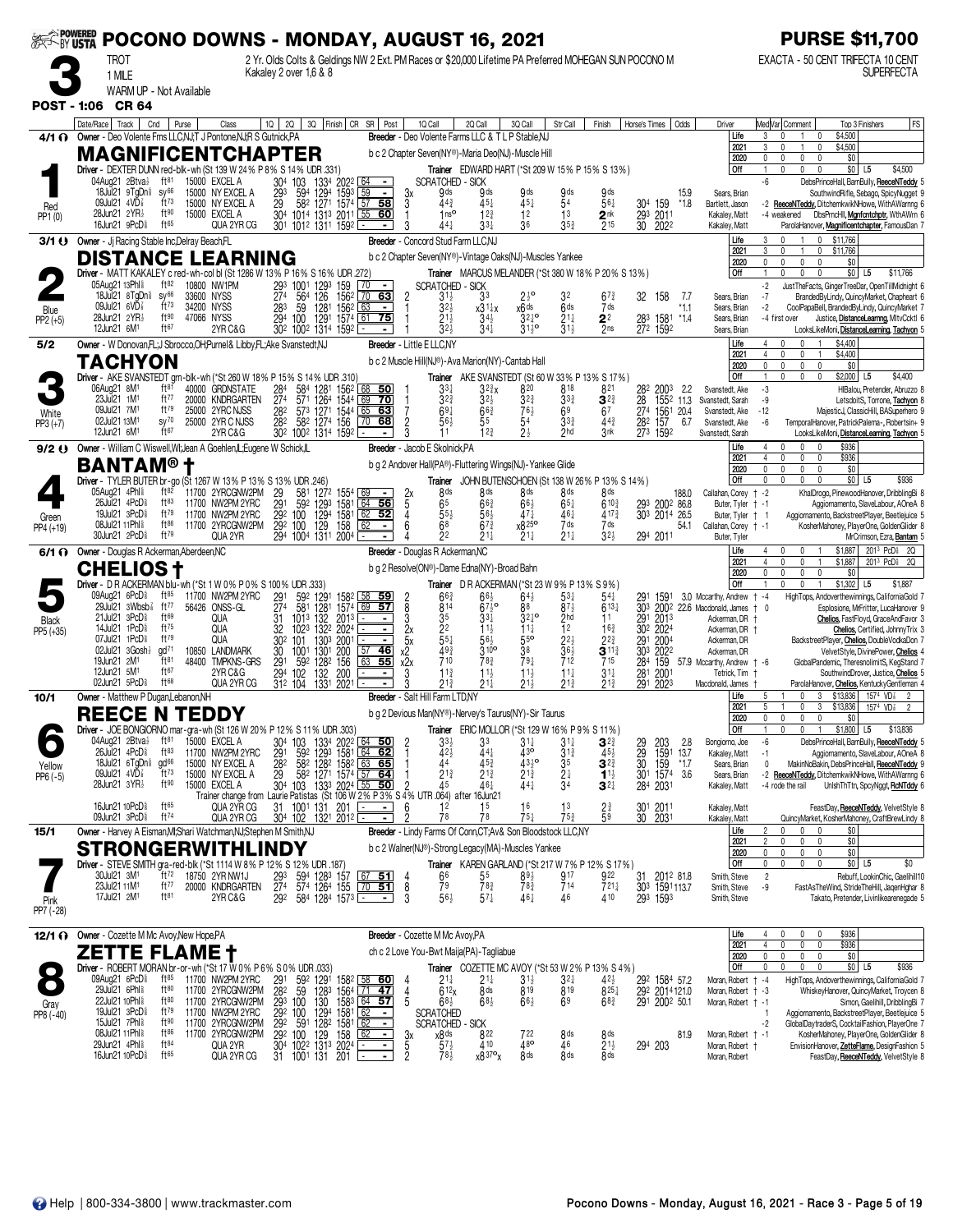| <b>EXAMPOWERED</b> |                                                                                                        |                                               |                                                                                                                                                   | POCONO DOWNS - MONDAY, AUGUST 16, 2021                                                                                                  |                                                                                                                                 |                                                                                                       |                                                               |                                                                                 |                                                                                         |                |                                                                              |                                                                           | <b>PURSE \$11,700</b>                                                                                                                                                                                 |
|--------------------|--------------------------------------------------------------------------------------------------------|-----------------------------------------------|---------------------------------------------------------------------------------------------------------------------------------------------------|-----------------------------------------------------------------------------------------------------------------------------------------|---------------------------------------------------------------------------------------------------------------------------------|-------------------------------------------------------------------------------------------------------|---------------------------------------------------------------|---------------------------------------------------------------------------------|-----------------------------------------------------------------------------------------|----------------|------------------------------------------------------------------------------|---------------------------------------------------------------------------|-------------------------------------------------------------------------------------------------------------------------------------------------------------------------------------------------------|
|                    | <b>TROT</b><br>1 MILE                                                                                  |                                               |                                                                                                                                                   | 2 Yr. Olds Colts & Geldings NW 2 Ext. PM Races or \$20,000 Lifetime PA Preferred MOHEGAN SUN POCONO M<br>Kakaley 2 over 1,6 & 8         |                                                                                                                                 |                                                                                                       |                                                               |                                                                                 |                                                                                         |                |                                                                              |                                                                           | EXACTA - 50 CENT TRIFECTA 10 CENT<br><b>SUPERFECTA</b>                                                                                                                                                |
| <b>POST - 1:06</b> | WARM UP - Not Available<br><b>CR 64</b>                                                                |                                               |                                                                                                                                                   |                                                                                                                                         |                                                                                                                                 |                                                                                                       |                                                               |                                                                                 |                                                                                         |                |                                                                              |                                                                           |                                                                                                                                                                                                       |
|                    | Date/Race   Track                                                                                      | Cnd<br>Purse                                  | Class                                                                                                                                             | 1Q  <br><b>2Q</b>                                                                                                                       | 3Q Finish CR SR Post                                                                                                            | 1Q Call                                                                                               | 2Q Call                                                       | 3Q Call                                                                         | Str Call<br>Finish                                                                      | Horse's Times  | Odds                                                                         | Driver                                                                    | FS<br>Med Var  Comment<br>Top 3 Finishers                                                                                                                                                             |
| 4/1 O              | Owner - Deo Volente Fms LLC, NJ, T J Pontone, NJR S Gutnick, PA<br><b>MAGNIFICENTCHAPTER</b>           |                                               |                                                                                                                                                   |                                                                                                                                         |                                                                                                                                 | Breeder - Deo Volente Farms LLC & TLP Stable.NJ<br>b c 2 Chapter Seven(NY®)-Maria Deo(NJ)-Muscle Hill |                                                               |                                                                                 |                                                                                         |                |                                                                              | Life<br>2021<br>2020                                                      | \$4,500<br>3<br>0<br>\$4,500<br>\$0<br>0<br>$\mathbf{0}$<br>0<br>$\Omega$                                                                                                                             |
|                    | Driver - DEXTER DUNN red-blk-wh (St 139 W 24% P 8% S 14% UDR .331)<br>04Aug21 2Btvał                   | $ft^{81}$                                     | 15000 EXCEL A                                                                                                                                     | 304 103                                                                                                                                 | 1334 2022<br><u>  64  </u><br>$\sim$                                                                                            | <b>SCRATCHED - SICK</b>                                                                               |                                                               |                                                                                 | <b>Trainer</b> EDWARD HART (*St 209 W 15% P 15% S 13%)                                  |                |                                                                              | l Off                                                                     | \$0 L5<br>\$4,500<br>0<br>$\Omega$<br>$\Omega$<br>$\mathbf{1}$<br>-6<br>DebsPrinceHall, BarnBully, ReeceNTeddy 5                                                                                      |
| Red<br>PP1 (0)     | 18Jul21 9TgDn <sup>§</sup><br>09Jul21 4VD <sup>7</sup><br>28Jun21 2YR}<br>16Jun21 9PcD <sup>§</sup>    | SV <sup>66</sup><br>$ft^{73}$<br>ft90<br>ft65 | 15000 NY EXCEL A<br>15000 NY EXCEL A<br>15000 EXCEL A<br>QUA 2YR CG                                                                               | 594<br>$^{293}_{29}$<br>304 1014 1313 2011 55<br>301 1012 1311 1592                                                                     | 594 1294 1593 59 -<br>582 1271 1574 57 58<br> 60                                                                                | 9ds<br>Зx<br>3<br>44 <sup>3</sup><br>1 <sub>ns</sub><br>441<br>3                                      | 9 ds<br>$45\frac{1}{4}$<br>$12\frac{3}{4}$<br>$33\frac{1}{4}$ | 9 ds<br>451<br>12<br>36                                                         | 9 ds<br>9ds<br>54<br>561<br>1 <sup>3</sup><br>2 <sup>nk</sup><br>$35\frac{3}{4}$<br>215 |                | 15.9<br>304 159<br>$*1.8$<br>293 2011<br>30 2022                             | Sears, Brian<br>Bartlett, Jason<br>Kakaley, Matt<br>Kakaley, Matt         | SouthwindRifle, Sebago, SpicyNugget 9<br>ReeceNTeddy, DitchemkwikNHowe, WithAWarnng 6<br>$-2$<br>DbsPrncHll, Manfontchptr, WthAWrn 6<br>-4 weakened<br>ParolaHanover, Magnificentchapter, FamousDan 7 |
| 3/1 U              | Owner - Jj Racing Stable Inc, Delray Beach, FL                                                         |                                               |                                                                                                                                                   |                                                                                                                                         |                                                                                                                                 | Breeder - Concord Stud Farm LLC.NJ                                                                    |                                                               |                                                                                 |                                                                                         |                |                                                                              | Life<br>2021                                                              | 3<br>\$11,766<br>$\theta$<br>0<br>3<br>$\mathbf{0}$<br>0<br>\$11,766                                                                                                                                  |
|                    | <b>DISTANCE LEARNING</b><br>Driver - MATT KAKALEY c red-wh-col bl (St 1286 W 13% P 16% S 16% UDR .272) |                                               |                                                                                                                                                   |                                                                                                                                         |                                                                                                                                 |                                                                                                       |                                                               | b c 2 Chapter Seven(NY®)-Vintage Oaks(NJ)-Muscles Yankee                        | Trainer MARCUS MELANDER (*St 380 W 18% P 20% S 13%)                                     |                |                                                                              | 2020<br>Off                                                               | 0<br>0<br>$\mathbf{0}$<br>\$0<br>0<br>\$0<br>\$11,766<br>$\theta$<br>L <sub>5</sub>                                                                                                                   |
|                    | 05Aug21 13Phl \$<br>$18$ Jul $21$ $8$ TgDn $\frac{5}{8}$                                               | ft82<br>sy <sup>66</sup>                      | 10800 NW1PM<br>33600 NYSS                                                                                                                         |                                                                                                                                         | 63                                                                                                                              | <b>SCRATCHED</b><br>$\overline{c}$<br>$31\frac{1}{2}$                                                 | - SICK<br>3 <sup>3</sup>                                      | $2^{10}$                                                                        | 32<br>$67\frac{3}{4}$                                                                   | 32             | 158<br>-7.7                                                                  | Sears, Brian                                                              | -2<br>JustTheFacts, GingerTreeDar, OpenTillMidnight 6<br>BrandedByLindy, QuincyMarket, Chapheart 6<br>$-7$                                                                                            |
| Blue<br>PP2 (+5)   | 09Jul21 $6VD\frac{7}{8}$<br>28Jun21 2YR}                                                               | $ft^{73}$<br>ft90                             | 34200 NYSS<br>47066 NYSS                                                                                                                          | 293 1001 1293 159 70<br>274 564 126 1562 70<br>274 564 126 1562 70<br>283 59 1281 1562 63<br>294 100 1291 1574 61<br>302 1002 1314 1592 | $\sim$<br>$\overline{75}$                                                                                                       | 3 <sup>2</sup><br>211                                                                                 | $x31\frac{1}{4}x$                                             | x6 <sup>ds</sup><br>$32^{10}$                                                   | 6 <sup>ds</sup><br>7 ds<br>$21\frac{1}{4}$                                              |                | *1.1<br>$*14$                                                                | Sears, Brian<br>Sears, Brian                                              | CoolPapaBell, BrandedByLindy, QuincyMarket 7<br>$-2$<br>-4 first over<br>Justice, DistanceLearnng, MItvCcktl 6                                                                                        |
|                    | 12Jun21 6M <sup>1</sup>                                                                                | ft67                                          | 2YR C&G                                                                                                                                           |                                                                                                                                         |                                                                                                                                 | 32 <sub>3</sub>                                                                                       | $3^{4\frac{1}{2}}$<br>$3^{4\frac{1}{4}}$                      | $31^{19}$                                                                       | $\frac{2^2}{2^{ns}}$<br>$\bar{3}1\frac{1}{2}$                                           |                | 28 <sup>3</sup> 1581<br>272 1592                                             | Sears, Brian                                                              | LooksLikeMoni, DistanceLearning, Tachyon 5                                                                                                                                                            |
| 5/2                | Owner - W Donovan, FL; J Sbrocco, OH; Purnel & Libby, FL; Ake Svanstedt, NJ<br>TACHYON                 |                                               |                                                                                                                                                   |                                                                                                                                         |                                                                                                                                 | Breeder - Little E LLC,NY<br>b c 2 Muscle Hill(NJ®)-Ava Marion(NY)-Cantab Hall                        |                                                               |                                                                                 |                                                                                         |                |                                                                              | Life<br>2021<br>2020                                                      | 4<br>$\mathbf{0}$<br>\$4,400<br>\$4,400<br>4<br>$\mathbf{0}$<br>0<br>$\mathsf{O}$<br>\$0<br>U<br>$\mathbf{0}$<br>0                                                                                    |
|                    | Driver - AKE SVANSTEDT grn-blk-wh (*St 260 W 18% P 15% S 14% UDR .310)<br>06Aug21 8M <sup>1</sup>      | $ft^{81}$                                     |                                                                                                                                                   |                                                                                                                                         |                                                                                                                                 |                                                                                                       |                                                               |                                                                                 | Trainer AKE SVANSTEDT (St 60 W 33% P 13% S 17%)                                         |                |                                                                              | Off                                                                       | \$2,000<br>$\mathbf 0$<br>$\mathbf{0}$<br>$\mathbf 0$<br>L <sub>5</sub><br>\$4,400                                                                                                                    |
|                    | 23Jul21 1M <sup>1</sup><br>09Jul21 7M1                                                                 | ft77<br>$ft^{79}$                             | 40000 GRDNSTATE<br>20000 KNDRGARTEN                                                                                                               | $^{284}_{274}$<br>584                                                                                                                   | 1281 1562<br><u>68501</u><br>571 1264 1544 69<br>$\overline{70}$                                                                | 3 <sup>3</sup><br>$3^{2^{3}}$<br>$69\frac{1}{4}$                                                      | 32}x<br>$32\frac{1}{2}$                                       | 820<br>$3^{2^{3}}$                                                              | 818<br>821<br>$3^{3}$<br>$3^{2^{3}}$                                                    |                | 28 <sup>2</sup> 200 <sup>3</sup><br>28 155 <sup>2</sup><br>-2.2<br>1552 11.3 | Svanstedt, Ake<br>Svanstedt, Sarah                                        | -3<br>HIBalou, Pretender, Abruzzo 8<br>-9<br>LetsdoitS, Torrone, Tachyon 8                                                                                                                            |
| White<br>(PP3 (+7  | 02Jul21 13M1<br>12Jun21 6M <sup>1</sup>                                                                | $sy^{70}$<br>ft67                             | 25000 2YRC NJSS<br>25000 2YR C NJSS<br>2YR C&G                                                                                                    | 573 1271 1544<br>582 1274 156<br>282<br>282<br>302 1002 1314 1592                                                                       | $65$ 63<br>68<br>70                                                                                                             | $\frac{2}{3}$<br>$56\frac{1}{2}$<br>11                                                                | $66\frac{3}{4}$<br>55<br>12 <sub>3</sub>                      | $76\frac{1}{2}$<br>54<br>$2\frac{1}{2}$                                         | 69<br>67<br>$3^{3}_{4}$<br>$44\frac{3}{4}$<br>2 <sub>hd</sub><br>3 <sub>nk</sub>        | 282 157        | 274 1561 20.4<br>6.7<br>273 1592                                             | Svanstedt, Ake<br>Svanstedt, Ake<br>Svanstedt, Sarah                      | $-12$<br>MajesticJ, ClassicHill, BASuperhero 9<br>$-6$<br>TemporalHanover, PatrickPalema-, Robertsin+ 9                                                                                               |
|                    | 9/2 Owner - William C Wiswell, Wi; Jean A Goehlen, IL; Eugene W Schick, IL                             |                                               |                                                                                                                                                   |                                                                                                                                         |                                                                                                                                 | Breeder - Jacob E Skolnick, PA                                                                        |                                                               |                                                                                 |                                                                                         |                |                                                                              | Life                                                                      | LooksLikeMoni, DistanceLearning, Tachyon 5<br>4<br>$\mathbf{0}$<br>\$936<br>0                                                                                                                         |
|                    | <b>BANTAM®+</b>                                                                                        |                                               |                                                                                                                                                   |                                                                                                                                         |                                                                                                                                 |                                                                                                       |                                                               | b g 2 Andover Hall(PA®)-Fluttering Wings(NJ)-Yankee Glide                       |                                                                                         |                |                                                                              | 2021<br>2020                                                              | \$936<br>4<br>$\mathbf{0}$<br>$\Omega$<br>Λ<br>\$0<br>$\mathbf{0}$<br>$\mathbf{0}$<br>$\Omega$                                                                                                        |
|                    | Driver - TYLER BUTER br-go (St 1267 W 13% P 13% S 13% UDR 246)<br>05Aug21 4Phl <sup>§</sup>            | ft82                                          | 11700 2YRCGNW2PM                                                                                                                                  | 581<br>$\frac{29}{291}$                                                                                                                 | $\blacksquare$                                                                                                                  | Trainer<br>8 <sub>ds</sub><br>$\frac{2x}{5}$                                                          | 8 <sub>ds</sub>                                               | 8 ds                                                                            | JOHN BUTENSCHOEN (St 138 W 26% P 13% S 14%)<br>8 <sub>ds</sub><br>8ds                   |                | 188.0                                                                        | Off<br>Callahan, Corey                                                    | \$936<br>$$0$ L5<br>0<br>$\Omega$<br>0<br>$\Omega$<br>$+ -2$<br>KhalDrogo, PinewoodHanover, DribblingBi 8                                                                                             |
| Green              | 26Jul21 4PcD <sup>§</sup><br>19Jul21 3PcD <sup>§</sup>                                                 | $ft^{83}$<br>$ft^{79}$                        | 11700 NW2PM 2YRC<br>11700 NW2PM 2YRC                                                                                                              | 592<br>292<br>100                                                                                                                       | 127 <sup>2</sup> 1554 69<br>129 <sup>3</sup> 1581 64<br>1294 1581 62<br>129 158<br>56<br>64<br>$62$ 52                          | 65<br>$55\frac{1}{2}$                                                                                 | $66\frac{3}{4}$<br>$56\frac{1}{2}$                            | $66\frac{1}{2}$<br>$47\frac{1}{4}$                                              | $65\frac{1}{4}$<br>$6^{10\frac{3}{4}}$<br>4173<br>$46\frac{1}{4}$                       |                | 293 2002 86.8<br>303 2014 26.5                                               | Buter, Tyler<br>Buter, Tyler                                              | Aggiornamento, SlaveLabour, AOneA 8<br>$+ -1$<br>Aggiornamento, BackstreetPlayer, Beetlejuice 5<br>$+1$                                                                                               |
| PP4 (+19)          | 08Jul21 11Phl <sup>§</sup><br>30Jun21 2PcD <sup>§</sup>                                                | $ft^{86}$<br>ft79                             | 11700 2YRCGNW2PM<br>QUA 2YR                                                                                                                       | 292<br>100<br>294 1004 1311 2004                                                                                                        | $\blacksquare$                                                                                                                  | 68<br>6<br>22                                                                                         | $67\frac{3}{4}$<br>$21\frac{1}{4}$                            | x825°<br>$21\frac{1}{4}$                                                        | 7 ds<br>7 ds<br>$21\frac{1}{4}$<br>$3^{2}$                                              |                | 54.1<br>294 2011                                                             | Callahan, Corey   -1<br>Buter, Tyler                                      | KosherMahoney, PlayerOne, GoldenGlider 8<br>MrCrimson, Ezra, Bantam 5                                                                                                                                 |
|                    | 6/1 O Owner - Douglas R Ackerman, Aberdeen, NC<br><b>CHELIOS +</b>                                     |                                               |                                                                                                                                                   |                                                                                                                                         |                                                                                                                                 | Breeder - Douglas R Ackerman, NC                                                                      |                                                               |                                                                                 |                                                                                         |                |                                                                              | Life<br>2021                                                              | 2013 PcD <sub>8</sub> 2Q<br>\$1,887<br>$\Omega$                                                                                                                                                       |
|                    |                                                                                                        |                                               |                                                                                                                                                   |                                                                                                                                         |                                                                                                                                 |                                                                                                       |                                                               |                                                                                 |                                                                                         |                |                                                                              |                                                                           | \$1,887<br>2013 PcD <sub>8</sub> 2Q<br>4                                                                                                                                                              |
|                    | Driver - D R ACKERMAN blu-wh (*St 1 W 0% P 0% S 100% UDR .333)                                         |                                               |                                                                                                                                                   |                                                                                                                                         |                                                                                                                                 | b g 2 Resolve(ON®)-Dame Edna(NY)-Broad Bahn                                                           |                                                               | <b>Trainer</b> DR ACKERMAN (*St 23 W 9% P 13% S 9%)                             |                                                                                         |                |                                                                              | 2020<br><b>Off</b>                                                        | $\mathbf 0$<br>$\mathbf 0$<br>$\mathbf{0}$<br>\$0<br>$\Omega$<br>\$1,302<br>L <sub>5</sub><br>\$1,887<br>0                                                                                            |
|                    | 09Aug21 6PcD <sup>§</sup><br>$29$ Jul $21$ $3Wbsb\bar{s}$                                              | $ft^{85}$<br>ft77                             | 11700 NW2PM 2YRC<br>56426 ONSS-GL                                                                                                                 | 291<br>274<br>592<br>581                                                                                                                | 1291 1582 58 59<br>$69$ 57                                                                                                      | $66\frac{3}{4}$<br>814                                                                                | $66\frac{1}{2}$<br>$67\frac{1}{2}$ <sup>o</sup>               | $64\frac{1}{2}$<br>88                                                           | 53‡<br>$54\frac{1}{4}$<br>$87\frac{1}{2}$<br>$613\frac{1}{4}$                           |                | 291 1591                                                                     | 3.0 Mccarthy, Andrew                                                      | $+ -4$<br>HighTops, Andoverthewinnings, CaliforniaGold 7<br>$+ 0$<br>Esplosione, MrFritter, LucaHanover 9                                                                                             |
| Black<br>PP5 (+35) | $21$ Jul $21$ $3PcD\frac{5}{8}$<br>14Jul21 1PcD <sup>§</sup>                                           | ft69<br>ft75                                  | QUA<br>QUA                                                                                                                                        | 1281<br>132<br>31<br>1013<br>32<br>1023                                                                                                 | 1574<br>132 2013<br>1322 2024                                                                                                   | 2<br>გ<br>ვ<br>35                                                                                     | 33†<br>$11\frac{1}{2}$                                        | $32^{10}$<br>$11\frac{1}{4}$                                                    | 2 <sub>hd</sub><br>11<br>$\overline{1}$<br>$16\frac{3}{4}$                              |                | 302 2024                                                                     | 303 2002 22.6 Macdonald, James<br>291 2013 Ackerman, DR<br>Ackerman, DR + | Chelios, FastFloyd, GraceAndFavor 3<br>Chelios, Certified, JohnnyTrix 3                                                                                                                               |
|                    | 07Jul21 1PcD <sup>§</sup><br>$02$ Jul $21$ $3Gosh2$                                                    | ft79<br>gd <sup>71</sup>                      | QUA<br>10850 LANDMARK                                                                                                                             | 302<br>101<br>30<br>1001<br>1301                                                                                                        | 1303 2001<br>200<br>57<br>$\overline{46}$                                                                                       | $22$<br>55 <sup>1</sup><br>49 <sup>3</sup><br>$\frac{2}{5}$                                           | 56}<br>310 <sup>o</sup>                                       | 55 <sup>o</sup><br>38                                                           | $\frac{2^{2\frac{1}{2}}}{3^{6\frac{1}{2}}}$<br>$2^{2^{3}}$<br>$3^{11\frac{3}{4}}$       |                | 291 2004<br>303 2022                                                         | Ackerman, DR<br>Ackerman, DR                                              | BackstreetPlayer, Chelios, DoubleVodkaDon 7<br>VelvetStyle, DivinePower, Chelios                                                                                                                      |
|                    | 19Jun21 2M <sup>1</sup><br>12Jun21 5M <sup>1</sup>                                                     | ft81<br>ft67                                  | 48400 TMPKNS-GRS<br>2YR C&G                                                                                                                       | 291<br>1282 156<br>592                                                                                                                  | $63$ 55                                                                                                                         | $x_2^2$<br>$x_2^2$<br>710<br>$11\frac{3}{4}$                                                          | 783                                                           | $79\frac{1}{4}$                                                                 | 712<br>715<br>$11\frac{1}{4}$<br>$31\frac{1}{4}$                                        |                | 284 159                                                                      | 57.9 Mccarthy, Andrew + -6<br>Tetrick, Tim                                | GlobalPandemic, TheresnolimitS, KegStand<br>SouthwindDrover, Justice, Chelios                                                                                                                         |
| 10/1               | 02Jun21 5PcD <sup>§</sup><br>Owner - Matthew P Dugan, Lebanon, NH                                      | ft <sup>68</sup>                              | QUA 2YR CG                                                                                                                                        | 294 102<br>312 104                                                                                                                      | 132 200<br>1331 2021                                                                                                            | 213<br>Breeder - Salt Hill Farm LTD,NY                                                                | $1^{11}_{21}$                                                 | $1^{11}_{21}$                                                                   | 21 <sub>3</sub><br>$21\frac{3}{4}$                                                      | $^{281}_{291}$ | 2001<br>2023                                                                 | Macdonald, James<br>Life                                                  | ParolaHanover, Chelios, KentuckyGentleman<br>\$13,836<br>$157^4$ VD <sup>7</sup><br>3<br>2                                                                                                            |
|                    | <b>REECE N TEDDY</b>                                                                                   |                                               |                                                                                                                                                   |                                                                                                                                         |                                                                                                                                 |                                                                                                       |                                                               | b g 2 Devious Man(NY®)-Nervey's Taurus(NY)-Sir Taurus                           |                                                                                         |                |                                                                              | 2021<br>2020                                                              | \$13,836<br>1574 VD <sub>8</sub><br>5<br>3<br>0<br>0<br>0<br>0<br>\$0                                                                                                                                 |
|                    | Driver - JOE BONGIORNO mar-gra-wh (St 126 W 20% P 12% S 11% UDR 303)<br>04Aug21 2Btva <sup>1</sup>     | $ft^{81}$                                     | 15000 EXCEL A                                                                                                                                     |                                                                                                                                         |                                                                                                                                 | Trainer<br>3 <sup>3</sup>                                                                             | 3 <sup>3</sup>                                                | ERIC MOLLOR (*St 129 W 16% P 9% S 11%)<br>$31\frac{1}{4}$                       | $31\frac{1}{4}$<br>$3^{23}$                                                             |                |                                                                              | Off<br>Bongiorno, Joe                                                     | 0<br>$$1,800$ L5<br>\$13,836<br>DebsPrinceHall, BarnBully, ReeceNTeddy 5<br>-6                                                                                                                        |
|                    | 26Jul21 4PcD <sup>§</sup><br>18Jul21 6TgDn <sup>§</sup>                                                | $ft^{83}$<br>gd <sup>66</sup>                 | 11700 NW2PM 2YRC<br>15000 NY EXCEL A                                                                                                              |                                                                                                                                         |                                                                                                                                 | 42 <sub>2</sub><br>44                                                                                 | $44\frac{1}{4}$<br>$45\frac{3}{4}$                            | 43°<br>4310                                                                     | $3^{13}_{3}$<br>35<br>$45\frac{1}{2}$<br>$3^{23}$                                       | 29<br>29<br>30 | 203 2.8<br>1591 13.7<br>159<br>$*1.7$                                        | Kakaley, Matt<br>Sears, Brian                                             | Aggiornamento, SlaveLabour, AOneA 8<br>$-1$<br>MakinNoBakin, DebsPrinceHall, ReeceNTeddy 9<br>0                                                                                                       |
| Yellow<br>PP6 (-5) | 09Jul21 4VD <sup>3</sup><br>28Jun21 3YR}                                                               | $ft^{73}$<br>ft90                             | 15000 NY EXCEL A<br>15000 EXCEL A                                                                                                                 |                                                                                                                                         | 304 103 1334 2022 64 50<br>291 592 1293 1581 64 62<br>282 582 1282 1582 63 65<br>29 582 1271 1574 57 64                         | $2^{13}$                                                                                              | $21\frac{3}{4}$                                               | $21\frac{3}{4}$<br>441                                                          | 2 <sup>1</sup><br>$1^{11}$<br>34<br>$3^{2}$                                             |                | 301 1574 3.6<br>284 2031                                                     | Sears, Brian<br>Kakaley, Matt                                             | $-2$<br>ReeceNTeddy, DitchemkwikNHowe, WithAWarnng 6<br>-4 rode the rail<br>UnishThTtn, SpcyNggt, RaNTddy 6                                                                                           |
|                    | 16Jun21 10PcD <sup>§</sup>                                                                             | $ft^{65}$                                     | 000 EXCEL A 304 103 1333 2024 [55 50] 2 45 46}<br>Trainer change from Laurie Patistas (St 106 W 2% P 3% S 4% UTR 064) after 16Jun21<br>QUA 2YR CG | 31 1001 131 201                                                                                                                         | - 1                                                                                                                             | 6<br>12                                                                                               | 1 <sub>5</sub>                                                | 16                                                                              | 1 <sup>3</sup><br>$2\frac{3}{4}$                                                        |                | 301 2011                                                                     | Kakaley, Matt                                                             | FeastDay, ReeceNTeddy, VelvetStyle 8                                                                                                                                                                  |
| 15/1               | 09Jun21 3PcD <sup>§</sup><br>Owner - Harvey A Eisman, MI; Shari Watchman, NJ; Stephen M Smith, NJ      | $ft^{74}$                                     | QUA 2YR CG                                                                                                                                        | $30^4$ 102 1321 2012 -                                                                                                                  |                                                                                                                                 | 78                                                                                                    | 78                                                            | $75\frac{1}{4}$<br>Breeder - Lindy Farms Of Conn, CT: Av& Son Bloodstock LLC.NY | $75\frac{3}{4}$<br>59                                                                   |                | 30 2031                                                                      | Kakaley, Matt<br>Life                                                     | QuincyMarket, KosherMahoney, CraftBrewLindy 8<br>2<br>0<br>\$0<br>0<br>0                                                                                                                              |
|                    | STRONGERWITHLINDY                                                                                      |                                               |                                                                                                                                                   |                                                                                                                                         |                                                                                                                                 | b c 2 Walner(NJ®)-Strong Legacy(MA)-Muscles Yankee                                                    |                                                               |                                                                                 |                                                                                         |                |                                                                              | 2021<br>2020                                                              | \$0<br>$\overline{c}$<br>0<br>0<br>0<br>$\mathbf{0}$<br>$\mathbf{0}$<br>$\mathbf 0$<br>\$0<br>$\Omega$                                                                                                |
|                    | Driver - STEVE SMITH gra-red-blk (*St 1114 W 8% P 12% S 12% UDR .187)<br>30Jul21 3M <sup>1</sup>       | $ft^{72}$                                     | 18750 2YR NW1J                                                                                                                                    | 293<br>594 1283 157                                                                                                                     | $67$ 51                                                                                                                         | 66                                                                                                    | 55                                                            | $89\frac{1}{2}$                                                                 | Trainer KAREN GARLAND (*St 217 W 7% P 12% S 17%)<br>9 <sup>17</sup><br>922              | 31             | 2012 81.8                                                                    | Off<br>Smith, Steve                                                       | \$0<br>$$0$ L5<br>0<br>0<br>0<br>0<br>$\overline{2}$<br>Rebuff, LookinChic, Gaelihill10                                                                                                               |
| Pink               | 23Jul21 11M <sup>1</sup><br>17Jul21 2M <sup>1</sup>                                                    | ft77<br>$ft^{81}$                             | 20000 KNDRGARTEN<br>2YR C&G                                                                                                                       | 27 <sup>4</sup><br>574 1264 155<br>292<br>584 1284 1573                                                                                 | 70, 51                                                                                                                          | $\frac{8}{3}$<br>79<br>$56\frac{1}{2}$                                                                | $78\frac{3}{4}$<br>$57\frac{1}{4}$                            | $78\frac{3}{4}$<br>461                                                          | 714<br>$721\frac{1}{4}$<br>46<br>410                                                    |                | 303 1591113.7<br>293 1593                                                    | Smith, Steve<br>Smith, Steve                                              | -9<br>FastAsTheWind, StrideTheHill, JagenHghar 8<br>Takato, Pretender, Livinlikearenegade 5                                                                                                           |
| $PP7(-28)$         |                                                                                                        |                                               |                                                                                                                                                   |                                                                                                                                         |                                                                                                                                 |                                                                                                       |                                                               |                                                                                 |                                                                                         |                |                                                                              |                                                                           |                                                                                                                                                                                                       |
|                    | 12/1 O Owner - Cozette M Mc Avoy, New Hope, PA                                                         |                                               |                                                                                                                                                   |                                                                                                                                         |                                                                                                                                 | Breeder - Cozette M Mc Avoy, PA                                                                       |                                                               |                                                                                 |                                                                                         |                |                                                                              | Life<br>2021                                                              | \$936<br>0<br>0<br>0<br>4<br>0<br>0<br>0<br>\$936<br>4                                                                                                                                                |
|                    | <b>ZETTE FLAME †</b><br>Driver - ROBERT MORAN br-or-wh (*St 17 W 0% P 6% S 0% UDR .033)                |                                               |                                                                                                                                                   |                                                                                                                                         |                                                                                                                                 | ch c 2 Love You-Bwt Maija(PA)-Tagliabue                                                               |                                                               |                                                                                 | <b>Trainer</b> COZETTE MC AVOY (*St 53 W 2% P 13% S 4%)                                 |                |                                                                              | 2020<br>Off                                                               | $\mathsf{0}$<br>$\pmb{0}$<br>$\mathbf{0}$<br>\$0<br>0<br>$$0$ L5<br>\$936                                                                                                                             |
| 0                  | 09Aug21 6PcD <sup>§</sup><br>29Jul21 6Phl <sup>§</sup>                                                 | $ft^{85}$<br>ft80                             | 11700 NW2PM 2YRC<br>11700 2YRCGNW2PM                                                                                                              | 291<br>282                                                                                                                              |                                                                                                                                 | $21\frac{1}{4}$<br>612x                                                                               | $21\frac{1}{4}$<br>8 <sub>ds</sub>                            | $31\frac{1}{2}$<br>819                                                          | $42\frac{1}{2}$<br>$3^{2}$<br>$\overline{8}$ 19<br>$8^{25}$ <sup>1</sup>                |                | 29 <sup>2</sup> 158 <sup>4</sup> 57.2                                        | Moran, Robert<br>Moran, Robert + -3                                       | $+ -4$<br>HighTops, Andoverthewinnings, CaliforniaGold 7<br>WhiskeyHanover, QuincyMarket, Troycen 8                                                                                                   |
| Gray<br>PP8 (-40)  | 22Jul21 10Phl <sup>§</sup><br>19Jul21 3PcD <sup>§</sup>                                                | ft80<br>$ft^{79}$                             | 11700 2YRCGNW2PM<br>11700 NW2PM 2YRC                                                                                                              | $\frac{59^2}{59}$<br>293<br>292 100                                                                                                     |                                                                                                                                 | $\begin{array}{c} 4 \\ 5 \end{array}$<br>$68\frac{1}{2}$<br><b>SCRATCHED</b>                          | $68\frac{1}{2}$                                               | 66}                                                                             | $68\frac{3}{4}$<br>6 <sup>9</sup>                                                       |                | 292 2014121.0<br>291 2002 50.1                                               | Moran, Robert + -1                                                        | Simon, Gaelihill, DribblingBi 7<br>Aggiornamento, BackstreetPlayer, Beetlejuice 5                                                                                                                     |
|                    | 15Jul21 7Phl <sup>§</sup><br>08Jul21 11Phl <sup>§</sup><br>29Jun21 4Phl <sup>§</sup>                   | ft90<br>$ft^{86}$<br>$ft^{84}$                | 11700 2YRCGNW2PM<br>11700 2YRCGNW2PM<br>QUA 2YR                                                                                                   | 292<br>591<br>292 100<br>129<br>304 1022 1313 2024                                                                                      | 1291 1582 58 60<br>1283 1564 71 47<br>130 1583 64 57<br>1294 1581 62<br>128 <sup>2</sup> 1581 62<br>158<br>62<br>$\blacksquare$ | <b>SCRATCHED</b><br>$\frac{3x}{5}$<br>x8 <sup>ds</sup><br>$5^{7}$                                     | <b>SICK</b><br>822<br>410                                     | 722<br>48 <sup>o</sup>                                                          | 8 <sub>ds</sub><br>8ds<br>46<br>$21\frac{1}{2}$                                         | 294 203        | 81.9                                                                         | Moran, Robert + -1<br>Moran, Robert †                                     | GlobalDaytraderS, CocktailFashion, PlayerOne 7<br>-2<br>KosherMahoney, PlayerOne, GoldenGlider 8<br>EnvisionHanover, ZetteFlame, DesignFashion 5                                                      |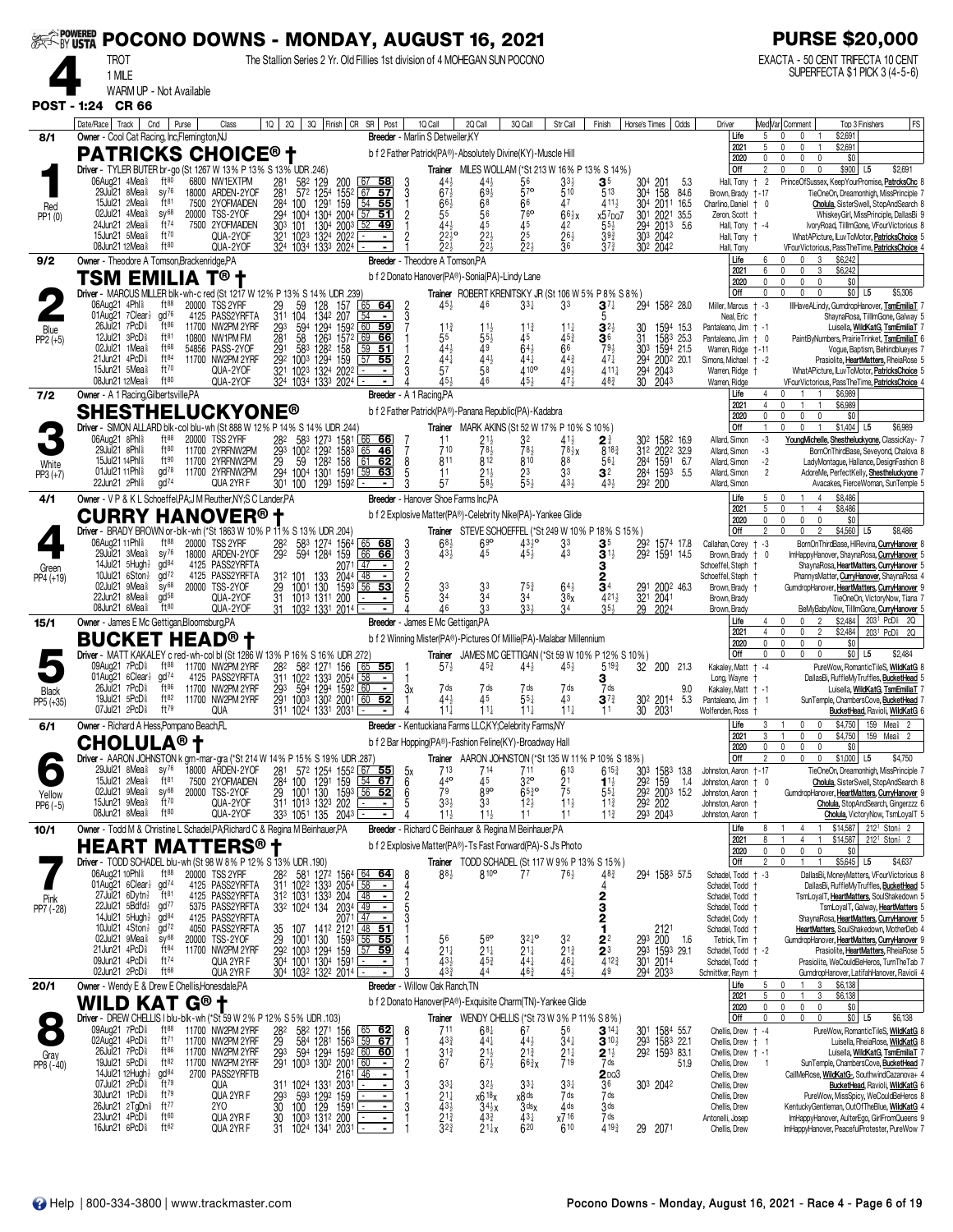|                     | ‱‱ POCONO DOWNS - MONDAY, AUGUST 16, 2021                                                                                      |                                                      |       |                                                          |                              |                                                                                                                                |                                    |                                                                                    |                                       |                                                          |                                                                                                                             |                                                 |                                                       |                                            |                                 |                                           |                                                          |                           | <b>PURSE \$20,000</b>                                                                     |                                                                                                                                       |
|---------------------|--------------------------------------------------------------------------------------------------------------------------------|------------------------------------------------------|-------|----------------------------------------------------------|------------------------------|--------------------------------------------------------------------------------------------------------------------------------|------------------------------------|------------------------------------------------------------------------------------|---------------------------------------|----------------------------------------------------------|-----------------------------------------------------------------------------------------------------------------------------|-------------------------------------------------|-------------------------------------------------------|--------------------------------------------|---------------------------------|-------------------------------------------|----------------------------------------------------------|---------------------------|-------------------------------------------------------------------------------------------|---------------------------------------------------------------------------------------------------------------------------------------|
|                     | <b>TROT</b><br>1 MILE                                                                                                          |                                                      |       |                                                          |                              |                                                                                                                                |                                    |                                                                                    |                                       |                                                          | The Stallion Series 2 Yr. Old Fillies 1st division of 4 MOHEGAN SUN POCONO                                                  |                                                 |                                                       |                                            |                                 |                                           |                                                          |                           | EXACTA - 50 CENT TRIFECTA 10 CENT                                                         | SUPERFECTA \$1 PICK 3 (4-5-6)                                                                                                         |
|                     | WARM UP - Not Available<br><b>CR 66</b>                                                                                        |                                                      |       |                                                          |                              |                                                                                                                                |                                    |                                                                                    |                                       |                                                          |                                                                                                                             |                                                 |                                                       |                                            |                                 |                                           |                                                          |                           |                                                                                           |                                                                                                                                       |
| <b>POST - 1:24</b>  | Date/Race   Track                                                                                                              | Cnd                                                  | Purse | Class                                                    |                              |                                                                                                                                |                                    | 10   20   30   Finish   CR SR   Post                                               |                                       | 1Q Call                                                  | 2Q Call                                                                                                                     | 3Q Call                                         | Str Call                                              | Finish                                     | Horse's Times                   | Odds                                      | Driver                                                   |                           | MedVar Comment                                                                            | <b>FS</b><br>Top 3 Finishers                                                                                                          |
| 8/1                 | Owner - Cool Cat Racing, Inc, Flemington, NJ<br><b>PATRICKS CHOICE® †</b>                                                      |                                                      |       |                                                          |                              |                                                                                                                                |                                    |                                                                                    |                                       | Breeder - Marlin S Detweiler, KY                         | b f 2 Father Patrick(PA®)-Absolutely Divine(KY)-Muscle Hill                                                                 |                                                 |                                                       |                                            |                                 |                                           | Life<br>2021                                             | 5<br>5                    | \$2,691<br>$\mathsf{n}$<br>$\mathbf{0}$<br>\$2,691                                        |                                                                                                                                       |
|                     | Driver - TYLER BUTER br-go (St 1267 W 13% P 13% S 13% UDR 246)<br>06Aug21 4Mea <sup>§</sup>                                    | $ft^{80}$                                            |       | 6800 NW1EXTPM                                            |                              | 582 129                                                                                                                        | 200                                | $67$ 58                                                                            |                                       | 44                                                       | <b>Trainer</b> MILES WOLLAM (*St 213 W 16% P 13% S 14%)<br>$44\frac{1}{2}$                                                  | 56                                              | 33}                                                   | $\mathbf{3}^5$                             |                                 |                                           | 2020<br>Off<br>Hall, Tony                                | $\mathbf{0}$<br>2<br>$+2$ | U.<br>0<br>$\mathbf{0}$<br>$\Omega$<br>$\mathbf{0}$<br>$\mathbf{0}$                       | \$0<br>\$900 L5<br>\$2,691<br>PrinceOfSussex, KeepYourPromise, PatroksChc 8                                                           |
| Red                 | 29Jul21 8Mea <sup>§</sup><br>15Jul21 $2$ Mea $\frac{5}{8}$                                                                     | $sy^{76}$<br>ft <sub>81</sub>                        |       | 18000 ARDEN-2YOF<br>7500 2YOFMAIDEN                      | $\frac{281}{281}$            | 1254<br>572<br>284 100                                                                                                         | $155^2$<br>1291 159                | -57<br>67<br>54<br>55                                                              | $\frac{3}{1}$                         | 67<br>$66\frac{1}{2}$                                    | 693<br>68                                                                                                                   | 57 <sup>o</sup><br>66                           | 510<br>47                                             | 513<br>$411\frac{1}{2}$                    | 304 201<br>304 158              | 5.3<br>84.6<br>304 2011 16.5              | Brown, Brady<br>Charlino, Daniel                         | † - 17<br>$+$ 0           |                                                                                           | TieOneOn, Dreamonhigh, MissPrinciple<br>Cholula, SisterSwell, StopAndSearch 8                                                         |
| PP1 (0)             | 02Jul21 4Mea <sup>§</sup><br>24Jun21 2Mea <sup>§</sup>                                                                         | SV <sup>68</sup><br>ft <sup>74</sup>                 |       | 20000 TSS-2YOF<br>7500 2YOFMAIDEN                        | 294                          | 1304<br>1004<br>$303$ 101                                                                                                      | 2004<br>1304 2003                  | 57<br>51<br>52<br>49                                                               | $\overline{c}$                        | 55<br>444                                                | 45                                                                                                                          | 76 <sup>o</sup><br>45                           | $66\frac{1}{2}x$<br>42                                | $x57$ DQ7<br>$55\frac{1}{2}$               |                                 | 301 2021 35.5<br>294 2013 5.6<br>303 2042 | Zeron, Scott                                             | Hall, Tony + -4           |                                                                                           | WhiskeyGirl, MissPrinciple, DallasBi 9<br>IvoryRoad, TillImGone, VFourVictorious 8                                                    |
|                     | 15Jun21 5Meas<br>08Jun21 12Mea <sup>§</sup>                                                                                    | ft70<br>$ft^{80}$                                    |       | QUA-2YOF<br>QUA-2YOF                                     |                              | 321 1023 1324 2022<br>324 1034 1333 2024                                                                                       |                                    |                                                                                    |                                       | $22^{10}$<br>224                                         | $2^{2}$<br>$22+$                                                                                                            | 2 <sub>5</sub><br>224                           | $26\frac{1}{2}$<br>$\overline{36}$                    | $39\frac{3}{4}$<br>$3^{73}$                | 302 2042                        |                                           | Hall, Tony †<br>Hall, Tony                               |                           |                                                                                           | WhatAPicture, LuvToMotor, PatricksChoice 5<br>VFourVictorious, PassTheTime, PatricksChoice                                            |
| 9/2                 | Owner - Theodore A Tomson, Brackenridge, PA<br>TSM EMILIA                                                                      |                                                      |       |                                                          |                              |                                                                                                                                |                                    |                                                                                    |                                       | <b>Breeder</b> - Theodore A Tomson, PA                   | b f 2 Donato Hanover(PA®)-Sonia(PA)-Lindy Lane                                                                              |                                                 |                                                       |                                            |                                 |                                           | Life<br>2021<br>2020                                     | 6<br>ĥ<br>0               | 3<br>\$6,242<br>\$6,242<br>$\mathbf{0}$<br>3<br>$\mathbf{0}$<br>$\mathbf{0}$              | \$0                                                                                                                                   |
|                     | Driver - MARCUS MILLER blk-wh-c red (St 1217 W 12% P 13% S 14% UDR .239)<br>06Aug21 4Phl <sup>§</sup>                          | ft88                                                 |       | 20000 TSS 2YRF                                           |                              | 59<br>128                                                                                                                      | 157                                | 64                                                                                 |                                       | $45\frac{1}{2}$                                          | Trainer ROBERT KRENITSKY JR (St 106 W 5% P 8% S 8%)<br>46                                                                   | $33\frac{1}{4}$                                 | 33                                                    | $3^7\frac{1}{4}$                           |                                 | 294 1582 28.0                             | Off<br>Miller, Marcus                                    | $\Omega$<br>$-3$          | $\Omega$<br>$\Omega$                                                                      | \$0 <br>\$5,306<br>L <sub>5</sub><br>IllHaveALindy, GumdropHanover, TsmEmiliaT 7                                                      |
| Blue                | 01Aug21 7Clear}<br>26Jul21 7PcD <sup>§</sup>                                                                                   | gd <sup>76</sup><br>$ft^{86}$                        |       | 4125 PASS2YRFTA<br>11700 NW2PM 2YRF                      | $\frac{29}{311}$<br>293      | 104<br>1342<br>594<br>1294                                                                                                     | 207<br>1592                        | 60<br>59                                                                           |                                       | $11\frac{3}{4}$                                          | $11\frac{1}{2}$                                                                                                             | $11\frac{3}{4}$                                 | $11\frac{1}{4}$                                       | $3^{2}$                                    | 30                              | 1594 15.3                                 | Neal, Eric<br>Pantaleano, Jim + -1                       |                           |                                                                                           | ShaynaRosa, TilllmGone, Galway 5<br>Luisella, WildKatG, TsmEmiliaT                                                                    |
| $PP2 (+5)$          | 12Jul21 3PcD <sup>§</sup><br>02Jul21 1Mea <sup>§</sup><br>21Jun21 4PcD <sup>§</sup>                                            | ft81<br>ft68<br>$ft^{84}$                            |       | 10800 NW1PM FM<br>54856 PASS-2YOF                        | 281<br>291                   | 1263<br>58<br>583                                                                                                              | 1572<br>1282 158                   | 69<br>66<br>51<br>59                                                               |                                       | 55<br>44}                                                | $55\frac{1}{2}$<br>49                                                                                                       | 45<br>$64\frac{1}{2}$                           | 453<br>66                                             | 36<br>793                                  | 31                              | 1583 25.3<br>303 1594 21.5                | Pantaleano, Jim<br>Warren, Ridge                         | $+ - 11$                  |                                                                                           | PaintByNumbers, PrairieTrinket, TsmEmiliaT 6<br>Vogue, Baptism, Behindblueyes 7                                                       |
|                     | 15Jun21 5Mea <sup>§</sup><br>08Jun21 12Mea <sup>§</sup>                                                                        | ft70<br>ft80                                         |       | 11700 NW2PM 2YRF<br>QUA-2YOF<br>QUA-2YOF                 |                              | 292 1003<br>321 1023<br>324 1034                                                                                               | 1294 159<br>1324 2022<br>1333 2024 | 57<br>55                                                                           | $\overline{c}$                        | $44\frac{1}{4}$<br>57                                    | $44\frac{1}{2}$<br>58                                                                                                       | 441<br>410 <sup>o</sup><br>$\overline{451}$     | $44\frac{3}{4}$<br>$49\frac{1}{2}$<br>47 <sup>1</sup> | $47\frac{1}{4}$<br>$411\frac{1}{4}$<br>483 | 294 2043<br>30 2043             | 294 2002 20.1                             | Simons, Michael<br>Warren, Ridge<br>Warren, Ridge        | $+ -2$                    |                                                                                           | Prasiolite, HeartMatters, RheiaRose 5<br>WhatAPicture, LuvToMotor, PatricksChoice 5<br>VFourVictorious, PassTheTime, PatricksChoice 4 |
| 7/2                 | Owner - A 1 Racing, Gilbertsville, PA                                                                                          |                                                      |       |                                                          |                              |                                                                                                                                |                                    | Breeder - A 1 Racing, PA                                                           |                                       |                                                          |                                                                                                                             |                                                 |                                                       |                                            |                                 |                                           | Life<br>2021                                             | 4<br>4                    | \$6,989<br>n.<br>\$6,989                                                                  |                                                                                                                                       |
|                     | <b>SHESTHELUCKYONE®</b><br>Driver - SIMON ALLARD blk-col blu-wh (St 888 W 12% P 14% S                                          |                                                      |       |                                                          |                              |                                                                                                                                | 14% UDR 244)                       |                                                                                    |                                       |                                                          | b f 2 Father Patrick(PA®)-Panana Republic(PA)-Kadabra<br>Trainer MARK AKINS (St 52 W 17% P 10% S 10%)                       |                                                 |                                                       |                                            |                                 |                                           | 2020<br>Off                                              | 0<br>$\mathbf{1}$         | $\mathbf 0$<br>0<br>$\mathbf{0}$<br>$\mathbf 0$                                           | \$0<br>$$1,404$ L5<br>\$6,989                                                                                                         |
|                     | 06Aug21 8Phl<br>29Jul21 8Phl \$                                                                                                | $ft^{88}$<br>ft80                                    |       | 20000 TSS 2YRF<br>11700 2YRFNW2PM                        |                              | 282 583                                                                                                                        | 1273 1581                          | 66 66<br>65<br><u>46</u>                                                           |                                       | 11<br>710                                                | $21\frac{1}{2}$<br>781                                                                                                      | 32<br>783                                       | $41\frac{1}{2}$<br>$78\frac{1}{2}x$                   | $2^{\frac{3}{4}}$<br>8183                  |                                 | 302 1582 16.9<br>312 2022 32.9            | Allard, Simon<br>Allard, Simon                           | $-3$<br>$-3$              |                                                                                           | YoungMichelle, Shestheluckyone, ClassicKay- 7<br>BornOnThirdBase, Seveyond, Chalova 8                                                 |
| White<br>$PP3 (+7)$ | 15Jul21 14Phl &<br>01Jul21 11Phl <sup>§</sup><br>22Jun21 2Phl <sup>§</sup>                                                     | ft90<br>$\text{gd}^{78}$<br>$\alpha$ d <sup>74</sup> |       | 11700 2YRFNW2PM<br>11700 2YRFNW2PM<br>QUA 2YR F          |                              | 293 1002 1292 1583<br>29 59 1282 158<br>294 1004 1301 1591<br>301 100                                                          | 1293 1592                          | 61<br>62<br>59<br>63                                                               | 8<br>5<br>3                           | 811<br>11<br>57                                          | 812<br>$21\frac{1}{2}$<br>58}                                                                                               | 810<br>$\frac{23}{5^{5}}$                       | 88<br>33<br>431                                       | 561<br>3 <sup>2</sup><br>$43\frac{1}{2}$   | 292 200                         | 284 1591 6.7<br>284 1593 5.5              | Allard, Simon<br>Allard, Simon<br>Allard, Simon          | $-2$<br>$\overline{2}$    |                                                                                           | LadyMontague, Hallance, DesignFashion 8<br>AdoreMe, PerfectKelly, Shestheluckyone<br>Avacakes, FierceWoman, SunTemple 5               |
| 4/1                 | Owner - V P & K L Schoeffel, PA; J M Reuther, NY; S C Lander, PA                                                               |                                                      |       |                                                          |                              |                                                                                                                                |                                    |                                                                                    |                                       |                                                          | Breeder - Hanover Shoe Farms Inc.PA                                                                                         |                                                 |                                                       |                                            |                                 |                                           | Life<br>2021                                             | 5<br>5                    | \$8,486<br>0<br>$\mathbf{1}$<br>\$8,486<br>$\Omega$<br>4                                  |                                                                                                                                       |
|                     | <b>CURRY</b><br>Driver - BRADY BROWN or -blk - wh (*St 1863 W 10% P 11% S 13% UDR .204)                                        |                                                      |       | <b>HANOVER<sup>®</sup> t</b>                             |                              |                                                                                                                                |                                    |                                                                                    |                                       |                                                          | b f 2 Explosive Matter(PA®)-Celebrity Nike(PA)-Yankee Glide<br>Trainer STEVE SCHOEFFEL (*St 249 W 10% P 18% S 15%)          |                                                 |                                                       |                                            |                                 |                                           | 2020<br>Off                                              | 0<br>2                    | 0<br>$\mathbf{0}$<br>0<br>\$4,560                                                         | \$0<br>\$8,486<br>L <sub>5</sub>                                                                                                      |
|                     | 06Aug21 11Phl <sup>§</sup><br>29Jul21 3Mea <sup>§</sup>                                                                        | $ft^{88}$<br>$sy^{76}$                               | 18000 | 20000 TSS 2YRF<br>ARDEN-2YOF                             | 282<br>292                   | 583<br>594<br>1284                                                                                                             | 1274 1564<br>159                   | 65<br>-68<br>66<br>66                                                              | 3<br>$\frac{3}{2}$                    | 68 <sub>2</sub><br>43}                                   | 690<br>45                                                                                                                   | $43^{10}$<br>454                                | 33<br>43                                              | 3 <sup>5</sup><br>$3^{1}$                  |                                 | 292 1574 17.8<br>292 1591 14.5            | Callahan, Corey<br>Brown, Brady                          | $+ -3$<br>0               |                                                                                           | BornOnThirdBase, HIRevina, CurryHanover 8<br>ImHappyHanover, ShaynaRosa, CurryHanover 5                                               |
| Green<br>PP4 (+19)  | 14Jul21 5Hugh}<br>10Jul21 $6$ Ston $\frac{1}{2}$                                                                               | gd <sup>84</sup><br>$\frac{1}{2}$<br>$SV^{68}$       |       | 4125 PASS2YRFTA<br>4125 PASS2YRFTA                       |                              |                                                                                                                                | 2071<br>2044                       | 47<br>  48                                                                         |                                       |                                                          |                                                                                                                             |                                                 |                                                       | з<br>2                                     |                                 |                                           | Schoeffel, Steph<br>Schoeffel, Steph                     |                           |                                                                                           | ShaynaRosa, HeartMatters, CurryHanover 5<br>PhannysMatter, <b>CurryHanover</b> , ShaynaRosa 4                                         |
|                     | 02Jul21 9Mea <sup>§</sup><br>22Jun21 8Mea <sup>§</sup><br>08Jun21 6Mea <sup>§</sup>                                            | $\alpha$ d <sup>58</sup><br>$ft^{80}$                |       | 20000 TSS-2YOF<br>QUA-2YOF<br>QUA-2YOF                   | 31                           | 31 <sup>2</sup> 101 133 2044<br>29 1001 130 1593<br>31 1013 1311 200<br>1032 1331 2014                                         | 1593                               | 53<br>56                                                                           |                                       | $\frac{3^3}{3^4}$<br>46                                  | $3^{3}_{3^{4}}$<br>33                                                                                                       | $75^3$<br>34<br>33 <sub>3</sub>                 | $6^{41}_{38}$<br>34                                   | 34<br>4211<br>$35\frac{1}{2}$              | 29 2024                         | 291 2002 46.3<br>321 2041                 | Brown, Brady +<br>Brown, Brady<br>Brown, Brady           |                           |                                                                                           | GumdropHanover, HeartMatters, CurryHanover<br>TieOneOn, VictoryNow, Tiana<br>BeMyBabyNow, TillImGone, CurryHanover 5                  |
| 15/1                | Owner - James E Mc Gettigan, Bloomsburg, PA                                                                                    |                                                      |       |                                                          |                              |                                                                                                                                |                                    |                                                                                    |                                       | Breeder - James E Mc Gettigan, PA                        |                                                                                                                             |                                                 |                                                       |                                            |                                 |                                           | Life<br>2021                                             | 4                         | \$2,484<br>$\mathbf{0}$<br>$\overline{2}$<br>\$2,484<br>0<br>n<br>$\overline{2}$          | 2031 PcD \$2Q<br>2031 PcDi 20                                                                                                         |
|                     | <b>BUCKET HEAD<sup>®</sup> t</b><br>Driver - MATT KAKALEY c red-wh-col bl (St 1286 W 13% P 16% S 16% UDR .272)                 |                                                      |       |                                                          |                              |                                                                                                                                |                                    |                                                                                    |                                       |                                                          | b f 2 Winning Mister(PA®)-Pictures Of Millie(PA)-Malabar Millennium<br>Trainer JAMES MC GETTIGAN (*St 59 W 10% P 12% S 10%) |                                                 |                                                       |                                            |                                 |                                           | 2020<br>Off                                              | $\mathbf{0}$<br>0         | $\mathbf 0$<br>$\mathbf{0}$<br>$\mathbf{0}$<br>$\mathbf{0}$<br>$\mathbf 0$<br>$\mathbf 0$ | \$0<br>$$0$ L5<br>\$2,484                                                                                                             |
|                     | 09Aug21 7PcD <sup>§</sup><br>01Aug21 6Clear}<br>26Jul21 7PcD <sup>§</sup>                                                      | ft $88$<br>gd <sup>74</sup><br>$ft^{86}$             |       | 11700 NW2PM 2YRF<br>4125 PASS2YRFTA                      |                              | 28 <sup>2</sup> 58 <sup>2</sup> 1271 156<br>311 1022 1333 2054                                                                 |                                    | $\frac{1}{65}$<br>- 55<br>$\blacksquare$                                           |                                       | $5^{7}$                                                  | $45\frac{3}{4}$                                                                                                             | 44}                                             | $45\frac{1}{2}$                                       | $5^{19\frac{3}{4}}$<br>з                   | 32                              | 200<br>21.3                               | Kakaley, Matt<br>Long, Wayne                             | $+ -4$                    |                                                                                           | PureWow, RomanticTileS, WildKatG<br>DallasBi, RuffleMyTruffles, BucketHead                                                            |
| Black<br>PP5 (+35)  | 19Jul21 5PcD <sup>§</sup><br>07Jul21 2PcD <sup>§</sup>                                                                         | ft82<br>ft79                                         |       | 11700 NW2PM 2YRF<br>11700 NW2PM 2YRF<br>QUA              | 293                          | 594<br>291 1003 1302 2001<br>311 1024 1331 2031                                                                                | 1294 1592<br>1302 2001             | 60<br>$\blacksquare$<br>$60$ 52                                                    | 3x                                    | 7 ds<br>44}<br>$11\frac{1}{4}$                           | 7 ds<br>45<br>$11\frac{1}{4}$                                                                                               | 7 ds<br>$55+$<br>$11\frac{1}{4}$                | 7 ds<br>43<br>$11\frac{1}{4}$                         | 7 ds<br>$3^{73}$<br>11                     | 30 <sup>2</sup> 2014<br>30 2031 | 9.0<br>5.3                                | Kakaley, Matt + -1<br>Pantaleano, Jim<br>Wolfenden, Ross | $+1$                      |                                                                                           | Luisella, WildKatG, TsmEmiliaT<br>SunTemple, ChambersCove, BucketHead<br>BucketHead, Ravioli, WildKatG                                |
| 6/1                 | Owner - Richard A Hess, Pompano Beach, FL                                                                                      |                                                      |       |                                                          |                              |                                                                                                                                |                                    |                                                                                    |                                       |                                                          | <b>Breeder</b> - Kentuckiana Farms LLC, KY; Celebrity Farms, NY                                                             |                                                 |                                                       |                                            |                                 |                                           | Life<br>2021                                             | 3                         | \$4, 750<br>0<br>\$4,750<br>0                                                             | 159 Mea≩<br>159 Mea <sup>§</sup> 2                                                                                                    |
|                     | <b>CHOLULA<sup>®</sup> t</b><br>Driver - AARON JOHNSTON k grn-mar-gra (*St 214 W 14% P 15% S 19% UDR .287)                     |                                                      |       |                                                          |                              |                                                                                                                                |                                    |                                                                                    |                                       |                                                          | b f 2 Bar Hopping(PA®)-Fashion Feline(KY)-Broadway Hall<br><b>Trainer</b> AARON JOHNSTON (*St 135 W 11 % P 10 % S 18 %)     |                                                 |                                                       |                                            |                                 |                                           | 2020<br>Off                                              | $\Omega$                  | U.<br>$\Omega$<br>$\Omega$<br>$\Omega$<br>$\mathbf{0}$                                    | \$0<br>\$4,750<br>\$1,000 L5                                                                                                          |
|                     | 29Jul21 $8$ Mea $\frac{5}{8}$<br>15Jul21 2Mea <sup>§</sup>                                                                     | $sy^{76}$<br>ft <sup>81</sup>                        |       | 18000 ARDEN-2YOF<br>7500 2YOFMAIDEN                      | $\frac{281}{284}$            | 100                                                                                                                            |                                    | 57 <sup>2</sup> 125 <sup>4</sup> 1552 67 <b>55</b><br>100 1291 159 54 67           | 5x<br>6                               | 713<br>440                                               | 714<br>45                                                                                                                   | 711<br>32 <sup>o</sup>                          | 613<br>2 <sup>1</sup>                                 | $6^{15\frac{3}{4}}$<br>$11\frac{1}{2}$     | 303<br>292 159                  | 1583 13.8<br>1.4                          | Johnston, Aaron<br>Johnston, Aaron † 0                   | † - 17                    |                                                                                           | TieOneOn, Dreamonhigh, MissPrinciple 7<br>Cholula, SisterSwell, StopAndSearch 8                                                       |
| Yellow<br>PP6 (-5)  | 02Jul21 9Mea <sup>§</sup><br>15Jun21 9Mea <sup>§</sup><br>08Jun21 8Mea <sup>§</sup>                                            | sy <sup>68</sup><br>ft70<br>$ft^{80}$                |       | 20000 TSS-2YOF<br>QUA-2YOF                               |                              | 29 1001 130 1593                                                                                                               |                                    | $56$ 52<br>$\blacksquare$                                                          | $\begin{array}{c} 6 \\ 5 \end{array}$ | 79<br>$33\frac{1}{2}$                                    | 890<br>3 <sup>3</sup>                                                                                                       | $65\frac{3}{4}$ <sup>o</sup><br>$12\frac{1}{2}$ | 75<br>$11\frac{1}{2}$<br>11                           | $5^{51}$<br>$11\frac{3}{4}$                | 293 2043                        | 292 2003 15.2<br>292 202                  | Johnston, Aaron<br>Johnston, Aaron                       |                           |                                                                                           | GumdropHanover, HeartMatters, CurryHanover 9<br>Cholula, StopAndSearch, Gingerzzz 6                                                   |
| 10/1                | Owner - Todd M & Christine L Schadel, PA; Richard C & Regina M Beinhauer, PA                                                   |                                                      |       | QUA-2YOF                                                 |                              | 333 1051 135 2043                                                                                                              |                                    |                                                                                    |                                       | $11\frac{1}{2}$                                          | $11\frac{1}{2}$<br>Breeder - Richard C Beinhauer & Regina M Beinhauer, PA                                                   | 11                                              |                                                       | $11\frac{3}{4}$                            |                                 |                                           | Johnston, Aaron<br>Life<br>2021                          | 8                         | \$14,587<br>4<br>\$14,587<br>$\overline{4}$                                               | Cholula, VictoryNow, TsmLoyalT 5<br>$212^1$ Ston $\frac{1}{2}$ 2<br>212 <sup>1</sup> Ston <sup>3</sup> 2                              |
|                     | HEART<br>Driver - TODD SCHADEL blu-wh (St 98 W 8% P 12% S 13% UDR .190)                                                        |                                                      |       | <b>MATTERS®</b>                                          |                              |                                                                                                                                |                                    |                                                                                    |                                       |                                                          | b f 2 Explosive Matter(PA®)-Ts Fast Forward(PA)-S Js Photo<br><b>Trainer</b> TODD SCHADEL (St 117 W 9% P 13% S 15%)         |                                                 |                                                       |                                            |                                 |                                           | 2020<br>Off                                              | 0<br>2                    | 0<br>$\pmb{0}$<br>$\mathbf 0$<br>$\mathbf{0}$<br>$\mathbf{1}$                             | \$0<br>$$5,645$ L5<br>\$4,637                                                                                                         |
|                     | 06Aug21 10Phl \$<br>01Aug21 6Clear}                                                                                            | $ft^{88}$<br>gd <sup>74</sup>                        |       | 20000 TSS 2YRF<br>4125 PASS2YRFTA                        | 282                          |                                                                                                                                |                                    | 581 1272 1564 64 64                                                                | 8                                     | $88\frac{1}{2}$                                          | 810 <sup>o</sup>                                                                                                            | 77                                              | $76\frac{1}{2}$                                       | $48\frac{3}{4}$                            |                                 | 294 1583 57.5                             | Schadel, Todd<br>Schadel, Todd                           | $+ -3$                    |                                                                                           | DallasBi, MoneyMatters, VFourVictorious 8<br>DallasBi, RuffleMyTruffles, BucketHead 5                                                 |
| Pink<br>PP7 (-28)   | 27Jul 21 6Dytn <sup>1</sup><br>22Jul21 5Bdfd}                                                                                  | $\mathrm{H}^{\mathrm{81}}$<br>gd <sup>77</sup>       |       | 4125 PASS2YRFTA<br>5375 PASS2YRFTA                       |                              | 311 1022 1333 2054<br>312 1031 1333 204<br>332 1024 134                                                                        | 2034 49                            | $\frac{58}{48}$                                                                    |                                       |                                                          |                                                                                                                             |                                                 |                                                       | 2<br>3                                     |                                 |                                           | Schadel, Todd<br>Schadel, Todd                           |                           |                                                                                           | TsmLoyalT, HeartMatters, SoulShakedown 5<br>TsmLoyalT, Galway, HeartMatters 5                                                         |
|                     | $14$ Jul $21$ 5Hugh $\frac{1}{2}$<br>10Jul21 $4$ Ston $\frac{1}{2}$<br>02Jul21 9Mea <sup>§</sup>                               | gd <sup>84</sup><br>$\bar{q}$ d <sup>72</sup>        |       | 4125 PASS2YRFTA<br>4050 PASS2YRFTA                       | 35                           | 107                                                                                                                            |                                    | $\sqrt{47}$<br>$2071$ $47$ $-$<br>141 <sup>2</sup> 212 <sup>1</sup> $48$ <b>51</b> |                                       |                                                          |                                                                                                                             |                                                 |                                                       | 2<br>1                                     |                                 | 2121                                      | Schadel, Cody<br>Schadel, Todd                           |                           |                                                                                           | ShaynaRosa, HeartMatters, CurryHanover 5<br>HeartMatters, SoulShakedown, MotherDeb 4                                                  |
|                     | 21Jun21 4PcD <sup>§</sup><br>09Jun21 4PcD <sup>§</sup>                                                                         | $SV^{68}$<br>$ft^{84}$<br>$ft^{74}$                  |       | 20000 TSS-2YOF<br>11700 NW2PM 2YRF<br>QUA 2YR F          | 29                           | 130<br>1001<br>29 <sup>2</sup> 100 <sup>3</sup> 129 <sup>4</sup> 159<br>30 <sup>4</sup> 100 <sup>1</sup> 130 <sup>4</sup> 1591 | 1593                               | $56$ 55<br>57<br><u>59</u>                                                         |                                       | 56<br>$21\frac{1}{4}$<br>$\overline{4}3\overline{3}$     | $56^{\rm o}$<br>$21\frac{1}{4}$<br>$\overline{4}5\frac{3}{4}$                                                               | $3^{24}$ <sup>o</sup><br>$2^{11}_{44}$          | 32<br>$2^{13}_{4}$<br>46 <sup>1</sup>                 | 2 <sup>2</sup><br>$\frac{2}{4}^{3}$        | 293 200                         | 1.6<br>293 1593 29.1<br>301 2014          | Tetrick, Tim<br>Schadel, Todd + -2<br>Schadel, Todd      |                           |                                                                                           | GumdropHanover, HeartMatters, CurryHanover 9<br>Prasiolite, HeartMatters, RheiaRose 5<br>Prasiolite, WeCouldBeHeros, TurnTheTab 7     |
| 20/1                | 02Jun21 2PcD <sup>§</sup><br>Owner - Wendy E & Drew E Chellis, Honesdale, PA                                                   | ft <sup>68</sup>                                     |       | QUA 2YR F                                                |                              | 304 1032 1322 2014                                                                                                             |                                    |                                                                                    |                                       | 43 <sub>3</sub><br><b>Breeder</b> - Willow Oak Ranch, TN | 44                                                                                                                          | 463                                             | 45}                                                   | 49                                         | 294 2033                        |                                           | Schnittker, Raym<br>Life                                 | 5                         | \$6,138<br>$\theta$<br>3                                                                  | GumdropHanover, LatifahHanover, Ravioli 4                                                                                             |
|                     | WILD KAT                                                                                                                       |                                                      | G® t  |                                                          |                              |                                                                                                                                |                                    |                                                                                    |                                       |                                                          | b f 2 Donato Hanover(PA®)-Exquisite Charm(TN)-Yankee Glide                                                                  |                                                 |                                                       |                                            |                                 |                                           | 2021<br>2020                                             | 5<br>0                    | \$6,138<br>$\sqrt{ }$<br>3<br>$\pmb{0}$<br>0<br>0                                         | \$0                                                                                                                                   |
|                     | Driver - DREW CHELLIS I blu-blk-wh (*St 59 W 2% P 12% S 5% UDR .103)<br>09Aug21 7PcD <sup>§</sup><br>02Aug21 4PcD <sup>§</sup> | $ft^{88}$<br>ft $^{71}$                              |       | 11700 NW2PM 2YRF                                         |                              | 58 <sup>2</sup> 1271 156<br>584 1281 1563                                                                                      |                                    | $\frac{65}{59}$ 62                                                                 |                                       | 711<br>$43\frac{3}{4}$                                   | Trainer WENDY CHELLIS (*St 73 W 3% P 11% S 8%)<br>$6^{8}\frac{1}{4}$                                                        | 67<br>$44\frac{1}{2}$                           | 56<br>$34\frac{1}{4}$                                 | $3^{14}$<br>$3^{10\frac{1}{2}}$            |                                 | 301 1584 55.7<br>293 1583 22.1            | Off<br>Chellis, Drew                                     | 0<br>$-4$                 | $\mathbf 0$<br>$\mathbf 0$<br>0                                                           | $$0$ L5<br>\$6,138<br>PureWow, RomanticTileS, WildKatG 8                                                                              |
| Gray<br>PP8 (-40)   | 26Jul21 7PcD <sup>§</sup><br>19Jul21 5PcD <sup>§</sup>                                                                         | $ft^{86}$<br>ft82                                    |       | 11700 NW2PM 2YRF<br>11700 NW2PM 2YRF<br>11700 NW2PM 2YRF | 28 <sup>2</sup><br>29<br>293 | 291 1003 1302 2001                                                                                                             |                                    | 594 1294 1592 60 60<br>60<br>$\blacksquare$                                        |                                       | $3^{13}$<br>6 <sup>7</sup>                               | $21\frac{1}{2}$<br>$67\frac{1}{2}$                                                                                          | $2^{1\frac{3}{4}}$<br>$66\frac{3}{4}x$          | $21\frac{1}{4}$<br>719                                | $2^{11/2}$<br>7 ds                         |                                 | 292 1593 83.1<br>51.9                     | Chellis, Drew<br>Chellis, Drew † -1<br>Chellis, Drew     | $\overline{1}$            |                                                                                           | Luisella, RheiaRose, WildKatG 8<br>Luisella, WildKatG, TsmEmiliaT 7<br>SunTemple, ChambersCove, <b>BucketHead</b> 7                   |
|                     | 14Jul21 12Hugh}<br>07Jul21 2PcD <sup>§</sup>                                                                                   | gd <sup>84</sup><br>$ft^{79}$                        |       | 2700 PASS2YRFTB<br>QUA                                   |                              | 311 1024 1331 2031                                                                                                             | 2161                               | 46<br>$\blacksquare$                                                               | $\frac{2}{1}$<br>3                    | $33\frac{1}{4}$                                          | $32\frac{1}{2}$                                                                                                             | $33\frac{1}{4}$                                 | $3^{3}$                                               | 2 <sub>DQ</sub> 3<br>36                    | 303 2042                        |                                           | Chellis, Drew<br>Chellis, Drew                           |                           |                                                                                           | CallMeRose, WildKatG-, SouthwindCazanova+ 4<br><b>BucketHead, Ravioli, WildKatG 6</b>                                                 |
|                     | 30Jun21 1PcD <sup>§</sup><br>26Jun21 2TgDn <sup>§</sup>                                                                        | $ft^{79}$<br>ft $77$                                 |       | QUA 2YR F<br>2YO                                         | $\frac{29}{30}$              | $59^{3}$<br>100                                                                                                                | 129 <sup>2</sup> 159<br>129 1591   |                                                                                    |                                       | $2^{11}_{4}$<br>43 <sup>1</sup>                          | $x6^{18}x$<br>$34\frac{1}{2}x$                                                                                              | x8 <sup>ds</sup><br>3 <sub>dsx</sub>            | 7 ds<br>$4$ ds                                        | 7 ds<br>3ds                                |                                 |                                           | Chellis, Drew<br>Chellis, Drew                           |                           |                                                                                           | PureWow, MissSpicy, WeCouldBeHeros 8<br>KentuckyGentleman, OutOfTheBlue, WildKatG 4                                                   |
|                     | 23Jun21 4PcD <sup>§</sup><br>16Jun21 6PcD <sup>§</sup>                                                                         | ft60<br>ft62                                         |       | QUA 2YR F<br>QUA 2YR F                                   | 30<br>31                     | 1003 1312 200<br>1024 1341 2031                                                                                                |                                    | $\blacksquare$                                                                     |                                       | $2^{1\frac{3}{4}}$<br>$3^{2^{3}}$                        | 433<br>$21\frac{1}{4}x$                                                                                                     | 431<br>620                                      | x716<br>610                                           | 7 ds<br>4193                               | 29 2071                         |                                           | Antonelli, Josep<br>Chellis, Drew                        |                           |                                                                                           | ImHappyHanover, AulterEgo, GirlFromQueens 9<br>ImHappyHanover, PeacefulProtester, PureWow 7                                           |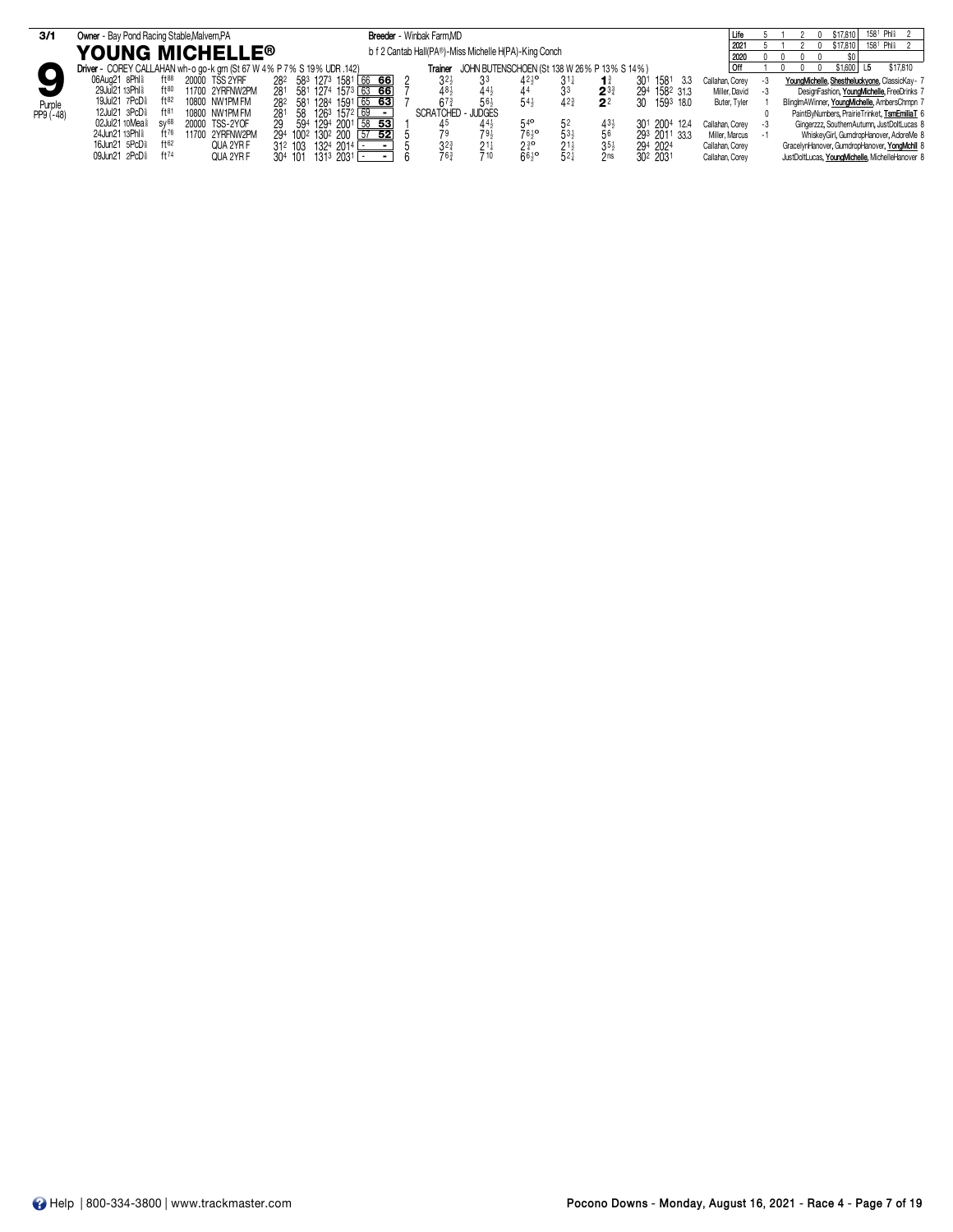| 3/1        | Owner - Bay Pond Racing Stable, Malvern, PA                            |                 |                                                             | Breeder - Winbak Farm, MD                             |                           |                                             |                 |                             |                      |                 |      | $158^{\circ}$ Phis 2  <br>\$17,810              |
|------------|------------------------------------------------------------------------|-----------------|-------------------------------------------------------------|-------------------------------------------------------|---------------------------|---------------------------------------------|-----------------|-----------------------------|----------------------|-----------------|------|-------------------------------------------------|
|            |                                                                        |                 |                                                             |                                                       |                           |                                             |                 |                             |                      | 2021            |      | 158 <sup>1</sup> Phli 2<br>\$17,810             |
|            | <b>YOUNG MICHELLE<sup>®</sup></b>                                      |                 |                                                             | b f 2 Cantab Hall(PA®)-Miss Michelle H(PA)-King Conch |                           |                                             |                 |                             |                      | 2020            |      |                                                 |
|            | Driver - COREY CALLAHAN wh-o go-k grn (St 67 W 4% P 7% S 19% UDR .142) |                 |                                                             | Trainer                                               |                           | JOHN BUTENSCHOEN (St 138 W 26% P 13% S 14%) |                 |                             |                      | Off             |      | \$17,810<br>\$1,600<br>- 15                     |
|            | $ft^{88}$<br>06Aua21 8Phl <sup>§</sup>                                 | 20000 TSS 2YRF  | 28 <sup>2</sup> 58 <sup>3</sup> 127 <sup>3</sup> 1581 66 66 | 3 <sup>2</sup>                                        |                           | $42^{10}$                                   |                 | $\mathbf{1}^3$              | 301<br>1581<br>- 3.3 | Callahan, Corev | -3   | YoungMichelle, Shestheluckyone, ClassicKay- 7   |
|            | 29Jul21 13Phl 8<br>$ft^{80}$                                           | 11700 2YRFNW2PM | $157^3$ 63 66<br>281<br>581 1274                            | 48.                                                   | $44\frac{1}{2}$           |                                             |                 | $2^{3}$                     | 294<br>1582 313      | Miller, David   | $-3$ | DesignFashion, YoungMichelle, FreeDrinks 7      |
| Purple     | 19Jul21 7PcD <sup>§</sup><br>$ft^{82}$                                 | 10800 NW1PM FM  | $1591$ 65 63<br>282 581 1284                                | 67                                                    | $56\frac{1}{2}$           | 54}                                         | 423             | $\overline{2}$ <sup>2</sup> | 30 1593 18.0         | Buter, Tyler    |      | BlingImAWinner, YoungMichelle, AmbersChmpn 7    |
| $PP9(-48)$ | 12Jul21 3PcD <sup>§</sup><br>$ft^{81}$                                 | 10800 NW1PM FM  | 58 1263 1572 69<br>281                                      |                                                       | <b>SCRATCHED - JUDGES</b> |                                             |                 |                             |                      |                 |      | PaintByNumbers, PrairieTrinket, TsmEmiliaT 6    |
|            | 02Jul21 10Mea <sup>§</sup><br>$SV^{68}$                                | 20000 TSS-2YOF  | 594 1294 2001 58 53<br>29                                   | 45                                                    | $44\frac{1}{2}$           |                                             | 5 <sup>z</sup>  | $43\frac{1}{2}$             | 301 2004 12.4        | Callahan, Corev | -3   | Gingerzzz, SouthernAutumn, JustDoltLucas 8      |
|            | 24Jun21 13Phl <sup>§</sup><br>$ft^{76}$                                | 11700 2YRFNW2PM | 294 100 <sup>2</sup> 130 <sup>2</sup> 200 57 52             |                                                       | 79 <sub>1</sub>           | 761¤                                        | $53\frac{1}{2}$ | 56                          | 293 2011 33.3        | Miller, Marcus  | - 1  | WhiskeyGirl, GumdropHanover, AdoreMe 8          |
|            | 16Jun21 5PcD <sup>§</sup><br>ft62                                      | QUA 2YR F       | 312 103 1324 2014                                           | $3^{2^{3}}$                                           | $21\frac{1}{4}$           | $2^{30}$                                    | $21\frac{1}{2}$ | $35\frac{1}{2}$             | 294 2024             | Callahan, Corey |      | GracelynHanover, GumdropHanover, YongMchll 8    |
|            | 09Jun21 2PcD <sup>§</sup><br>ft $74$                                   | QUA 2YR F       | 1313 2031 -<br>304 101                                      |                                                       | 710                       | $66\frac{1}{2}$                             | 52 <sub>1</sub> | 2 <sub>ns</sub>             | 302 2031             | Callahan, Corev |      | JustDoltLucas, YoungMichelle, MichelleHanover 8 |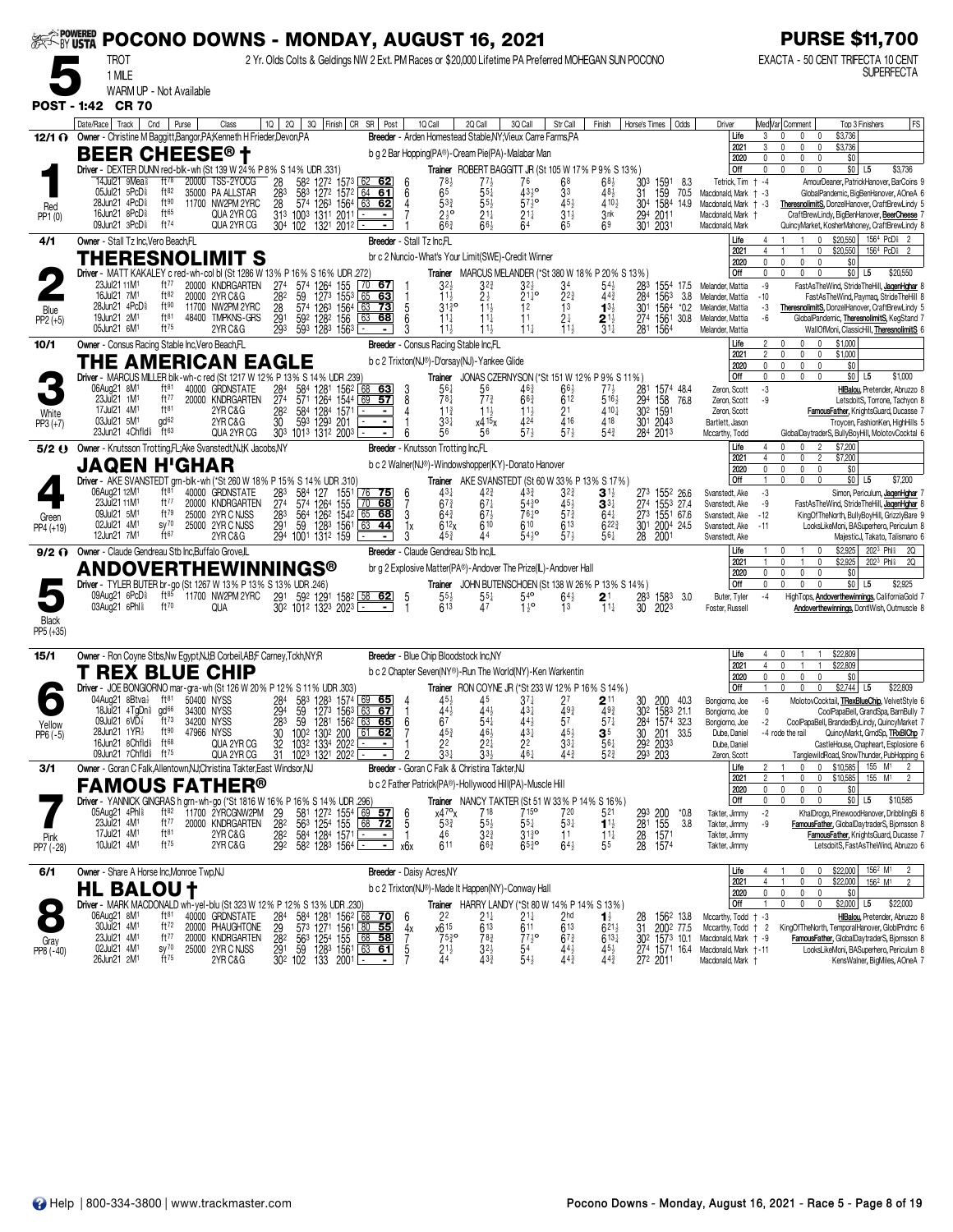| <b>EXAMPOWERED</b>   |                                                                                                         |                                      | POCONO DOWNS - MONDAY, AUGUST 16, 2021                  |                                                |                                                                                                                            |                                                                        |                                                 |                                                                                                              |                                                   |                                       |                                                      |                                                                                                     |                                                                   |                                  | <b>PURSE \$11,700</b>                                                                                                                               |
|----------------------|---------------------------------------------------------------------------------------------------------|--------------------------------------|---------------------------------------------------------|------------------------------------------------|----------------------------------------------------------------------------------------------------------------------------|------------------------------------------------------------------------|-------------------------------------------------|--------------------------------------------------------------------------------------------------------------|---------------------------------------------------|---------------------------------------|------------------------------------------------------|-----------------------------------------------------------------------------------------------------|-------------------------------------------------------------------|----------------------------------|-----------------------------------------------------------------------------------------------------------------------------------------------------|
|                      | TROT                                                                                                    |                                      |                                                         |                                                |                                                                                                                            |                                                                        |                                                 | 2 Yr. Olds Colts & Geldings NW 2 Ext. PM Races or \$20,000 Lifetime PA Preferred MOHEGAN SUN POCONO          |                                                   |                                       |                                                      |                                                                                                     |                                                                   |                                  | EXACTA - 50 CENT TRIFECTA 10 CENT                                                                                                                   |
|                      | 1 MILE                                                                                                  | WARM UP - Not Available              |                                                         |                                                |                                                                                                                            |                                                                        |                                                 |                                                                                                              |                                                   |                                       |                                                      |                                                                                                     |                                                                   |                                  | <b>SUPERFECTA</b>                                                                                                                                   |
| <b>POST - 1:42</b>   | <b>CR 70</b>                                                                                            |                                      |                                                         |                                                |                                                                                                                            |                                                                        |                                                 |                                                                                                              |                                                   |                                       |                                                      |                                                                                                     |                                                                   |                                  |                                                                                                                                                     |
|                      | Date/Race   Track                                                                                       | Cnd<br>Purse                         | Class                                                   | $1Q$   2Q                                      | 3Q Finish CR SR Post                                                                                                       |                                                                        | 1Q Call                                         | 2Q Call                                                                                                      | 3Q Call                                           | Str Call                              | Finish                                               | Horse's Times   Odds                                                                                | Driver                                                            |                                  | Med Var  Comment<br><b>FS</b><br>Top 3 Finishers                                                                                                    |
|                      | 12/1 O Owner - Christine M Baggitt, Bangor, PA; Kenneth H Frieder, Devon, PA                            |                                      |                                                         |                                                |                                                                                                                            |                                                                        |                                                 | Breeder - Arden Homestead Stable, NY; Vieux Carre Farms, PA                                                  |                                                   |                                       |                                                      |                                                                                                     | Life<br>2021                                                      | 3<br>3                           | \$3,736<br>$\mathbf{0}$<br>0<br>$\mathbf{0}$<br>\$3,736<br>0                                                                                        |
|                      | <b>BEER CHEESE® t</b>                                                                                   |                                      |                                                         |                                                |                                                                                                                            |                                                                        |                                                 | b g 2 Bar Hopping(PA®)-Cream Pie(PA)-Malabar Man                                                             |                                                   |                                       |                                                      |                                                                                                     | 2020<br>Off                                                       | 0<br>U.                          | $\mathbf{0}$<br>\$0<br>$\sqrt{ }$                                                                                                                   |
|                      | Driver - DEXTER DUNN red-blk-wh (St 139 W 24% P 8% S 14% UDR .331)<br>14Jul21 9Mea <sup>§</sup>         | $ft^{78}$                            | 20000 TSS-2YOCG                                         | 28<br>582                                      | 1272 1573 62 62                                                                                                            |                                                                        |                                                 | Trainer ROBERT BAGGITT JR (St 105 W 17% P 9% S 13%)<br>78}                                                   | 76                                                | 68                                    | 68½                                                  | 303<br>1591                                                                                         | 8.3<br>Tetrick, Tim + -4                                          |                                  | \$0 L5<br>\$3,736<br>AmourDeaner, PatrickHanover, BarCoins 9                                                                                        |
| Red                  | 05Jul21 5PcD <sup>§</sup><br>28Jun21 4PcD <sup>§</sup>                                                  | ft82<br>ft90                         | 35000 PA ALLSTAR<br>11700 NW2PM 2YRC                    | $\frac{28}{28}$<br>583                         | 1272 1572 64 61<br>574 1263 1564                                                                                           | 63 62                                                                  | 6 <sup>5</sup><br>6                             | $55\frac{1}{4}$<br>$5^{3_{2}^{3}}$<br>$55\frac{1}{2}$                                                        | 4310<br>$57\frac{1}{2}$ <sup>o</sup>              | 3 <sup>3</sup><br>$45\frac{1}{2}$     | 48,<br>410}                                          | 31 159 70.5<br>304 1584 14.9                                                                        | Macdonald, Mark + -3<br>Macdonald, Mark + -3                      |                                  | GlobalPandemic, BigBenHanover, AOneA 6<br>TheresnolimitS, DonzelHanover, CraftBrewLindy 5                                                           |
| PP1 (0)              | 16Jun21 8PcD <sup>§</sup><br>09Jun21 3PcD <sup>§</sup>                                                  | ft65<br>ft <sup>74</sup>             | QUA 2YR CG<br>QUA 2YR CG                                |                                                | 313 1003 1311 2011<br>304 102 1321 2012                                                                                    |                                                                        |                                                 | $2\frac{1}{2}$ <sup>o</sup><br>$21\frac{1}{4}$<br>663<br>66}                                                 | $21\frac{1}{4}$<br>64                             | $31\frac{1}{2}$<br>65                 | 3nk<br>69                                            | 294 2011<br>301 2031                                                                                | Macdonald, Mark +<br>Macdonald, Mark                              |                                  | CraftBrewLindy, BigBenHanover, BeerCheese<br>QuincyMarket, KosherMahoney, CraftBrewLindy 8                                                          |
| 4/1                  | Owner - Stall Tz Inc, Vero Beach, FL                                                                    |                                      |                                                         |                                                |                                                                                                                            |                                                                        | Breeder - Stall Tz Inc.FL                       |                                                                                                              |                                                   |                                       |                                                      |                                                                                                     | Life                                                              |                                  | 1564 PcD <sup>§</sup> 2<br>$\mathbf 0$<br>\$20,550                                                                                                  |
|                      | THERESNOLIMIT S                                                                                         |                                      |                                                         |                                                |                                                                                                                            |                                                                        |                                                 | br c 2 Nuncio-What's Your Limit(SWE)-Credit Winner                                                           |                                                   |                                       |                                                      |                                                                                                     | 2021<br>2020                                                      |                                  | \$20,550<br>1564 PcD <sup>§</sup><br>$\overline{2}$<br>\$0<br>$\mathbf{0}$                                                                          |
|                      | Driver - MATT KAKALEY c red-wh-col bl (St 1286 W 13% P 16% S 16% UDR .272)<br>23Jul21 11M <sup>1</sup>  | ft77                                 | 20000 KNDRGARTEN                                        | 274<br>574                                     |                                                                                                                            | 70<br>67                                                               |                                                 | <b>Trainer</b> MARCUS MELANDER (*St 380 W 18% P 20% S 13%)                                                   |                                                   |                                       |                                                      |                                                                                                     | Off<br>Melander, Mattia                                           | 0<br>-9                          | \$0 L5<br>$\mathsf{n}$<br>0<br>$\Omega$<br>\$20,550<br>FastAsTheWind, StrideTheHill, JagenHghar                                                     |
|                      | 16Jul21 7M <sup>1</sup>                                                                                 | ft82<br>ft90                         | 20000 2YR C&G                                           | 282<br>59                                      | 126 <sup>4</sup> 155<br>127 <sup>3</sup> 155 <sup>3</sup>                                                                  | 65 63                                                                  |                                                 | $3^{2\frac{1}{2}}$<br>$1^{1\frac{1}{2}}$<br>$3^{2^{3}}$<br>$2\frac{1}{2}$                                    | 32}<br>$21\frac{1}{4}$ <sup>o</sup>               | $3^{4}_{2^{2}_{4}}$                   | $54\frac{1}{2}$<br>$44\frac{3}{4}$                   | $\frac{283}{284}$<br>1554 17.5<br>1563                                                              | 3.8<br>Melander, Mattia                                           | $-10$                            | FastAsTheWind, Paymaq, StrideTheHill                                                                                                                |
| Blue<br>$PP2 (+5)$   | 28Jun21 4PcD <sup>§</sup><br>19Jun21 2M <sup>1</sup>                                                    | $ft^{81}$                            | 11700 NW2PM 2YRC<br>48400 TMPKNS-GRS                    | 28<br>$\frac{29}{293}$                         | 574 1263 1564<br>59 <sup>2</sup> 128 <sup>2</sup> 156<br>593 1283 1563                                                     | 63<br><u>73</u><br>63<br>68                                            |                                                 | $31\frac{3}{4}$ <sup>o</sup><br>$11\frac{1}{2}$<br>$11\frac{1}{4}$<br>$1\frac{11}{2}$                        | 12<br>11                                          | 13<br>$2\frac{1}{3}$                  | $1^{3}$<br>$2^{11}_{31}$                             | 30 <sup>1</sup><br>1564<br>156130.8<br>$\frac{274}{281}$                                            | $*0.2$<br>Melander, Mattia<br>Melander, Mattia                    | -3<br>-6                         | TheresnolimitS, DonzelHanover, CraftBrewLindy 5<br>GlobalPandemic, TheresnolimitS, KegStand 7                                                       |
| 10/1                 | 05Jun21 6M <sup>1</sup><br>Owner - Consus Racing Stable Inc, Vero Beach, FL                             | $ft^{75}$                            | 2YR C&G                                                 |                                                |                                                                                                                            |                                                                        |                                                 | $11\frac{1}{2}$<br>Breeder - Consus Racing Stable Inc.FL                                                     | $11\frac{1}{4}$                                   | $11\frac{1}{2}$                       |                                                      | 1564                                                                                                | Melander, Mattia<br>Life                                          |                                  | WallOfMoni, ClassicHill, TheresnolimitS (<br>\$1,000<br>$\mathbf{0}$                                                                                |
|                      | THE AMERICAN EAGI                                                                                       |                                      |                                                         |                                                |                                                                                                                            |                                                                        |                                                 | b c 2 Trixton(NJ®)-D'orsay(NJ)-Yankee Glide                                                                  |                                                   |                                       |                                                      |                                                                                                     | 2021<br>2020                                                      | $\overline{2}$<br>$\mathbf{0}$   | 0<br>\$1,000<br>0<br>\$0<br>$\mathbf 0$<br>$\mathbf{0}$                                                                                             |
|                      | Driver - MARCUS MILLER blk-wh-c red (St 1217 W 12% P 13% S 14% UDR .239)                                |                                      |                                                         |                                                |                                                                                                                            |                                                                        |                                                 | Trainer JONAS CZERNYSON (*St 151 W 12% P 9% S 11%)                                                           |                                                   |                                       |                                                      |                                                                                                     | Off                                                               | 0                                | $$0$ L5<br>\$1,000<br>0<br>$\Omega$                                                                                                                 |
|                      | 06Aug21 8M <sup>1</sup><br>23Jul21 1M <sup>1</sup>                                                      | $ft^{81}$<br>ft $77$                 | 40000 GRDNSTATE<br>20000 KNDRGARTEN                     | 284<br>584<br>274<br>571                       | 1281 1562 68 63<br>1264 1544 69 57                                                                                         |                                                                        | 8                                               | $56\frac{1}{4}$<br>56<br>78 <sub>1</sub><br>$77\frac{3}{4}$                                                  | $46\frac{3}{4}$<br>$66\frac{3}{4}$                | $66\frac{1}{2}$<br>612                | 77½<br>$5^{16}$                                      | 281 1574 48.4<br>294<br>158 76.8                                                                    | Zeron, Scott<br>Zeron, Scott                                      | -3<br>-9                         | HBalou, Pretender, Abruzzo &<br>LetsdoitS, Torrone, Tachyon 8                                                                                       |
| White                | 17Jul21 4M <sup>1</sup><br>03Jul21 5M <sup>1</sup>                                                      | ft <sup>81</sup><br>gd <sup>62</sup> | 2YR C&G<br>2YR C&G                                      | $\frac{28}{30}$<br>584<br>593                  | 1284 1571<br>1293 201                                                                                                      | $\blacksquare$                                                         |                                                 | $11\frac{3}{4}$<br>$11\frac{1}{2}$<br>$33\frac{1}{4}$<br>$x4^{15}x$                                          | $11\frac{1}{2}$<br>424                            | 2 <sup>1</sup><br>$\overline{4}16$    | 410}<br>418                                          | 302 1591<br>301 2043                                                                                | Zeron, Scott<br>Bartlett, Jason                                   |                                  | FamousFather, KnightsGuard, Ducasse 7<br>Troycen, FashionKen, HighHills 5                                                                           |
| $PP3 (+7)$           | 23Jun21 4Chfld <sup>§</sup>                                                                             | ft63                                 | QUA 2YR CG                                              |                                                | 303 1013 1312 2003                                                                                                         |                                                                        |                                                 | 56<br>56                                                                                                     | 573                                               | $57\frac{1}{2}$                       | 54}                                                  | 284 2013                                                                                            | Mccarthy, Todd                                                    |                                  | GlobalDaytraderS, BullyBoyHill, MolotovCocktal 6                                                                                                    |
|                      | 5/2 Owner - Knutsson Trotting, FL; Ake Svanstedt, NJ; K Jacobs, NY                                      |                                      |                                                         |                                                |                                                                                                                            |                                                                        | Breeder - Knutsson Trotting Inc,FL              |                                                                                                              |                                                   |                                       |                                                      |                                                                                                     | Life<br>2021                                                      | 4<br>4                           | \$7,200<br>$\overline{2}$<br>$\mathbf{0}$<br>\$7,200                                                                                                |
|                      | <b>JAQEN H'GHAR</b><br>Driver - AKE SVANSTEDT grn-blk-wh (*St 260 W 18% P 15% S 14% UDR .310)           |                                      |                                                         |                                                |                                                                                                                            |                                                                        |                                                 | b c 2 Walner(NJ®)-Windowshopper(KY)-Donato Hanover<br><b>Trainer</b> AKE SVANSTEDT (St 60 W 33% P 13% S 17%) |                                                   |                                       |                                                      |                                                                                                     | 2020<br>Off                                                       | $\mathbf{0}$                     | \$0<br>$\mathbf{0}$<br>0<br>$\Omega$<br>$$0$ L5<br>\$7,200                                                                                          |
|                      | 06Aug21 12M <sup>1</sup>                                                                                | $ft^{81}$                            | 40000 GRDNSTATE                                         | $\frac{283}{274}$<br>584                       | 1551<br>127                                                                                                                | 76<br><u>75 </u>                                                       | 6                                               | $43\frac{1}{4}$<br>$4^{2^{3}}$                                                                               | $43\frac{3}{4}$                                   | $3^{23}$                              | 31)                                                  | 273 1552 26.6                                                                                       | Svanstedt, Ake                                                    | -3                               | Simon, Periculum, JagenHghar                                                                                                                        |
| Green                | 23Jul21 11M1<br>09Jul21 5M <sup>1</sup>                                                                 | ft $77$<br>$ft^{79}$                 | 20000 KNDRGARTEN<br>25000 2YR C NJSS                    | 283<br>564                                     | 574 1264<br>155<br>126 <sup>2</sup> 1542<br>128 <sup>3</sup> 1561                                                          | $\overline{70}$<br>68<br>$65$ 68                                       | 3                                               | $67\frac{3}{4}$<br>$67\frac{1}{4}$<br>$64\frac{3}{4}$<br>$67\frac{1}{2}$                                     | $54\frac{3}{4}$ <sup>o</sup><br>76 <sup>1</sup> ° | $45\frac{1}{2}$<br>$5^{7\frac{3}{4}}$ | $\mathbf{3}^{3\ddagger}$<br>$64\frac{1}{4}$          | 274<br>1553 27.4<br>$\frac{273}{301}$<br>1551 67.6<br>2004 24.5                                     | Svanstedt, Ake<br>Svanstedt, Ake                                  | -9<br>$-12$                      | FastAsTheWind, StrideTheHill, JagenHghar<br>KingOfTheNorth, BullyBoyHill, GrizzlyBare 9                                                             |
| PP4 (+19)            | 02Jul21 4M <sup>1</sup><br>12Jun21 7M <sup>1</sup>                                                      | $sy^{70}$<br>ft67                    | 25000 2YR C NJSS<br>2YR C&G                             | 291<br>59<br>294 1001 1312 159                 |                                                                                                                            | 63<br>44                                                               | 1х                                              | 612x<br>610<br>45}                                                                                           | 610<br>54}°                                       | 613<br>$57\frac{1}{2}$                | $6^{22\frac{3}{4}}$<br>561                           | 28 2001                                                                                             | Svanstedt, Ake<br>Svanstedt, Ake                                  | $-11$                            | LooksLikeMoni, BASuperhero, Periculum 8<br>MajesticJ, Takato, Talismano 6                                                                           |
| $9/2$ $\Omega$       | Owner - Claude Gendreau Stb Inc, Buffalo Grove, IL                                                      |                                      |                                                         |                                                |                                                                                                                            |                                                                        |                                                 | Breeder - Claude Gendreau Stb Inc.IL                                                                         |                                                   |                                       |                                                      |                                                                                                     | Life<br>2021                                                      |                                  | \$2,925<br>$202^3$ Phis<br>20<br>\$2,925<br>202 <sup>3</sup> Phl <sup>§</sup><br>20<br>0                                                            |
|                      | ANDOVERTHEWINNINGS®                                                                                     |                                      |                                                         |                                                |                                                                                                                            |                                                                        |                                                 | br g 2 Explosive Matter(PA®)-Andover The Prize(IL)-Andover Hall                                              |                                                   |                                       |                                                      |                                                                                                     | 2020                                                              | 0                                | \$0<br>$\mathbf{0}$                                                                                                                                 |
|                      | Driver - TYLER BUTER br-go (St 1267 W 13% P 13% S 13% UDR .246)<br>09Aug21 6PcD <sup>§</sup>            | $ft^{85}$                            | 11700 NW2PM 2YRC                                        |                                                | 291 592 1291 1582 58 62                                                                                                    |                                                                        |                                                 | Trainer JOHN BUTENSCHOEN (St 138 W 26% P 13% S 14%)<br>$5^{5\frac{1}{2}}$<br>613<br>$55\frac{1}{4}$          | $540$                                             | $64\frac{1}{2}$                       | $2^1$                                                | 283<br>1583                                                                                         | Off<br>3.0<br>Buter, Tyler                                        | $\theta$<br>-4                   | \$0<br>\$2,925<br>L5<br>HighTops, <b>Andoverthewinnings</b> , CaliforniaGold                                                                        |
| Black                | 03Aug21 6Phl <sup>§</sup>                                                                               | ft70                                 | <b>QUA</b>                                              |                                                | 302 1012 1323 2023                                                                                                         |                                                                        | $\overline{1}$                                  | 47                                                                                                           | $1^{10}$                                          | 13                                    | $11\frac{1}{4}$                                      | 30<br>2023                                                                                          | Foster, Russell                                                   |                                  | Andoverthewinnings, DontlWish, Outmuscle 8                                                                                                          |
| PP5 (+35)            |                                                                                                         |                                      |                                                         |                                                |                                                                                                                            |                                                                        |                                                 |                                                                                                              |                                                   |                                       |                                                      |                                                                                                     |                                                                   |                                  |                                                                                                                                                     |
| 15/1                 | Owner - Ron Coyne Stbs, Nw Egypt, NJ,B Corbeil, AB,F Carney, Tckh, NY, R                                |                                      |                                                         |                                                |                                                                                                                            |                                                                        |                                                 | Breeder - Blue Chip Bloodstock Inc.NY                                                                        |                                                   |                                       |                                                      |                                                                                                     | Life                                                              |                                  | \$22,809                                                                                                                                            |
|                      | T REX BLUE CHIP                                                                                         |                                      |                                                         |                                                |                                                                                                                            |                                                                        |                                                 | b c 2 Chapter Seven(NY®)-Run The World(NY)-Ken Warkentin                                                     |                                                   |                                       |                                                      |                                                                                                     | 2021<br>2020                                                      | 4<br>0                           | \$22,809<br>$\sqrt{ }$<br>$\mathbf{0}$<br>\$0<br>$\mathsf{U}$                                                                                       |
|                      | Driver - JOE BONGIORNO mar-gra-wh (St 126 W 20% P 12% S 11% UDR 303)<br>04Aug21 8Btva}                  | ft <sup>81</sup>                     | 50400 NYSS                                              |                                                | 583 1283 1574                                                                                                              | <u>65   </u>                                                           |                                                 | Trainer RON COYNE JR (*St 233 W 12% P 16% S 14%)<br>45                                                       | $3^{7}\frac{1}{4}$                                |                                       | $2$ 11                                               | 40.3                                                                                                | Off<br>Bongiorno, Joe                                             | -6                               | \$2,744<br>\$22,809<br>$\Omega$<br>L5<br>MolotovCocktail, TRexBlueChip, VelvetStyle 6                                                               |
|                      | 18Jul21 4TgDn <sup>§</sup> gd <sup>66</sup><br>09Jul21 6VD $\frac{7}{8}$ ft <sup>73</sup>               |                                      | 34300 NYSS                                              | 284<br>294<br>59                               | $127^3$ $156^3$                                                                                                            | $\begin{array}{ c c }\n\hline\n69 \\ \hline\n63\n\end{array}$<br>$-67$ |                                                 | $4^{5\frac{1}{2}}$<br>44 <sup>1</sup><br>443                                                                 | 431<br>141                                        | $^{27}_{493}$                         | 493                                                  | $\frac{30}{30^2}$<br>1583 21.1                                                                      | Bongiorno, Joe                                                    | 0                                | CoolPapaBell, GrandSpa, BarnBully                                                                                                                   |
| Yellow<br>$PP6 (-5)$ | 28Jun21 1YR <sup>1</sup>                                                                                | ft90                                 | 34200 NYSS<br>47966 NYSS                                | 283<br>$\begin{array}{c} 30 \\ 32 \end{array}$ | 59 1281 1562 63 65<br>100 <sup>2</sup> 130 <sup>2</sup> 200<br>103 <sup>2</sup> 133 <sup>4</sup> 202 <sup>2</sup>          | $61$ 62                                                                | 6<br>67                                         | $54+$<br>$45\frac{3}{4}$<br>$46\frac{1}{2}$<br>22 $\frac{1}{4}$                                              | $\frac{43\frac{1}{4}}{2^2}$                       | 57<br>$3^{5\frac{1}{2}}$              | 571                                                  | 284 1574 32.3                                                                                       | Bongiorno, Joe<br>Dube, Daniel                                    | -2                               | CoolPapaBell, BrandedByLindy, QuincyMarket 7<br>QuincyMarkt, GrndSp, TRxBIChp 7<br>-4 rode the rail                                                 |
|                      | 16Jun21 8Chfld <sup>§</sup><br>09Jun21 7Chfld <sup>§</sup> ft <sup>75</sup>                             | $ft^{68}$                            | QUA 2YR CG<br>QUA 2YR CG                                | 31                                             | 1023 1321 2022 [                                                                                                           |                                                                        |                                                 | $33\frac{1}{4}$<br>$33\frac{1}{2}$                                                                           | 461                                               | 44 <sup>3</sup>                       | $\frac{3}{56}$<br>56 <sup>1</sup><br>52 <sup>3</sup> | 30 201 33.5<br>292 2033<br>293 203                                                                  | Dube, Daniel<br>Zeron, Scott                                      |                                  | CastleHouse, Chapheart, Esplosione 6<br>TanglewildRoad, SnowThunder, PubHopping 6                                                                   |
| 3/1                  | Owner - Goran C Falk, Allentown, NJ; Christina Takter, East Windsor, NJ                                 |                                      |                                                         |                                                |                                                                                                                            |                                                                        |                                                 | <b>Breeder</b> - Goran C Falk & Christina Takter, NJ                                                         |                                                   |                                       |                                                      |                                                                                                     | Life<br>2021                                                      | $\overline{2}$<br>$\overline{2}$ | \$10,585<br>155 M <sup>1</sup><br>$\overline{1}$<br>$\Omega$<br>$\mathbf{0}$<br>155 M <sup>1</sup><br>\$10,585<br>0<br>$^{\circ}$<br>$\overline{2}$ |
|                      | FAMOUS FATHER®                                                                                          |                                      |                                                         |                                                |                                                                                                                            |                                                                        |                                                 | b c 2 Father Patrick(PA®)-Hollywood Hill(PA)-Muscle Hill                                                     |                                                   |                                       |                                                      |                                                                                                     | 2020                                                              | $\mathbf 0$                      | \$0<br>0<br>0<br>$\mathbf{0}$                                                                                                                       |
|                      | Driver - YANNICK GINGRAS h grn-wh-go (*St 1816 W 16% P 16% S 14% UDR .296)<br>05Aug21 4Phl <sup>§</sup> | ft82                                 | 11700 2YRCGNW2PM                                        | $^{29}_{282}$                                  | 581 1272 1554 69 57<br>563 1254 155 68 72                                                                                  |                                                                        | $\frac{6}{5}$                                   | <b>Trainer</b> NANCY TAKTER (St 51 W 33% P 14% S 16%)<br>$x_{53}^{479}x$<br>718                              | 7 15°                                             | 720                                   | 521                                                  | 200<br>155                                                                                          | Off<br>$*0.8$<br>Takter, Jimmy                                    | $\mathbb O$<br>$-2$              | $$0$ L5<br>0<br>0<br>0<br>\$10,585<br>KhalDrogo, PinewoodHanover, DribblingBi 8                                                                     |
| Pink                 | 23Jul 21 4M <sup>1</sup><br>17Jul21 4M <sup>1</sup>                                                     | ft77<br>ft <sup>81</sup>             | 20000 KNDRGARTEN<br>2YR C&G                             | 282                                            | 584 1284 1571 <u>- </u>                                                                                                    |                                                                        | 46                                              | $55\frac{1}{2}$<br>$3^{2^{3}}$                                                                               | $55\frac{1}{4}$<br>$31\frac{3}{4}$ <sup>o</sup>   | $53\frac{1}{4}$<br>11                 | $11\frac{1}{2}$<br>$11\frac{1}{4}$                   | 293<br>281<br>28<br>28<br>1571                                                                      | 3.8<br>Takter, Jimmy<br>Takter, Jimmy                             | -9                               | FamousFather, GlobalDaytraderS, Biornsson 8<br>FamousFather, KnightsGuard, Ducasse 7                                                                |
| PP7 (-28)            | 10Jul21 4M <sup>1</sup>                                                                                 | $ft^{75}$                            | 2YR C&G                                                 | 292                                            | 582 1283 1564                                                                                                              | $\blacksquare$                                                         | х6х                                             | 611<br>$66\frac{3}{4}$                                                                                       | $65\frac{3}{4}$ <sup>o</sup>                      | $64\frac{1}{2}$                       | 55                                                   | 1574                                                                                                | Takter, Jimmy                                                     |                                  | LetsdoitS, FastAsTheWind, Abruzzo 6                                                                                                                 |
| 6/1                  | Owner - Share A Horse Inc, Monroe Twp, NJ                                                               |                                      |                                                         |                                                |                                                                                                                            |                                                                        | <b>Breeder</b> - Daisy Acres, NY                |                                                                                                              |                                                   |                                       |                                                      |                                                                                                     | Life                                                              | 4                                | 156 <sup>2</sup> M <sup>1</sup><br>\$22,000<br>$\mathbf{0}$<br>$\overline{2}$                                                                       |
|                      |                                                                                                         |                                      |                                                         |                                                |                                                                                                                            |                                                                        |                                                 | b c 2 Trixton(NJ®)-Made It Happen(NY)-Conway Hall                                                            |                                                   |                                       |                                                      |                                                                                                     | 2021                                                              | 4                                | \$22,000<br>156 <sup>2</sup> M <sup>1</sup><br>0<br>0<br>$\overline{2}$                                                                             |
|                      | <b>HL BALOU t</b>                                                                                       |                                      |                                                         |                                                |                                                                                                                            |                                                                        |                                                 |                                                                                                              |                                                   |                                       |                                                      |                                                                                                     | 2020                                                              | 0                                | $\mathbf 0$<br>\$0<br>$\mathbf{0}$                                                                                                                  |
|                      | Driver - MARK MACDONALD wh-yel-blu (St 323 W 12% P 12% S 13% UDR .230)                                  |                                      |                                                         |                                                |                                                                                                                            |                                                                        |                                                 | <b>Trainer</b> HARRY LANDY (*St 80 W 14% P 14% S 13%)                                                        |                                                   |                                       |                                                      |                                                                                                     | Off                                                               |                                  | $\mathbf 0$<br>\$2,000<br>0<br>0<br>L5<br>\$22,000                                                                                                  |
| Gray                 | 06Aug21 8M <sup>1</sup><br>30Jul21 4M <sup>1</sup><br>23Jul21 4M <sup>1</sup>                           | $ft^{81}$<br>ft $72$<br>ft $^{77}$   | 40000 GRDNSTATE<br>20000 PHAUGHTONE<br>20000 KNDRGARTEN | $^{284}_{29}$<br>28 <sup>2</sup><br>291        | 584 1281 1562 68 70<br>573 1271 1561 80 55<br>56 <sup>3</sup> 125 <sup>4</sup> 155 68 58<br>59 128 <sup>3</sup> 1561 63 61 |                                                                        | 2 <sup>2</sup><br>6<br>$x\overline{6}$ 15<br>4х | $^{21}_{613}$<br>$75\frac{3}{4}$ <sup>o</sup><br>$78\frac{3}{4}$                                             | $21\frac{1}{4}$<br>611<br>$77\frac{1}{2}$ °       | 2 <sup>hd</sup><br>613<br>$6^{73}$    | $\mathbf{1}_{2}^{1}$<br>$6^{21}$<br>$613\frac{1}{4}$ | $\frac{28}{31}$<br>1562 13.8<br>2002 77.5<br>30 <sup>2</sup> 157 <sup>3</sup> 10.1<br>274 1571 16.4 | Mccarthy, Todd + -3<br>Mccarthy, Todd + 2<br>Macdonald, Mark + -9 |                                  | HBalou, Pretender, Abruzzo 8<br>KingOfTheNorth, TemporalHanover, GloblPndmc 6<br>FamousFather, GlobalDaytraderS, Bjornsson 8                        |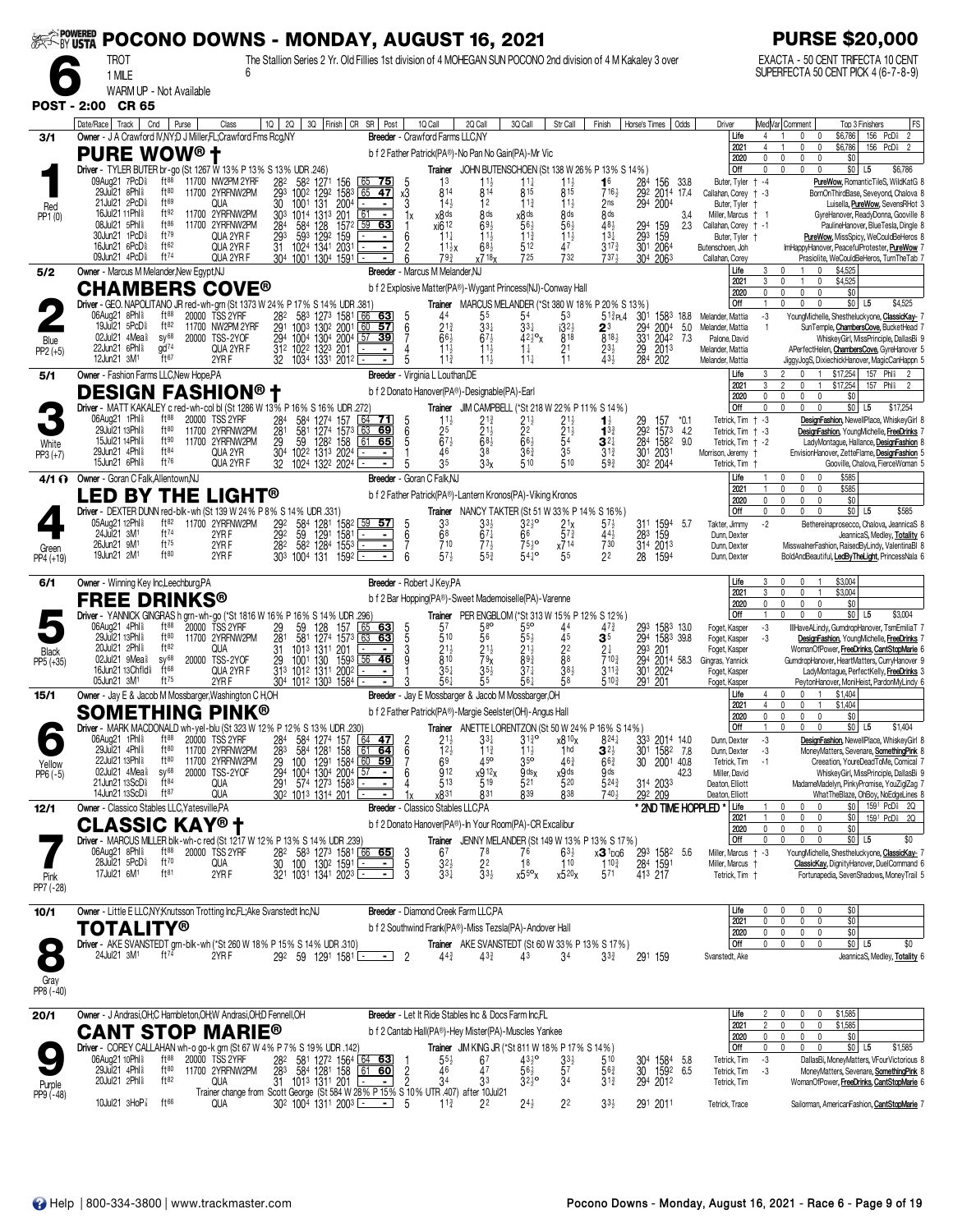| <b><i>SEERS POWERED</i></b> |                                                                                                                                                     | POCONO DOWNS - MONDAY, AUGUST 16, 2021                                                                                                   |                                                                                                                                                              |                                                                                                                                |                                                                                                       | <b>PURSE \$20,000</b>                                                                                                                 |
|-----------------------------|-----------------------------------------------------------------------------------------------------------------------------------------------------|------------------------------------------------------------------------------------------------------------------------------------------|--------------------------------------------------------------------------------------------------------------------------------------------------------------|--------------------------------------------------------------------------------------------------------------------------------|-------------------------------------------------------------------------------------------------------|---------------------------------------------------------------------------------------------------------------------------------------|
|                             | <b>TROT</b><br>1 MILE                                                                                                                               | The Stallion Series 2 Yr. Old Fillies 1st division of 4 MOHEGAN SUN POCONO 2nd division of 4 M Kakaley 3 over                            |                                                                                                                                                              |                                                                                                                                |                                                                                                       | EXACTA - 50 CENT TRIFECTA 10 CENT<br>SUPERFECTA 50 CENT PICK 4 (6-7-8-9)                                                              |
|                             | WARM UP - Not Available<br><b>POST - 2:00 CR 65</b>                                                                                                 |                                                                                                                                          |                                                                                                                                                              |                                                                                                                                |                                                                                                       |                                                                                                                                       |
| 3/1                         | Date/Race<br>Track<br>Cnd<br>Purse<br>Class<br>Owner - J A Crawford IV, NY; D J Miller, FL; Crawford Fms Rcg, NY                                    | 3Q Finish CR SR Post<br>1Q  <br>2Q                                                                                                       | 1Q Call<br>2Q Call<br>3Q Call<br>Breeder - Crawford Farms LLC,NY                                                                                             | Str Call<br>Finish<br>Horse's Times                                                                                            | Odds<br>Driver<br>Life<br>$\overline{4}$                                                              | Med Var  Comment<br>FS<br>Top 3 Finishers<br>156 PcD <sup>§</sup><br>$\overline{2}$<br>\$6,786<br>$\mathbf 0$<br>$\mathbf{0}$         |
|                             | <b>PURE WOW® +</b>                                                                                                                                  |                                                                                                                                          | b f 2 Father Patrick(PA®)-No Pan No Gain(PA)-Mr Vic                                                                                                          |                                                                                                                                | 2021<br>4<br>2020<br>0                                                                                | $\mathbf 0$<br>\$6,786<br>156 PcDi 2<br>0<br>\$0<br>0<br>0<br>$\mathbf{0}$                                                            |
|                             | Driver - TYLER BUTER br-go (St 1267 W 13% P 13% S 13% UDR .246)<br>09Aug21 7PcD <sup>5</sup><br>$ft^{88}$<br>11700 NW2PM 2YRF                       | 282<br>582<br>1271 156<br><u>75 </u>                                                                                                     | Trainer<br>1 <sup>3</sup><br>$11\frac{1}{4}$                                                                                                                 | JOHN BUTENSCHOEN (St 138 W 26% P 13% S 14%)<br>284<br>16<br>156<br>$11\frac{1}{2}$                                             | Off<br>0<br>33.8<br>Buter, Tyler + -4                                                                 | \$0 L5<br>$\mathbf{0}$<br>\$6,786<br>0<br>$\Omega$<br>PureWow, RomanticTileS, WildKatG 8                                              |
| Red                         | ft80<br>29Jul21<br>8Phl <sup>5</sup><br>11700 2YRFNW2PM<br>ft69<br>21Jul21 2PcD<br>QUA<br>16Jul21 11Phl <sup>§</sup><br>ft92<br>11700 2YRFNW2PM     | 293<br>1292<br>1002<br>1583<br>$65$ 47<br>30<br>1001<br>131<br>2004<br>$\blacksquare$<br>201<br>303<br>61<br>1014 1313<br>$\blacksquare$ | 814<br>814<br>815<br>x3<br>$14\frac{1}{2}$<br>3<br>12<br>$11\frac{3}{4}$<br>x8 <sup>ds</sup><br>8 ds<br>x8 ds<br>1x                                          | 815<br>716}<br>292 2014<br>$11\frac{1}{2}$<br>2 <sub>ns</sub><br>294<br>2004<br>8 <sub>ds</sub><br>8 <sub>ds</sub>             | 17.4<br>Callahan, Corey + -3<br>Buter, Tyler<br>3.4<br>Miller, Marcus + 1                             | BornOnThirdBase, Seveyond, Chalova 8<br>Luisella, PureWow, SevensRHot 3<br>GyreHanover, ReadyDonna, Gooville 8                        |
| PP1 (0)                     | ft86<br>08Jul21 5Phl <sup>§</sup><br>11700 2YRFNW2PM<br>ft79<br>30Jun21 1PcD <sup>§</sup><br>QUA 2YR F                                              | 59<br>63<br>284<br>584<br>128<br>1572<br>1292<br>293<br>593<br>159<br>$\blacksquare$                                                     | xi6 12<br>69<br>56<br>$11\frac{1}{4}$<br>$11\frac{3}{4}$<br>6<br>$11\frac{1}{2}$                                                                             | 56}<br>48}<br>294<br>159<br>159<br>$\overline{29}$ <sup>3</sup><br>$\frac{1}{2}$<br>$13\frac{1}{4}$                            | 2.3<br>Callahan, Corey + -1<br>Buter, Tyler †                                                         | PaulineHanover, BlueTesla, Dingle 8<br>PureWow, MissSpicy, WeCouldBeHeros 8                                                           |
|                             | 16Jun21 6PcD <sup>§</sup><br>ft62<br>QUA 2YR F<br>$ft^{74}$<br>09Jun21 4PcD <sup>§</sup><br>QUA 2YR F                                               | 1024 1341<br>203<br>31<br>304 1001 1304 1591                                                                                             | 683<br>512<br>$11\frac{1}{2}x$<br>725<br>x718x<br>79}                                                                                                        | 47<br>301 2064<br>$3^{17\frac{3}{4}}$<br>732<br>7374<br>304 2063                                                               | Butenschoen, Joh<br>Callahan, Corey                                                                   | ImHappyHanover, PeacefulProtester, PureWow 7<br>Prasiolite, WeCouldBeHeros, TurnTheTab 7                                              |
| 5/2                         | Owner - Marcus M Melander, New Egypt, NJ<br><b>CHAMBERS COVE®</b>                                                                                   |                                                                                                                                          | Breeder - Marcus M Melander, NJ<br>b f 2 Explosive Matter(PA®)-Wygant Princess(NJ)-Conway Hall                                                               |                                                                                                                                | Life<br>3<br>2021<br>3                                                                                | \$4,525<br>\$4,525<br>0<br>$\mathbf{0}$                                                                                               |
|                             | Driver - GEO. NAPOLITANO JR red-wh-grn (St 1373 W 24% P 17% S 14% UDR .381<br>$ft^{88}$<br>06Aug21 8Phl <sup>§</sup>                                |                                                                                                                                          | Trainer MARCUS MELANDER (*St 380 W 18% P 20% S 13%)                                                                                                          |                                                                                                                                | 2020<br>0<br>Off                                                                                      | $\mathbf 0$<br>\$0<br>0<br>$\Omega$<br>\$4,525<br>$$0$ L5<br>0<br>$\mathbf{0}$<br>0                                                   |
|                             | <b>TSS 2YRF</b><br>20000<br>19Jul21 5PcD<br>ft82<br>11700 NW2PM 2YRF<br>02Jul21 4Mea<br>$SV^{68}$<br>20000 TSS-2YOF                                 | $\frac{28^2}{29^1}$<br>583 1273 1581<br>66<br>63<br>1003 1302 200<br>57<br>60<br>294<br>1004<br>1304 2004<br>39<br>57                    | 5<br>6<br>44<br>55<br>54<br>$2^{13}$<br>$3^{3}$<br>331<br>$66\frac{1}{2}$<br>7<br>$67\frac{1}{2}$<br>$42\frac{1}{2}$ ° <sub>X</sub>                          | $51\frac{3}{4}PL4$<br>30 <sup>1</sup><br>1583<br>53<br>i3 <sup>2</sup><br>2004<br>$2^3$<br>294<br>818<br>8181<br>331<br>2042   | $-3$<br>18.8<br>Melander, Mattia<br>5.0<br>Melander, Mattia<br>$\overline{1}$<br>7.3<br>Palone, David | YoungMichelle, Shestheluckyone, ClassicKay- 7<br>SunTemple, ChambersCove, BucketHead 7<br>WhiskeyGirl, MissPrinciple, DallasBi 9      |
| Blue<br>$PP2 (+5)$          | gd <sup>74</sup><br>22Jun21 6Phl <sup>§</sup><br>QUA 2YR F<br>ft67<br>12Jun21 3M <sup>1</sup><br>2YR F                                              | 312 1022 1323 201<br>$\blacksquare$<br>32<br>1034 1331 2012                                                                              | $\frac{1}{1}$<br>$\frac{1}{2}$<br>$\frac{1}{4}$<br>$11\frac{1}{2}$<br>$1\frac{1}{4}$<br>$11\frac{1}{2}$<br>$11\frac{1}{4}$                                   | 21<br>$23\frac{1}{2}$<br>29<br>2013<br>$\overline{1}1$<br>43}<br>284<br>202                                                    | Melander, Mattia<br>Melander, Mattia                                                                  | APerfectHelen, ChambersCove, GyreHanover 5<br>JiggyJogS, DixiechickHanover, MagicCanHappn 5                                           |
| 5/1                         | Owner - Fashion Farms LLC, New Hope, PA                                                                                                             |                                                                                                                                          | Breeder - Virginia L Louthan, DE<br>b f 2 Donato Hanover(PA®)-Designable(PA)-Earl                                                                            |                                                                                                                                | Life<br>3<br>2021<br>3                                                                                | $\mathfrak{p}$<br>\$17,254<br>157 Phl <sup>§</sup><br>$\Omega$<br>0<br>\$17,254<br>157<br>Phli                                        |
|                             | <b>DESIGN FASHION®</b><br>Driver - MATT KAKALEY c red-wh-col bl (St 1286 W 13% P 16% S 16% UDR 272                                                  |                                                                                                                                          | <b>Trainer</b> JIM CAMPBELL (*St 218 W 22% P 11% S 14%)                                                                                                      |                                                                                                                                | 2020<br>$\mathbf 0$<br>Off<br>0                                                                       | $\mathbf 0$<br>$\mathbf{0}$<br>\$0<br>0<br>$\mathbf 0$<br>$\mathbf{0}$<br>$$0$ L5<br>0<br>\$17,254                                    |
|                             | 06Aug21 1Phl \$<br>ft88<br>20000 TSS 2YRF<br>29Jul21 13Phl \$<br>ft80<br>11700 2YRFNW2PM<br>ft90<br><b>15Jul21 14Phl&amp;</b><br>11700 2YRFNW2PM    | 284<br>584<br>1274<br>64<br>157<br>71 <br>281<br>29<br>581<br>1274 1573<br>63<br>69<br>59<br>1282 158<br>61<br>65                        | $21\frac{1}{2}$<br>$11\frac{1}{2}$<br>21}<br>5<br>6<br>25<br>$21\frac{1}{2}$<br>2 <sup>2</sup><br>$67\frac{1}{2}$<br>5<br>$68\frac{1}{2}$<br>$66\frac{1}{2}$ | $21\frac{1}{2}$<br>$^{29}_{292}$<br>11<br>157<br>$\frac{21}{5}$<br>1573<br>$13\frac{3}{4}$<br>284 1582<br>$3^{2+}$             | Tetrick, Tim + -3<br>*0.1<br>4.2<br>Tetrick, Tim + -3<br>9.0<br>Tetrick, Tim + -2                     | DesignFashion, NewellPlace, WhiskeyGirl 8<br>DesignFashion, YoungMichelle, FreeDrinks 7<br>LadyMontaque, Hallance, DesignFashion 8    |
| White<br>$PP3 (+7)$         | 29Jun21 4Phl <sup>§</sup><br>ft84<br>QUA 2YR<br>ft76<br>15Jun21 6Phl <sup>§</sup><br>QUA 2YR F                                                      | 304<br>1022 1313 2024<br>$\blacksquare$<br>32<br>1024 1322 2024                                                                          | 38<br>46<br>36 <sub>4</sub><br>35<br>3 <sup>3</sup><br>5<br>510                                                                                              | 35<br>2031<br>$3^{13}$<br>30 <sup>1</sup><br>510<br>593<br>302 2044                                                            | Morrison, Jeremy<br>Tetrick, Tim                                                                      | EnvisionHanover, ZetteFlame, DesignFashion 5<br>Gooville, Chalova, FierceWoman 5                                                      |
| 4/1 O                       | Owner - Goran C Falk, Allentown, NJ                                                                                                                 |                                                                                                                                          | Breeder - Goran C Falk, NJ                                                                                                                                   |                                                                                                                                | Life<br>2021                                                                                          | \$585<br>$\mathbf 0$<br>0<br>$\Omega$<br>$\mathbf 0$<br>\$585<br>$\mathbf{0}$                                                         |
|                             | D BY THE<br><b>LIGHT®</b><br>LE<br>Driver - DEXTER DUNN red-blk-wh (St 139 W 24% P 8% S                                                             | 14% UDR .331)                                                                                                                            | b f 2 Father Patrick(PA®)-Lantern Kronos(PA)-Viking Kronos<br>Trainer                                                                                        | NANCY TAKTER (St 51 W 33% P 14% S 16%)                                                                                         | 2020<br>$\mathbf 0$<br>Off<br>$\mathbf 0$                                                             | \$0<br>0<br>$\mathbf{0}$<br>0<br>\$0 <br>$\mathbf 0$<br>$\mathbf{0}$<br>0<br>L <sub>5</sub><br>\$585                                  |
|                             | 05Aug21 12Phl \$<br>ft82<br>11700 2YRFNW2PM<br>ft74<br>24Jul21 3M <sup>1</sup><br>2YRF                                                              | 292<br>584 1281 1582 59 57<br>29 <sup>2</sup><br>282<br>59<br>1291<br>1581<br>$\blacksquare$                                             | 33<br>$32\frac{1}{2}$ <sup>o</sup><br>$\begin{array}{c} 5 \\ 6 \\ 7 \end{array}$<br>33}<br>68<br>66<br>67‡                                                   | 2 <sup>1</sup><br>$57\frac{1}{2}$<br>311 1594<br>$5^{7}$<br>$44\frac{1}{2}$<br>283<br>159                                      | $-2$<br>-5.7<br>Takter, Jimmy<br>Dunn, Dexter                                                         | Bethereinaprosecco, Chalova, JeannicaS 8<br>JeannicaS, Medley, Totality 6                                                             |
| Green<br>PP4 (+19)          | $ft^{75}$<br>26Jun21 9M <sup>1</sup><br>2YRF<br>19Jun21 2M1<br>ft80<br>2YR <sub>F</sub>                                                             | 582<br>1284<br>1553<br>$\blacksquare$<br>303 1004 131<br>1592                                                                            | 710<br>$75\frac{1}{2}$ <sup>o</sup><br>$77\frac{1}{2}$<br>$57\frac{1}{2}$<br>$55\frac{3}{4}$<br>541°<br>ĥ                                                    | 730<br>x714<br>314 2013<br>22<br>5 <sup>5</sup><br>28<br>1594                                                                  | Dunn, Dexter<br>Dunn, Dexter                                                                          | MisswalnerFashion, RaisedByLindy, ValentinaBl 8<br>BoldAndBeautiful, LedByTheLight, PrincessNala 6                                    |
| 6/1                         | Owner - Winning Key Inc, Leechburg, PA                                                                                                              |                                                                                                                                          | <b>Breeder</b> - Robert J Key, PA                                                                                                                            |                                                                                                                                | Life<br>3<br>3<br>2021                                                                                | \$3,004<br>n<br>$\mathbf{0}$<br>\$3,004<br>$\overline{1}$<br>0<br>0                                                                   |
|                             | <b>FREE DRINKS®</b><br>Driver - YANNICK GINGRAS h grn-wh-go (*St 1816 W 16% P 16% S 14% UDR .296)                                                   |                                                                                                                                          | b f 2 Bar Hopping(PA®)-Sweet Mademoiselle(PA)-Varenne<br>Trainer PER ENGBLOM (*St 313 W 15% P 12% S 12%)                                                     |                                                                                                                                | 0<br>2020<br>Off                                                                                      | \$0<br>0<br>0<br>$\mathbf{0}$<br>\$0<br>\$3,004<br><sup>n</sup><br>$\Omega$<br>L <sub>5</sub>                                         |
|                             | $ft^{88}$<br>06Aug21 4Phl <sup>§</sup><br>20000 TSS 2YRF<br>ft80<br>29Jul21 13Phl <sup>§</sup><br>11700 2YRFNW2PM                                   | $\frac{65}{63}$<br>$\frac{29}{281}$<br>63<br>128<br>1274<br>157<br>581<br>1573<br>63                                                     | 57<br>5 <sup>5</sup><br>5<br>3<br>9<br>58°<br>510<br>55}<br>56                                                                                               | 1583 13.0<br>293<br>44<br>$41^{3}$<br>45<br>294<br>1583 39.8<br>3 <sup>5</sup>                                                 | $\textnormal{-}3$<br>Foget, Kasper<br>$-3$<br>Foget, Kasper                                           | IllHaveALindy, GumdropHanover, TsmEmiliaT 7<br>DesignFashion, YoungMichelle, FreeDrinks 7                                             |
| <b>Black</b><br>PP5 (+35)   | ft82<br>20Jul21 2Phl *<br>QUA<br>$SV^{68}$<br>02Jul21 9Mea <sup>§</sup><br>20000 TSS-2YOF<br>$ft^{68}$<br>16Jun21 13Chfld <sup>§</sup><br>QUA 2YR F | 1013 1311 201<br>31<br>$\blacksquare$<br>$56$ 46<br>1001<br>130<br>$\frac{29}{313}$<br>1593<br>1012 1311<br>2002<br>$\blacksquare$       | $21\frac{1}{2}$<br>21}<br>$21\frac{1}{2}$<br>$\overline{8}$ 10<br>893<br>79 <sub>X</sub><br>$35\frac{1}{4}$<br>$35\frac{1}{2}$<br>$37\frac{1}{4}$            | 22<br>293<br>201<br>8 <sup>8</sup><br>$\frac{294}{301}$<br>2014 58.3<br>7103<br>$38\frac{1}{2}$<br>$3^{11\frac{3}{2}}$<br>2024 | Foget, Kasper<br>Gingras, Yannick<br>Foget, Kasper                                                    | WomanOfPower, FreeDrinks, CantStopMarie 6<br>GumdropHanover, HeartMatters, CurryHanover 9<br>LadyMontague, PerfectKelly, FreeDrinks 3 |
| 15/1                        | ft <sup>75</sup><br>05Jun21 3M <sup>1</sup><br>2YR F<br>Owner - Jay E & Jacob M Mossbarger, Washington C H,OH                                       | 304 1012 1303 1584                                                                                                                       | 55<br>561<br>561<br>Breeder - Jay E Mossbarger & Jacob M Mossbarger, OH                                                                                      | $5^{10}$<br>291<br>-201                                                                                                        | Foget, Kasper<br>Life<br>$\overline{4}$                                                               | PeytonHanover, MoniHeist, PardonMyLindy 6<br>\$1,404<br>0<br>0                                                                        |
|                             | <b>SOMETHING PINK®</b>                                                                                                                              |                                                                                                                                          | b f 2 Father Patrick(PA®)-Margie Seelster(OH)-Angus Hall                                                                                                     |                                                                                                                                | $\overline{4}$<br>2021<br>2020<br>0                                                                   | \$1,404<br>0<br>$\mathbf 0$<br>\$0<br>0<br>$\mathbf{0}$<br>$\Omega$                                                                   |
|                             | Driver - MARK MACDONALD wh-yel-blu (St 323 W 12% P 12% S 13% UDR .230)<br>06Aug21 1Phl <sup>§</sup><br>$ft^{88}$<br>20000 TSS 2YRF                  | 284<br>584 1274 157<br>64<br><u>47</u>                                                                                                   | Trainer<br>$31\frac{3}{4}$ <sup>o</sup><br>$2^{11}_{22}$<br>$\frac{2}{6}$<br>33‡                                                                             | ANETTE LORENTZON (St 50 W 24 % P 16 % S 14 %)<br>x8 10x<br>$8^{24}$<br>333 2014 14.0                                           | Off<br>$-3$<br>Dunn, Dexter                                                                           | 0<br>0<br>$$0$ L5<br>$^{\circ}$<br>\$1,404<br>DesignFashion, NewellPlace, WhiskeyGirl 8                                               |
| Yellow                      | 29Jul21 4Phl <sup>§</sup><br>ft80<br>11700 2YRFNW2PM<br>22Jul21 13Phl \$<br>ft80<br>11700 2YRFNW2PM<br>$sy^{68}$<br>02Jul21 4Mea <sup>§</sup>       | $\frac{1}{28}$ <sup>3</sup><br>584<br>1281<br>61<br>158<br>64<br>29<br>29 <sup>4</sup><br>291<br>100 1291 1584 60 59<br>$\blacksquare$   | $11\frac{3}{4}$<br>11 <sub>3</sub><br>35 <sup>o</sup><br>69<br>45°<br>912                                                                                    | 1hd<br>30 <sup>1</sup><br>$3^{2\frac{1}{2}}$<br>1582 7.8<br>$46\frac{3}{4}$<br>2001 40.8<br>$66\frac{3}{4}$<br>30<br>.gds      | Dunn, Dexter<br>-3<br>Tetrick, Tim<br>$-1$<br>42.3                                                    | MoneyMatters, Sevenare, SomethingPink 8<br>Creeation, YoureDeadToMe, Comical 7                                                        |
| $PP6 (-5)$                  | 20000 TSS-2YOF<br>$ft^{84}$<br>21 Jun 21 13 ScD <sup>§</sup><br>QUA<br>ft87<br>14Jun21 13ScD <sup>§</sup><br>QUA                                    | 1004 1304 2004<br>574 1273 1583<br><u>57</u><br>$\blacksquare$<br>302 1013 1314 201<br>$\blacksquare$                                    | x912x<br>$9$ ds $x$<br>6<br>513<br>519<br>521<br>x8 <sup>31</sup><br>831<br>839                                                                              | <sub>x</sub> 9 ds<br>520<br>5243<br>314 2033<br>838<br>7404<br>292 209                                                         | Miller, David<br>Deaton, Elliott<br>Deaton, Elliott                                                   | WhiskeyGirl, MissPrinciple, DallasBi 9<br>MadameMadelyn, PinkyPromise, YouZiglZag 7<br>WhatTheBlaze, OhBoy, NoEdgeLines 8             |
| 12/1                        | Owner - Classico Stables LLC, Yatesville, PA                                                                                                        |                                                                                                                                          | <b>Breeder</b> - Classico Stables LLC.PA                                                                                                                     |                                                                                                                                | * 2ND TIME HOPPLED *<br>Life<br>2021                                                                  | \$0 1591 PcD 2Q<br>0<br>$\mathbf{0}$<br>$\mathbf 0$<br>\$0<br>1591 PcD <sub>8</sub> 2Q<br>0<br>0                                      |
|                             | ASSIC KAY® †<br>Driver - MARCUS MILLER blk-wh-c red (St 1217 W 12% P 13% S 14% UDR .239)                                                            |                                                                                                                                          | b f 2 Donato Hanover(PA®)-In Your Room(PA)-CR Excalibur<br><b>Trainer</b> JENNY MELANDER (St 149 W 13% P 13% S 17%)                                          |                                                                                                                                | 2020<br>0<br>Off<br>0                                                                                 | \$0<br>0<br>0<br>0<br>$$0$ L5<br>\$0<br>$\Omega$<br>0<br>$\mathbf{0}$                                                                 |
|                             | 06Aug21 8Phl <sup>§</sup><br>$ft^{88}$<br>20000 TSS 2YRF<br>ft70<br>28Jul21 5PcD <sup>§</sup><br>QUA                                                | $\frac{28^2}{30}$<br>58 <sup>3</sup> 127 <sup>3</sup> 1581 66 65<br>100 130 <sup>2</sup> 1591 <u>- -</u><br>$\blacksquare$               | $\frac{67}{32}$<br>$\frac{3}{5}$<br>76<br>78<br>$\frac{2^2}{3^3}$<br>18                                                                                      | $63\frac{1}{2}$<br>$x3 \frac{1}{100}$<br>293 1582<br>284 1591<br>$\overline{1}10$                                              | -5.6<br>Miller, Marcus + -3<br>Miller, Marcus                                                         | YoungMichelle, Shestheluckyone, ClassicKay- 7<br>ClassicKay, DignityHanover, DuelCommand 6                                            |
| Pink<br>PP7 (-28)           | ft81<br>17Jul21 6M <sup>1</sup><br>2YRF                                                                                                             | 321 1031 1341 2023<br>$\blacksquare$                                                                                                     | $33\frac{1}{4}$<br>$x55^{\circ}x$                                                                                                                            | $x5^{20}x$<br>571<br>413 217                                                                                                   | Tetrick, Tim +                                                                                        | Fortunapedia, SevenShadows, MoneyTrail 5                                                                                              |
| 10/1                        | Owner - Little E LLC, NY; Knutsson Trotting Inc, FL; Ake Svanstedt Inc, NJ                                                                          |                                                                                                                                          | Breeder - Diamond Creek Farm LLC.PA                                                                                                                          |                                                                                                                                | Life<br>0<br>2021<br>0                                                                                | \$0<br>0<br>$\mathbf{0}$<br>$\mathbf{0}$<br>\$0<br>$\mathbf 0$<br>0<br>0                                                              |
| $\bullet$                   | TOTALITY®<br>Driver - AKE SVANSTEDT grn-blk-wh (*St 260 W 18% P 15% S 14% UDR .310)                                                                 |                                                                                                                                          | b f 2 Southwind Frank(PA®)-Miss Tezsla(PA)-Andover Hall<br><b>Trainer</b> AKE SVANSTEDT (St 60 W 33% P 13% S 17%)                                            |                                                                                                                                | 2020<br>0<br>Off<br>$\mathbf 0$                                                                       | \$0<br>0<br>0<br>0<br>$$0$ L5<br>\$0<br>0<br>$\mathbf{0}$<br>0                                                                        |
| О                           | $ft^{74}$<br>24Jul21 3M <sup>1</sup><br>2YRF                                                                                                        | 292 59 1291 1581<br>- 1                                                                                                                  | $\overline{2}$<br>$44\frac{3}{4}$<br>$43\frac{3}{4}$<br>43                                                                                                   | 34<br>$3^{3}_{4}$<br>291 159                                                                                                   | Svanstedt, Ake                                                                                        | JeannicaS, Medley, Totality 6                                                                                                         |
| Gray<br>PP8 (-40)           |                                                                                                                                                     |                                                                                                                                          |                                                                                                                                                              |                                                                                                                                |                                                                                                       |                                                                                                                                       |
| 20/1                        | Owner - J Andrasi, OH; C Hambleton, OH; W Andrasi, OH; D Fennell, OH                                                                                |                                                                                                                                          | <b>Breeder</b> - Let It Ride Stables Inc & Docs Farm Inc.FL                                                                                                  |                                                                                                                                | Life<br>2021<br>$\overline{c}$                                                                        | \$1,585<br>0<br>0<br>\$1,585<br>0<br>0<br>0                                                                                           |
|                             | <b>CANT STOP MARIE®</b><br>Driver - COREY CALLAHAN wh-o go-k grn (St 67 W 4% P 7% S 19% UDR .142)                                                   |                                                                                                                                          | b f 2 Cantab Hall(PA®)-Hey Mister(PA)-Muscles Yankee<br><b>Trainer JIM KING JR (*St 811 W 18% P 17% S 14%)</b>                                               |                                                                                                                                | 2020<br>$^{\circ}$<br>0<br>Off                                                                        | \$0<br>0<br>$\mathbf{0}$<br>$\mathbf{0}$<br>\$0 <br>L <sub>5</sub><br>\$1,585<br>0<br>$\mathbf{0}$<br>$\mathbf{0}$                    |
|                             | ft88<br>06Aug21 10Phl \$<br>20000 TSS 2YRF<br>29Jul21 4Phl <sup>§</sup><br>ft80<br>11700 2YRFNW2PM                                                  | 282<br>581 1272 1564 64 63<br>283<br>584 1281 158<br>61<br>60                                                                            | $55\frac{1}{2}$<br>$43^{10}_{2}$<br>67<br>46<br>$56\frac{1}{2}$<br>$\overline{c}$<br>47                                                                      | $33\frac{1}{2}$<br>510<br>304 1584 5.8<br>57<br>$56\frac{3}{4}$<br>30<br>1592                                                  | Tetrick, Tim<br>-3<br>6.5<br>Tetrick, Tim<br>-3                                                       | DallasBi, MoneyMatters, VFourVictorious 8<br>MoneyMatters, Sevenare, SomethingPink 8                                                  |
| Purple<br>PP9 (-48)         | 20Jul21 2Phl <sup>§</sup><br>ft $82$<br>ft66<br>10Jul21 $3H_0P_8^7$<br>QUA                                                                          | QUA 31 1013 1311 201 - 2 31 34 33<br>Trainer change from Scott George (St 584 W 28% P 15% S 10% UTR 407) after 10Jul21                   | $3^{2^{0}}$<br>-5<br>$24\frac{1}{2}$<br>$11\frac{3}{4}$<br>22                                                                                                | 34<br>$3^{13}$<br>294 2012<br>2 <sup>2</sup><br>$33\frac{1}{2}$                                                                | Tetrick, Tim                                                                                          | WomanOfPower, FreeDrinks, CantStopMarie 6                                                                                             |
|                             |                                                                                                                                                     | 30 <sup>2</sup> 100 <sup>4</sup> 131 <sup>1</sup> 200 <sup>3</sup> -<br>$\blacksquare$                                                   |                                                                                                                                                              | 291 2011                                                                                                                       | Tetrick, Trace                                                                                        | Sailorman, AmericanFashion, CantStopMarie 7                                                                                           |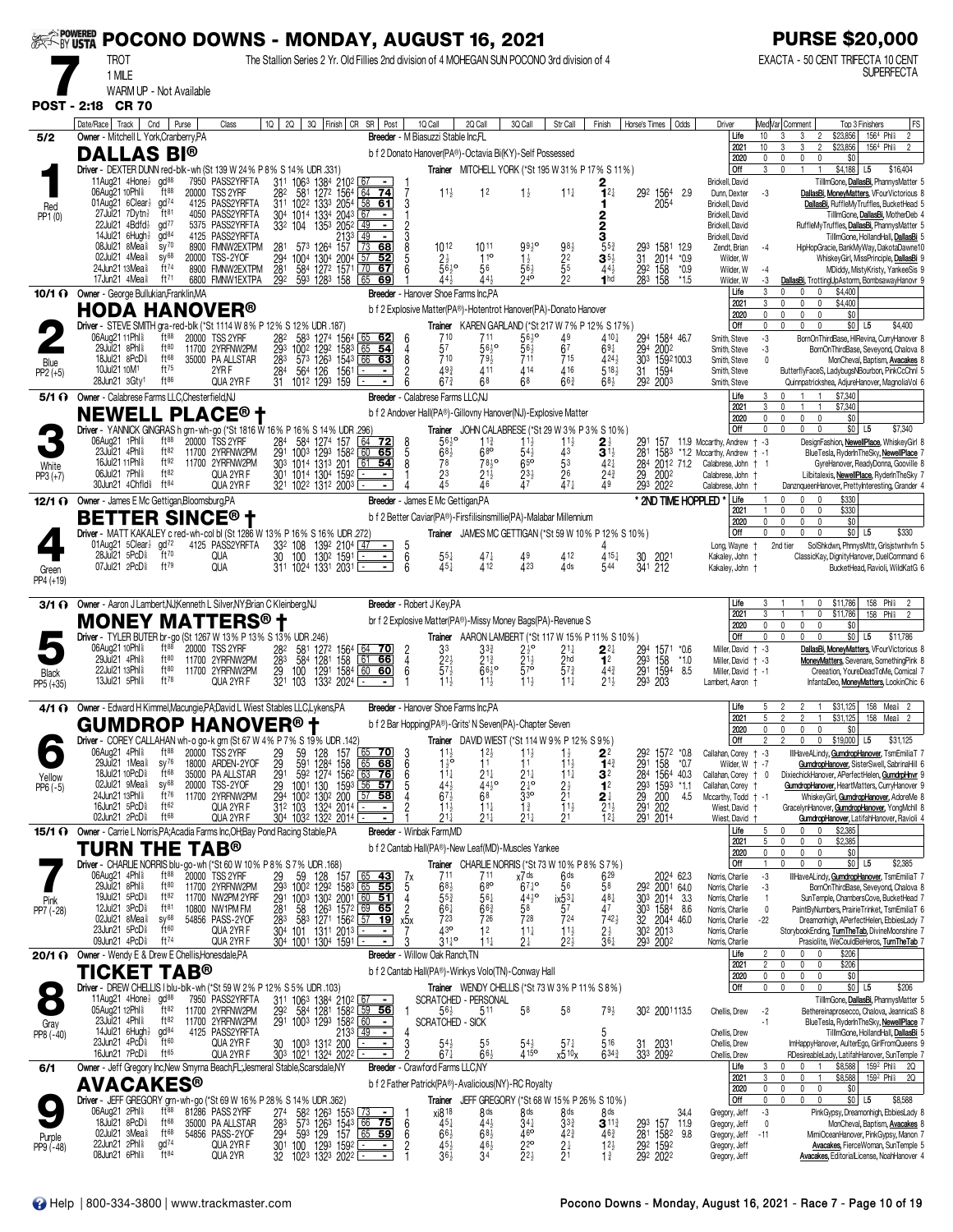| <b>EXAMPOWERED</b><br>EXAMPLY USTA |                                                                                             |              |                                      |               | POCONO DOWNS - MONDAY, AUGUST 16, 2021                                                        |                                                 |                 |                                                                                                                                                                  |                                                              |                                       |                                                                                              |                                    |                                                                         |                                          |                                                                                            |                              |                                                     |               |                                                        |                  | <b>PURSE \$20,000</b>                                                                                                                    |
|------------------------------------|---------------------------------------------------------------------------------------------|--------------|--------------------------------------|---------------|-----------------------------------------------------------------------------------------------|-------------------------------------------------|-----------------|------------------------------------------------------------------------------------------------------------------------------------------------------------------|--------------------------------------------------------------|---------------------------------------|----------------------------------------------------------------------------------------------|------------------------------------|-------------------------------------------------------------------------|------------------------------------------|--------------------------------------------------------------------------------------------|------------------------------|-----------------------------------------------------|---------------|--------------------------------------------------------|------------------|------------------------------------------------------------------------------------------------------------------------------------------|
|                                    | <b>TROT</b>                                                                                 |              |                                      |               |                                                                                               |                                                 |                 |                                                                                                                                                                  |                                                              |                                       | The Stallion Series 2 Yr. Old Fillies 2nd division of 4 MOHEGAN SUN POCONO 3rd division of 4 |                                    |                                                                         |                                          |                                                                                            |                              |                                                     |               |                                                        |                  | EXACTA - 50 CENT TRIFECTA 10 CENT<br><b>SUPERFECTA</b>                                                                                   |
|                                    | 1 MILE                                                                                      |              | WARM UP - Not Available              |               |                                                                                               |                                                 |                 |                                                                                                                                                                  |                                                              |                                       |                                                                                              |                                    |                                                                         |                                          |                                                                                            |                              |                                                     |               |                                                        |                  |                                                                                                                                          |
| <b>POST - 2:18</b>                 |                                                                                             | <b>CR 70</b> |                                      |               |                                                                                               |                                                 |                 |                                                                                                                                                                  |                                                              |                                       |                                                                                              |                                    |                                                                         |                                          |                                                                                            |                              |                                                     |               |                                                        |                  |                                                                                                                                          |
|                                    | Date/Race   Track  <br>Owner - Mitchell L York, Cranberry, PA                               | Cnd          |                                      | Purse         | Class                                                                                         | $1Q$   2Q                                       |                 | 3Q Finish CR SR Post                                                                                                                                             |                                                              |                                       | 1Q Call<br>Breeder - M Biasuzzi Stable Inc.FL                                                | 2Q Call                            | 3Q Call                                                                 | Str Call                                 | Finish                                                                                     | Horse's Times   Odds         |                                                     |               | Driver<br>Life                                         | 10 <sup>10</sup> | FS<br>Med Var  Comment<br>Top 3 Finishers<br>156 <sup>4</sup> Phl <sup>§</sup><br>$\overline{2}$<br>3<br>\$23,856<br>3<br>$\overline{2}$ |
| 5/2                                | <b>DALLAS BI®</b>                                                                           |              |                                      |               |                                                                                               |                                                 |                 |                                                                                                                                                                  |                                                              |                                       | b f 2 Donato Hanover(PA®)-Octavia Bi(KY)-Self Possessed                                      |                                    |                                                                         |                                          |                                                                                            |                              |                                                     |               | 2021<br>2020                                           | 10<br>0          | 156 <sup>4</sup> Phl <sup>§</sup><br>$\overline{2}$<br>\$23,856<br>3<br>3<br>2<br>0<br>0                                                 |
|                                    |                                                                                             |              |                                      |               | Driver - DEXTER DUNN red-blk-wh (St 139 W 24% P 8% S 14% UDR .331)                            |                                                 |                 |                                                                                                                                                                  |                                                              |                                       |                                                                                              |                                    |                                                                         |                                          | Trainer MITCHELL YORK (*St 195 W 31 % P 17 % S 11 %)                                       |                              |                                                     |               | Off                                                    | 3                | 0<br>\$0<br>$\mathbf{0}$<br>\$4,188 L5<br>$\mathbf{1}$<br>$\overline{1}$<br>\$16,404                                                     |
|                                    | 11Aug21 4Hone $\frac{1}{2}$ gd <sup>88</sup><br>06Aug21 10Phl <sup>§</sup>                  |              | ft88                                 | 7950<br>20000 | PASS2YRFTA<br><b>TSS 2YRF</b>                                                                 |                                                 |                 | 311 1063 1384 2102 67                                                                                                                                            | <u>  64</u><br>-74                                           |                                       | $11\frac{1}{2}$                                                                              | 1 <sup>2</sup>                     | $1\frac{1}{2}$                                                          | $11\frac{1}{4}$                          | $2_{1^{2\frac{1}{4}}}$                                                                     |                              | 292 1564                                            | 2.9           | Brickell, David<br>Dunn, Dexter                        | $-3$             | TillmGone, DallasBi, PhannysMatter 5<br>DallasBi, MoneyMatters, VFourVictorious 8                                                        |
| Red<br>PP1 (0)                     | 01Aug21 6Clear}<br>27Jul21 7Dytn}                                                           |              | gd <sup>74</sup><br>ft <sup>81</sup> |               | 4125 PASS2YRFTA<br>4050 PASS2YRFTA                                                            |                                                 |                 | 28 <sup>2</sup> 58 <sup>1</sup> 127 <sup>2</sup> 156 <sup>4</sup><br>31 <sup>1</sup> 102 <sup>2</sup> 133 <sup>3</sup> 205 <sup>4</sup><br>304 1014 1334 2043 67 | $\overline{58}$<br>61                                        |                                       |                                                                                              |                                    |                                                                         |                                          | 1.<br>2                                                                                    |                              | 2054                                                |               | Brickell, David<br>Brickell, David                     |                  | DallasBi, RuffleMyTruffles, BucketHead 5<br>TillmGone, DallasBi, MotherDeb 4                                                             |
|                                    | 22Jul21 4Bdfd}<br>$14$ Jul $21$ 6Hugh $\frac{1}{2}$                                         |              | $\text{gd}^{77}$<br>gd <sup>84</sup> |               | 5375 PASS2YRFTA<br>4125 PASS2YRFTA                                                            |                                                 | 332 104         | 1353<br>2052<br>2133                                                                                                                                             | 49                                                           |                                       |                                                                                              |                                    |                                                                         |                                          | 3                                                                                          |                              |                                                     |               | Brickell, David<br>Brickell, David                     |                  | RuffleMyTruffles, DallasBi, PhannysMatter 5<br>TilllmGone, HollandHall, DallasBi 5                                                       |
|                                    | 08Jul21 8Mea <sup>§</sup><br>02Jul21 4Mea <sup>§</sup>                                      |              | $sy^{70}$<br>$SV^{68}$               | 8900<br>20000 | FMNW2EXTPM<br>TSS-2YOF                                                                        | 281                                             | 1004            | 573 1264 157<br>1304<br>2004                                                                                                                                     | $\sqrt{73}$<br>68<br>57<br>52                                |                                       | 1012                                                                                         | 1011<br>$11^{\circ}$               | 9930<br>$1\frac{1}{2}$                                                  |                                          | $5^{5^{3}}$<br>$\mathbf{3}^{5\frac{1}{2}}$                                                 |                              | 293 1581<br>31 2014<br>292 158<br>1581<br>2014 *0.9 | 12.9          | Zendt, Brian<br>Wilder, W                              | $-4$             | HipHopGracie, BankMyWay, DakotaDawne10<br>WhiskeyGirl, MissPrinciple, DallasBi 9                                                         |
|                                    | 24Jun21 13Mea <sup>§</sup><br>17 Jun 21 4 Mea \$                                            |              | ft74<br>$ft^{71}$                    |               | 8900 FMNW2EXTPM<br>6800 FMNW1EXTPA                                                            | $\frac{294}{281}$<br>292                        |                 | 584 1272 1571                                                                                                                                                    | 67                                                           |                                       | $2\frac{1}{2}$<br>5610<br>44}                                                                | 56<br>443                          | $56\frac{1}{2}$<br>240                                                  | $98\frac{1}{2}$<br>$25\frac{5}{2}$<br>22 | $44\frac{1}{2}$<br>1 <sub>hd</sub>                                                         |                              | 283 158                                             | $*0.9$        | Wilder, W                                              | $-4$             | MDiddy, MistyKristy, YankeeSis 9                                                                                                         |
|                                    | 10/1 1 Owner - George Bullukian, Franklin, MA                                               |              |                                      |               |                                                                                               |                                                 |                 | 593 1283 158 65                                                                                                                                                  | -69                                                          |                                       | Breeder - Hanover Shoe Farms Inc.PA                                                          |                                    |                                                                         |                                          |                                                                                            |                              |                                                     | *1.5          | Wilder, W<br>Life                                      | -3<br>3          | DallasBi, TrottingUpAstorm, BombsawayHanovr 9<br>\$4,400<br>$\mathbf{0}$<br>0                                                            |
|                                    | <b>HODA HANOVER®</b>                                                                        |              |                                      |               |                                                                                               |                                                 |                 |                                                                                                                                                                  |                                                              |                                       | b f 2 Explosive Matter(PA®)-Hotentrot Hanover(PA)-Donato Hanover                             |                                    |                                                                         |                                          |                                                                                            |                              |                                                     |               | 2021<br>2020                                           | 3<br>0           | \$4,400<br>0<br>$\mathbf{0}$<br>0<br>0<br>$\mathbf 0$<br>$\mathbf 0$<br>\$0                                                              |
|                                    | 06Aug2111Phl <sup>§</sup>                                                                   |              | ft88                                 |               | Driver - STEVE SMITH gra-red-blk (*St 1114 W 8% P 12% S 12% UDR .187)<br>20000 TSS 2YRF       |                                                 |                 |                                                                                                                                                                  |                                                              | 6                                     |                                                                                              | 711                                |                                                                         |                                          | Trainer KAREN GARLAND (*St 217 W 7% P 12% S 17%)<br>$410\frac{1}{4}$                       |                              | 294 1584 46.7                                       |               | Off<br>Smith, Steve                                    | 0<br>$-3$        | \$4,400<br>$\Omega$<br>$\Omega$<br>$\Omega$<br>$$0$ L5<br>BornOnThirdBase, HIRevina, CurryHanover 8                                      |
|                                    | 29Jul21 8Phl <sup>§</sup><br>18Jul21 8PcD <sup>§</sup>                                      |              | ft80<br>ft68                         | 11700         | 2YRFNW2PM<br>35000 PA ALLSTAR                                                                 | 283                                             |                 | 28 <sup>2</sup> 58 <sup>3</sup> 1274 1564 65 62<br>293 1002 1292 1583 65 54<br>573 1263 1543 66 63                                                               |                                                              | 8                                     | $7^{10}_{57}$<br>710                                                                         | 56½°<br>79}                        | $56\frac{1}{2}$ <sup>c</sup><br>56 <sup>1</sup><br>711                  | 49<br>67<br>715                          | $69\frac{1}{4}$<br>4241                                                                    |                              | 294 2002<br>303 1592100.3                           |               | Smith, Steve<br>Smith, Steve                           | -3<br>$\theta$   | BornOnThirdBase, Seveyond, Chalova 8<br>MonCheval, Baptism, Avacakes 8                                                                   |
| Blue<br>$PP2 (+5)$                 | 10Jul21 10M <sup>1</sup><br>28Jun21 3Gty1                                                   |              | $ft^{75}$<br>$ft^{86}$               |               | 2YR F<br>QUA 2YR F                                                                            | $\frac{28}{31}$                                 |                 | 564 126 1561<br>1012 1293 159                                                                                                                                    | ×<br>$\blacksquare$                                          |                                       | $49\frac{3}{4}$<br>$67\frac{3}{4}$                                                           | 411<br>68                          | 4 14<br>68                                                              | 416<br>$66\frac{3}{4}$                   | 518 <sup>1</sup><br>$68\frac{1}{2}$                                                        | 31                           | 1594<br>292 2003                                    |               | Smith, Steve<br>Smith, Steve                           |                  | ButterflyFaceS, LadybugsNBourbon, PinkCcChnl 5<br>Quinnpatrickshea, AdjureHanover, MagnoliaVol 6                                         |
|                                    | 5/1 ( Owner - Calabrese Farms LLC, Chesterfield, NJ                                         |              |                                      |               |                                                                                               |                                                 |                 |                                                                                                                                                                  |                                                              |                                       | Breeder - Calabrese Farms LLC,NJ                                                             |                                    |                                                                         |                                          |                                                                                            |                              |                                                     |               | Life                                                   | 3                | \$7,340                                                                                                                                  |
|                                    |                                                                                             |              |                                      |               | <b>NEWELL PLACE<sup>®</sup> t</b>                                                             |                                                 |                 |                                                                                                                                                                  |                                                              |                                       | b f 2 Andover Hall(PA®)-Gillovny Hanover(NJ)-Explosive Matter                                |                                    |                                                                         |                                          |                                                                                            |                              |                                                     |               | 2021<br>2020                                           | 3<br>0           | \$7,340<br>0<br>$\mathbf{1}$<br>$\mathbf{1}$<br>\$0<br>0<br>$\mathbf{0}$<br>0                                                            |
|                                    | 06Aug21 1Phl <sup>§</sup>                                                                   |              | $ft^{88}$                            |               | Driver - YANNICK GINGRAS h grn-wh-go (*St 1816 W 16% P 16% S 14% UDR 296)<br>20000 TSS 2YRF   | 284                                             |                 | 584 1274 157                                                                                                                                                     | 64<br><u>72</u>                                              |                                       | $56^{10}_{2}$                                                                                | $11\frac{3}{4}$                    | $11\frac{1}{2}$                                                         | $1\frac{1}{2}$                           | Trainer JOHN CALABRESE (*St 29 W 3% P 3% S 10%)<br>$2\frac{1}{2}$                          | 29٬                          | 157                                                 |               | Off<br>11.9 Mccarthy, Andrew                           | 0<br>$+ -3$      | $$0$ L5<br>\$7,340<br>$\Omega$<br>DesignFashion, NewellPlace, WhiskeyGirl 8                                                              |
|                                    | 23Jul21 4Phl <sup>§</sup><br>16Jul21 11Phl <sup>§</sup>                                     |              | ft82<br>ft92                         |               | 11700 2YRFNW2PM<br>11700 2YRFNW2PM                                                            | 291                                             | 1003 1293       | 1582<br>303 1014 1313 201                                                                                                                                        | 60<br>65<br>$61$ 54                                          | 5<br>8                                | $68\frac{1}{2}$<br>78                                                                        | $68$ o<br>78,0                     | $54\frac{1}{2}$<br>65 <sup>o</sup>                                      | 43<br>53                                 | $\overline{\mathbf{3}}$ <sup><math>\overline{1}\frac{1}{2}</math></sup><br>$42\frac{1}{4}$ | 281                          | 284 2012 71.2                                       |               | 1583 *1.2 Mccarthy, Andrew + -1<br>Calabrese, John   1 |                  | BlueTesla, RyderInTheSky, NewellPlace<br>GyreHanover, ReadyDonna, Gooville 8                                                             |
| White<br>$PP3 (+7)$                | 06Jul21 7Phl \$<br>30Jun21 4Chfld <sup>§</sup> ft <sup>84</sup>                             |              | ft82                                 |               | QUA 2YR F<br>QUA 2YR F                                                                        |                                                 |                 | 301 1014 1304 1592<br>321 1022 1312 2003 $\overline{ }$                                                                                                          | $\blacksquare$                                               |                                       | 2 <sup>3</sup><br>$\overline{4}5$                                                            | $21\frac{1}{2}$<br>46              | $23\frac{1}{2}$<br>47                                                   | $\frac{26}{47}$                          | $2^{4^3}$<br>49                                                                            | 29                           | 2002<br>293 2022                                    |               | Calabrese, John                                        |                  | Lilbitalexis, NewellPlace, RyderInTheSky 7                                                                                               |
|                                    | 12/1 O Owner - James E Mc Gettigan, Bloomsburg, PA                                          |              |                                      |               |                                                                                               |                                                 |                 |                                                                                                                                                                  |                                                              |                                       | Breeder - James E Mc Gettigan, PA                                                            |                                    |                                                                         |                                          |                                                                                            |                              |                                                     |               | Calabrese, John<br>* 2ND TIME HOPPLED<br>Life          |                  | DanznqueenHanover, PrettyInteresting, Grander 4<br>\$330<br>$\Omega$<br>$\Omega$                                                         |
|                                    | <b>BETTER SINCE® +</b>                                                                      |              |                                      |               |                                                                                               |                                                 |                 |                                                                                                                                                                  |                                                              |                                       | b f 2 Better Caviar(PA®)-Firsfilisinsmillie(PA)-Malabar Millennium                           |                                    |                                                                         |                                          |                                                                                            |                              |                                                     |               | 2021<br>2020                                           | $\Omega$         | \$330<br>0<br>0<br>0<br>$\mathbf 0$<br>\$0<br>$\Omega$<br>$\mathbf{0}$                                                                   |
|                                    | 01Aug21 5Clear gd <sup>72</sup>                                                             |              |                                      |               | Driver - MATT KAKALEY c red-wh-col bl (St 1286 W 13% P 16% S 16% UDR .272)<br>4125 PASS2YRFTA |                                                 |                 | 332 108 1392 2104 47                                                                                                                                             | $\sim$                                                       |                                       |                                                                                              |                                    |                                                                         |                                          | Trainer JAMES MC GETTIGAN (*St 59 W 10% P 12% S 10%)                                       |                              |                                                     |               | Off<br>Long, Wayne                                     | 0                | $$0$ L5<br>\$330<br>$\mathbf{0}$<br>$\Omega$<br>$\mathbf{0}$<br>SolShkdwn, PhnnysMttr, Grlsjstwnhvfn 5<br>2nd tier                       |
|                                    | 28Jul 21 5PcD <sup>§</sup><br>07Jul21 2PcD <sup>§</sup>                                     |              | ft70<br>ft79                         |               | QUA<br>QUA                                                                                    | $\overline{30}$                                 | 100             | 1302 1591<br>311 1024 1331 2031                                                                                                                                  | ╕                                                            | $\begin{array}{c} 5 \\ 6 \end{array}$ | $55\frac{1}{4}$<br>451                                                                       | $47\frac{1}{4}$<br>412             | 423                                                                     | 412<br>4 ds                              | $4^{15}$<br>544                                                                            | 30                           | 2021<br>341 212                                     |               | Kakaley, John                                          |                  | ClassicKay, DignityHanover, DuelCommand 6<br>BucketHead, Ravioli, WildKatG 6                                                             |
| Green<br>PP4 (+19)                 |                                                                                             |              |                                      |               |                                                                                               |                                                 |                 |                                                                                                                                                                  |                                                              |                                       |                                                                                              |                                    |                                                                         |                                          |                                                                                            |                              |                                                     |               | Kakaley, John +                                        |                  |                                                                                                                                          |
| 3/1 O                              | Owner - Aaron J Lambert, NJ; Kenneth L Silver, NY; Brian C Kleinberg, NJ                    |              |                                      |               |                                                                                               |                                                 |                 |                                                                                                                                                                  |                                                              |                                       | Breeder - Robert J Key, PA                                                                   |                                    |                                                                         |                                          |                                                                                            |                              |                                                     |               | Life                                                   | 3                | \$11,786<br>158 Phl <sup>§</sup><br>$\mathbf 0$<br>2                                                                                     |
|                                    |                                                                                             |              |                                      |               | <b>MONEY MATTERS® †</b>                                                                       |                                                 |                 |                                                                                                                                                                  |                                                              |                                       | br f 2 Explosive Matter(PA®)-Missy Money Bags(PA)-Revenue S                                  |                                    |                                                                         |                                          |                                                                                            |                              |                                                     |               | 2021<br>2020                                           | 3<br>0           | Phli<br>0<br>\$11,786<br>158<br>$\mathbf{0}$<br>$\mathbf 0$<br>$\mathbf{0}$<br>\$0                                                       |
|                                    | 06Aug21 10Phl <sup>§</sup>                                                                  |              | ft88                                 |               | Driver - TYLER BUTER br-go (St 1267 W 13% P 13% S 13% UDR .246)<br>20000 TSS 2YRF             | 282                                             |                 |                                                                                                                                                                  |                                                              |                                       | 3 <sup>3</sup>                                                                               | $3^{3}_{4}$                        | $2\frac{1}{2}$ <sup>o</sup>                                             | 21‡                                      | Trainer AARON LAMBERT (*St 117 W 15% P 11% S 10%)<br>$2^{2}$                               | 294                          | 1571 *0.6                                           |               | Off<br>Miller, David                                   | 0<br>$+ -3$      | $\mathbf 0$<br>$\mathbf{0}$<br>$$0$ L5<br>$\mathbf{0}$<br>\$11,786<br>DallasBi, MoneyMatters, VFourVictorious 8                          |
|                                    | 29Jul 21 4Ph<br>22Jul21 13Phl <sup>§</sup>                                                  |              | ft80<br>ft80                         |               | 11700 2YRFNW2PM<br>11700 2YRFNW2PM                                                            | 283<br>29<br>321                                | 100             | 581 1272 1564 64 70<br>584 1281 158 61 66<br>100 1291 1584 60 60                                                                                                 |                                                              |                                       | $\frac{2}{3}$ <sup>2</sup> / <sub>2</sub>                                                    | $2^{13}$<br>$66^{10}_{2}$          | $\frac{21}{5}$                                                          | $\frac{2}{5}h^d_3$                       | 1 <sup>2</sup><br>$44\frac{3}{4}$                                                          | 293                          | 158                                                 | $*1.0$<br>8.5 | Miller, David<br>Miller, David + -1                    | † -3             | MoneyMatters, Sevenare, SomethingPink 8<br>Creeation, YoureDeadToMe, Comical 7                                                           |
| Black<br>PP5 (+35)                 | 13Jul21 5Phl \$                                                                             |              | $ft^{78}$                            |               | QUA 2YR F                                                                                     |                                                 | 103             | 1291 1584<br>1332 2024                                                                                                                                           | $\blacksquare$                                               |                                       | $11\frac{1}{2}$                                                                              | $11\frac{1}{2}$                    | 11 <sub>3</sub>                                                         | $11\frac{1}{4}$                          | $21\frac{1}{2}$                                                                            |                              | 291 1594<br>293 203                                 |               | Lambert, Aaron                                         |                  | InfantaDeo, MoneyMatters, LookinChic 6                                                                                                   |
|                                    | 4/1 O Owner - Edward H Kimmel Macungie PA: David L Wiest Stables LLC.Lykens.PA              |              |                                      |               |                                                                                               |                                                 |                 |                                                                                                                                                                  |                                                              |                                       | Breeder - Hanover Shoe Farms Inc.PA                                                          |                                    |                                                                         |                                          |                                                                                            |                              |                                                     |               | Life                                                   | 5                | 158 Mea <sup>§</sup> 2<br>\$31,125<br>2<br>$\overline{2}$                                                                                |
|                                    |                                                                                             |              |                                      |               | <b>GUMDROP HANOVER<sup>®</sup> t</b>                                                          |                                                 |                 |                                                                                                                                                                  |                                                              |                                       | b f 2 Bar Hopping(PA®)-Grits' N Seven(PA)-Chapter Seven                                      |                                    |                                                                         |                                          |                                                                                            |                              |                                                     |               | 2021<br><u>2020</u>                                    | 5                | $\overline{2}$<br>\$31,125<br>158<br>Mea <sup>§</sup>                                                                                    |
|                                    | 06Aug21 4Phl \$                                                                             |              | $ft^{88}$                            |               | Driver - COREY CALLAHAN wh-o go-k grn (St 67 W 4% P 7% S 19% UDR .142)<br>20000 TSS 2YRF      |                                                 |                 | 128<br>157                                                                                                                                                       | 70                                                           |                                       |                                                                                              | 12}                                | <b>Trainer</b> DAVID WIEST (*St 114 W 9% P 12% S 9%)<br>$11\frac{1}{2}$ |                                          |                                                                                            | 292                          | 1572 *0.8                                           |               | Off<br>Callahan, Corey                                 | 2<br>$+ -3$      | $\mathbf 0$<br>0<br>\$19,000 L5<br>\$31,125<br>IllHaveALindy, GumdropHanover, TsmEmiliaT 7                                               |
|                                    | 29Jul21 1Mea <sup>§</sup><br>18Jul21 10PcD <sup>§</sup>                                     |              | $SV^{76}$<br>ft68                    |               | 18000 ARDEN-2YOF<br>35000 PA ALLSTAR                                                          | $\frac{29}{29}$<br>$\frac{29}{29}$ <sup>1</sup> | 59 <sub>1</sub> | 1284<br>158                                                                                                                                                      | 68                                                           | 6<br>6                                | $\frac{11}{2}$<br>$\frac{11}{2}$<br>$11\frac{1}{4}$                                          | 11<br>$21\frac{1}{4}$              | 11<br>$21\frac{1}{4}$                                                   | $11\frac{1}{2}$<br>$11\frac{1}{4}$       | $2^{2}_{1^{4}3}$<br>3 <sup>2</sup>                                                         | 291                          | 158<br>284 1564 40.3                                | *0.7          | Wilder, W<br>Callahan, Corey                           | † -7<br>$+$ 0    | GumdropHanover, SisterSwell, SabrinaHill 6<br>DixiechickHanover, APerfectHelen, GumdrpHnvr 9                                             |
| Yellow<br>$PP6 (-5)$               | 02Jul21 9Mea <sup>§</sup><br>24Jun21 13Phl <sup>§</sup>                                     |              | sy68<br>ft76                         | 20000         | TSS-2YOF<br>11700 2YRFNW2PM                                                                   |                                                 |                 | 59 <sup>2</sup> 1274 1562 63 <b>76</b><br>1001 130 1593 56 <b>57</b><br>29 1001 130 1593<br>294 1002 1302 200                                                    | $57$ 58                                                      |                                       | $rac{44}{67}$                                                                                | $44\frac{1}{2}$ <sup>o</sup><br>68 | $\frac{21}{3}$ <sup>10</sup>                                            | $^{2\frac{1}{2}}$                        | 1 <sup>2</sup>                                                                             | 29 <sub>3</sub><br>29<br>291 | 1593 *1.1<br>200                                    | 4.5           | Callahan, Corey<br>Mccarthy, Todd   -1                 |                  | GumdropHanover, HeartMatters, CurryHanover 9<br>WhiskeyGirl <b>, <u>GumdropHanover</u>,</b> AdoreMe 8                                    |
|                                    | 16Jun21 5PcD <sup>§</sup><br>02Jun21 2PcD                                                   |              | ft62<br>ft <sup>68</sup>             |               | QUA 2YR F<br>QUA 2YR F                                                                        |                                                 | 312 103         | 1324 2014                                                                                                                                                        | $\blacksquare$                                               |                                       | $11\frac{1}{2}$<br>$21\frac{1}{2}$                                                           | $11\frac{1}{4}$<br>21,             | $1\frac{3}{4}$<br>$21\frac{1}{2}$                                       | $11\frac{1}{2}$<br>21                    | $2\frac{1}{2}$                                                                             |                              | 202                                                 |               | Wiest, David<br>Wiest, David                           |                  | GracelynHanover, GumdropHanover, YongMchil 8                                                                                             |
|                                    | <b>15/1 @</b> Owner - Carrie L Norris, PA; Acadia Farms Inc, OH; Bay Pond Racing Stable, PA |              |                                      |               |                                                                                               |                                                 |                 | 304 1032 1322 2014 -                                                                                                                                             |                                                              |                                       | Breeder - Winbak Farm.MD                                                                     |                                    |                                                                         |                                          | $12\frac{1}{4}$                                                                            |                              | 291 2014                                            |               | Life                                                   | 5                | GundropHanover, LatifahHanover, Ravioli 4<br>\$2,385<br>0<br>$^{\circ}$                                                                  |
|                                    | TURN THE                                                                                    |              |                                      |               | <b>TAB®</b>                                                                                   |                                                 |                 |                                                                                                                                                                  |                                                              |                                       | b f 2 Cantab Hall(PA®)-New Leaf(MD)-Muscles Yankee                                           |                                    |                                                                         |                                          |                                                                                            |                              |                                                     |               | 2021<br>2020                                           | 5<br>0           | $\mathbf 0$<br>\$2,385<br>$\mathbf{0}$<br>$\mathbf 0$<br>$\mathbf 0$<br>$\theta$<br>$\Omega$<br>\$0                                      |
|                                    | 06Aug21 4Phl \$                                                                             |              | $ft^{88}$                            |               | Driver - CHARLIE NORRIS blu-go-wh (*St 60 W 10% P 8% S 7% UDR .168)<br>20000 TSS 2YRF         |                                                 |                 |                                                                                                                                                                  |                                                              | 7х                                    | 711                                                                                          | 711                                | Trainer CHARLIENORRIS (*St 73 W 10% P8% S 7%)<br>x7 <sup>ds</sup>       | 6 <sup>ds</sup>                          | 629                                                                                        |                              | 2024 62.3                                           |               | Off<br>Norris, Charlie                                 | -3               | \$0 L5<br>\$2,385<br>$\mathsf{O}$<br>$\mathbf{0}$<br>$\mathbf{0}$<br>IllHaveALindy, GumdropHanover, TsmEmiliaT 7                         |
|                                    | 29Jul21 8Phl \$<br>19Jul21 5PcD <sup>§</sup>                                                |              | $ft^{80}$<br>ft82                    |               | 11700 2YRFNW2PM<br>11700 NW2PM 2YRF                                                           |                                                 |                 | 29 59 128 157 65 43<br>293 1002 1292 1583 65 55<br>291 1003 1302 2001 60 51                                                                                      |                                                              | 5                                     | 68 <sub>2</sub><br>$55\frac{3}{4}$                                                           | $6^{80}$<br>$56\frac{1}{4}$        | $67\frac{1}{4}$ <sup>o</sup><br>$44\frac{1}{2}$ <sup>o</sup>            | 56<br>$ix\frac{5}{2}\frac{3}{4}$         | 58<br>$48\frac{1}{4}$                                                                      |                              | 292 2001 64.0<br>303 2014 3.3                       |               | Norris, Charlie<br>Norris, Charlie                     | -3               | BornOnThirdBase, Seveyond, Chalova 8<br>SunTemple, ChambersCove, BucketHead 7                                                            |
| Pink<br>PP7 (-28)                  | $12$ Jul $21$ $3$ Pc $D_{8}$<br>02Jul21 8Mea <sup>§</sup>                                   |              | $ft^{81}$<br>$SV^{68}$               |               | 10800 NW1PM FM<br>54856 PASS-2YOF                                                             | 281<br>283                                      | 58              | 1263 1572 69 65<br>583 1271 1562 57                                                                                                                              | <u> 19</u>                                                   | 2<br>х5х                              | $66\frac{1}{4}$<br>723                                                                       | $66\frac{3}{4}$<br>726             | 58<br>728                                                               | 57<br>724                                | 47<br>$742\frac{1}{2}$                                                                     |                              | 30 <sup>3</sup> 1584 8.6<br>32 2044 46.0            |               | Norris, Charlie<br>Norris, Charlie                     | 0<br>$-22$       | PaintByNumbers, PrairieTrinket, TsmEmiliaT 6<br>Dreamonhigh, APerfectHelen, EbbiesLady 7                                                 |
|                                    | 23Jun21 5PcD <sup>§</sup><br>09Jun21 4PcD <sup>§</sup>                                      |              | ft60<br>ft <sup>74</sup>             |               | QUA 2YR F                                                                                     |                                                 |                 | 304 101 1311 2013                                                                                                                                                | $\blacksquare$                                               |                                       | 430<br>$31^{10}_{4}$                                                                         | 12                                 | $11\frac{1}{4}$                                                         | $11\frac{1}{2}$<br>$22\frac{1}{2}$       | $2\frac{1}{2}$                                                                             |                              | 30 <sup>2</sup> 2013                                |               | Norris, Charlie                                        |                  | StorybookEnding, TurnTheTab, DivineMoonshine 7                                                                                           |
|                                    | 20/1 1 Owner - Wendy E & Drew E Chellis, Honesdale, PA                                      |              |                                      |               | QUA 2YR F                                                                                     |                                                 |                 | 304 1001 1304 1591                                                                                                                                               |                                                              |                                       | Breeder - Willow Oak Ranch, TN                                                               | 11‡                                | 21                                                                      |                                          | $36\frac{1}{4}$                                                                            |                              | 293 2002                                            |               | Norris, Charlie<br>Life                                | 2                | Prasiolite, WeCouldBeHeros, TurnTheTab 7<br>$\mathbf{0}$<br>\$206<br>0                                                                   |
|                                    | <b>TICKET TAB®</b>                                                                          |              |                                      |               |                                                                                               |                                                 |                 |                                                                                                                                                                  |                                                              |                                       | b f 2 Cantab Hall(PA®)-Winkys Volo(TN)-Conway Hall                                           |                                    |                                                                         |                                          |                                                                                            |                              |                                                     |               | 2021<br>2020                                           | 2<br>0           | 0<br>0<br>$\mathbf{0}$<br>\$206<br>$\mathbf 0$<br>\$0<br>0<br>$\mathbf{0}$                                                               |
|                                    | 11Aug21 4Hone gd <sup>88</sup>                                                              |              |                                      |               | Driver - DREW CHELLIS I blu-blk-wh (*St 59 W 2% P 12% S 5% UDR .103)<br>7950 PASS2YRFTA       |                                                 |                 | 311 1063 1384 2102 67                                                                                                                                            |                                                              |                                       | SCRATCHED - PERSONAL                                                                         |                                    | Trainer WENDY CHELLIS (*St 73 W 3% P 11 % S 8%)                         |                                          |                                                                                            |                              |                                                     |               | Off                                                    | 0                | $$0$ L5<br>\$206<br>0<br>$\mathbf 0$<br>0<br>TillmGone, DallasBi, PhannysMatter 5                                                        |
|                                    | 05Aug21 12Phl <sup>§</sup><br>$23$ Jul $21$ 4Phl <sup>§</sup>                               |              | ft82<br>$ft^{82}$                    |               | 11700 2YRFNW2PM<br>11700 2YRFNW2PM                                                            |                                                 |                 | 29 <sup>2</sup> 58 <sup>4</sup> 128 <sup>1</sup> 158 <sup>2</sup> 59 <b>56</b><br>29 <sup>1</sup> 100 <sup>3</sup> 129 <sup>3</sup> 158 <sup>2</sup> 60 -        |                                                              | -1                                    | 56,<br>SCRATCHED - SICK                                                                      | 511                                | 58                                                                      | 58                                       | $79\frac{1}{2}$                                                                            |                              | 302 2001113.5                                       |               | Chellis, Drew                                          | $-2$<br>-1       | Bethereinaprosecco, Chalova, JeannicaS 8<br>BlueTesla, RyderInTheSky, NewellPlace 7                                                      |
| Gray<br>PP8 (-40)                  | 14Jul21 6Hugh}<br>23Jun21 4PcD <sup>§</sup>                                                 |              | gd <sup>84</sup><br>ft60             |               | 4125 PASS2YRFTA                                                                               |                                                 |                 | $213^3$ $49$                                                                                                                                                     | $\blacksquare$                                               | 4                                     |                                                                                              |                                    |                                                                         |                                          | 5                                                                                          |                              |                                                     |               | Chellis, Drew                                          |                  | TillmGone, HollandHall, DallasBi 5                                                                                                       |
|                                    | 16Jun21 7PcD <sup>§</sup>                                                                   |              | $ft^{65}$                            |               | QUA 2YR F<br>QUA 2YR F                                                                        | 30                                              |                 | 1003 1312 200<br>303 1021 1324 2022                                                                                                                              | $\overline{\phantom{a}}$<br>$\blacksquare$<br>$\blacksquare$ |                                       |                                                                                              | 55<br>663                          | $54\frac{1}{2}$<br>4 150                                                | $\frac{5^{7\frac{1}{4}}}{x5^{10}x}$      | 516<br>$634\frac{3}{4}$                                                                    |                              | 31 2031<br>333 2092                                 |               | Chellis, Drew<br>Chellis, Drew                         |                  | ImHappyHanover, AulterEgo, GirlFromQueens 9<br>RDesireableLady, LatifahHanover, SunTemple 7                                              |
| 6/1                                |                                                                                             |              |                                      |               | Owner - Jeff Gregory Inc, New Smyrna Beach, FL; Jesmeral Stable, Scarsdale, NY                |                                                 |                 |                                                                                                                                                                  |                                                              |                                       | <b>Breeder</b> - Crawford Farms LLC,NY                                                       |                                    |                                                                         |                                          |                                                                                            |                              |                                                     |               | Life<br>2021                                           | 3<br>3           | \$8,588<br>159 <sup>2</sup> Phis<br>2Q<br>\$8,588<br>0<br>0<br>159 <sup>2</sup> Phl <sup>§</sup><br><b>2Q</b><br>-1                      |
|                                    | AVACAKES®                                                                                   |              |                                      |               | Driver - JEFF GREGORY grn-wh-go (*St 69 W 16% P 28% S 14% UDR .362)                           |                                                 |                 |                                                                                                                                                                  |                                                              |                                       | b f 2 Father Patrick(PA®)-Avalicious(NY)-RC Royalty<br>Trainer                               |                                    |                                                                         |                                          | JEFF GREGORY (*St 68 W 15% P 26% S 10%)                                                    |                              |                                                     |               | 2020<br>Off                                            | 0<br>0           | 0<br>$\mathbf 0$<br>$\mathbf 0$<br>\$0<br>\$8,588<br>$\mathbf{0}$<br>$$0$ L5                                                             |
|                                    | 06Aug21 2Phl <sup>§</sup><br>18Jul21 8PcD <sup>§</sup>                                      |              | $ft^{88}$<br>ft68                    |               | 81286 PASS 2YRF<br>35000 PA ALLSTAR                                                           | 274<br>283                                      |                 | 582 1263 1553<br>573 1263 1543 66                                                                                                                                | <u>75</u>                                                    | 6                                     | xi8 18<br>454                                                                                | 8 <sup>ds</sup><br>$44\frac{1}{2}$ | 8 ds<br>$34\frac{1}{4}$                                                 | 8 ds<br>$3^{3}_{4}$                      | 8ds<br>$3^{11\frac{3}{4}}$                                                                 | 293                          | 157 11.9                                            | 34.4          | Gregory, Jeff<br>Gregory, Jeff                         | -3<br>0          | PinkGypsy, Dreamonhigh, EbbiesLady 8<br>MonCheval, Baptism, <b>Avacakes</b> 8                                                            |
| Purple                             | 02Jul21 3Mea <sup>§</sup><br>$22$ Jun $21$ $2Phl$ <sup>§</sup>                              |              | ft68<br>gd <sup>74</sup>             |               | 54856 PASS-2YOF                                                                               | $\frac{294}{301}$                               |                 | $157$ 65<br>593 129 157<br>100 1293 1592                                                                                                                         | 59<br>$\overline{\phantom{a}}$                               | 6                                     | $66\frac{1}{2}$<br>$45\frac{2}{2}$                                                           | $68\frac{1}{2}$<br>$46\frac{1}{2}$ | 46 <sup>o</sup><br>$2^{20}$                                             | $42\frac{3}{4}$                          | $46\frac{3}{4}$                                                                            |                              | 281 1582<br>292 1592                                | 9.8           | Gregory, Jeff -11                                      |                  | MimiOceanHanover, PinkGypsy, Manon 7                                                                                                     |
| PP9 (-48)                          | 08Jun21 6Phl <sup>§</sup>                                                                   |              | $ft^{84}$                            |               | QUA 2YR F<br>QUA 2YR                                                                          | 32                                              |                 | 1023 1323 2022 -                                                                                                                                                 | $\blacksquare$<br>$\overline{\phantom{0}}$                   |                                       | $36\frac{1}{2}$                                                                              | 34                                 | $2^{2}$                                                                 | 24<br>21                                 | $12\frac{1}{2}$<br>$1\frac{3}{4}$                                                          |                              | 292 2022                                            |               | Gregory, Jeff<br>Gregory, Jeff                         |                  | Avacakes, FierceWoman, SunTemple 5<br>Avacakes, EditorialLicense, NoahHanover 4                                                          |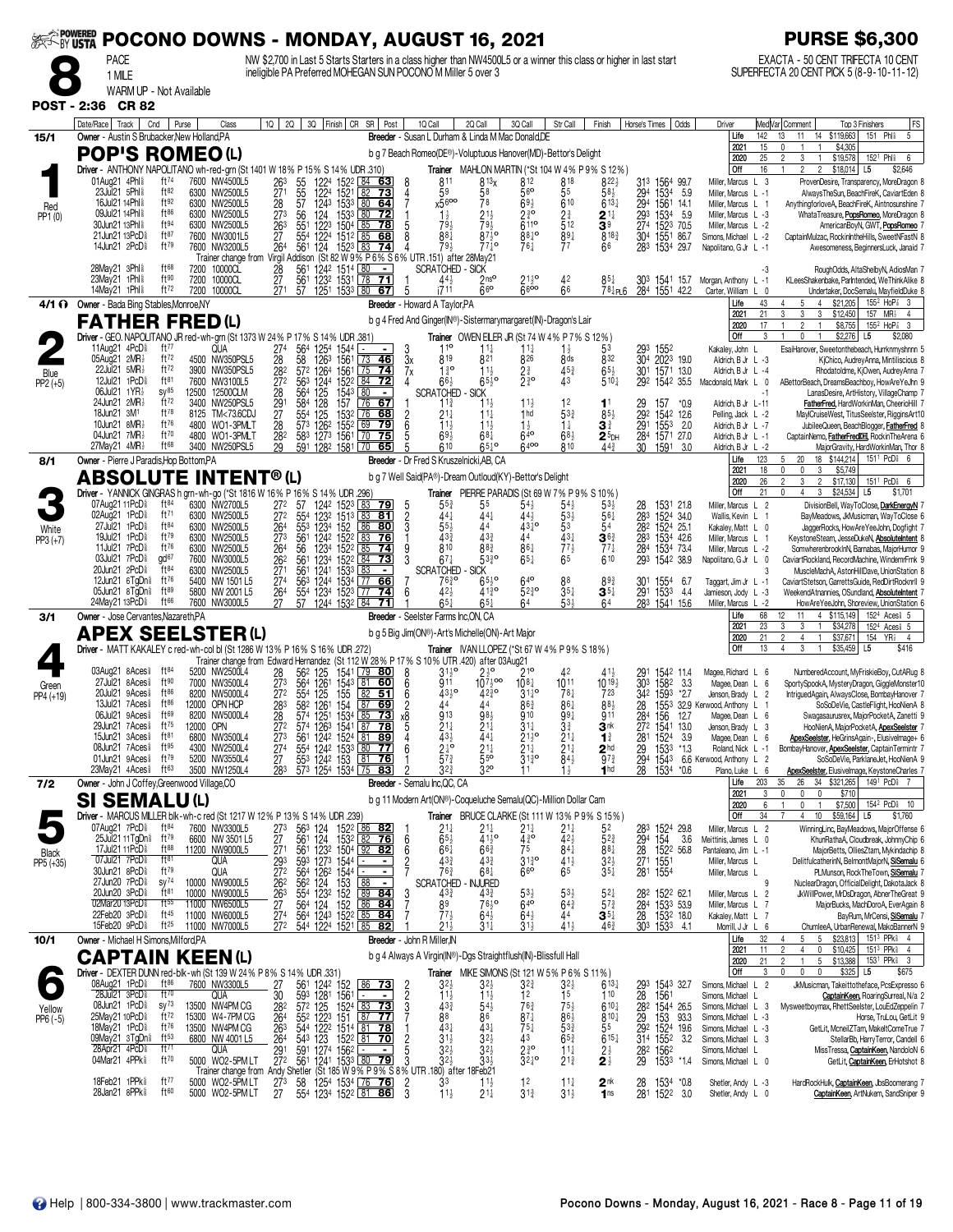| <b>EXAMPOWERED</b>  |                                                                                                         |                               |                                                 |                     |                                                                |                                                           | POCONO DOWNS - MONDAY, AUGUST 16, 2021                                                                                                                                              |                             |                                              |                                                                                                           |                                                    |                                                                  |                                                         |                   |                                                                               |                                                                  |                      | <b>PURSE \$6,300</b>                                                                                                                                          |
|---------------------|---------------------------------------------------------------------------------------------------------|-------------------------------|-------------------------------------------------|---------------------|----------------------------------------------------------------|-----------------------------------------------------------|-------------------------------------------------------------------------------------------------------------------------------------------------------------------------------------|-----------------------------|----------------------------------------------|-----------------------------------------------------------------------------------------------------------|----------------------------------------------------|------------------------------------------------------------------|---------------------------------------------------------|-------------------|-------------------------------------------------------------------------------|------------------------------------------------------------------|----------------------|---------------------------------------------------------------------------------------------------------------------------------------------------------------|
|                     | <b>PACE</b><br>1 MILE                                                                                   |                               |                                                 |                     |                                                                |                                                           | NW \$2,700 in Last 5 Starts Starters in a class higher than NW4500L5 or a winner this class or higher in last start<br>ineligible PA Preferred MOHEGAN SUN POCONO M Miller 5 over 3 |                             |                                              |                                                                                                           |                                                    |                                                                  |                                                         |                   |                                                                               |                                                                  |                      | EXACTA - 50 CENT TRIFECTA 10 CENT<br>SUPERFECTA 20 CENT PICK 5 (8-9-10-11-12)                                                                                 |
|                     | WARM UP - Not Available                                                                                 |                               |                                                 |                     |                                                                |                                                           |                                                                                                                                                                                     |                             |                                              |                                                                                                           |                                                    |                                                                  |                                                         |                   |                                                                               |                                                                  |                      |                                                                                                                                                               |
| <b>POST - 2:36</b>  | <b>CR 82</b>                                                                                            |                               |                                                 |                     |                                                                |                                                           |                                                                                                                                                                                     |                             |                                              |                                                                                                           |                                                    |                                                                  |                                                         |                   |                                                                               |                                                                  |                      |                                                                                                                                                               |
| 15/1                | Date/Race Track<br>Owner - Austin S Brubacker, New Holland, PA                                          | Cnd<br>Purse                  | Class                                           |                     | 2Q<br>1Q                                                       |                                                           | 3Q Finish CR SR Post                                                                                                                                                                |                             | 1Q Call                                      | 2Q Call<br>Breeder - Susan L Durham & Linda M Mac Donald, DE                                              | 3Q Call                                            | Str Call                                                         | Finish                                                  | Horse's Times     | Odds                                                                          | Driver<br>Life                                                   | 142                  | FS<br>Med Var  Comment<br>Top 3 Finishers<br>151 Phl <sup>§</sup><br>5<br>11<br>14 \$119,663<br>13                                                            |
|                     | <b>POP'S ROMEO (L)</b>                                                                                  |                               |                                                 |                     |                                                                |                                                           |                                                                                                                                                                                     |                             |                                              | b g 7 Beach Romeo(DE®)-Voluptuous Hanover(MD)-Bettor's Delight                                            |                                                    |                                                                  |                                                         |                   |                                                                               | 2021<br>2020                                                     | 15<br>25             | \$4,305<br>0<br>$\overline{2}$<br>3<br>\$19,578<br>152 <sup>1</sup> Phl <sup>§</sup><br>6                                                                     |
|                     | Driver - ANTHONY NAPOLITANO wh-red-grn (St 1401 W 18% P 15% S 14% UDR 310)<br>01Aug21 4Phl <sup>§</sup> | $ft^{74}$                     | 7600 NW4500L5                                   |                     | 26 <sup>3</sup>                                                | 1224                                                      | 1522<br>$ 84 \t63$                                                                                                                                                                  | 8                           | 811                                          | 813 <sub>X</sub>                                                                                          | 812                                                | 818                                                              | Trainer MAHLON MARTIN (*St 104 W 4% P 9% S 12%)<br>822} |                   | 313 1564 99.7                                                                 | Off<br>Miller, Marcus L 3                                        | 16                   | \$18,014<br>L <sub>5</sub><br>$\mathbf{1}$<br>$\overline{2}$<br>$\overline{c}$<br>\$2,646<br>ProvenDesire, Transparency, MoreDragon 8                         |
| Red                 | 23Jul21 5Phl \$<br>16Jul21 14Phl \$                                                                     | ft82<br>ft92                  | 6300 NW2500L5<br>6300 NW2500L5                  |                     | 55<br>55<br>57<br>$\frac{27}{28}$                              | 1224<br>1243                                              | 1521<br>82<br>73<br>1533 80<br>64                                                                                                                                                   |                             | 59<br>x5600                                  | 58<br>78                                                                                                  | 56<br>$69\frac{1}{2}$                              | 55<br>610                                                        | 58 <sup>1</sup><br>$6^{13}$                             |                   | 294 1534 5.9<br>294 1561 14.1                                                 | Miller, Marcus L -1<br>Miller, Marcus L 1                        |                      | AlwaysTheSun, BeachFireK, CaviartEden 8<br>AnythingforloveA, BeachFireK, Aintnosunshine 7                                                                     |
| PP1 (0)             | 09Jul21 14Phl \$<br>30Jun21 13Phl 8                                                                     | ft86<br>ft94                  | 6300 NW2500L5<br>6300 NW2500L5                  |                     | 27 <sup>3</sup><br>56<br>$\frac{263}{27}$<br>$\frac{551}{554}$ | 124<br>$\frac{1223}{1224}$                                | 1533 80<br>-72<br>150 <sup>4</sup><br>1512<br>78<br>85                                                                                                                              | 5                           | $1\frac{1}{2}$<br>793                        | $2^{11}_{2}$<br>$7^{91}_{2}$                                                                              | $2^{30}_{4}$<br>6110                               | $2\frac{3}{4}$<br>512                                            | $2^{11}$<br>3 <sup>9</sup>                              | 293               | 1534 5.9<br>274 1523 70.5<br>304 1551 86.7                                    | Miller, Marcus L -3<br>Miller, Marcus L -2                       |                      | WhataTreasure, PopsRomeo, MoreDragon 8<br>AmericanBoyN, GWT, PopsRomeo                                                                                        |
|                     | 21Jun21 13PcD <sup>§</sup><br>14Jun21 2PcD <sup>§</sup>                                                 | ft87<br>ft79                  | 7600 NW3001L5<br>7600 NW3200L5                  |                     | 264<br>561                                                     | 124                                                       | 85<br>68<br>$1523$ 83<br>74                                                                                                                                                         | 8                           | $88\bar{1}$<br>79}                           | $87\overline{3}$ o<br>$77\frac{1}{7}$                                                                     | $88^{10}$<br>761                                   | $89\frac{1}{4}$<br>77                                            | 8183<br>66                                              |                   | 1551<br>283 1534 29.7                                                         | Simons, Michael L -2<br>Napolitano, G Jr L -1                    |                      | CaptainMulzac, RockinIntheHills, SweetNFastN 8<br>Awesomeness, BeginnersLuck, Janaid 7                                                                        |
|                     | $28$ May21 $3$ Phl $\frac{5}{8}$                                                                        | ft68                          | 7200 10000CL                                    | Trainer change from | 28                                                             | 561 1242 1514 80                                          | Virgil Addison (St 82 W 9% P 6% S 6% UTR .151) after 28May21<br>$\blacksquare$                                                                                                      |                             | <b>SCRATCHED - SICK</b>                      |                                                                                                           |                                                    |                                                                  |                                                         |                   |                                                                               |                                                                  | -3                   | RoughOdds, AltaShelbyN, AdiosMan 7                                                                                                                            |
|                     | 23May21 1Phl <sup>§</sup><br>14May21 1Phl <sup>§</sup>                                                  | ft90<br>ft72                  | 7200 10000CL<br>7200<br>10000CL                 |                     | 27<br>561<br>271<br>57                                         | 1232                                                      | 1531<br> 78<br><u>71</u><br>1251 1533 80 67                                                                                                                                         | 5                           | $44\frac{1}{2}$<br>i711                      | 2 <sub>ns</sub><br>66                                                                                     | $21\frac{1}{2}$ <sup>o</sup><br>6600               | 42<br>66                                                         | $78\frac{1}{4}$ PL6                                     | 284 1551          | 303 1541 15.7<br>42.2                                                         | Morgan, Anthony L -1<br>Carter, William                          |                      | KLeesShakenbake, ParIntended, WeThinkAlike 8<br>Undertaker, DocSemalu, MayfieldDuke 8                                                                         |
|                     | 4/1 ( Owner - Bada Bing Stables, Monroe, NY<br><b>FATHER FRED(L)</b>                                    |                               |                                                 |                     |                                                                |                                                           |                                                                                                                                                                                     |                             | Breeder - Howard A Taylor, PA                | b g 4 Fred And Ginger(IN®)-Sistermarymargaret(IN)-Dragon's Lair                                           |                                                    |                                                                  |                                                         |                   |                                                                               | Life<br>2021                                                     | 43<br>21             | \$21,205<br>155 <sup>2</sup> HoP <sup>2</sup> 3<br>$\overline{4}$<br>4<br>5<br>3<br>3<br>3<br>\$12,450<br>157 MR}<br>$\overline{4}$                           |
|                     | Driver - GEO. NAPOLITANO JR red-wh-grn (St 1373 W 24% P 17% S 14% UDR .381)                             |                               |                                                 |                     |                                                                |                                                           |                                                                                                                                                                                     |                             |                                              | Trainer OWEN EILER JR (St 74 W 4% P 7% S 12%)                                                             |                                                    |                                                                  |                                                         |                   |                                                                               | 2020<br>Off                                                      | 17<br>3              | $\mathfrak{p}$<br>\$8,755<br>$155^2$ HoP <sup>2</sup> 3<br>$\mathbf{1}$<br>\$2,276<br>L5<br>\$2,080<br>0<br>$\mathbf{1}$                                      |
|                     | 11Aug21 4PcD <sup>5</sup><br>05Aug21 2MR}                                                               | ft77<br>ft72                  | QUA<br>4500 NW350PSL5                           |                     | 564<br>274<br>28<br>58                                         | 1254<br>126 <sup>3</sup>                                  | 1544<br>٠.<br>$\blacksquare$<br>1561<br>73<br>46                                                                                                                                    | 3<br>3x                     | $1^{10}$<br>819                              | $11\frac{1}{4}$<br>821                                                                                    | $11\frac{1}{4}$<br>826                             | $1\frac{1}{2}$<br>8 ds                                           | 53<br>832                                               | 293               | 1552<br>304 2023 19.0                                                         | Kakaley, John L<br>Aldrich, B Jr L -3                            |                      | EsaiHanover, Sweetonthebeach, Hurrknmyshnnn 5<br>KjChico, AudreyAnna, Mintiliscious 8                                                                         |
| Blue<br>$PP2 (+5)$  | 22Jul21 5MR3<br>12Jul21 1PcD                                                                            | ft72<br>ft81                  | 3900 NW350PSL5<br>7600 NW3100L5                 |                     | $\frac{28}{27}$ <sup>2</sup>                                   | 57 <sup>2</sup> 1264<br>56 <sup>3</sup> 1244              | $\frac{156}{152^2}$<br>$\sqrt{75}$<br><u>74</u><br>84<br>72                                                                                                                         | 7х<br>4                     | $1\frac{3}{6}$<br>$66\frac{1}{2}$            | $11\frac{1}{2}$<br>$65\frac{1}{2}$ <sup>o</sup>                                                           | $2\frac{3}{4}$ o                                   | $45\frac{3}{4}$<br>Å3                                            | $6^{5\frac{1}{2}}$<br>510 <sup>1</sup>                  |                   | 301 1571 13.0<br>292 1542 35.5                                                | Aldrich, B Jr L -4<br>Macdonald, Mark L 0                        |                      | Rhodatoldme, KjOwen, AudreyAnna 7<br>ABettorBeach, DreamsBeachboy, HowAreYeJhn 9                                                                              |
|                     | 06Jul21 1YR}<br>24Jun21 2MR3                                                                            | sy <sup>85</sup><br>ft72      | 12500 12500CLM<br>3400 NW250PSL5                |                     | 28<br>564<br>584                                               | 125                                                       | 80<br>1543<br>157<br>67<br>l 76                                                                                                                                                     |                             | <b>SCRATCHED</b><br>$11\frac{3}{4}$          | SICK<br>11,                                                                                               |                                                    | 12                                                               | 11                                                      | 29<br>292         | 157<br>*0.9                                                                   | Aldrich, B Jr L-11                                               | -1                   | LanasDesire, ArtHistory, VillageChamp 7<br>FatherFred, HardWorkinMan, CheerioHill 7                                                                           |
|                     | 18Jun21 3M <sup>1</sup><br>10Jun21 8MR3                                                                 | ft78<br>ft76                  | 8125<br>4800 WO1-3PMLT                          | TM<73.6CDJ          | $\frac{29}{27}$<br>28<br>554<br>573                            | 128<br>125<br>126 <sup>2</sup>                            | 1532<br>76<br>68<br>1552<br>69<br>79                                                                                                                                                | $\frac{2}{6}$               | $21\frac{1}{4}$<br>$11\frac{1}{2}$           | $11\frac{1}{4}$<br>$11\frac{1}{2}$                                                                        | 1 <sub>hd</sub><br>$1\frac{1}{2}$                  | 533<br>$1\frac{1}{4}$                                            | $85\frac{1}{2}$<br>$\mathbf{3}^{\frac{3}{4}}$           | 291               | 1542 12.6<br>1553<br>- 2.0                                                    | Pelling, Jack L -2<br>Aldrich, B Jr L -7                         |                      | MaylCruiseWest, TitusSeelster, RigginsArt10<br>JubileeQueen, BeachBlogger, FatherFred 8                                                                       |
|                     | 04Jun21 7MR}<br>27May21 $4MR\frac{1}{2}$                                                                | ft70<br>ft <sup>68</sup>      | 4800 WO1-3PMLT<br>3400 NW250PSL5                |                     | $\frac{28}{29}$<br>583<br>591                                  | 1273<br>1282                                              | 1561<br>75<br>1581<br>$\sqrt{70}$<br>65                                                                                                                                             |                             | 69 <sup>1</sup><br>610                       | $68\frac{1}{4}$<br>$65^{10}$                                                                              | 640<br>6400                                        | 683<br>810                                                       | $25$ DH<br>$44\frac{3}{4}$                              | $\frac{28}{30}$   | 1571 27.0<br>1591<br>3.0                                                      | Aldrich, B Jr L -1<br>Aldrich, B Jr L -2                         |                      | CaptainNemo, FatherFredDH, RockinTheArena 6<br>MajorGravity, HardWorkinMan, Thor 8                                                                            |
| 8/1                 | Owner - Pierre J Paradis, Hop Bottom, PA<br><b>ABSOLUTE INTENT®(L)</b>                                  |                               |                                                 |                     |                                                                |                                                           |                                                                                                                                                                                     |                             | Breeder - Dr Fred S Kruszelnicki.AB. CA      | b g 7 Well Said(PA®)-Dream Outloud(KY)-Bettor's Delight                                                   |                                                    |                                                                  |                                                         |                   |                                                                               | Life<br>2021                                                     | 123<br>18            | 18 \$144,214<br>151 <sup>1</sup> PcD <sub>8</sub> 6<br>5<br>20<br>$\mathbf 0$<br>$\mathbf 0$<br>\$5,749<br>3                                                  |
|                     | Driver - YANNICK GINGRAS h grn-wh-go (*St 1816 W 16% P 16% S 14% UDR .296)                              |                               |                                                 |                     |                                                                |                                                           |                                                                                                                                                                                     |                             |                                              | Trainer PIERRE PARADIS (St 69 W 7% P 9% S 10%)                                                            |                                                    |                                                                  |                                                         |                   |                                                                               | 2020<br>Off                                                      | 26<br>21             | 2<br>3<br>$\overline{c}$<br>\$17,130<br>151 <sup>1</sup> PcD <sup>§</sup> 6<br>0<br>3<br>\$24,534<br>\$1,701<br>4<br>L5                                       |
|                     | 07Aug21 11PcD <sup>§</sup><br>02Aug21 1PcD <sup>5</sup>                                                 | ft <sup>84</sup><br>ft71      | 6300 NW2700L5<br>6300 NW2500L5                  |                     | 272<br>272<br>57<br>$\frac{554}{553}$                          | 1242 1523<br>$\frac{1232}{1234}$                          | 83<br>79<br>83<br>81<br>$\frac{151}{152}$                                                                                                                                           | $\frac{2}{3}$               | 44                                           | 55<br>441                                                                                                 | $54\frac{1}{2}$<br>443                             | 54)<br>$53\frac{1}{2}$                                           | $53\frac{1}{2}$<br>$56\frac{1}{4}$                      | 28<br>$28^{3}$    | 1531 21.8<br>283 1524 34.0<br>282 1524 25.1                                   | Miller, Marcus L 2<br>Wallis, Kevin L 1                          |                      | DivisionBell, WayToClose, DarkEnergyN 7<br>BayMeadows, JkMusicman, WayToClose 6                                                                               |
| White<br>$PP3 (+7)$ | 27Jul21 1PcD <sup>5</sup><br>19Jul21 1PcD <sup>§</sup>                                                  | ft84<br>ft79                  | 6300 NW2500L5<br>6300 NW2500L5                  |                     | 264<br>273<br>561                                              |                                                           | 86<br>80<br>1242 1522 L83<br>76                                                                                                                                                     |                             | $55\frac{1}{2}$<br>43 <sup>3</sup>           | 44<br>433                                                                                                 | $43^{10}$<br>44                                    | 53<br>$43\frac{1}{4}$                                            | 54<br>$36\frac{3}{4}$                                   |                   | 283 1534 42.6                                                                 | Kakaley, Matt L 0<br>Miller, Marcus L 1                          |                      | JaggerRocks, HowAreYeeJohn, Dogfight 7<br>KeystoneSteam, JesseDukeN, AbsoluteIntent 8                                                                         |
|                     | 11Jul21 7PcD <sup>5</sup><br>03Jul21 7PcD <sup>§</sup>                                                  | ft76<br>gd <sup>67</sup>      | 6300 NW2500L5<br>7600 NW3000L5                  |                     | $\frac{26}{26^2}$<br>$\frac{26^2}{27^1}$<br>56<br>561          | $\frac{1234}{1234}$                                       | 152 <sup>2</sup> 85<br>1522 84<br>74<br>73                                                                                                                                          | 9<br>3                      | 810<br>$67\frac{1}{4}$                       | 883<br>$53\frac{3}{4}$ <sup>o</sup>                                                                       | 861<br>$65\frac{1}{4}$                             | $\frac{77}{6}$ <sup>7</sup>                                      | $77\frac{1}{4}$<br>610                                  | $\frac{284}{293}$ | 1534 73.4<br>1542 38.9                                                        | Miller, Marcus L -2<br>Napolitano, G Jr L 0                      |                      | SomwherenbrookInN, Barnabas, MajorHumor 9<br>CaviartRockland, RecordMachine, WindemrFrnk 9                                                                    |
|                     | 20Jun21 2PcD <sup>5</sup><br>12Jun21 6TqDn <sup>§</sup>                                                 | ft84<br>ft76<br>ft89          | 6300 NW2500L5<br>5400 NW 1501 L5                |                     | 561<br>$\overline{2}74$<br>563                                 | 1241<br>1244                                              | 1533<br>1534<br>1523<br>$\sqrt{77}$<br>66                                                                                                                                           |                             | <b>SCRATCHED</b><br>7630                     | <b>SICK</b><br>$65\frac{1}{2}$ <sup>o</sup>                                                               | $64$ <sup>o</sup>                                  |                                                                  | $89\frac{3}{4}$                                         |                   | 301 1554<br>291 1533<br>6.7                                                   | Taggart, Jim Jr L -1                                             | 3                    | MuscleMachA, AstonHillDave, UnionStation 8<br>CaviartStetson, GarrettsGuide, RedDirtRocknrll 9                                                                |
|                     | $05$ Jun21 $8$ TgDn $\frac{5}{8}$<br>24May21 13PcD <sup>§</sup>                                         | ft <sup>66</sup>              | 5800 NW 2001 L5<br>7600 NW3000L5                |                     | 554<br>$\frac{26}{27}$<br>57                                   | 1234                                                      | 177<br>74<br>1244 1532 84                                                                                                                                                           | 6                           | $42\frac{1}{2}$<br>$65\frac{1}{6}$           | 413°<br>651                                                                                               | $52^{30}$<br>64                                    | $35\frac{1}{4}$<br>53}                                           | $35\frac{1}{4}$<br>64                                   |                   | 4.4<br>283 1541 15.6                                                          | Jamieson, Jody L -3<br>Miller, Marcus L -2                       |                      | WeekendAtnannies, OSundland, AbsoluteIntent<br>HowAreYeeJohn, Shoreview, UnionStation 6                                                                       |
| 3/1                 | Owner - Jose Cervantes, Nazareth, PA<br><b>APEX SEELSTER(L)</b>                                         |                               |                                                 |                     |                                                                |                                                           |                                                                                                                                                                                     |                             | <b>Breeder</b> - Seelster Farms Inc, ON, CA  | b g 5 Big Jim(ON®)-Art's Michelle(ON)-Art Major                                                           |                                                    |                                                                  |                                                         |                   |                                                                               | Life<br>2021                                                     | 68<br>23             | 4 \$115,149<br>152 <sup>4</sup> Aces <sup>§</sup> 5<br>12<br>11<br>3<br>3<br>$\overline{1}$<br>\$34,278<br>152 <sup>4</sup> Aces <sup>§</sup> 5               |
|                     | Driver - MATT KAKALEY c red-wh-col bl (St 1286 W 13% P 16% S 16% UDR 272)                               |                               |                                                 |                     |                                                                |                                                           |                                                                                                                                                                                     |                             |                                              | Trainer IVAN LLOPEZ (*St 67 W 4% P 9% S 18%)                                                              |                                                    |                                                                  |                                                         |                   |                                                                               | 2020<br>Off                                                      | 21<br>13             | $\overline{2}$<br>$\mathbf{1}$<br>\$37,671<br>154 YR <sub>2</sub> 4<br>$\overline{4}$<br>\$35,459<br>L <sub>5</sub><br>\$416<br>4<br>3<br>$\mathbf{1}$        |
|                     | 03Aug21 8Aces <sup>§</sup>                                                                              | ft $84$                       | 5200 NW2500L4                                   |                     | 562                                                            | 125<br>1261                                               | Trainer change from Edward Hernandez (St 112 W 28% P 17% S 10% UTR 420) after 03Aug21<br>$\sqrt{79}$ 80<br>1541 79<br>1543 81                                                       | 8                           | $3^{110}$                                    | $2^{10}$                                                                                                  | 210                                                |                                                                  |                                                         | $\frac{291}{303}$ | 1542 11.4                                                                     | Magee, Richard L 6                                               |                      | NumberedAccount, MyFriskieBoy, CutARug 8                                                                                                                      |
| Green<br>PP4 (+19)  | 27Jul21 8Aces <sup>§</sup><br>20Jul21 9Aces <sup>§</sup>                                                | ft90<br>$ft^{86}$             | 7000 NW3500L4<br>8200 NW5000L4                  |                     | $\frac{28}{27^3}$<br>272<br>564                                | $554 + 125$                                               | 60<br>$\overline{82}$<br>155<br>51                                                                                                                                                  | 6<br>6                      | 911<br>$43^{10}_{2}$                         | $10^{7}$ <sub>2</sub> oo<br>$42^{30}_{4}$                                                                 | $10^{8}$<br>$31^{10}_{4}$                          | 1011<br>$78\frac{1}{4}$                                          | $10^{19}$<br>723                                        |                   | 1582<br>3.3<br>342 1593<br>$*2.7$                                             | Magee, Dean L 6<br>Jenson, Brady L 2                             |                      | SportySpookA, MysteryDragon, GiggleMonster10<br>IntriguedAgain, AlwaysClose, BombayHanover 7                                                                  |
|                     | 13Jul21 7Aces <sup>§</sup><br>06Jul21 9Aces <sup>§</sup>                                                | $ft^{86}$<br>ft69             | 12000 OPN HCP<br>8200 NW5000L4                  |                     | 28 <sup>3</sup><br>28                                          | 582 1261<br>$574$ $1251$                                  | 87<br>69<br>154<br>1534 85<br>73                                                                                                                                                    | $\overline{2}$<br>x8        | 44<br>913                                    | 44<br>983                                                                                                 | $86\frac{3}{4}$<br>910                             | 861<br>$99\frac{1}{4}$                                           | 883<br>911                                              | 28<br>284 156     | 12.7                                                                          | 1553 32.9 Kerwood, Anthony L 1<br>Magee, Dean L 6                |                      | SoSoDeVie, CastleFlight, HooNienA 8<br>Swagasaurusrex, MajorPocketA, Zanetti 9                                                                                |
|                     | 29Jun21 7Aces <sup>§</sup><br>15Jun21 3Aces <sup>§</sup><br>08Jun21 7Aces <sup>§</sup>                  | $ft^{75}$<br>ft $81$<br>ft95  | 12000 OPN<br>6800 NW3500L4                      |                     | 272<br>$\frac{27}{27}$ <sup>3</sup><br>27 <sup>4</sup>         | 574                                                       | 126 <sup>3</sup> 1541 <u>87</u> 78                                                                                                                                                  | C<br>6                      | Z 17<br>$\frac{43\frac{1}{2}}{2\frac{1}{4}}$ | 441                                                                                                       | $31\frac{1}{4}$<br>$2^{110}_{214}$<br>$2^{11}_{4}$ | $3\frac{3}{4}$<br>$2^{11}_{21}$<br>$2^{11}_{41}$<br>$8^{41}_{2}$ | 3 <sup>nk</sup><br>1 <sup>3</sup>                       | 272 1541          | 13.0<br>3.9                                                                   | Jenson, Brady L 3<br>Magee, Dean L 6                             |                      | HooNienA, MajorPocketA, ApexSeelster 7<br>ApexSeelster, HeGrinsAgain-, Elusivelmage+ 6                                                                        |
|                     | 01Jun21 9Aces <sup>§</sup><br>23May21 4Aces                                                             | ft79<br>ft63                  | 4300 NW2500L4<br>5200 NW3550L4<br>3500 NW1250L4 |                     | 283                                                            | 573 1254 1534 75                                          | 561 1242 1524 81 89<br>554 1242 1533 80 77<br>553 1242 1533 81 76<br>$\overline{83}$                                                                                                |                             | $57\frac{3}{4}$<br>$3^{2^{3}}$               | $21\frac{1}{4}$<br>$\overline{5}5^{\circ}$<br>320                                                         | $3^{130}$<br>11                                    | $1\frac{1}{2}$                                                   | 2 <sup>hd</sup><br>$97\frac{3}{4}$<br>1 <sub>hd</sub>   |                   | 281 1524<br>29 1533<br>294 1543<br>$*1.3$<br>1534 *0.6                        | Roland, Nick L -1<br>6.6 Kerwood, Anthony L 2                    |                      | BombayHanover, ApexSeelster, CaptainTermintr 7<br>SoSoDeVie, ParklaneJet, HooNienA 9                                                                          |
| 7/2                 | Owner - John J Coffey, Greenwood Village, CO                                                            |                               |                                                 |                     |                                                                |                                                           |                                                                                                                                                                                     |                             | Breeder - Semalu Inc, QC, CA                 |                                                                                                           |                                                    |                                                                  |                                                         | 28                |                                                                               | Plano, Luke L 6<br>Life                                          | 203<br>3             | <b>ApexSeelster, Elusivelmage, KeystoneCharles 7</b><br>35<br>26 34 \$321,265<br>149 <sup>1</sup> PcD <sub>8</sub> 7<br>0<br>$^{\circ}$                       |
|                     | <b>SI SEMALU(L)</b><br>Driver - MARCUS MILLER blk-wh-c red (St 1217 W 12% P 13% S 14% UDR .239)         |                               |                                                 |                     |                                                                |                                                           |                                                                                                                                                                                     |                             |                                              | b g 11 Modern Art(ON®)-Coqueluche Semalu(QC)-Million Dollar Cam<br>BRUCE CLARKE (St 111 W 13% P 9% S 15%) |                                                    |                                                                  |                                                         |                   |                                                                               | 2021<br>2020<br>Off                                              | 6<br>34              | 0<br>\$710<br>\$7,500<br>$\mathbf{0}$<br>154 <sup>2</sup> PcD <sub>8</sub> 10<br>$\overline{1}$<br>10<br>\$59,164 L5<br>$\overline{4}$<br>\$1,760             |
|                     | 07Aug21 7PcD <sup>§</sup>                                                                               | $ft^{84}$<br>$ft^{79}$        | 7600 NW3300L5                                   |                     | $\frac{563}{561}$                                              | $\frac{124}{124}$                                         | 152 <sup>2</sup> 86 82<br>153 <sup>2</sup> 82 76                                                                                                                                    |                             | Trainer<br>$2^{11}_{65}$                     | $2^{11}_{4}$<br>41 <sup>1</sup> / <sub>2</sub>                                                            | $2^{11}_{4}$<br>4 <sup>30</sup>                    | $2^{11}_{42}$                                                    | 52                                                      |                   | 283 1524 29.8<br>294 154 3.6                                                  | Miller, Marcus L 2                                               |                      | WinningLinc, BayMeadows, MajorOffense 6                                                                                                                       |
| Black               | 25Jul21 11 TgDn <sup>§</sup><br>17Jul21 11 PcD <sup>§</sup><br>07Jul21 7PcD <sup>§</sup>                | $ft^{88}$<br>$ft^{81}$        | 6600 NW 3501 L5<br>11200 NW9000L5<br><b>QUA</b> |                     | 273<br>27<br>271<br>293<br>272                                 | 561 1232<br>593 1273                                      | <u>76</u><br>$\frac{1504}{1544}$ $\frac{92}{154}$ $\frac{82}{154}$                                                                                                                  | 6<br>6                      | $66\frac{1}{4}$<br>$43\frac{3}{4}$           | 663<br>433                                                                                                | 75                                                 | 841<br>$41\frac{1}{2}$                                           | $52\frac{3}{4}$<br>$88\frac{1}{4}$                      |                   | 28 152 <sup>2</sup> 56.8<br>271 1551                                          | Meittinis, James L 0<br>Pantaleano, Jim L -1<br>Miller, Marcus L |                      | KhunRathaA, Cloudbreak, JohnnyChip 6<br>MajorBetts, OlliesZtam, Mykindachip 8                                                                                 |
| PP5 (+35)           | 30Jun21 8PcD\$<br>27Jun20 7PcD <sup>5</sup>                                                             | ft79<br>$sy^{74}$             | QUA<br>10000 NW9000L5                           |                     |                                                                | $\frac{593}{564}$ $\frac{1273}{1262}$ $\frac{1544}{1544}$ | $\blacksquare$                                                                                                                                                                      | $\frac{2}{7}$               | $76\frac{3}{4}$<br><b>SCRATCHED</b>          | $68\frac{1}{4}$<br>NJURED                                                                                 | $3^{130}$<br>660                                   | 65                                                               | $3^{2\frac{1}{2}}$<br>35 <sup>1</sup>                   |                   | 281 1554                                                                      | Miller, Marcus L                                                 | 9                    | DelitfulcatherinN, BelmontMajorN, SiSemalu 6<br>PLMunson, RockTheTown, SiSemalu 7<br>NuclearDragon, OfficialDelight, DakotaJack 8                             |
|                     | 20Jun20 3PcD <sup>§</sup><br>02Mar20 13PcD <sup>§</sup>                                                 | ft <sup>81</sup><br>$ft^{55}$ | 10000 NW9000L5<br>11000 NW6500L5                |                     |                                                                |                                                           | $\frac{562}{554}$ 124 153 88 -<br>554 123 <sup>2</sup> 152 89 <b>84</b><br>564 124 152 86 <b>84</b><br>564 1243 1522 85 <b>84</b>                                                   | 3                           | $43\frac{3}{4}$<br>89                        | $43\frac{3}{4}$<br>7630                                                                                   | $5^{3\frac{1}{2}}$ 640                             | $5^{3}\frac{1}{2}$<br>$64\frac{3}{4}$                            | $5^{2}$<br>$57\frac{3}{4}$                              |                   | 282 1522 62.1<br>284 1533 53.9                                                | Miller, Marcus L 2<br>Miller, Marcus L 7                         |                      | JkWillPower, MrDsDragon, AbnerTheGreat 9<br>MajorBucks, MachDoroA, EverAgain 8                                                                                |
|                     | 22Feb20 3PcD <sup>§</sup><br>15Feb20 9PcD <sup>§</sup>                                                  | $ft^{45}$<br>$ft^{25}$        | 11000 NW6000L5<br>11000 NW7000L5                |                     | 262<br>263<br>27<br>274<br>272                                 |                                                           | 544 1224 1521 85 82                                                                                                                                                                 |                             | $77\frac{1}{2}$<br>$21\frac{1}{2}$           | $64\frac{1}{2}$<br>$31\overline{4}$                                                                       | $64\frac{1}{2}$<br>31}                             | 44<br>414                                                        | $\mathbf{3}^{5\ddagger}$<br>$46\frac{3}{4}$             |                   | 28 1532 18.0<br>303 1533 4.1                                                  | Kakaley, Matt L 7<br>Morrill, J Jr L 6                           |                      | BayRum, MrCensi, SiSemalu 7<br>ChumleeA, UrbanRenewal, MakoBannerN 9                                                                                          |
| 10/1                | Owner - Michael H Simons, Milford, PA                                                                   |                               |                                                 |                     |                                                                |                                                           |                                                                                                                                                                                     | Breeder - John R Miller, IN |                                              |                                                                                                           |                                                    |                                                                  |                                                         |                   |                                                                               | Life<br>2021                                                     | 32<br>11             | 151 <sup>3</sup> PPk <sup>§</sup> 4<br>\$23,813<br>4<br>5<br>5<br>151 <sup>3</sup> PPk <sup>§</sup><br>$\mathfrak{p}$<br>\$10,425<br>4<br>0<br>$\overline{4}$ |
|                     | <b>CAPTAIN KEEN(L)</b><br>Driver - DEXTER DUNN red-blk-wh (St 139 W 24% P 8% S 14% UDR .331)            |                               |                                                 |                     |                                                                |                                                           |                                                                                                                                                                                     |                             | Trainer                                      | b g 4 Always A Virgin(IN®)-Dgs Straightflush(IN)-Blissfull Hall<br>MIKE SIMONS (St 121 W 5% P 6% S 11%)   |                                                    |                                                                  |                                                         |                   |                                                                               | 2020<br>Off                                                      | 21<br>3              | 5<br>\$13,388<br>153 <sup>1</sup> PPk <sup>§</sup> 3<br>$\overline{c}$<br>1<br>\$325<br>\$675<br>0<br>$\mathbf 0$<br>$\Omega$<br>L5                           |
|                     | 08Aug21 1PcD <sup>5</sup><br>28Jul 21 3PcD <sup>§</sup>                                                 | $ft^{86}$<br>ft70             | 7600 NW3300L5<br>QUA                            |                     | 27<br>30<br>28 <sup>2</sup>                                    |                                                           | 561 1242 152 86 73                                                                                                                                                                  |                             | 3 <sup>2</sup><br>$11\frac{1}{2}$            | $3^{2}\frac{1}{2}$                                                                                        | $3^{2^{3}}$<br>1 <sup>2</sup>                      | $3^{2}\frac{1}{2}$<br>1 <sub>5</sub>                             | $613\frac{1}{4}$<br>110                                 | 293               | 1543 32.7                                                                     | Simons, Michael<br>Simons, Michael                               | $\overline{2}$<br>L. | JkMusicman, Takeittotheface, PcsExpresso 6<br>CaptainKeen, RoaringSurreal, N/a 2                                                                              |
| Yellow              | 08Jun21 1PcD <sup>§</sup><br>25May21 10PcD                                                              | $SV^{73}$<br>ft72             | 13500 NW4PM CG<br>15300 W4-7PM CG               |                     | 26 <sup>4</sup>                                                | 593 1281<br>572 125<br>552 1223                           | $1561$ $   1524$ $83$ <b>73</b><br>151 87 77                                                                                                                                        | $\frac{2}{3}$               | $43\frac{5}{4}$<br>88                        | $\frac{11\frac{1}{2}}{54\frac{1}{2}}$<br>86                                                               | $76\frac{3}{4}$<br>$87\frac{1}{4}$                 | $75\frac{1}{2}$<br>$86\frac{1}{2}$                               | $6^{10\frac{1}{4}}$<br>$8^{10\frac{1}{4}}$              | 29                | 28 1561<br>28 <sup>2</sup> 1544 26.5<br>153 93.3                              | Simons, Michael L 3<br>Simons, Michael L -3                      |                      | Mysweetboymax, RhettSeelster, LouEdZeppelin 7<br>Horse, TruLou, GetLit 9                                                                                      |
| PP6 (-5)            | 18May21 1PcD<br>09May21 3TgDn <sup>§</sup>                                                              | $ft^{76}$<br>$ft^{53}$        | 13500 NW4PM CG<br>6800 NW 4001 L5               |                     | $\frac{263}{264}$                                              | 544 1222<br>543 123                                       | $1514$ $\overline{81}$ <b>78</b><br>$1522$ $\overline{81}$ <b>70</b><br>$1562$ $\overline{56}$ $\overline{56}$                                                                      |                             | $43\frac{1}{4}$<br>$3^{11}$                  | $43\frac{1}{4}$<br>$3^{2}$                                                                                | $75\frac{1}{4}$<br>43                              | 533<br>$65\frac{3}{4}$                                           | 55<br>$615\frac{1}{4}$                                  |                   | 29 <sup>2</sup> 152 <sup>4</sup> 19.6<br>31 <sup>4</sup> 155 <sup>2</sup> 3.2 | Simons, Michael L -3<br>Simons, Michael L 3                      |                      | GetLit, McneilZTam, MakeltComeTrue 7<br>StellarBb, HarryTerror, Candell 6                                                                                     |
|                     | 28Apr21 4PcD <sup>§</sup><br>04Mar21 4PPk                                                               | ft71<br>ft70                  | QUA<br>5000 WO2-5PM LT                          |                     | 291<br>591<br>27 <sup>2</sup><br>561                           | 1274                                                      | 1241 1533 80 79                                                                                                                                                                     | $\frac{2}{5}$<br>3          | 3 <sup>2</sup><br>3 <sup>2</sup>             | 32 <sub>3</sub><br>$33\frac{1}{2}$                                                                        | $2^{30}_{4}$<br>$3^{24}$ °                         | $11\frac{1}{4}$<br>$21\frac{3}{4}$                               | $2\frac{1}{2}$<br>$2\frac{1}{2}$                        | 282<br>29         | 1562<br>1533<br>*1.4                                                          | Simons, Michael L<br>Simons, Michael L 0                         |                      | MissTressa, CaptainKeen, NandoloN 6<br>GetLit, CaptainKeen, ErHotshot 8                                                                                       |
|                     | 18Feb21 1PPk <sup>§</sup>                                                                               | ft $^{77}$                    | 5000 WO2-5PM LT                                 |                     | 273                                                            |                                                           | Trainer change from Andy Shetler (St 185 W 9% P 9% S 8% UTR                                                                                                                         | 2                           | 180) after 18Feb21<br>3 <sup>3</sup>         | $11\frac{1}{2}$                                                                                           | 12                                                 | $11\frac{1}{4}$                                                  | 2 <sup>nk</sup>                                         | 28                | 1534 *0.8                                                                     | Shetler, Andy L -3                                               |                      | HardRockHulk, CaptainKeen, JbsBoomerang 7                                                                                                                     |
|                     | 28Jan21 8PPk                                                                                            | ft60                          | 5000 WO2-5PM LT                                 |                     | $\overline{27}$                                                |                                                           | 58 1254 1534 76 76<br>554 1234 1522 81 86                                                                                                                                           | 3                           | $11\frac{1}{2}$                              | $21\frac{1}{4}$                                                                                           | $3^{13}$                                           | $31\frac{1}{2}$                                                  | 1 <sub>ns</sub>                                         |                   | 281 1522 3.0                                                                  | Shetler, Andy L 0                                                |                      | CaptainKeen, ArtNukem, SandSniper 9                                                                                                                           |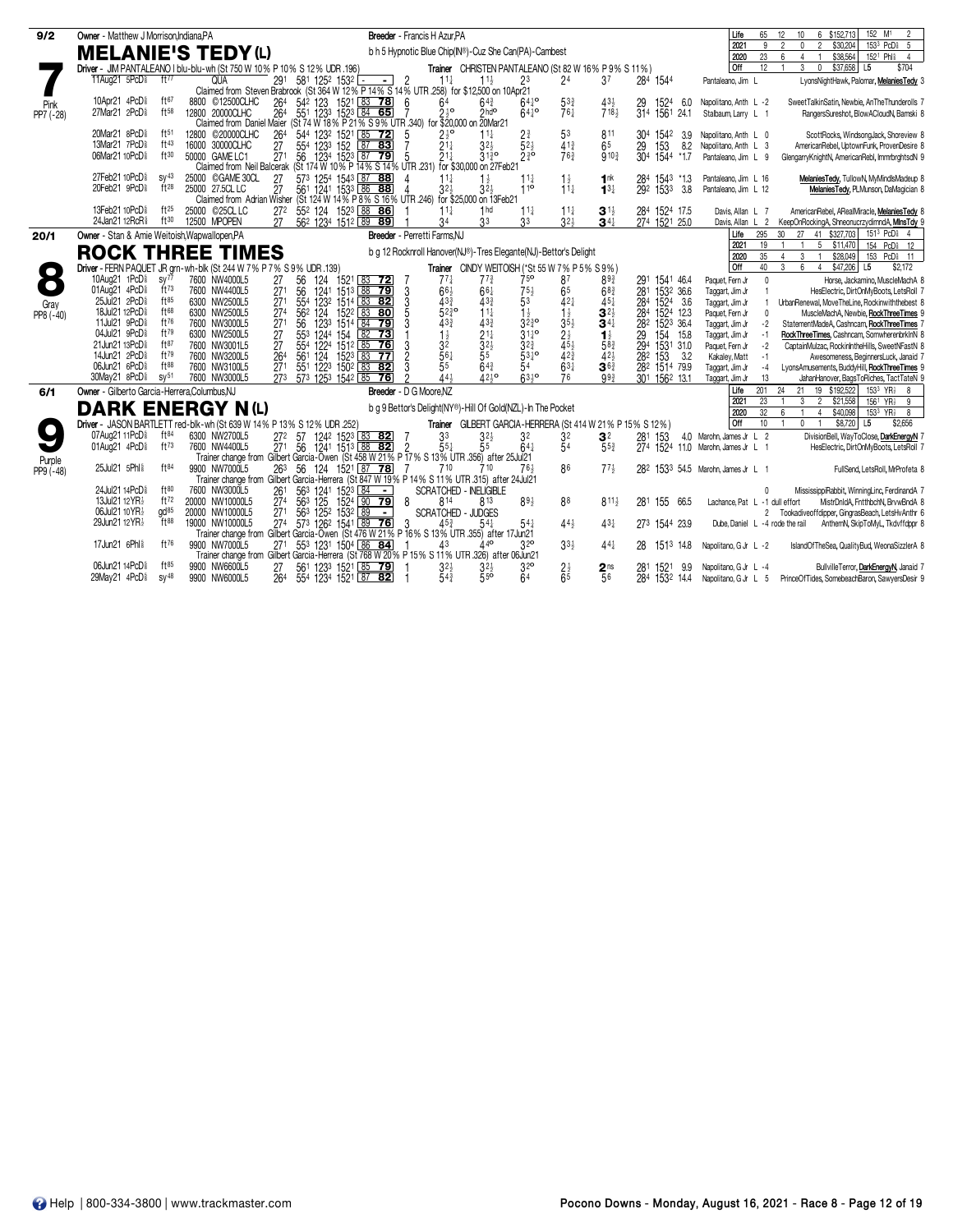| 9/2                 | Owner - Matthew J Morrison.Indiana.PA                                             |                                                                                         |                                                                                                           | Breeder - Francis H Azur.PA                                                          |                                                                  |                                          |                                 | Life<br>65                                                     | 152 M <sup>1</sup><br>$\overline{2}$<br>6 \$152,713<br>12<br>10                                                                                                                                    |
|---------------------|-----------------------------------------------------------------------------------|-----------------------------------------------------------------------------------------|-----------------------------------------------------------------------------------------------------------|--------------------------------------------------------------------------------------|------------------------------------------------------------------|------------------------------------------|---------------------------------|----------------------------------------------------------------|----------------------------------------------------------------------------------------------------------------------------------------------------------------------------------------------------|
|                     | <b>MELANIE'S TEDY (L)</b>                                                         |                                                                                         |                                                                                                           | b h 5 Hypnotic Blue Chip(IN®)-Cuz She Can(PA)-Cambest                                |                                                                  |                                          |                                 | 2021<br>9<br>2020<br>23                                        | 153 <sup>3</sup> PcD <sub>8</sub> 5<br>$\overline{2}$<br>\$30,204<br>2<br>$\mathbf{0}$<br>\$38,564<br>152 <sup>1</sup> Phl <sup>§</sup><br>6<br>$\overline{4}$<br>$\overline{1}$<br>$\overline{4}$ |
|                     |                                                                                   | Driver - JIM PANTALEANO I blu-blu-wh (St 750 W 10% P 10% S 12% UDR .196)                |                                                                                                           | Trainer CHRISTEN PANTALEANO (St 82 W 16% P 9% S 11%)                                 |                                                                  |                                          |                                 | <b>Off</b><br>12                                               | $\mathbf{3}$<br>$\overline{0}$<br>\$37,658<br>L5<br>\$704<br>$\overline{1}$                                                                                                                        |
|                     | 11Aug21 5PcD <sup>§</sup><br>ft $77$                                              | <b>QUA</b><br>291                                                                       | 581 1252 1532<br>$\overline{2}$<br>$-1$                                                                   | $11\frac{1}{2}$<br>$11\frac{1}{2}$                                                   | 24<br>23                                                         | 37                                       | 284 1544                        | Pantaleano, Jim L                                              | LyonsNightHawk, Palomar, MelaniesTedy 3                                                                                                                                                            |
|                     |                                                                                   |                                                                                         | Claimed from Steven Brabrook (St 364 W 12% P 14% S 14% UTR 258) for \$12,500 on 10Apr21                   |                                                                                      |                                                                  |                                          |                                 |                                                                |                                                                                                                                                                                                    |
| Pink                | 10Apr21 4PcD <sup>§</sup><br>ft67                                                 | 8800 © 12500CLHC<br>264                                                                 | 54 <sup>2</sup> 123 1521 83 78<br>6                                                                       | $64\frac{3}{4}$<br>64<br>210                                                         | $64^{10}$<br>533                                                 | $43\frac{1}{2}$                          | 1524<br>6.0                     | Napolitano, Anth L-2                                           | SweetTalkinSatin, Newbie, AnTheThunderolls 7                                                                                                                                                       |
| PP7 (-28)           | ft58<br>27Mar21 2PcD <sup>§</sup>                                                 | 12800 20000CLHC<br>264                                                                  | 551 1233 1523 84 65<br>Claimed from Daniel Maier (St 74 W 18% P 21% S 9% UTR 340) for \$20,000 on 20Mar21 | $2hd$ <sup>o</sup>                                                                   | $76\frac{1}{7}$<br>$64^{10}$                                     | 718 <sub>3</sub>                         | 314 1561<br>24.1                | Stalbaum, Larry L 1                                            | RangersSureshot, BlowACloudN, Bamski &                                                                                                                                                             |
|                     | 20Mar21 8PcD <sup>§</sup><br>ft51                                                 | 12800 © 20000CLHC<br>264                                                                | 5                                                                                                         | $11\frac{1}{4}$                                                                      | 53<br>$2\frac{3}{4}$                                             | 811<br>304                               | 1542<br>3.9                     | Napolitano, Anth L 0                                           | ScottRocks, WindsongJack, Shoreview &                                                                                                                                                              |
|                     | 13Mar21 7PcD <sup>§</sup><br>ft43                                                 | 27<br>16000 30000CLHC                                                                   |                                                                                                           | $2\frac{1}{2}$ <sup>o</sup><br>2 <sup>1</sup> <sup>4</sup><br>$32\frac{1}{2}$        | $\bar{5}2\frac{1}{2}$<br>$41\frac{3}{4}$                         | 6 <sup>5</sup><br>29                     | 153<br>8.2                      | Napolitano, Anth L 3                                           | AmericanRebel, UptownFunk, ProvenDesire &                                                                                                                                                          |
|                     | 06Mar21 10PcD <sup>§</sup><br>ft30                                                | 50000 GAME LC1<br>271                                                                   | 544 1232 1521 85 72<br>554 1233 152 87 83<br>56 1234 1523 87 79                                           | 21 <sub>1</sub><br>$31\frac{3}{4}$ <sup>o</sup>                                      | $2\frac{3}{4}$<br>76 <sup>3</sup>                                | $9^{10}$                                 | 304 1544<br>*1.7                | Pantaleano, Jim L 9                                            | GlengarryKnightN, AmericanRebl, ImmrbrghtsdN 9                                                                                                                                                     |
|                     |                                                                                   |                                                                                         | Claimed from Neil Balcerak (St 174 W 10% P 14% S 14% UTR 231) for \$30,000 on 27Feb21                     |                                                                                      |                                                                  |                                          |                                 |                                                                |                                                                                                                                                                                                    |
|                     | 27Feb21 10PcD <sup>§</sup><br>$SV^{43}$<br>$ft^{28}$<br>20Feb21 9PcD <sup>§</sup> | 25000 © GAME 30CL<br>27<br>25000 27.5CL LC                                              | 573 1254 1543 87 88<br>561 1241 1533 86 88                                                                | $11\frac{1}{4}$<br>$1\frac{1}{2}$<br>32 <sub>3</sub><br>$32\frac{1}{2}$              | $1\frac{1}{2}$<br>$11\frac{1}{4}$<br>$1^{10}$<br>$11\frac{1}{2}$ | 1 <sup>nk</sup><br>$13\frac{1}{4}$       | 284 1543 *1.3<br>3.8            | Pantaleano, Jim L 16                                           | MelaniesTedy, TullowN, MyMindlsMadeup &                                                                                                                                                            |
|                     |                                                                                   | 27<br>Claimed from Adrian Wisher                                                        | (St 124 W 14% P 8% S 16% UTR 246) for \$25,000 on 13Feb21                                                 |                                                                                      |                                                                  |                                          | 292 1533                        | Pantaleano, Jim L 12                                           | MelaniesTedy, PLMunson, DaMagician 8                                                                                                                                                               |
|                     | 13Feb21 10PcD <sup>§</sup><br>$ft^{25}$                                           | 25000 © 25CL LC<br>27 <sup>2</sup>                                                      | 55 <sup>2</sup> 124 152 <sup>3</sup> 88 86                                                                | 1 <sub>hd</sub><br>$11\frac{1}{2}$                                                   | $11\frac{1}{4}$<br>$11\frac{1}{4}$                               | $3^{11}$                                 | 284 1524 17.5                   | Davis, Allan L 7                                               | AmericanRebel, ARealMiracle, MelaniesTedy &                                                                                                                                                        |
|                     | 24Jan21 12RcR\$<br>ft30                                                           | 12500 MPOPEN<br>27                                                                      | 562 1234 1512 89 89                                                                                       | 3 <sup>3</sup><br>34                                                                 | $32\frac{1}{2}$<br>3 <sup>3</sup>                                | $34\frac{1}{4}$                          | 274 1521 25.0                   | L <sub>2</sub><br>Davis, Allan                                 | KeepOnRockingA, ShneonucrzydimndA, MinsTdy 9                                                                                                                                                       |
| 20/1                | Owner - Stan & Amie Weitoish, Wapwallopen, PA                                     |                                                                                         |                                                                                                           | Breeder - Perretti Farms.NJ                                                          |                                                                  |                                          |                                 | Life<br>295                                                    | 151 <sup>3</sup> PcD <sub>8</sub> 4<br>30 <sup>°</sup><br>27<br>41 \$327,703                                                                                                                       |
|                     |                                                                                   | <b>ROCK THREE TIMES</b>                                                                 |                                                                                                           | b g 12 Rocknroll Hanover(NJ®)-Tres Elegante(NJ)-Bettor's Delight                     |                                                                  |                                          |                                 | 2021<br>19                                                     | 5 \$11,470<br>154 PcD <sup>§</sup> 12<br>$\overline{1}$                                                                                                                                            |
|                     |                                                                                   |                                                                                         |                                                                                                           |                                                                                      |                                                                  |                                          |                                 | 35<br>2020<br>Off<br>40                                        | $\mathbf{3}$<br>153 PcD <sup>§</sup> 11<br>$\overline{4}$<br>$\overline{1}$<br>\$28,049<br>3<br>6<br>4<br>\$47,206 L5<br>\$2.172                                                                   |
|                     | 10Aug21 1PcD <sup>§</sup><br>SV <sup>77</sup>                                     | Driver - FERN PAQUET JR grn-wh-blk (St 244 W 7% P 7% S 9% UDR .139)<br>7600 NW4000L5    | 124<br>1521 83 72                                                                                         | Trainer CINDY WEITOISH (*St 55 W 7% P 5% S 9%)<br>$77\frac{1}{4}$<br>$77\frac{3}{4}$ | 75 <sup>o</sup><br>87                                            | 893<br>291                               | 1541 46.4                       | $\Omega$                                                       |                                                                                                                                                                                                    |
| $\bullet$           | $ft^{73}$<br>01Aug21 4PcD <sup>§</sup>                                            | 27<br>271<br>7600 NW4400L5                                                              | 56<br>56<br>1241 1513 88 79<br>3                                                                          | $66\frac{1}{2}$<br>$66\frac{1}{4}$                                                   | $75\frac{1}{2}$<br>65                                            | $68\frac{3}{4}$                          | 281 1532 36.6                   | Paquet, Fern Jr<br>Taggart, Jim Jr                             | Horse, Jackamino, MuscleMachA 8<br>HesElectric, DirtOnMyBoots, LetsRoll 7                                                                                                                          |
|                     | ft85<br>25Jul21 2PcD <sup>§</sup>                                                 | 6300 NW2500L5                                                                           |                                                                                                           | $43\frac{3}{4}$<br>$43\frac{3}{4}$                                                   | 53<br>$42\frac{1}{4}$                                            | $45\frac{1}{4}$                          | 284 1524 3.6                    | Taggart, Jim Jr                                                | UrbanRenewal, MoveTheLine, Rockinwiththebest &                                                                                                                                                     |
| Gray<br>PP8 (-40)   | ft68<br>18Jul21 12PcD <sup>§</sup>                                                | $\frac{271}{274}$<br>6300 NW2500L5                                                      | $\frac{554}{562}$<br>123 <sup>2</sup> 1514 83 82<br>124 152 <sup>2</sup> 83 80<br>$\frac{3}{5}$           | $52\frac{3}{4}$ <sup>o</sup><br>$11\frac{1}{4}$                                      | $\frac{1}{3}$<br>$\frac{1}{2}$<br>$\frac{3}{4}$<br>$\frac{1}{2}$ | $3^{21}$                                 | 284 1524 12.3                   | $\mathbf{0}$<br>Paquet, Fern Jr                                | MuscleMachA, Newbie, RockThreeTimes 9                                                                                                                                                              |
|                     | 11Jul21 9PcD <sup>§</sup><br>ft76                                                 | 7600 NW3000L5<br>271<br>27<br>27<br>264                                                 | $\frac{56}{55^3}$<br>55 <sup>3</sup><br>3<br>1233<br>1514 84 79                                           | $43\frac{3}{4}$<br>$43\frac{3}{4}$                                                   | $3^{5}_{2}$<br>$2^{+}_{2}$<br>$4^{5}_{2}$                        | $34\frac{1}{4}$                          | 282 1523 36.4                   | $-2$<br>Taggart, Jim Jr                                        | StatementMadeA, Cashncam, RockThreeTimes 7                                                                                                                                                         |
|                     | ft79<br>04Jul21 9PcD <sup>§</sup><br>ft87<br>21Jun21 13PcD <sup>§</sup>           | 6300 NW2500L5                                                                           | $82$ 73<br>1244 154<br>1224 1512                                                                          | 1 <sup>3</sup><br>$\frac{2^{1\frac{1}{4}}}{3^{2\frac{1}{2}}}$                        | $3^{11}_{4}$ °<br>$3^{23}_{4}$                                   | $1\frac{1}{2}$<br>58 <sup>3</sup><br>29  | 154<br>15.8                     | Taggart, Jim Jr<br>$-1$                                        | RockThreeTimes, Cashncam, SomwherenbrkInN 8                                                                                                                                                        |
|                     | ft79<br>14Jun21 2PcD <sup>§</sup>                                                 | 7600 NW3001L5<br>7600 NW3200L5                                                          | 3<br>1512 85 76<br>561<br>124<br>$\overline{2}$<br>1523 83 77                                             | 3ē<br>$55^{\degree}$<br>$56\frac{1}{4}$                                              | $53^{10}$<br>$42\frac{3}{4}$                                     | $42\frac{1}{2}$                          | 294 1531 31.0<br>282 153<br>3.2 | Paquet, Fern Jr<br>$-2$<br>Kakaley, Matt<br>$-1$               | CaptainMulzac, RockinIntheHills, SweetNFastN 8<br>Awesomeness, BeginnersLuck, Janaid 7                                                                                                             |
|                     | $ft^{88}$<br>06Jun21 6PcD <sup>§</sup>                                            | 271<br>7600 NW3100L5                                                                    | $\overline{3}$<br>551 1223 1502 83 82                                                                     | $\overline{5}5$<br>$64\frac{3}{4}$                                                   | $63\frac{1}{4}$<br>54                                            | $36\frac{3}{4}$                          | 282 1514 79.9                   | Taggart, Jim Jr<br>$-4$                                        | LyonsAmusements, BuddyHill, RockThreeTimes 9                                                                                                                                                       |
|                     | 30May21 8PcD <sup>§</sup><br>SV <sup>51</sup>                                     | $\frac{1}{273}$<br>7600 NW3000L5                                                        | $57^3$ 125 <sup>3</sup> 1542 85 76                                                                        | 443<br>$42\frac{1}{2}$                                                               | $63\frac{1}{2}$<br>76                                            | $99\frac{3}{4}$                          | 301 1562 13.1                   | 13<br>Taggart, Jim Jr                                          | JahanHanover, BagsToRiches, TactTateN 9                                                                                                                                                            |
| 6/1                 | Owner - Gilberto Garcia-Herrera.Columbus.NJ                                       |                                                                                         | Breeder - D G Moore.NZ                                                                                    |                                                                                      |                                                                  |                                          |                                 | 201<br>Life                                                    | 24<br>19 \$192,522<br>153 <sup>3</sup> YR <sub>2</sub><br>21<br>8                                                                                                                                  |
|                     | <b>DARK ENERGY N(L)</b>                                                           |                                                                                         |                                                                                                           | b q 9 Bettor's Delight(NY®)-Hill Of Gold(NZL)-In The Pocket                          |                                                                  |                                          |                                 | 23<br>2021                                                     | 3<br>$\overline{2}$<br>\$21,558<br>$156^1$ YR <sub>2</sub> 9                                                                                                                                       |
|                     |                                                                                   |                                                                                         |                                                                                                           |                                                                                      |                                                                  |                                          |                                 | 32<br>2020                                                     | 153 <sup>3</sup> YR <sub>2</sub><br>ĥ<br>\$40,098<br>8<br>$\overline{4}$                                                                                                                           |
|                     | 07Aug21 11PcD <sup>§</sup><br>$ft^{84}$                                           | Driver - JASON BARTLETT red-blk-wh (St 639 W 14% P 13% S 12% UDR .252)<br>6300 NW2700L5 |                                                                                                           | Trainer GILBERT GARCIA-HERRERA (St 414 W 21% P 15% S 12%)                            |                                                                  |                                          |                                 | Off<br>10 <sup>1</sup>                                         | $0 \quad 1$<br>\$8,720 L5<br>\$2,656                                                                                                                                                               |
|                     | 01Aug21 4PcD <sup>§</sup><br>$ft^{73}$                                            | $\bar{27}$ <sup>1</sup> 56<br>7600 NW4400L5                                             | 272 57 1242 1523 83 82<br>$1241$ $1513$ 88 82<br>$\overline{2}$                                           | 33<br>$3^{2}$<br>$55\frac{1}{4}$<br>55                                               | 32<br>32<br>54<br>$64\frac{1}{4}$                                | 3 <sup>2</sup><br>281<br>$55\frac{3}{4}$ | 153                             | 4.0 Marohn, James Jr L 2<br>274 1524 11.0 Marohn, James Jr L 1 | DivisionBell, WayToClose, DarkEnergyN 7<br>HesElectric, DirtOnMyBoots, LetsRoll 7                                                                                                                  |
|                     |                                                                                   |                                                                                         | Trainer change from Gilbert Garcia-Owen (St 458 W 21% P 17% S 13% UTR 356) after 25Jul 21                 |                                                                                      |                                                                  |                                          |                                 |                                                                |                                                                                                                                                                                                    |
| Purple<br>PP9 (-48) | 25Jul21 5Phl \$<br>ft84                                                           | 9900 NW7000L5                                                                           | 263 56 124 1521 87 78                                                                                     | 710<br>710                                                                           | 86<br>76,                                                        | $77\frac{1}{2}$                          |                                 | 282 1533 54.5 Marohn, James Jr L 1                             | FullSend, LetsRoll, MrProfeta &                                                                                                                                                                    |
|                     |                                                                                   |                                                                                         | Trainer change from Gilbert Garcia-Herrera (St 847 W 19% P 14% S 11% UTR 315) after 24 Jul 21             |                                                                                      |                                                                  |                                          |                                 |                                                                |                                                                                                                                                                                                    |
|                     | ft80<br>24Jul21 14PcD <sup>§</sup>                                                | 7600 NW3000L5<br>261                                                                    | 563 1241 1523 84<br>$\sim$                                                                                | <b>SCRATCHED - INFLIGIBLE</b>                                                        |                                                                  |                                          |                                 |                                                                | MississippiRabbit, WinningLinc, FerdinandA 7                                                                                                                                                       |
|                     | 13Jul21 12YR}<br>ft72<br>gd <sup>85</sup><br>06Jul21 10 YR <sub>2</sub>           | 27 <sup>4</sup><br>20000 NW10000L5<br>20000 NW10000L5<br>271                            | 8<br>563 125<br>1524 90 79                                                                                | 814<br>813<br><b>SCRATCHED - JUDGES</b>                                              | $89\frac{1}{2}$<br>88                                            | $811\frac{1}{2}$<br>281                  | 155 66.5                        | Lachance. Pat L -1 dull effort                                 | MistrDnldA, FntthbchN, BrvwBndA 8<br>Tookadiveoffdipper, GingrasBeach, LetsHvAnthr 6                                                                                                               |
|                     | 29Jun21 12YR}<br>ft88                                                             | $\frac{1}{274}$<br>19000 NW10000L5                                                      | 56 <sup>3</sup> 125 <sup>2</sup> 1532 89 -<br>-3                                                          | $54\frac{1}{4}$<br>$45^{3}$                                                          | $54\frac{1}{4}$<br>$44\frac{1}{2}$                               | $43\frac{1}{4}$                          | 273 1544 23.9                   | $\overline{2}$<br>Dube, Daniel L -4 rode the rail              | AnthemN, SkipToMyL, Tkdvffdppr 8                                                                                                                                                                   |
|                     |                                                                                   |                                                                                         | Trainer change from Gilbert Garcia-Owen (St 476 W 21% P 16% S 13% UTR 355) after 17 Jun21                 |                                                                                      |                                                                  |                                          |                                 |                                                                |                                                                                                                                                                                                    |
|                     | 17Jun21 6Phl \$<br>ft76                                                           | 9900 NW7000L5<br>271                                                                    | 553 1231 1504 86 84                                                                                       | 43                                                                                   | 32 <sup>o</sup><br>$33\frac{1}{2}$                               | $44\frac{1}{4}$<br>28                    | 1513<br>14.8                    | Napolitano, G Jr L -2                                          | IslandOfTheSea, QualityBud, WeonaSizzlerA &                                                                                                                                                        |
|                     |                                                                                   |                                                                                         | Trainer change from Gilbert Garcia-Herrera (St 768 W 20% P 15% S 11% UTR 326) after 06Jun21               |                                                                                      |                                                                  |                                          |                                 |                                                                |                                                                                                                                                                                                    |
|                     | 06Jun21 14PcD <sup>§</sup><br>ft85                                                | 9900 NW6600L5<br>27                                                                     | 561 1233 1521 85 79                                                                                       | $32\frac{1}{2}$<br>32}<br>550                                                        | 3 <sup>2</sup><br>$2\frac{1}{2}$<br>$\overline{65}$              | 2 <sup>ns</sup><br>281                   | 1521<br>-9.9                    | Napolitano, G Jr L -4                                          | BullvilleTerror, DarkEnergyN, Janaid 7                                                                                                                                                             |
|                     | 29May21 4PcD <sup>§</sup><br>$SV^{48}$                                            | 9900 NW6000L5<br>264                                                                    | 554 1234 1521 87 82                                                                                       | $54\frac{3}{4}$                                                                      | 64                                                               | 56                                       | 284 1532 14.4                   | Napolitano, G Jr L 5                                           | PrinceOfTides, SomebeachBaron, SawyersDesir 9                                                                                                                                                      |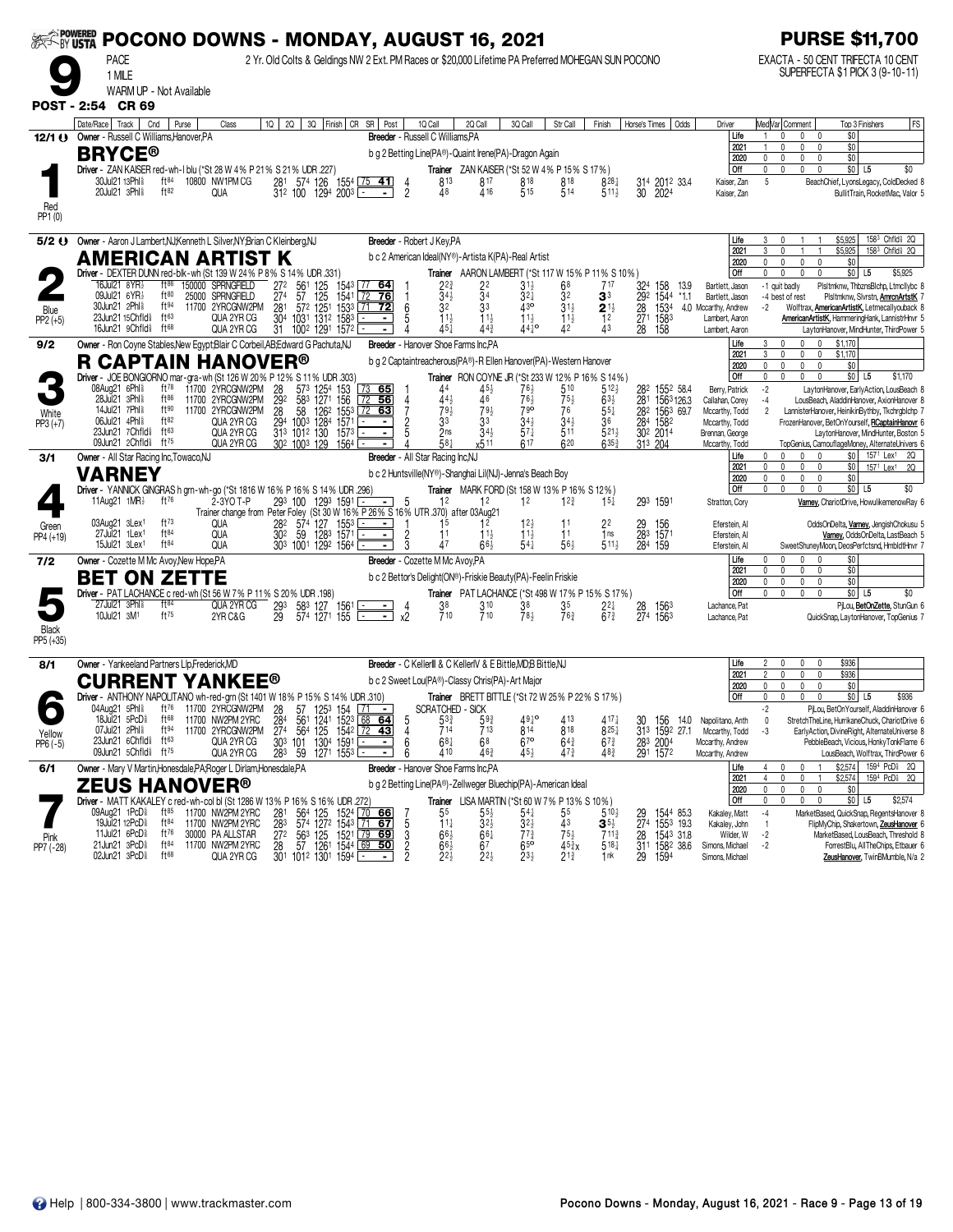|                      | <b>EXAMPOWERED</b><br>POCONO DOWNS - MONDAY, AUGUST 16, 2021<br>2 Yr. Old Colts & Geldings NW 2 Ext. PM Races or \$20,000 Lifetime PA Preferred MOHEGAN SUN POCONO |                                       |                                                                                              |                                                                                  |                                                                            |                                                                                                              |                                    |                                                                   |                                                       |                                      |                                                   |                        |                                     | <b>PURSE \$11,700</b>                                       |                                                                                                                                                        |
|----------------------|--------------------------------------------------------------------------------------------------------------------------------------------------------------------|---------------------------------------|----------------------------------------------------------------------------------------------|----------------------------------------------------------------------------------|----------------------------------------------------------------------------|--------------------------------------------------------------------------------------------------------------|------------------------------------|-------------------------------------------------------------------|-------------------------------------------------------|--------------------------------------|---------------------------------------------------|------------------------|-------------------------------------|-------------------------------------------------------------|--------------------------------------------------------------------------------------------------------------------------------------------------------|
|                      | <b>PACE</b><br>1 MILE<br>WARM UP - Not Available                                                                                                                   |                                       |                                                                                              |                                                                                  |                                                                            |                                                                                                              |                                    |                                                                   |                                                       |                                      |                                                   |                        |                                     |                                                             | EXACTA - 50 CENT TRIFECTA 10 CENT<br>SUPERFECTA \$1 PICK 3 (9-10-11)                                                                                   |
| <b>POST - 2:54</b>   | <b>CR 69</b>                                                                                                                                                       |                                       |                                                                                              |                                                                                  |                                                                            |                                                                                                              |                                    |                                                                   |                                                       |                                      |                                                   |                        |                                     |                                                             |                                                                                                                                                        |
|                      | Date/Race   Track  <br>12/1 () Owner - Russell C Williams, Hanover, PA<br><b>BRYCE®</b>                                                                            | Cnd<br>Purse                          | Class                                                                                        | 10   20   30   Finish   CR SR   Post                                             |                                                                            | Breeder - Russell C Williams, PA<br>b g 2 Betting Line(PA®) - Quaint Irene(PA) - Dragon Again                | 1Q Call                            | 2Q Call                                                           | 3Q Call                                               | Str Call                             | Finish                                            | Horse's Times          | Odds                                | Driver<br>Life<br>2021<br>2020                              | FS<br>Med Var  Comment<br>Top 3 Finishers<br>\$0<br>$\mathbf{1}$<br>n<br>0<br>0<br>\$0<br>$\mathbf{0}$<br>$\mathbf 0$<br>\$0<br>0<br>0<br>$\mathbf{0}$ |
|                      | Driver - ZAN KAISER red-wh-I blu (*St 28 W 4% P 21% S 21% UDR .227)<br>30Jul21 13Phl <sup>§</sup><br>20Jul21 3Phl \$                                               | $ft^{84}$<br>ft82                     | 10800 NW1PM CG<br>QUA                                                                        | 281 574 126 1554 75 41<br>$31^2$ 100 1294 2003 L                                 |                                                                            | $\frac{4}{2}$<br>$-1$                                                                                        | 813<br>48                          | <b>Trainer</b> ZAN KAISER (*St 52 W 4% P 15% S 17%)<br>817<br>416 | 818<br>515                                            | 818<br>514                           | $8^{28}$<br>$511\frac{1}{2}$                      | 30                     | 314 2012 33.4<br>2024               | <b>Off</b><br>Kaiser, Zan<br>Kaiser, Zan                    | \$0 L5<br>$\mathbf{0}$<br>$\mathbf{0}$<br>\$0<br>$\mathbf{0}$<br>0<br>5<br>BeachChief, LyonsLegacy, ColdDecked 8<br>BullitTrain, RocketMac, Valor 5    |
| Red<br>PP1 (0)       |                                                                                                                                                                    |                                       |                                                                                              |                                                                                  |                                                                            |                                                                                                              |                                    |                                                                   |                                                       |                                      |                                                   |                        |                                     |                                                             |                                                                                                                                                        |
| 5/2 U                | Owner - Aaron J Lambert, NJ; Kenneth L Silver, NY; Brian C Kleinberg, NJ                                                                                           |                                       |                                                                                              |                                                                                  |                                                                            | Breeder - Robert J Key, PA                                                                                   |                                    |                                                                   |                                                       |                                      |                                                   |                        |                                     | Life<br>2021                                                | 1583 Chfld <sup>§</sup> 2Q<br>\$5,925<br>3<br>0<br>\$5,925<br>3<br>1583 Chfld <sup>§</sup> 2Q<br>0<br>$\overline{1}$                                   |
|                      | AMERICAN ARTIST K<br>Driver - DEXTER DUNN red-blk-wh (St 139 W 24% P 8% S 14% UDR .331)                                                                            |                                       |                                                                                              |                                                                                  |                                                                            | b c 2 American Ideal(NY®)-Artista K(PA)-Real Artist                                                          |                                    |                                                                   |                                                       |                                      | Trainer AARON LAMBERT (*St 117 W 15% P 11% S 10%) |                        |                                     | 2020<br>Off                                                 | 0<br>0<br>$\mathbf 0$<br>$\mathbf{0}$<br>\$0<br>\$0 <br>$\mathbf{0}$<br>L5<br>\$5,925                                                                  |
|                      | 16Jul21 8YR}<br>09Jul21 6YR}                                                                                                                                       | $ft^{86}$<br>$ft^{80}$                | 150000 SPRNGFIELD<br>25000 SPRNGFIELD                                                        | 272<br>274                                                                       | 561 125 1543 77 64<br>57 125 1541 72 76<br>57 <sup>2</sup> 1251 1533 71 72 |                                                                                                              | $2^{2^{3}_{4}}$<br>$3^{4^{1}_{2}}$ | $\bar{3}$                                                         | $31\frac{1}{2}$<br>$3^{2+}$                           | 68<br>32                             | 3 <sup>3</sup>                                    | 324<br>292             | 158<br>13.9<br>1544<br>$*1.1$       | Bartlett, Jason<br>Bartlett, Jason                          | PlsItmknw, ThbznsBlchp, LtmcIlybc 8<br>-1 quit badly<br>-4 best of rest<br>PlsItmknw, Sivrstn, <b>AmrcnArtstK</b>                                      |
| Blue<br>$PP2 (+5)$   | 30Jun21 2Phl <sup>§</sup><br>23Jun21 15Chfld <sup>§</sup>                                                                                                          | ft94<br>$ft^{63}$                     | 11700 2YRCGNW2PM<br>QUA 2YR CG                                                               | 281<br>30 <sup>4</sup><br>1031 1312 1583                                         |                                                                            | 6                                                                                                            | 32<br>11}                          | 33                                                                | 43 <sup>o</sup>                                       | $31\frac{1}{2}$                      | $2^{11}_{12}$<br>$1^{2}_{43}$                     | 28<br>271              | 1534                                | 4.0 Mccarthy, Andrew<br>Lambert, Aaron                      | -2<br>Wolftrax, <b>AmericanArtistK</b> , Letmecallyouback 8<br>AmericanArtistK, HammeringHank, LannistrHnvr 5                                          |
|                      | 16Jun21 9Chfld <sup>§</sup>                                                                                                                                        | $ft^{68}$                             | QUA 2YR CG                                                                                   | 31<br>1002 1291 1572                                                             |                                                                            |                                                                                                              | 451                                | $44\frac{3}{4}$                                                   | $1^{11}_{44}$ o                                       | $\frac{11}{42}$                      |                                                   | 28                     | 158 <sup>3</sup><br>158             | Lambert, Aaron                                              | LaytonHanover, MindHunter, ThirdPower 5<br>3<br>\$1,170<br>0                                                                                           |
| 9/2                  | Owner - Ron Coyne Stables, New Egypt; Blair C Corbeil, AB; Edward G Pachuta, NJ<br><b>R CAPTAIN HANOVER®</b>                                                       |                                       |                                                                                              |                                                                                  |                                                                            | Breeder - Hanover Shoe Farms Inc.PA<br>b g 2 Captaintreacherous(PA®) - R Ellen Hanover(PA) - Western Hanover |                                    |                                                                   |                                                       |                                      |                                                   |                        |                                     | Life<br>2021                                                | 3<br>$\mathbf{0}$<br>$\mathbf 0$<br>$\mathbf 0$<br>\$1,170<br>$\mathbf 0$<br>$\mathbf{0}$<br>$\mathbf{0}$<br>$\mathbf{0}$                              |
|                      | Driver - JOE BONGIORNO mar-gra-wh (St 126 W 20% P 12% S 11% UDR .303)                                                                                              |                                       |                                                                                              |                                                                                  |                                                                            |                                                                                                              |                                    | <b>Trainer</b> RON COYNE JR (*St 233 W 12% P 16% S 14%)           |                                                       |                                      |                                                   |                        |                                     | 2020<br>Off                                                 | \$0<br>$$0$ L5<br>$\mathbf 0$<br>$\mathbf 0$<br>$\mathbf 0$<br>\$1,170<br>0                                                                            |
|                      | 08Aug21 6Phl <sup>§</sup><br>28Jul21 3Phl \$                                                                                                                       | $ft^{78}$<br>$ft^{86}$                | 11700 2YRCGNW2PM<br>11700 2YRCGNW2PM                                                         | 28<br>29 <sup>2</sup>                                                            | 573 1254 153<br>583 1271 156<br>$\overline{72}$                            | $[73 \t65]$<br>56<br>4                                                                                       | 44<br>44}                          | 45}<br>46                                                         | $76\frac{1}{2}$<br>76}                                | 510<br>$75\frac{1}{2}$               | $5^{12}$<br>$63\frac{1}{2}$                       | 281                    | 282 1552 58.4<br>1563126.3          | Berry, Patrick<br>Callahan, Corey                           | $-2$<br>LaytonHanover, EarlyAction, LousBeach &<br>$-4$<br>LousBeach, AladdinHanover, AxionHanover 8                                                   |
| White<br>PP3 (+7)    | 14Jul21 7Phl <sup>§</sup><br>06Jul21 4Phl <sup>§</sup>                                                                                                             | ft90<br>ft82                          | 11700 2YRCGNW2PM<br>QUA 2YR CG                                                               | 28<br>58<br>294 1003 1284<br>313 1012 130                                        | 126 <sup>2</sup> 1553<br>1571                                              | $\overline{7}$<br>$72$ 63<br>$\frac{2}{5}$<br>$\blacksquare$                                                 | 793<br>3 <sup>3</sup>              | 793<br>33                                                         | 790                                                   | 76<br>$34\frac{1}{2}$                | $55\frac{1}{4}$<br>36                             | 284                    | 282 1563 69.7<br>1582               | Mccarthy, Todd<br>Mccarthy, Todd                            | $\overline{2}$<br>LannisterHanover, HeinikinBythby, Tkchrgblchp 7<br>FrozenHanover, BetOnYourself, RCaptainHanovr 6                                    |
|                      | 23Jun21 7Chfld <sup>5</sup><br>09Jun21 2Chfld <sup>§</sup> ft <sup>75</sup>                                                                                        | ft63                                  | QUA 2YR CG<br>QUA 2YR CG                                                                     | 30 <sup>2</sup> 100 <sup>3</sup> 129                                             | 1573<br>1564                                                               |                                                                                                              | 2ns<br>581                         | $34\frac{1}{2}$<br>x511                                           | $57\frac{1}{4}$                                       | 511<br>620                           | $521\frac{1}{2}$<br>$635\frac{3}{4}$              | 302 2014<br>313 204    |                                     | Brennan, George<br>Mccarthy, Todd                           | LaytonHanover, MindHunter, Boston 5<br>TopGenius, CamouflageMoney, AlternateUnivers 6                                                                  |
| 3/1                  | Owner - All Star Racing Inc, Towaco, NJ<br>VARNEY                                                                                                                  |                                       |                                                                                              |                                                                                  |                                                                            | Breeder - All Star Racing Inc.NJ<br>b c 2 Huntsville(NY®)-Shanghai Lil(NJ)-Jenna's Beach Boy                 |                                    |                                                                   |                                                       |                                      |                                                   |                        |                                     | Life<br>2021                                                | $\mathbf{0}$<br>\$0<br>1571 Lex1 2Q<br>$\mathbf{0}$<br>$\mathbf 0$<br>$\mathbf{0}$<br>0<br>0<br>\$0 <br>1571 Lex1<br><b>2Q</b><br>0<br>0               |
|                      | Driver - YANNICK GINGRAS h grn-wh-go (*St 1816 W 16% P 16% S 14% UDR .296)                                                                                         |                                       |                                                                                              |                                                                                  |                                                                            |                                                                                                              |                                    | Trainer MARK FORD (St 158 W 13% P 16% S 12%)                      |                                                       |                                      |                                                   |                        |                                     | 2020<br>Off                                                 | \$0<br>0<br>0<br>0<br>$\mathbf{0}$<br>\$0 L5<br>$\mathbf{0}$<br>$\mathbf 0$<br>$\mathbf{0}$<br>\$0<br>$\mathbf 0$                                      |
|                      | 11Aug21 $1MR_2$                                                                                                                                                    | $ft^{76}$                             | 2-3YO T-P<br>Trainer change from Peter Foley (St 30 W 16% P 26% S 16% UTR 370) after 03Aug21 | 293 100                                                                          | $129^3$ 1591                                                               | 5<br>$-1$                                                                                                    | 12                                 | 12                                                                | 1 <sup>2</sup>                                        | $12^{3}_{4}$                         | $15\frac{1}{4}$                                   | 293 1591               |                                     | Stratton, Cory                                              | Varney, ChariotDrive, HowulikemenowRay 6                                                                                                               |
| Green<br>PP4 (+19)   | 03Aug21 3Lex <sup>1</sup><br>27Jul21 1Lex <sup>1</sup><br>15Jul21 3Lex1                                                                                            | $ft^{73}$<br>ft <sup>84</sup><br>ft84 | QUA<br>QUA<br><b>QUA</b>                                                                     | 282<br>302<br>59<br>303 1001 1292 1564                                           | 574 127 1553<br>1283 1571                                                  | $\blacksquare$<br>$\frac{2}{3}$<br>$\blacksquare$                                                            | 15<br>11<br>47                     | 12<br>$11\frac{1}{2}$<br>$66\frac{1}{2}$                          | $12\frac{1}{2}$<br>$11\frac{1}{2}$<br>$54\frac{1}{4}$ | 11<br>56}                            | 1ns<br>$5^{11}$                                   | 29<br>283<br>284       | $\frac{156}{157}$<br>159            | Eferstein, Al<br>Eferstein, Al<br>Eferstein, Al             | OddsOnDelta, Varney, JengishChokusu 5<br>Varney, OddsOnDelta, LastBeach 5<br>SweetShuneyMoon, DeosPerfctsnd, HmbldtHnvr 7                              |
| 7/2                  | Owner - Cozette M Mc Avoy, New Hope, PA                                                                                                                            |                                       |                                                                                              |                                                                                  |                                                                            | Breeder - Cozette M Mc Avoy, PA                                                                              |                                    |                                                                   |                                                       |                                      |                                                   |                        |                                     | Life<br>2021                                                | $\mathbf{0}$<br>\$0<br>0<br>$\mathbf 0$<br>$\mathbf{0}$<br>\$0<br>0<br>$\mathbf 0$<br>0<br>0                                                           |
|                      | <b>BET ON ZETTE</b><br>Driver - PAT LACHANCE c red-wh (St 56 W 7 % P 11 % S 20 % UDR .198)                                                                         |                                       |                                                                                              |                                                                                  |                                                                            | b c 2 Bettor's Delight(ON®)-Friskie Beauty(PA)-Feelin Friskie                                                |                                    |                                                                   |                                                       |                                      | Trainer PAT LACHANCE (*St 498 W 17% P 15% S 17%)  |                        |                                     | 2020<br>Off                                                 | \$0<br>U.<br>0<br>$\mathbf 0$<br>$\mathbf{0}$<br>$$0$ L5<br>\$0<br>0<br>$\Omega$<br>$\Omega$<br>0                                                      |
|                      | 27Jul21 3Phl <sup>§</sup><br>10Jul21 3M <sup>1</sup>                                                                                                               | ft84<br>ft75                          | QUA 2YR CG<br>2YR C&G                                                                        | $\frac{29^3}{29}$<br>574 1271 155                                                | 583 127 1561                                                               | 4<br>x <sub>2</sub>                                                                                          | 38<br>710                          | 310<br>710                                                        | 38<br>781                                             | 35<br>76 <sup>3</sup>                | $2^{2\frac{1}{4}}$<br>6 <sup>73</sup>             | 28<br>274              | 1563<br>1563                        | Lachance, Pat<br>Lachance, Pat                              | PjLou, BetOnZette, StunGun 6<br>QuickSnap, LaytonHanover, TopGenius 7                                                                                  |
| Black<br>$PP5 (+35)$ |                                                                                                                                                                    |                                       |                                                                                              |                                                                                  |                                                                            |                                                                                                              |                                    |                                                                   |                                                       |                                      |                                                   |                        |                                     |                                                             |                                                                                                                                                        |
| 8/1                  | Owner - Yankeeland Partners Llp, Frederick, MD                                                                                                                     |                                       |                                                                                              |                                                                                  |                                                                            | Breeder - C Kellerlll & C KellerlV & E Bittle, MD;B Bittle, NJ                                               |                                    |                                                                   |                                                       |                                      |                                                   |                        |                                     | Life<br>2021                                                | \$936<br>2<br>$\mathbf{0}$<br>$\overline{c}$<br>\$936<br>$\theta$<br>$\mathbf{0}$                                                                      |
|                      | <b>CURRENT YANKEE®</b><br>Driver - ANTHONY NAPOLITANO wh-red-grn (St 1401 W 18% P 15% S 14% UDR 310)                                                               |                                       |                                                                                              |                                                                                  |                                                                            | b c 2 Sweet Lou(PA®)-Classy Chris(PA)-Art Major                                                              |                                    | Trainer BRETT BITTLE (*St 72 W 25% P 22% S 17%)                   |                                                       |                                      |                                                   |                        |                                     | 2020<br>Off                                                 | \$0<br>$\mathbf 0$<br>0<br>$\mathbf 0$<br>$\mathbf{0}$<br>$$0$ L5<br>\$936<br>$\mathbf{0}$                                                             |
| $\bullet$            | 04Aua21 5Phl <sup>§</sup><br>18Jul21 5PcD <sup>§</sup>                                                                                                             | $ft^{76}$<br>ft <sup>68</sup>         | 11700 2YRCGNW2PM<br>11700 NW2PM 2YRC                                                         | 28                                                                               | 57 1253 154 71                                                             | $\sim$                                                                                                       | SCRATCHED - SICK                   |                                                                   |                                                       |                                      | $417\frac{1}{4}$                                  |                        |                                     |                                                             | -2<br>PiLou, BetOnYourself, AladdinHanover 6                                                                                                           |
| Yellow<br>$PP6 (-5)$ | 07Jul21 2Phl <sup>§</sup><br>23Jun21 6Chfld <sup>§</sup> ft <sup>63</sup>                                                                                          | ft <sup>94</sup>                      | 11700 2YRCGNW2PM<br>QUA 2YR CG                                                               | 284<br>27 <sup>4</sup><br>564 125<br>30 <sup>3</sup> 101 130 <sup>4</sup> 1591 - | 561 1241 1523 68 64<br>$1542$ $72$                                         | 5<br>$\vert$ 43<br>6<br>$\blacksquare$                                                                       | 53}<br>714<br>$68\frac{1}{4}$      | 713<br>6 <sup>8</sup>                                             | 814<br>$67$ <sup>o</sup>                              | 818<br>$64\frac{3}{4}$               | $8^{25}$ <sup>1</sup><br>$67\frac{3}{4}$          | 30<br>313<br>283 2004  | 156<br>1592 27.1                    | 14.0 Napolitano, Anth<br>Mccarthy, Todd<br>Mccarthy, Andrew | StretchTheLine, HurrikaneChuck, ChariotDrive 6<br>EarlyAction, DivineRight, AlternateUniverse 8<br>-3<br>PebbleBeach, Vicious, HonkyTonkFlame 6        |
| 6/1                  | 09Jun21 5Chfld <sup>§</sup> ft <sup>75</sup><br>Owner - Mary V Martin, Honesdale, PA; Roger L Dirlam, Honesdale, PA                                                |                                       | QUA 2YR CG                                                                                   | 283<br>59                                                                        | 1271 1553 L <u>-</u>                                                       | 6<br>$\blacksquare$<br>Breeder - Hanover Shoe Farms Inc, PA                                                  | 410                                | 463                                                               | $45\frac{1}{2}$                                       | $47\frac{3}{4}$                      | $48\frac{3}{4}$                                   | 291 1572               |                                     | Mccarthy, Andrew<br>Life                                    | LousBeach, Wolftrax, ThirdPower 6<br>\$2,574<br>1594 PcD <sup>§</sup> 2Q<br>$\overline{4}$<br>0<br>$^{\circ}$                                          |
|                      | <b>ZEUS HANOVER®</b>                                                                                                                                               |                                       |                                                                                              |                                                                                  |                                                                            | b q 2 Betting Line(PA®)-Zellweger Bluechip(PA)-American Ideal                                                |                                    |                                                                   |                                                       |                                      |                                                   |                        |                                     | 2021<br>2020                                                | \$2,574<br>1594 PcDi 2Q<br>$\mathbf{0}$<br>$\mathbf 0$<br>$\overline{4}$<br>\$0<br>$\mathbf 0$<br>0<br>0<br>0                                          |
|                      | Driver - MATT KAKALEY c red-wh-col bl (St 1286 W 13% P 16% S 16% UDR .272)<br>09Aug21 1PcD <sup>§</sup>                                                            | $ft^{85}$                             | 11700 NW2PM 2YRC                                                                             |                                                                                  |                                                                            |                                                                                                              | 55                                 | Trainer LISA MARTIN (*St 60 W 7 % P 13 % S 10 %)                  |                                                       |                                      | $5^{10}$                                          |                        |                                     | Off<br>Kakaley, Matt                                        | 0<br>$$0$ L5<br>\$2,574<br>$\Omega$<br>$\mathbf 0$<br>$\Omega$<br>MarketBased, QuickSnap, RegentsHanover 8<br>$-4$                                     |
|                      | 19Jul21 12PcD <sup>§</sup><br>11Jul21 6PcD <sup>§</sup>                                                                                                            | $ft^{84}$<br>ft76                     | 11700 NW2PM 2YRC<br>30000 PA ALLSTAR                                                         | $\frac{281}{283}$<br>272                                                         | 564 125 1524 70 66<br>574 1272 1543 71 67                                  | 5<br>3                                                                                                       | $11\frac{1}{4}$<br>$66\frac{1}{2}$ | $5^{5\frac{1}{2}}$<br>32 <sup>1</sup><br>$66\frac{1}{4}$          | $54\overline{3}$<br>$32\overline{3}$<br>$7^{73}$      | $\frac{5^5}{4^3}$<br>75 <sup>1</sup> | $35\frac{1}{2}$<br>$711\frac{3}{4}$               | $\frac{29}{274}$<br>28 | 1544 85.3<br>1553 19.3<br>1543 31.8 | Kakaley, John<br>Wilder, W                                  | FlipMyChip, Shakertown, ZeusHanover 6<br>$\overline{1}$<br>MarketBased, LousBeach, Threshold 8<br>$-2$                                                 |
| Pink<br>PP7 (-28)    | 21Jun21 3PcD <sup>§</sup><br>02Jun21 $3PCD$ <sup>§</sup>                                                                                                           | $ft^{84}$<br>$ft^{68}$                | 11700 NW2PM 2YRC<br>QUA 2YR CG                                                               | 28<br>301 1012 1301 1594                                                         | 563 125 1521 79 69                                                         | $\frac{2}{2}$<br>п.,                                                                                         | $6^{6\frac{1}{2}}$                 | $67$<br>$22\frac{1}{2}$                                           | 65 <sup>o</sup><br>$23\frac{1}{2}$                    | $45\frac{3}{4}x$<br>$21\frac{3}{4}$  | $5^{18}$<br>1nk                                   | 311<br>29              | 158 <sup>2</sup> 38.6<br>1594       | Simons, Michael<br>Simons, Michael                          | ForrestBlu, AllTheChips, Etbauer 6<br>$-2$<br>ZeusHanover, TwinBMumble, N/a 2                                                                          |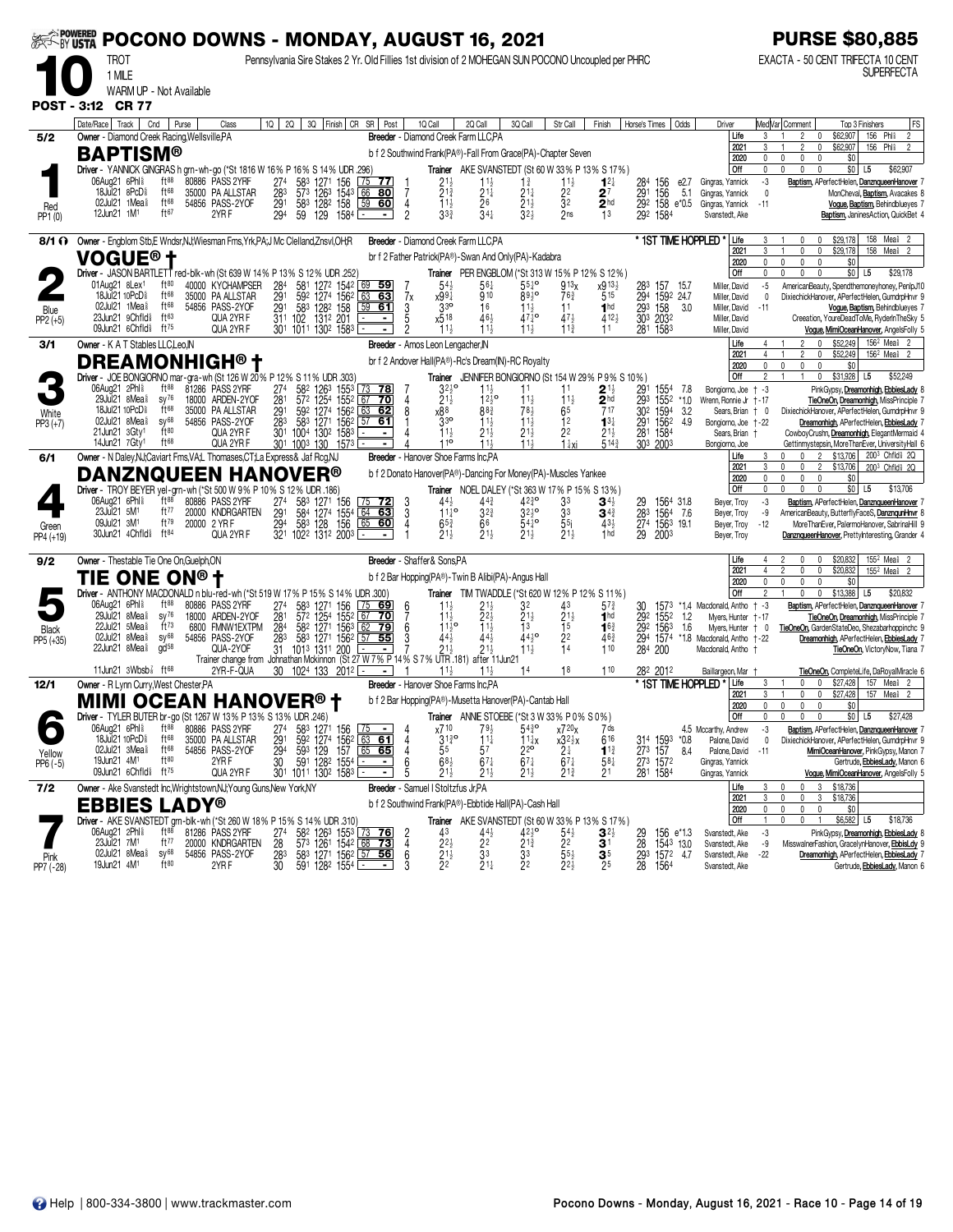|                    | POCONO DOWNS - MONDAY, AUGUST 16, 2021                                                                            |                               |       |                                                               |                                     |                                                  |                        |                                                                                                                                  |               |                                                    |                                                                                                                            |                                                         |                                            |                                                      |                                   |                                                          |                                                          |                                     |                       |                                                          |                             | <b>PURSE \$80,885</b>                                                                         |
|--------------------|-------------------------------------------------------------------------------------------------------------------|-------------------------------|-------|---------------------------------------------------------------|-------------------------------------|--------------------------------------------------|------------------------|----------------------------------------------------------------------------------------------------------------------------------|---------------|----------------------------------------------------|----------------------------------------------------------------------------------------------------------------------------|---------------------------------------------------------|--------------------------------------------|------------------------------------------------------|-----------------------------------|----------------------------------------------------------|----------------------------------------------------------|-------------------------------------|-----------------------|----------------------------------------------------------|-----------------------------|-----------------------------------------------------------------------------------------------|
|                    | Pennsylvania Sire Stakes 2 Yr. Old Fillies 1st division of 2 MOHEGAN SUN POCONO Uncoupled per PHRC<br><b>TROT</b> |                               |       |                                                               |                                     |                                                  |                        |                                                                                                                                  |               |                                                    |                                                                                                                            |                                                         |                                            |                                                      | EXACTA - 50 CENT TRIFECTA 10 CENT |                                                          |                                                          |                                     |                       |                                                          |                             |                                                                                               |
|                    | 1 MILE                                                                                                            |                               |       |                                                               |                                     |                                                  |                        |                                                                                                                                  |               |                                                    |                                                                                                                            |                                                         |                                            |                                                      |                                   |                                                          |                                                          |                                     |                       |                                                          |                             | <b>SUPERFECTA</b>                                                                             |
|                    | WARM UP - Not Available                                                                                           |                               |       |                                                               |                                     |                                                  |                        |                                                                                                                                  |               |                                                    |                                                                                                                            |                                                         |                                            |                                                      |                                   |                                                          |                                                          |                                     |                       |                                                          |                             |                                                                                               |
|                    | POST - 3:12 CR 77                                                                                                 |                               |       |                                                               |                                     |                                                  |                        |                                                                                                                                  |               |                                                    |                                                                                                                            |                                                         |                                            |                                                      |                                   |                                                          |                                                          |                                     |                       |                                                          |                             |                                                                                               |
|                    | Date/Race   Track   Cnd                                                                                           |                               | Purse | Class                                                         |                                     |                                                  |                        | 10   20   30   Finish   CR SR   Post                                                                                             |               | 1Q Call                                            | 2Q Call<br>Breeder - Diamond Creek Farm LLC.PA                                                                             | 3Q Call                                                 | Str Call                                   | Finish                                               |                                   | Horse's Times   Odds                                     | Driver                                                   | Life                                | 3                     | Med Var  Comment<br>0                                    | Top 3 Finishers<br>\$62,907 | FS<br>156 Phl <sup>§</sup><br>$\overline{2}$                                                  |
| 5/2                | Owner - Diamond Creek Racing, Wellsville, PA<br><b>BAPTISM®</b>                                                   |                               |       |                                                               |                                     |                                                  |                        |                                                                                                                                  |               |                                                    | b f 2 Southwind Frank(PA®)-Fall From Grace(PA)-Chapter Seven                                                               |                                                         |                                            |                                                      |                                   |                                                          |                                                          | 2021                                |                       | $\mathbf{0}$                                             | \$62,907                    | 156 Phl <sup>\$</sup>                                                                         |
|                    | Driver - YANNICK GINGRAS h grn-wh-go (*St 1816 W 16% P 16% S 14% UDR .296)                                        |                               |       |                                                               |                                     |                                                  |                        |                                                                                                                                  |               |                                                    |                                                                                                                            |                                                         |                                            | Trainer AKE SVANSTEDT (St 60 W 33% P 13% S 17%)      |                                   |                                                          |                                                          | 2020<br>Off                         | $\mathbf{0}$<br>0     | $\mathbf{0}$<br>0<br>0<br>$\mathbf 0$<br>0               | \$0<br>$$0$ L5              | \$62,907                                                                                      |
|                    | 06Aug21 6Phl <sup>§</sup>                                                                                         | $ft^{88}$                     |       | 80886 PASS 2YRF                                               | 274                                 | 583                                              | 1271 156               | 75<br><u>77 </u>                                                                                                                 |               | $2^{11}_{2}$<br>$2^{13}_{4}$                       | $\frac{11\frac{1}{2}}{21\frac{1}{4}}$                                                                                      | $1\frac{3}{4}$                                          | $11\frac{1}{2}$                            | $1^{2}$                                              | 284                               | 156                                                      | e2.7<br>Gingras, Yannick                                 |                                     | -3                    |                                                          |                             | Baptism, APerfectHelen, DanznqueenHanover                                                     |
|                    | 18Jul21 8PcD <sup>§</sup><br>02Jul21 1Mea                                                                         | ft68<br>ft68                  |       | 35000 PA ALLSTAR<br>54856 PASS-2YOF                           | 283<br>$\overline{29}$ <sup>1</sup> | 573<br>1263<br>583                               | 1543<br>1282 158       | 66<br><u>80</u><br>$\frac{59}{60}$                                                                                               |               | $11\frac{1}{2}$                                    | $\overline{2}6$                                                                                                            | $21\frac{1}{4}$<br>$\bar{2}$ <sup>1</sup> $\frac{1}{2}$ | $\frac{2^{2}}{3^{2}}$                      | $2^7$<br>$\overline{2}$ hd                           | 291                               | 156<br>292 158 e*0.5                                     | 5.1<br>Gingras, Yannick<br>Gingras, Yannick              |                                     | 0<br>$-11$            |                                                          |                             | MonCheval, Baptism, Avacakes 8<br>Vogue, Baptism, Behindblueyes 7                             |
| Red<br>PP1 (0)     | 12Jun21 1M <sup>1</sup>                                                                                           | ft67                          |       | 2YRF                                                          | 294                                 | 59<br>129                                        | 1584                   | $\blacksquare$                                                                                                                   | $\frac{4}{2}$ | $33\frac{3}{4}$                                    | $34\frac{1}{4}$                                                                                                            | $32\frac{1}{2}$                                         | 2ns                                        | 1 <sup>3</sup>                                       |                                   | 292 1584                                                 | Svanstedt, Ake                                           |                                     |                       |                                                          |                             | Baptism, JaninesAction, QuickBet 4                                                            |
| 8/1 O              | Owner - Engblom Stb, E Wndsr, NJ; Wiesman Fms, Yrk, PA; J Mc Clelland, Znsvl, OH; R                               |                               |       |                                                               |                                     |                                                  |                        |                                                                                                                                  |               |                                                    | Breeder - Diamond Creek Farm LLC.PA                                                                                        |                                                         |                                            |                                                      |                                   |                                                          | * 1ST TIME HOPPLED                                       | Life                                |                       | $\mathbf{0}$<br>$\mathsf{r}$                             | \$29,178                    | 158 Mea <sup>\$</sup> 2                                                                       |
|                    | <b>VOGUE® †</b>                                                                                                   |                               |       |                                                               |                                     |                                                  |                        |                                                                                                                                  |               |                                                    | br f 2 Father Patrick(PA®)-Swan And Only(PA)-Kadabra                                                                       |                                                         |                                            |                                                      |                                   |                                                          |                                                          | 2021                                | 0                     | 0<br>$\mathbf{0}$                                        | \$29,178                    | 158<br>Meal                                                                                   |
|                    | Driver - JASON BARTLETT red-blk-wh (St 639 W 14% P 13% S 12% UDR .252                                             |                               |       |                                                               |                                     |                                                  |                        |                                                                                                                                  |               |                                                    |                                                                                                                            |                                                         |                                            | Trainer PER ENGBLOM (*St 313 W 15% P 12% S 12%)      |                                   |                                                          |                                                          | 2020<br>Off                         | 0                     | $\Omega$<br>$\Omega$                                     | \$0<br>\$0                  | L <sub>5</sub><br>\$29,178                                                                    |
|                    | 01Aug21 8Lex <sup>1</sup><br>18Jul21 10PcD <sup>§</sup>                                                           | $ft^{80}$<br>ft68             |       | 40000 KYCHAMPSER<br>35000 PA ALLSTAR                          | 284<br>291                          | 581<br>592                                       | 1272 1542<br>1274 1562 | 69<br><u>59</u><br>63<br>63                                                                                                      | 7x            | $54\frac{1}{2}$<br>x991                            | 56‡<br>910                                                                                                                 | $55\frac{1}{4}$ <sup>o</sup><br>8930                    | 913 <sub>X</sub><br>$76\frac{3}{4}$        | x913}<br>515                                         |                                   | 283 157 15.7<br>294 1592 24.7                            |                                                          | Miller, David                       | $-5$                  |                                                          |                             | AmericanBeauty, Spendthemoneyhoney, PenlpJ10                                                  |
| Blue               | 02Jul21 1Mea <sup>§</sup>                                                                                         | ft68                          |       | 54856 PASS-2YOF                                               | 291                                 | 583 1282 158                                     |                        | 59<br>61                                                                                                                         | 3             | $3^{30}$                                           | 16                                                                                                                         | $11\frac{1}{2}$                                         | 11                                         | 1 <sup>hd</sup>                                      |                                   | 293 158<br>303 2032                                      | 3.0                                                      | Miller, David<br>Miller, David      | 0<br>$-11$            |                                                          |                             | DixiechickHanover, APerfectHelen, GumdrpHnvr 9<br>Vogue, Baptism, Behindblueyes 7             |
| $PP2 (+5)$         | 23Jun21 9Chfld <sup>§</sup><br>09Jun21 6Chfld <sup>§</sup>                                                        | ft63<br>ft $^{75}$            |       | QUA 2YR F<br>QUA 2YR F                                        |                                     | 1312 201<br>311 102<br>301 1011 1302 1583        |                        |                                                                                                                                  |               | x518<br>$11\frac{1}{2}$                            | $46\frac{1}{2}$<br>$11\frac{1}{2}$                                                                                         | $471^{\circ}$<br>$11\frac{1}{2}$                        | $47\frac{1}{2}$<br>$11\frac{3}{4}$         | $412\frac{1}{2}$<br>11                               |                                   | 281 1583                                                 | Miller, David                                            | Miller, David                       |                       |                                                          |                             | Creeation, YoureDeadToMe, RyderInTheSky 5<br>Vogue, MimiOceanHanover, AngelsFolly 5           |
| 3/1                | Owner - K A T Stables LLC, Leo, IN                                                                                |                               |       |                                                               |                                     |                                                  |                        |                                                                                                                                  |               | Breeder - Amos Leon Lengacher, IN                  |                                                                                                                            |                                                         |                                            |                                                      |                                   |                                                          |                                                          | Life                                |                       | $\Omega$<br>2                                            | \$52,249                    | 156 <sup>2</sup> Mea <sup>§</sup> 2                                                           |
|                    | <b>DREAMONHIGH®†</b>                                                                                              |                               |       |                                                               |                                     |                                                  |                        |                                                                                                                                  |               |                                                    | br f 2 Andover Hall(PA®)-Rc's Dream(IN)-RC Royalty                                                                         |                                                         |                                            |                                                      |                                   |                                                          |                                                          | 2021<br>2020                        | 0                     | $\mathbf{0}$<br>$\mathbf{0}$<br>$\mathbf{0}$<br>$\theta$ | \$52,249<br>\$0             | $156^2$ Mea <sup>§</sup>                                                                      |
|                    | Driver - JOE BONGIORNO mar-gra-wh (St 126 W 20% P 12% S 11% UDR 303)                                              |                               |       |                                                               |                                     |                                                  |                        |                                                                                                                                  |               |                                                    |                                                                                                                            |                                                         |                                            | Trainer JENNIFER BONGIORNO (St 154 W 29% P 9% S 10%) |                                   |                                                          |                                                          | Off                                 | $\overline{2}$        | $\mathbf{0}$                                             | $$31,928$ L5                | \$52,249                                                                                      |
|                    | 06Aug21 2Phl <sup>§</sup><br>29Jul21 8Mea <sup>§</sup>                                                            | $ft^{88}$<br>$SV^{76}$        |       | 81286 PASS 2YRF<br>18000 ARDEN-2YOF                           | 274<br>281                          | 582 1263 1553<br>572 1254 1552 67                |                        | $73$ 78<br><u>70</u>                                                                                                             |               | $3^{210}$<br>$21\frac{1}{2}$                       | $11\frac{1}{2}$<br>$12^{10}$                                                                                               | 11<br>11}                                               | $11\frac{1}{2}$                            | $\mathbf{2}$ 1 $\frac{1}{2}$<br>2 <sup>hd</sup>      | 291<br>293                        | 1554<br>1552                                             | 7.8<br>Bongiorno, Joe<br>$*1.0$<br>Wrenn, Ronnie Jr +-17 |                                     | † -3                  |                                                          |                             | PinkGypsy, Dreamonhigh, EbbiesLady<br>TieOneOn, Dreamonhigh, MissPrinciple 7                  |
| White<br>PP3 (+7)  | 18Jul21 10PcD <sup>§</sup>                                                                                        | ft68                          |       | 35000 PA ALLSTAR                                              | 291                                 | 592 1274 1562 63<br>583 1271 1562 57             |                        | 62                                                                                                                               |               | x88                                                | $8^{8}$                                                                                                                    | 78}                                                     | 65                                         | 717                                                  |                                   | 30 <sup>2</sup> 1594<br>291 1562                         | 3.2                                                      | Sears, Brian   0                    |                       |                                                          |                             | DixiechickHanover, APerfectHelen, GumdrpHnvr 9                                                |
|                    | 02Jul21 8Mea <sup>§</sup><br>21 Jun 21 3 Gty <sup>1</sup>                                                         | $SV^{68}$<br>ft80             |       | 54856 PASS-2YOF<br>QUA 2YR F                                  | 283<br>301                          | 1004                                             | 130 <sup>2</sup> 1583  | $57$ 61                                                                                                                          |               | 33 <sup>o</sup><br>$11\frac{1}{2}$                 | $11\frac{1}{2}$<br>$21\frac{1}{2}$                                                                                         | $11\frac{1}{2}$<br>21}                                  | 12<br>2 <sup>2</sup>                       | $13\frac{1}{4}$<br>$21\frac{1}{2}$                   | 281 1584                          |                                                          | 4.9                                                      | Bongiorno, Joe +-22<br>Sears, Brian |                       |                                                          |                             | Dreamonhigh, APerfectHelen, EbbiesLady 7<br>CowboyCrushn, Dreamonhigh, ElegantMermaid 4       |
|                    | 14Jun21 7Gty1                                                                                                     | $ft^{68}$                     |       | QUA 2YR F                                                     |                                     | 301 1003 130 1573                                |                        |                                                                                                                                  |               | 110                                                | 11.1                                                                                                                       | 11 <sub>3</sub>                                         | $1\frac{1}{4}$ xi                          | 514 <sup>3</sup>                                     |                                   | 303 2003                                                 | Bongiorno, Joe                                           |                                     |                       |                                                          |                             | Gettinmystepsin, MoreThanEver, UniversityHall 6                                               |
| 6/1                | Owner - N Daley, NJ; Caviart Fms, VA; L Thomases, CT; La Express & Jaf Rcg, NJ                                    |                               |       |                                                               |                                     |                                                  |                        |                                                                                                                                  |               |                                                    | Breeder - Hanover Shoe Farms Inc.PA                                                                                        |                                                         |                                            |                                                      |                                   |                                                          |                                                          | Life<br>2021                        |                       | 2<br>2                                                   | \$13,706<br>\$13,706        | 200 <sup>3</sup> Chfld <sup>§</sup> 2Q<br>200 <sup>3</sup> Chfld <sup>§</sup> 2Q              |
|                    | <b>DANZNQUEEN HANOVER®</b><br>Driver - TROY BEYER yel-grn-wh (*St 500 W 9% P 10% S 12% UDR .186)                  |                               |       |                                                               |                                     |                                                  |                        |                                                                                                                                  |               |                                                    | b f 2 Donato Hanover(PA®)-Dancing For Money(PA)-Muscles Yankee<br><b>Trainer</b> NOEL DALEY (*St 363 W 17 % P 15 % S 13 %) |                                                         |                                            |                                                      |                                   |                                                          |                                                          | 2020<br>Off                         | 0<br>0                | $\mathbf 0$<br>U.<br>$\mathbf{0}$<br>$\theta$            | \$0<br>$$0$ L5              | \$13,706                                                                                      |
|                    | 06Aug21 6Phl <sup>§</sup>                                                                                         | $ft^{88}$                     |       | 80886 PASS 2YRF                                               | 274                                 |                                                  | 1271 156               |                                                                                                                                  | $\frac{3}{3}$ | 44}                                                | $44\frac{3}{4}$                                                                                                            | $42\frac{3}{4}$ <sup>o</sup>                            | 33                                         | $\mathbf{3}^{4\frac{1}{2}}$                          |                                   | 29 1564 31.8<br>28 <sup>3</sup> 1564 7.6                 |                                                          | Beyer, Troy                         | -3                    |                                                          |                             | Baptism, APerfectHelen, DanznqueenHanover                                                     |
|                    | 23Jul21 5M <sup>1</sup><br>09Jul21 3M <sup>1</sup>                                                                | ft77<br>$ft^{79}$             |       | 20000 KNDRGARTEN<br>20000 2 YR F                              | 291<br>294                          |                                                  |                        | 583 1271 156 75 72<br>584 1274 1554 64 63<br>583 128 156 65 60                                                                   | 4             | $11^{10}_{4}$<br>$65\frac{3}{4}$                   | $3^{2^{3}}$<br>66                                                                                                          | $3^{2^{10}}$<br>$54^{10}$                               | 33<br>5 <sub>5</sub>                       | $3^{4^3}$<br>$43\frac{1}{2}$                         |                                   | 274 1563 19.1                                            |                                                          | Beyer, Troy<br>Beyer, Troy          | -9<br>$-12$           |                                                          |                             | AmericanBeauty, ButterflyFaceS, DanznqunHnvr 8<br>MoreThanEver, PalermoHanover, SabrinaHill 9 |
| Green<br>PP4 (+19) | 30Jun21 4Chfld <sup>§</sup> ft <sup>84</sup>                                                                      |                               |       | QUA 2YR F                                                     |                                     | 321 1022 1312 2003                               |                        |                                                                                                                                  |               | $21\frac{1}{2}$                                    | $21\frac{1}{2}$                                                                                                            | $21\frac{1}{2}$                                         | $21\frac{1}{2}$                            | 1 <sub>hd</sub>                                      | 29                                | 2003                                                     |                                                          | Beyer, Troy                         |                       |                                                          |                             | DanznqueenHanover, PrettyInteresting, Grander 4                                               |
| 9/2                | Owner - Thestable Tie One On, Guelph, ON                                                                          |                               |       |                                                               |                                     |                                                  |                        |                                                                                                                                  |               | Breeder - Shaffer& Sons, PA                        |                                                                                                                            |                                                         |                                            |                                                      |                                   |                                                          |                                                          | Life                                |                       | $\mathbf{0}$                                             | \$20,832                    | 155 <sup>2</sup> Mea <sup>§</sup> 2                                                           |
|                    | TIE ONE ON®†                                                                                                      |                               |       |                                                               |                                     |                                                  |                        |                                                                                                                                  |               |                                                    | b f 2 Bar Hopping(PA®) - Twin B Alibi(PA) - Angus Hall                                                                     |                                                         |                                            |                                                      |                                   |                                                          |                                                          | 2021                                |                       | $\mathbf{0}$                                             | \$20,832                    | 155 <sup>2</sup> Mea <sup>§</sup> 2                                                           |
|                    | Driver - ANTHONY MACDONALD n blu-red-wh (*St 519 W 17% P 15% S 14% UDR .300)                                      |                               |       |                                                               |                                     |                                                  |                        |                                                                                                                                  |               |                                                    |                                                                                                                            |                                                         |                                            | Trainer TIM TWADDLE (*St 620 W 12% P 12% S 11%)      |                                   |                                                          |                                                          | 2020<br>Off                         |                       | 0                                                        | \$0<br>\$13,388             | L <sub>5</sub><br>\$20,832                                                                    |
|                    | 06Aug21 6Phl <sup>§</sup><br>29Jul21 $8$ Mea $\frac{5}{8}$                                                        | $ft^{88}$<br>$sy^{76}$        |       | 80886 PASS 2YRF                                               | 274                                 | 583                                              | 1271 156               | 75<br>69                                                                                                                         | 6             |                                                    |                                                                                                                            | 32                                                      | 43                                         | $5^{7\frac{3}{4}}$                                   | 30                                | 1573                                                     | *1.4 Macdonald, Antho                                    |                                     | $+ -3$                |                                                          |                             | Baptism, APerfectHelen, DanznqueenHanover                                                     |
|                    | 5Mea <sup>§</sup><br>22Jul21                                                                                      | ft <sup>73</sup>              |       | 18000 ARDEN-2YOF<br>6800 FMNW1EXTPM                           | 281<br>284                          | 57 <sup>2</sup> 1254 1552 67<br>582 1271 1563 62 |                        | <u>70</u><br>$62$ 79                                                                                                             | 6             | $11\frac{1}{2}$<br>$11^{10}_{2}$                   | 223                                                                                                                        | $21\frac{1}{2}$<br>13                                   | $\frac{2^{1\frac{1}{2}}}{1^{5}}$           | 1 <sup>hd</sup><br>$16\frac{3}{4}$                   |                                   | 292 1552<br>29 <sup>2</sup> 156 <sup>3</sup><br>294 1574 | 1.2<br>Myers, Hunter<br>1.6<br>Myers, Hunter             |                                     | † - 17<br>$\dagger$ 0 |                                                          |                             | TieOneOn, Dreamonhigh, MissPrinciple<br>TieOneOn, GardenStateDeo, Shezabarhoppinchc 9         |
| Black<br>PP5 (+35) | 02Jul21 $8$ Mea $\frac{5}{8}$<br>22Jun21 8Mea <sup>§</sup>                                                        | $SV^{68}$<br>gd <sup>58</sup> |       | 54856 PASS-2YOF<br>QUA-2YOF                                   | 283<br>31                           | 583<br>1013 1311 200                             | 1271 1562              | 55<br>57                                                                                                                         |               | 44,                                                |                                                                                                                            | 4410<br>11}                                             | 2 <sup>2</sup><br>14                       | 463<br>110                                           | 284 200                           |                                                          | *1.8 Macdonald, Antho +-22<br>Macdonald. Antho +         |                                     |                       |                                                          |                             | Dreamonhigh, APerfectHelen, EbbiesLady 7<br>TieOneOn, VictoryNow, Tiana 7                     |
|                    |                                                                                                                   |                               |       | Trainer change from Johnathan Mckinnon (St 27 W 7% P 14% S 7% |                                     |                                                  |                        |                                                                                                                                  |               |                                                    | UTR.181) after 11Jun21                                                                                                     |                                                         |                                            |                                                      |                                   |                                                          |                                                          |                                     |                       |                                                          |                             |                                                                                               |
| 12/1               | 11Jun21 $3Wbsb\bar{s}$ ft 68<br>Owner - R Lynn Curry, West Chester, PA                                            |                               |       | 2YR-F-QUA                                                     |                                     | 30 1024 133 2012 $\equiv$                        |                        |                                                                                                                                  |               |                                                    | Breeder - Hanover Shoe Farms Inc.PA                                                                                        | 14                                                      | 18                                         | 110                                                  |                                   | 282 2012                                                 | Baillargeon, Mar<br>* 1st time hoppled                   | Life                                | 3                     | 0<br>$\mathbf 0$                                         | \$27,428                    | TieOneOn, CompleteLife, DaRoyalMiracle 6<br>157 Meal<br>- 2                                   |
|                    | <b>MIMI OCEAN HANOVER® †</b>                                                                                      |                               |       |                                                               |                                     |                                                  |                        |                                                                                                                                  |               |                                                    | b f 2 Bar Hopping(PA®)-Musetta Hanover(PA)-Cantab Hall                                                                     |                                                         |                                            |                                                      |                                   |                                                          |                                                          | 2021                                |                       | 0<br>0                                                   | \$27,428                    | 157<br>Mea <sup>§</sup> 2                                                                     |
|                    | Driver - TYLER BUTER br-go (St 1267 W 13% P 13% S 13% UDR .246)                                                   |                               |       |                                                               |                                     |                                                  |                        |                                                                                                                                  |               |                                                    | Trainer ANNIE STOEBE (*St 3W 33% P 0% S 0%)                                                                                |                                                         |                                            |                                                      |                                   |                                                          |                                                          | 2020<br>Off                         | 0                     | 0<br>0<br>0<br>0                                         | \$0<br>$$0$ $ $ L5          | \$27,428                                                                                      |
| $\bullet$          | 06Aug21 6Phl <sup>§</sup> ft <sup>88</sup>                                                                        |                               |       | 80886 PASS 2YRF                                               |                                     |                                                  |                        | 274 583 1271 156 75 - 4                                                                                                          |               | x710                                               | $79\frac{1}{2}$                                                                                                            | $54\frac{3}{4}$ <sup>o</sup>                            | x720x                                      | 7 ds                                                 |                                   |                                                          | 4.5 Mccarthy, Andrew                                     |                                     | -3                    |                                                          |                             | Baptism, APerfectHelen, DanznqueenHanover 7                                                   |
| Yellow             | 18Jul21 10PcD <sup>§</sup><br>02Jul21 3Mea <sup>§</sup>                                                           | ft <sup>68</sup><br>ft68      |       | 35000 PA ALLSTAR<br>54856 PASS-2YOF                           | 291<br>294                          |                                                  |                        | 59 <sup>2</sup> 1274 156 <sup>2</sup> 63 61<br>59 <sup>3</sup> 129 157 65 65                                                     |               | $31\frac{3}{4}$ <sup>o</sup><br>55                 | $11\frac{1}{4}$<br>5 <sup>7</sup>                                                                                          | $\frac{11}{2}x$                                         | $\substack{x32\frac{1}{2}x\\2\frac{1}{4}}$ | 616<br>$11\frac{3}{4}$                               | 273 157                           | 314 1593 *0.8                                            | Palone, David<br>8.4<br>Palone, David                    |                                     | 0<br>$-11$            |                                                          |                             | DixiechickHanover, APerfectHelen, GumdrpHnvr 9<br>MimiOceanHanover, PinkGypsy, Manon 7        |
| $PP6(-5)$          | 19Jun21 4M <sup>1</sup><br>09Jun21 6Chfld <sup>§</sup> ft <sup>75</sup>                                           | ft80                          |       | 2YRF<br>QUA 2YR F                                             | 30                                  | 591<br>301 1011 1302 1583                        | 1282 1554              |                                                                                                                                  | 6             | $68\frac{1}{2}$<br>$21\frac{1}{2}$                 | $67\frac{1}{4}$<br>$21\frac{1}{2}$                                                                                         | $67\frac{1}{4}$<br>$21\frac{1}{2}$                      | $67\frac{1}{4}$<br>$2^{13}$                | $58\frac{1}{4}$<br>21                                |                                   | 273 1572<br>281 1584                                     | Gingras, Yannick<br>Gingras, Yannick                     |                                     |                       |                                                          |                             | Gertrude, EbbiesLady, Manon 6<br>Voque, MimiOceanHanover, AngelsFolly 5                       |
| 7/2                | Owner - Ake Svanstedt Inc, Wrightstown, NJ; Young Guns, New York, NY                                              |                               |       |                                                               |                                     |                                                  |                        |                                                                                                                                  |               | Breeder - Samuel I Stoltzfus Jr, PA                |                                                                                                                            |                                                         |                                            |                                                      |                                   |                                                          |                                                          | Life                                | 3                     | 3<br>n<br>0                                              | \$18,736                    |                                                                                               |
|                    | <b>EBBIES LADY®</b>                                                                                               |                               |       |                                                               |                                     |                                                  |                        |                                                                                                                                  |               |                                                    | b f 2 Southwind Frank(PA®)-Ebbtide Hall(PA)-Cash Hall                                                                      |                                                         |                                            |                                                      |                                   |                                                          |                                                          | 2021<br>2020                        | 0                     | 0<br>0<br>3<br>$\mathbf 0$<br>$\mathbf 0$<br>$\mathbf 0$ | \$18,736<br>\$0             |                                                                                               |
|                    | Driver - AKE SVANSTEDT grn-blk-wh (*St 260 W 18% P 15% S 14% UDR .310)                                            |                               |       |                                                               |                                     |                                                  |                        |                                                                                                                                  |               |                                                    |                                                                                                                            |                                                         |                                            | Trainer AKE SVANSTEDT (St 60 W 33% P 13% S 17%)      |                                   |                                                          |                                                          | Off                                 | $\mathbf{1}$          | 0<br>$\mathbf{0}$                                        | \$6,582 L5                  | \$18,736                                                                                      |
|                    | 06Aug21 2Phl <sup>§</sup><br>23Jul21 7M <sup>1</sup>                                                              | $ft^{88}$<br>ft77             |       | 81286 PASS 2YRF<br>20000 KNDRGARTEN                           | $^{274}_{28}$                       |                                                  |                        | 58 <sup>2</sup> 126 <sup>3</sup> 155 <sup>3</sup> 73 <b>76</b><br>57 <sup>3</sup> 126 <sup>1</sup> 154 <sup>2</sup> 68 <b>73</b> | $\frac{2}{4}$ | 43<br>$2^{2}$                                      | 44}<br>2 <sup>2</sup>                                                                                                      | $42\frac{1}{2}$ <sup>o</sup><br>$2^{1\frac{5}{4}}$      | $\frac{541}{22}$                           | $3^{2}$<br>3 <sup>1</sup>                            | 29<br>28                          | 156 e <sup>*</sup> 1.3<br>1543 13.0                      | Svanstedt, Ake<br>Svanstedt, Ake                         |                                     | $-3$<br>-9            |                                                          |                             | PinkGypsy, Dreamonhigh, EbbiesLady 8<br>MisswalnerFashion, GracelynHanover, EbbisLdy 9        |
| Pink               | 02Jul21 8Mea <sup>§</sup>                                                                                         | $sy^{68}$                     |       | 54856 PASS-2YOF                                               | 283                                 |                                                  |                        | 583 1271 1562 57 56                                                                                                              | 6             | $\frac{2}{2}$ <sup>1<math>\frac{1}{2}</math></sup> | 33                                                                                                                         | 33                                                      | $55\frac{1}{2}$                            | $\mathbf{3}^5$                                       |                                   | 293 1572 47                                              | Svanstedt, Ake                                           |                                     | $-22$                 |                                                          |                             | Dreamonhigh, APerfectHelen, EbbiesLady 7                                                      |
| PP7 (-28)          | 19Jun21 4M <sup>1</sup>                                                                                           | ft80                          |       | 2YRF                                                          | 30                                  | 591 1282 1554                                    |                        | ь.<br>$\blacksquare$                                                                                                             |               |                                                    | $21\frac{1}{4}$                                                                                                            | 22                                                      | $22\frac{1}{2}$                            | 25                                                   |                                   | 28 1564                                                  | Svanstedt, Ake                                           |                                     |                       |                                                          |                             | Gertrude, EbbiesLady, Manon 6                                                                 |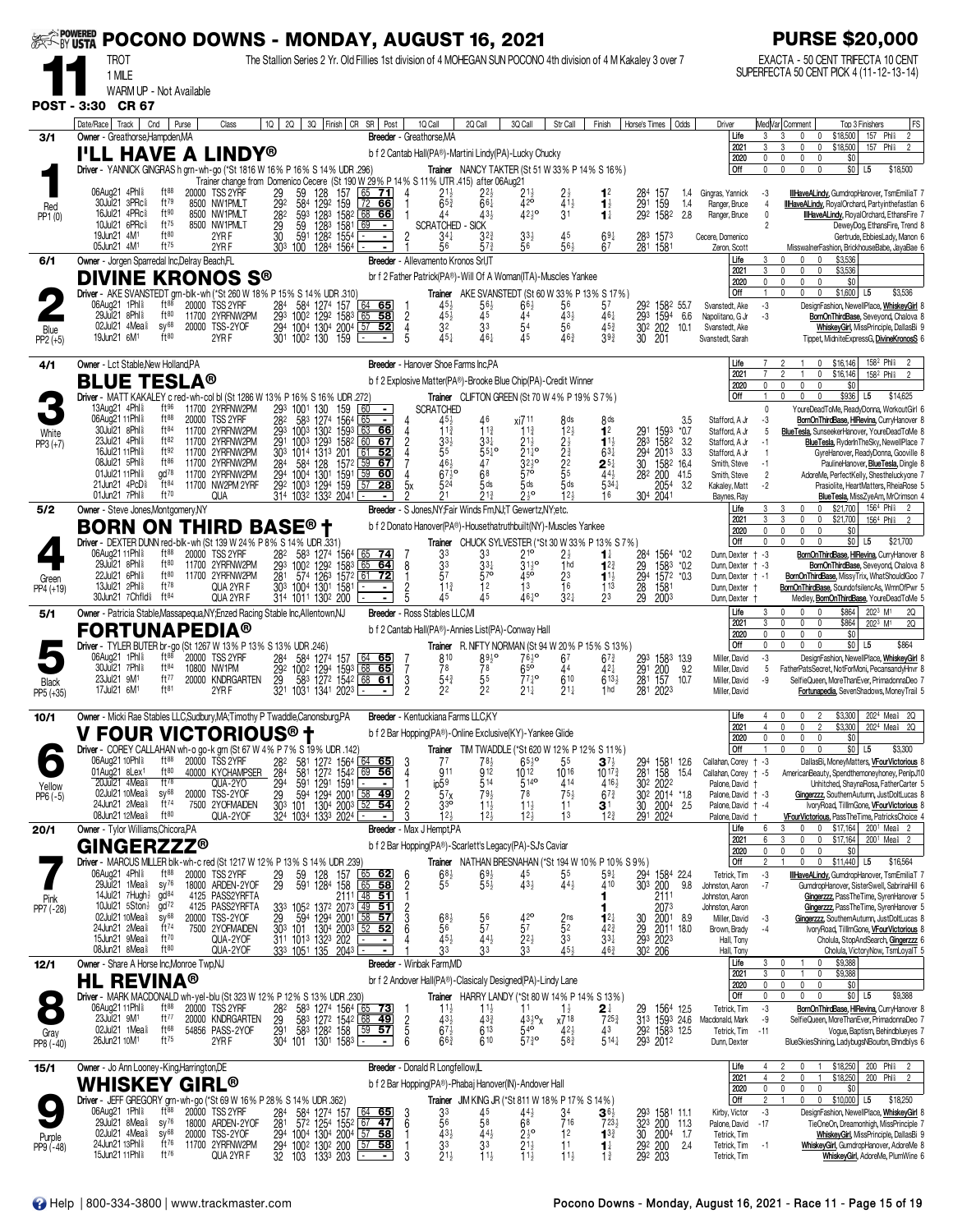| <b>SEEF-BY USTA</b>  |                                                                                                            |                                                   |                |                                                      |                               |                                                                                                                                                                                                            | POCONO DOWNS - MONDAY, AUGUST 16, 2021                                                                                                                                                             |                                              |                                            |                                                                                                                                  |                                                                      |                                                     |                                                         |                        |                                                                       |                      |                                                     |                              | <b>PURSE \$20,000</b>                                                                                                                                                                  |
|----------------------|------------------------------------------------------------------------------------------------------------|---------------------------------------------------|----------------|------------------------------------------------------|-------------------------------|------------------------------------------------------------------------------------------------------------------------------------------------------------------------------------------------------------|----------------------------------------------------------------------------------------------------------------------------------------------------------------------------------------------------|----------------------------------------------|--------------------------------------------|----------------------------------------------------------------------------------------------------------------------------------|----------------------------------------------------------------------|-----------------------------------------------------|---------------------------------------------------------|------------------------|-----------------------------------------------------------------------|----------------------|-----------------------------------------------------|------------------------------|----------------------------------------------------------------------------------------------------------------------------------------------------------------------------------------|
|                      | <b>TROT</b><br>1 MILE                                                                                      |                                                   |                |                                                      |                               |                                                                                                                                                                                                            | The Stallion Series 2 Yr. Old Fillies 1st division of 4 MOHEGAN SUN POCONO 4th division of 4 M Kakaley 3 over 7                                                                                    |                                              |                                            |                                                                                                                                  |                                                                      |                                                     |                                                         |                        |                                                                       |                      |                                                     |                              | EXACTA - 50 CENT TRIFECTA 10 CENT<br>SUPERFECTA 50 CENT PICK 4 (11-12-13-14)                                                                                                           |
|                      | WARM UP - Not Available                                                                                    |                                                   |                |                                                      |                               |                                                                                                                                                                                                            |                                                                                                                                                                                                    |                                              |                                            |                                                                                                                                  |                                                                      |                                                     |                                                         |                        |                                                                       |                      |                                                     |                              |                                                                                                                                                                                        |
| <b>POST - 3:30</b>   | <b>CR 67</b><br>Date/Race   Track                                                                          | Cnd<br>Purse                                      |                | Class                                                | 1Q<br>2Q                      |                                                                                                                                                                                                            | 3Q Finish   CR SR   Post                                                                                                                                                                           |                                              | 1Q Call                                    | 2Q Call                                                                                                                          | 3Q Call                                                              | Str Call                                            | Finish                                                  | Horse's Times   Odds   |                                                                       |                      | Driver                                              |                              | Med Var  Comment<br>Top 3 Finishers<br> FS                                                                                                                                             |
| 3/1                  | Owner - Greathorse, Hampden, MA                                                                            |                                                   |                |                                                      |                               |                                                                                                                                                                                                            |                                                                                                                                                                                                    |                                              | Breeder - Greathorse, MA                   |                                                                                                                                  |                                                                      |                                                     |                                                         |                        |                                                                       |                      | Life<br>2021                                        | 3<br>3                       | 157 Phl <sup>\$</sup><br>$\overline{2}$<br>\$18,500<br>3<br>$\mathbf 0$<br>$\mathbf 0$<br>\$18,500<br>157<br>Phli<br>3<br>0<br>0<br>$\overline{2}$                                     |
|                      | <b>I'LL HAVE A LINDY®</b><br>Driver - YANNICK GINGRAS h grn-wh-go (*St 1816 W 16% P 16% S 14% UDR 296)     |                                                   |                |                                                      |                               |                                                                                                                                                                                                            |                                                                                                                                                                                                    |                                              |                                            | b f 2 Cantab Hall(PA®)-Martini Lindy(PA)-Lucky Chucky<br><b>Trainer</b> NANCY TAKTER (St 51 W 33% P 14% S 16%)                   |                                                                      |                                                     |                                                         |                        |                                                                       |                      | 2020<br><b>Off</b>                                  | 0<br>$\mathbf 0$             | 0<br>$\mathbf{0}$<br>\$0<br>0<br>$$0$ L5<br>$\mathbf{0}$<br>$\mathbf{0}$<br>$\mathbf{0}$<br>\$18,500                                                                                   |
|                      | 06Aug21 4Phl <sup>§</sup>                                                                                  | $ft^{88}$                                         |                | 20000 TSS 2YRF                                       | 29                            | 128                                                                                                                                                                                                        | Trainer change from Domenico Cecere (St 190 W 29% P 14% S 11% UTR 415) after 06Aug21<br>157<br>65<br><u>71</u>                                                                                     | 4                                            |                                            |                                                                                                                                  |                                                                      |                                                     | 1 <sup>2</sup>                                          |                        | 157                                                                   | 1.4                  | Gingras, Yannick                                    | -3                           | IllHaveALindy, GumdropHanover, TsmEmiliaT                                                                                                                                              |
| Red                  | 30Jul21 3PRc<br>16Jul21 4PRc                                                                               | $ft^{79}$<br>ft90                                 |                | 8500 NW1PMLT<br>8500 NW1PMLT                         | 292<br>282                    | 59<br>58 <sup>4</sup><br>129 <sup>2</sup><br>593 1283 1582 68                                                                                                                                              | 159<br>  72<br>66<br><u>66</u>                                                                                                                                                                     |                                              | $213$<br>653<br>44                         | $2^{2\frac{1}{2}}$<br>6 <sup>6</sup><br>433                                                                                      | $^{21\frac{1}{2}}_{42}$<br>$42^{10}$                                 | $2\frac{1}{2}$<br>41 <sup>1</sup><br>3 <sup>1</sup> | $\mathbf{1}_{2}^{1}$<br>$\mathbf{1}^{\ddagger}$         | 284<br>291             | 159<br>292 1582                                                       | 1.4<br>2.8           | Ranger, Bruce<br>Ranger, Bruce                      | 4<br>0                       | <b>IllHaveALindy, RoyalOrchard, Partyinthefastlan 6</b><br><b>IllHaveALindy</b> , RoyalOrchard, EthansFire 7                                                                           |
| PP1(0)               | 10Jul21 6PRc <sup>§</sup><br>19Jun21 4M <sup>1</sup>                                                       | ft75<br>ft80                                      |                | 8500 NW1PMLT<br>2YR F                                | 29<br>$\bar{30}$              | 128 <sup>3</sup> 1581<br>128 <sup>2</sup> 1554<br>59<br>591                                                                                                                                                | 69<br>$\blacksquare$<br>$\blacksquare$                                                                                                                                                             | $\overline{c}$                               | <b>SCRATCHED - SICK</b><br>$34\frac{1}{4}$ | $3^{2^{3}}$                                                                                                                      | $33\frac{1}{2}$                                                      | 45                                                  | $69\frac{1}{4}$                                         |                        | 283 1573                                                              |                      | Cecere, Domenico                                    | $\mathfrak{p}$               | DeweyDog, EthansFire, Trend 8<br>Gertrude, EbbiesLady, Manon 6                                                                                                                         |
|                      | 05Jun21 4M <sup>1</sup>                                                                                    | ft75                                              |                | 2YRF                                                 | 303 100                       |                                                                                                                                                                                                            | 1284 1564 ⊡                                                                                                                                                                                        |                                              | 56                                         | 57}                                                                                                                              | 56                                                                   | 561                                                 | 67                                                      |                        | 281 1581                                                              |                      | Zeron, Scott<br>Life                                | 3                            | MisswalnerFashion, BrickhouseBabe, JayaBae 6<br>\$3,536<br>$\theta$<br>0<br>0                                                                                                          |
| 6/1                  | Owner - Jorgen Sparredal Inc, Delray Beach, FL<br><b>DIVINE KRONOS S®</b>                                  |                                                   |                |                                                      |                               |                                                                                                                                                                                                            |                                                                                                                                                                                                    |                                              | Breeder - Allevamento Kronos Srl, IT       | br f 2 Father Patrick(PA®)-Will Of A Woman(ITA)-Muscles Yankee                                                                   |                                                                      |                                                     |                                                         |                        |                                                                       |                      | 2021<br>2020                                        | 3<br>$\mathbf 0$             | \$3,536<br>$\mathbf 0$<br>$\mathbf{0}$<br>\$0<br>$\mathbf{0}$<br>0<br>$\mathbf 0$                                                                                                      |
|                      | Driver - AKE SVANSTEDT grn-blk-wh (*St 260 W 18% P 15% S 14% UDR 310)<br>06Aug21 1Phl <sup>§</sup>         | ft88                                              |                | 20000 TSS 2YRF                                       |                               |                                                                                                                                                                                                            | 64 65                                                                                                                                                                                              |                                              |                                            | <b>Trainer</b> AKE SVANSTEDT (St 60 W 33% P 13% S 17%)                                                                           | $66\frac{1}{2}$                                                      | 56                                                  | 57                                                      |                        | 292 1582 55.7                                                         |                      | Off<br>Svanstedt, Ake                               | $\overline{1}$<br>-3         | \$1,600 L5<br>$\Omega$<br>\$3,536<br>DesignFashion, NewellPlace, WhiskeyGirl                                                                                                           |
|                      | 29Jul21 8Phl <sup>§</sup><br>02Jul21 $4$ Mea $\frac{5}{8}$                                                 | ft80<br>$SV^{68}$                                 | 11700<br>20000 | 2YRFNW2PM<br>TSS-2YOF                                | 294                           | 284 584 1274 157<br>293 1002 1292 1583<br>1004 1304 2004                                                                                                                                                   | 58<br>65<br>57<br>52                                                                                                                                                                               | $\overline{2}$<br>4                          | $45\frac{1}{2}$<br>32                      | $\frac{56}{45}$<br>3 <sup>3</sup>                                                                                                | 44<br>54                                                             | $43\frac{1}{2}$<br>56                               | 461<br>$45\frac{3}{4}$                                  |                        | 293 1594<br>30 <sup>2</sup> 202                                       | 6.6<br>10.1          | Napolitano, G Jr<br>Svanstedt, Ake                  | -3                           | BornOnThirdBase, Seveyond, Chalova 8<br>WhiskeyGirl, MissPrinciple, DallasBi 9                                                                                                         |
| Blue<br>$PP2 (+5)$   | 19Jun21 6M <sup>1</sup>                                                                                    | ft80                                              |                | 2YRF                                                 |                               | 301 1002 130 159                                                                                                                                                                                           |                                                                                                                                                                                                    | 5                                            | 451                                        | 461                                                                                                                              | 45                                                                   | 463                                                 | $39\frac{3}{4}$                                         | 30 201                 |                                                                       |                      | Svanstedt, Sarah                                    |                              | Tippet, MidniteExpressG, DivineKronosS 6                                                                                                                                               |
| 4/1                  | Owner - Lct Stable, New Holland, PA                                                                        |                                                   |                |                                                      |                               |                                                                                                                                                                                                            |                                                                                                                                                                                                    |                                              | Breeder - Hanover Shoe Farms Inc.PA        |                                                                                                                                  |                                                                      |                                                     |                                                         |                        |                                                                       |                      | Life<br>2021                                        | $\overline{7}$               | 158 <sup>2</sup> Phis<br>\$16,146<br>$\overline{2}$<br>0<br>$\mathbf{1}$<br>$\mathbf 0$<br>\$16,146<br>158 <sup>2</sup> Phl <sup>§</sup><br>2<br>$\overline{\phantom{a}}$              |
|                      | <b>BLUE TESLA®</b><br>Driver - MATT KAKALEY c red-wh-col bl (St 1286 W 13% P 16% S 16% UDR .272)           |                                                   |                |                                                      |                               |                                                                                                                                                                                                            |                                                                                                                                                                                                    |                                              |                                            | b f 2 Explosive Matter(PA®)-Brooke Blue Chip(PA)-Credit Winner<br>Trainer CLIFTON GREEN (St 70 W 4% P 19% S 7%)                  |                                                                      |                                                     |                                                         |                        |                                                                       |                      | 2020<br>Off                                         | $\mathbf{0}$<br>$\mathbf{1}$ | \$0<br>0<br>$\Omega$<br>n<br>\$936<br>$\mathbf 0$<br>0<br>L <sub>5</sub><br>\$14,625                                                                                                   |
|                      | 13Aug21 4Phl <sup>§</sup><br>06Aug21 11Phl <sup>§</sup>                                                    | ft 96<br>$ft^{88}$                                | 20000          | 11700 2YRFNW2PM<br>TSS 2YRF                          | 293<br>282                    | 1001<br>130                                                                                                                                                                                                | 60<br>159<br>$\blacksquare$                                                                                                                                                                        |                                              | <b>SCRATCHED</b>                           | 46                                                                                                                               |                                                                      |                                                     |                                                         |                        |                                                                       |                      | Stafford, A Jr                                      | 0                            | YoureDeadToMe, ReadyDonna, WorkoutGirl 6<br>BornOnThirdBase, HIRevina, CurryHanover 8                                                                                                  |
| White                | 30Jul21 8Phl <sup>§</sup><br>23Jul21 4Phl <sup>§</sup>                                                     | ft84<br>ft82                                      | 11700          | 11700 2YRFNW2PM<br>2YRFNW2PM                         | 293<br>291                    | 583 1274 1564<br>1003 1302 1593<br>1003<br>1293                                                                                                                                                            | 65<br>63<br>66<br>1582<br>67<br>60                                                                                                                                                                 |                                              | $11\frac{3}{4}$                            | $11\frac{3}{4}$<br>$33\frac{1}{4}$                                                                                               | xi7 11<br>$11\frac{3}{4}$<br>$21\frac{1}{2}$                         | 8 <sub>ds</sub><br>$12\frac{1}{2}$                  | 8 <sub>ds</sub><br>1 <sup>2</sup><br>$1^{1\frac{1}{2}}$ | 291<br>283             | 1593<br>1582                                                          | 3.5<br>$*0.7$<br>3.2 | Stafford, A Jr<br>Stafford, A Jr                    | -3<br>5<br>$-1$              | BlueTesla, SunseekerHanover, YoureDeadToMe 8                                                                                                                                           |
| $PP3 (+7)$           | 16Jul21 11Phl <sup>§</sup><br>08Jul21 5Phl <sup>§</sup>                                                    | ft92<br>ft86                                      |                | 11700 2YRFNW2PM<br>11700 2YRFNW2PM                   | 303<br>284                    | 1014 1313 201<br>584<br>128                                                                                                                                                                                | 61<br>52<br>59<br>67<br>1572                                                                                                                                                                       |                                              | 55<br>464                                  | $55^{10}$<br>47                                                                                                                  | $21\frac{1}{4}$ <sup>o</sup><br>$3^{2^{10}}$                         | $2\frac{1}{2}$<br>$2\frac{5}{4}$<br>$2\frac{2}{5}$  | $63\frac{1}{4}$                                         |                        | 294 2013<br>30 1582<br>1582 16.4                                      | 3.3                  | Stafford, A Jr<br>Smith, Steve                      | $\overline{1}$<br>$-1$       | BlueTesla, RyderInTheSky, NewellPlace 7<br>GyreHanover, ReadyDonna, Gooville 8<br>PaulineHanover, <b>BlueTesla</b> , Dingle 8                                                          |
|                      | 01Jul21 11Phl <sup>§</sup><br>21Jun21 4PcD <sup>§</sup>                                                    | $\alpha$ d <sup>78</sup><br>ft 84                 |                | 11700 2YRFNW2PM<br>11700 NW2PM 2YRF                  | 294                           | 1004 1301<br>292 1003 1294 159                                                                                                                                                                             | 59<br>1591<br>60<br>57<br>28                                                                                                                                                                       |                                              | $67\frac{1}{2}$ <sup>o</sup><br>524        | 68<br>5 <sub>ds</sub>                                                                                                            | $57^\circ$<br>$5$ ds                                                 | $5$ ds                                              | $2^{5\frac{1}{4}}$<br>44 <sup>1</sup><br>$5^{34}$       |                        | 282 200<br>2054                                                       | 41.5<br>3.2          | Smith, Steve<br>Kakaley, Matt                       | $\overline{2}$<br>$-2$       | AdoreMe, PerfectKelly, Shestheluckyone<br>Prasiolite, HeartMatters, RheiaRose                                                                                                          |
|                      | 01Jun21 7Phl <sup>§</sup>                                                                                  | ft70                                              |                | QUA                                                  |                               | 314 1032 1332 2041                                                                                                                                                                                         |                                                                                                                                                                                                    |                                              | 21                                         | $21\frac{3}{4}$                                                                                                                  | $2^{\frac{1}{2}^{\circ}}$                                            | 12 <sub>3</sub>                                     | 16                                                      |                        | 304 2041                                                              |                      | Baynes, Ray<br>Life                                 | 3                            | <b>BlueTesla, MissZyeAm, MrCrimson</b><br>\$21,700<br>156 <sup>4</sup> Phl៖<br>3<br>0<br>0<br>$\overline{2}$                                                                           |
| 5/2                  | Owner - Steve Jones, Montgomery, NY<br><b>BORN ON THIRD BASE® †</b>                                        |                                                   |                |                                                      |                               |                                                                                                                                                                                                            |                                                                                                                                                                                                    |                                              |                                            | Breeder - S Jones, NY; Fair Winds Fm, NJ; T Gewertz, NY; etc.<br>b f 2 Donato Hanover(PA®)-Housethatruthbuilt(NY)-Muscles Yankee |                                                                      |                                                     |                                                         |                        |                                                                       |                      | 2021<br>2020                                        | 3<br>0                       | 3<br>$\mathbf 0$<br>0<br>\$21,700<br>156 <sup>4</sup> Phl <sup>§</sup><br>$\overline{2}$<br>\$0<br>$\mathbf{0}$<br>$\mathbf 0$<br>$\mathbf{0}$                                         |
|                      | Driver - DEXTER DUNN red-blk-wh (St 139 W 24% P 8% S 14% UDR .331)<br>06Aug21 11Phl <sup>§</sup>           | $ft^{88}$                                         |                |                                                      |                               |                                                                                                                                                                                                            |                                                                                                                                                                                                    |                                              |                                            | Trainer CHUCK SYLVESTER (*St 30 W 33% P 13% S 7%)                                                                                |                                                                      |                                                     |                                                         |                        |                                                                       |                      | Off                                                 | 0                            | $$0$ L5<br>\$21,700<br>$\Omega$                                                                                                                                                        |
|                      | 29Jul21 8Phl \$<br>22Jul21 6Phl <sup>§</sup>                                                               | ft80<br>ft80                                      |                | 20000 TSS 2YRF<br>11700 2YRFNW2PM<br>11700 2YRFNW2PM | 28 <sup>2</sup><br>293<br>281 | 583 1274 1564<br>1002<br>129 <sup>2</sup>                                                                                                                                                                  | <u>74</u><br>1583<br>65<br>64                                                                                                                                                                      | 8<br>-1                                      | 33<br>$\frac{33}{5}$<br>57                 | 33<br>334<br>57 <sup>o</sup>                                                                                                     | $21^{\circ}$<br>$31^{19}$<br>45 <sup>o</sup>                         | $2\frac{1}{2}$ <sub>hd</sub><br>23                  | 1 ∤<br>$1^{2^{3}}$                                      |                        | 284 1564 *0.2<br>29 1583 *0.2<br>294 1572 *0.3                        |                      | Dunn, Dexter<br>Dunn, Dexter † -3                   | $+ -3$                       | BornOnThirdBase, HIRevina, CurryHanover<br>BornOnThirdBase, Seveyond, Chalova 8                                                                                                        |
| Green<br>PP4 (+19)   | 13Jul21 2Phl <sup>§</sup><br>30Jun21 7Chfld <sup>§</sup> ft <sup>84</sup>                                  | $ft^{78}$                                         |                | QUA 2YR F<br>QUA 2YR F                               |                               | 30 <sup>3</sup> 1004 1301 1581<br>314 1011 1302 200                                                                                                                                                        | 574 1263 1572 61 72<br>$\blacksquare$                                                                                                                                                              | $\frac{2}{5}$                                | $11\frac{3}{4}$<br>45                      | 12<br>45                                                                                                                         | 13<br>46 <sup>1</sup> °                                              | 16<br>$32+$                                         | $1^{11}$<br>113<br>23                                   | 28<br>29               | 1581<br>2003                                                          |                      | Dunn, Dexter<br>Dunn, Dexter<br>Dunn, Dexter        | $+ -1$                       | BornOnThirdBase, MissyTrix, WhatShouldIGoo<br>BornOnThirdBase, SoundofsilencAs, WmnOfPwr<br>Medley, BornOnThirdBase, YoureDeadToMe 5                                                   |
| 5/1                  | Owner - Patricia Stable, Massapequa, NY; Enzed Racing Stable Inc, Allentown, NJ                            |                                                   |                |                                                      |                               |                                                                                                                                                                                                            |                                                                                                                                                                                                    |                                              | <b>Breeder</b> - Ross Stables LLC, MI      |                                                                                                                                  |                                                                      |                                                     |                                                         |                        |                                                                       |                      | Life<br>2021                                        | 3<br>3                       | $\mathbf{0}$<br>\$864<br>$202^3$ M <sup>1</sup><br>2Q<br>0<br>\$864<br>0<br>0<br>n                                                                                                     |
|                      | <b>FORTUNAPEDIA®</b><br>Driver - TYLER BUTER br-go (St 1267 W 13% P 13% S 13% UDR .246)                    |                                                   |                |                                                      |                               |                                                                                                                                                                                                            |                                                                                                                                                                                                    |                                              |                                            | b f 2 Cantab Hall(PA®)-Annies List(PA)-Conway Hall<br>Trainer R. NIFTY NORMAN (St 94 W 20% P 15% S 13%)                          |                                                                      |                                                     |                                                         |                        |                                                                       |                      | 2020<br><b>Off</b>                                  | $\mathbf{0}$<br>0            | 202 <sup>3</sup> M <sup>1</sup><br><b>2Q</b><br>\$0<br>$\mathbf{0}$<br>$\mathbf 0$<br>$\Omega$<br>\$0 L5<br>\$864<br>$\mathbf{0}$<br>$\mathbf 0$<br>$\mathbf{0}$                       |
|                      | 06Aug21 1Phl <sup>§</sup><br>30Jul21 7Phl <sup>§</sup>                                                     | $ft^{88}$<br>ft84                                 | 10800 NW1PM    | 20000 TSS 2YRF                                       | 284                           | 584 1274 157                                                                                                                                                                                               | 64 65<br>68 65                                                                                                                                                                                     |                                              | 810<br>78                                  | $89\frac{1}{2}$<br>78                                                                                                            | $76\frac{1}{2}$ <sup>o</sup><br>$65$ <sup>o</sup>                    | 67<br>44                                            | $67\frac{3}{4}$                                         |                        |                                                                       |                      | Miller, David                                       | -3                           | DesignFashion, NewellPlace, WhiskeyGirl                                                                                                                                                |
| Black                | 23Jul21 9M <sup>1</sup><br>17Jul21 6M <sup>1</sup>                                                         | ft77<br>ft81                                      |                | 20000 KNDRGARTEN<br>2YR F                            | $\frac{29}{32}$               | 292 1002 1294 1593<br>583<br>1031 1341 2023                                                                                                                                                                | 127 <sup>2</sup> 1542 68 61                                                                                                                                                                        | 7<br>$\frac{3}{2}$                           | $54\frac{3}{4}$<br>22                      | $\frac{5^5}{2^2}$                                                                                                                | $77\frac{1}{4}$ <sup>o</sup><br>$21\frac{1}{4}$                      | 610<br>$21\frac{1}{4}$                              | 421<br>$613\frac{1}{2}$<br>1 <sub>hd</sub>              |                        | 293 1583 13.9<br>291 200 9.2<br>281 157 10.7<br>281 2023              |                      | Miller, David<br>Miller, David<br>Miller, David     | 5<br>-9                      | FatherPatsSecret, NotForMoni, PecansandyHnvr 8<br>SelfieQueen, MoreThanEver, PrimadonnaDeo 7<br>Fortunapedia, SevenShadows, MoneyTrail 5                                               |
| PP5 (+35)            |                                                                                                            |                                                   |                |                                                      |                               |                                                                                                                                                                                                            |                                                                                                                                                                                                    |                                              |                                            |                                                                                                                                  |                                                                      |                                                     |                                                         |                        |                                                                       |                      |                                                     |                              |                                                                                                                                                                                        |
| 10/1                 | Owner - Micki Rae Stables LLC, Sudbury, MA; Timothy P Twaddle, Canonsburg, PA<br><b>V FOUR VICTORIOUS®</b> |                                                   |                |                                                      |                               | Ť                                                                                                                                                                                                          |                                                                                                                                                                                                    |                                              | <b>Breeder</b> - Kentuckiana Farms LLC.KY  | b f 2 Bar Hopping(PA®)-Online Exclusive(KY)-Yankee Glide                                                                         |                                                                      |                                                     |                                                         |                        |                                                                       |                      | Life<br>2021                                        | 4                            | 202 <sup>4</sup> Mea <sup>\$</sup> 2Q<br>\$3,300<br>$\mathsf{r}$<br>$\mathsf{r}$<br>2<br>\$3,300<br>2024 Meal<br>20                                                                    |
|                      | Driver - COREY CALLAHAN wh-o go-k grn (St 67 W 4% P 7% S 19% UDR .142)                                     |                                                   |                |                                                      |                               |                                                                                                                                                                                                            |                                                                                                                                                                                                    |                                              |                                            | Trainer TIM TWADDLE (*St 620 W 12% P 12% S 11%)                                                                                  |                                                                      |                                                     |                                                         |                        |                                                                       |                      | 2020<br>Off                                         | 0<br>-1                      | \$0<br>0<br>$\Omega$<br>0<br>$$0$ L5<br>\$3,300<br>$\Omega$<br>$\mathbf 0$<br>$\Omega$                                                                                                 |
|                      | 06Aug21 10Phl \$<br>01Aug21 8Lex1                                                                          | ft88<br>ft80<br>$ft^{78}$                         |                | 20000 TSS 2YRF<br>40000 KYCHAMPSER                   | 282<br>284                    | 581                                                                                                                                                                                                        | 581 1272 1564 64 65<br>1272 1542 69 56                                                                                                                                                             | 3<br>$\overline{4}$                          | 77<br>911                                  | 78½<br>912                                                                                                                       | $65\frac{1}{2}$ <sup>o</sup><br>$10^{12}$                            | 55<br>1016                                          | $3^{7}\frac{1}{2}$<br>$10^{17}$                         | 294<br>281             | 1581 12.6<br>158                                                      | 15.4                 | Callahan, Corey<br>Callahan, Corey                  | $+ -3$<br>$+ -5$             | DallasBi, MoneyMatters, VFourVictorious 8<br>AmericanBeauty, Spendthemoneyhoney, PenlpJ10                                                                                              |
| Yellow<br>$PP6 (-5)$ | 20Jul21 4Mea<br>02Jul21 10Mea <sup>§</sup><br>24Jun21 2Mea <sup>§</sup>                                    | $SV^{68}$<br>$ft^{74}$                            |                | QUA-2YO<br>20000 TSS-2YOF<br>7500 2YOFMAIDEN         | $\frac{29}{29}$               | 591                                                                                                                                                                                                        | $1291$ 1591 $\Box$<br>594 1294 2001 58 49                                                                                                                                                          | $\frac{2}{2}$                                | $i$ p $59$<br>57x                          | 514<br>793                                                                                                                       | 514 <sup>o</sup><br>78                                               | 414<br>$75\frac{1}{2}$                              | $4^{16}$<br>$67\frac{3}{4}$                             |                        | 302 2022<br>302 2014 *1.8                                             |                      | Palone, David<br>Palone, David + -3                 | $\ddagger$                   | Unhitched, ShaynaRosa, FatherCarter 5<br>Gingerzzz, SouthernAutumn, JustDoltLucas 8                                                                                                    |
|                      | 08Jun21 12Mea <sup>§</sup>                                                                                 | $ft^{80}$                                         |                | QUA-2YOF                                             |                               | 324 1034 1333 2024 -                                                                                                                                                                                       | 303 101 1304 2003 52 54                                                                                                                                                                            |                                              | 3 <sup>3</sup><br>12 <sub>3</sub>          | $11\frac{1}{2}$<br>$12\frac{5}{5}$                                                                                               | $11\frac{1}{2}$<br>12 <sub>3</sub>                                   | 11<br>13                                            | 3 <sup>1</sup><br>12 <sub>3</sub>                       | $\frac{30}{291}$       | $200^4$ 2.5<br>2024                                                   |                      | Palone, David + -4<br>Palone, David                 |                              | IvoryRoad, TillImGone, VFourVictorious 8<br>VFourVictorious, PassTheTime, PatricksChoice 4                                                                                             |
| 20/1                 | Owner - Tylor Williams, Chicora, PA<br><b>GINGERZZZ®</b>                                                   |                                                   |                |                                                      |                               |                                                                                                                                                                                                            |                                                                                                                                                                                                    |                                              | Breeder - Max J Hempt, PA                  | b f 2 Bar Hopping(PA®)-Scarlett's Legacy(PA)-SJ's Caviar                                                                         |                                                                      |                                                     |                                                         |                        |                                                                       |                      | Life<br>2021                                        | 6<br>6<br>0                  | \$17,164<br>200 <sup>1</sup> Mea <sup>§</sup> 2<br>3<br>0<br>$\mathbf{0}$<br>3<br>0<br>0<br>\$17,164<br>200 <sup>1</sup> Mea <sup>§</sup> 2<br>$\mathbf{0}$<br>$\mathbf 0$<br>0        |
|                      | Driver - MARCUS MILLER blk-wh-c red (St 1217 W 12% P 13% S 14% UDR .239)                                   |                                                   |                |                                                      |                               |                                                                                                                                                                                                            |                                                                                                                                                                                                    |                                              |                                            | Trainer NATHAN BRESNAHAN (*St 194 W 10 % P 10 % S 9 %)                                                                           |                                                                      |                                                     |                                                         |                        |                                                                       |                      | 2020<br>Off                                         | $\overline{2}$               | \$0<br>\$11,440<br>0<br>$\mathbf{0}$<br>\$16,564<br>L5                                                                                                                                 |
|                      | 06Aug21 4Phl <sup>§</sup><br>29Jul21 1Mea <sup>§</sup>                                                     | $ft^{88}$<br>$sy^{76}$                            |                | 20000 TSS 2YRF<br>18000 ARDEN-2YOF                   | $\frac{29}{29}$               | 59<br>591<br>128<br>128 <sup>4</sup>                                                                                                                                                                       | 157<br>$65$ 62<br>65<br>58<br>158                                                                                                                                                                  | -6<br>$\overline{2}$                         | $68\frac{1}{2}$<br>55                      | $69\frac{1}{2}$<br>$55\frac{1}{2}$                                                                                               | 45<br>$43\frac{1}{2}$                                                | 55<br>$44\frac{1}{2}$                               | $59\frac{1}{4}$<br>410                                  | 294<br>30 <sup>3</sup> | 1584 22.4<br>200                                                      | 9.8                  | Tetrick, Tim<br>Johnston, Aaron                     | -3<br>$-7$                   | IllHaveALindy, GumdropHanover, TsmEmiliaT 7<br>GumdropHanover, SisterSwell, SabrinaHill 6                                                                                              |
| Pink<br>PP7 (-28)    | 14Jul21 $7$ Hugh $\frac{1}{2}$<br>10Jul21 $5$ Ston $\frac{1}{2}$<br>02Jul21 10Mea <sup>§</sup>             | gd <sup>84</sup><br>gd <sup>72</sup><br>$SV^{68}$ |                | 4125 PASS2YRFTA<br>4125 PASS2YRFTA                   | 333                           |                                                                                                                                                                                                            | $105^2$ 137 <sup>2</sup> 2073 49 51                                                                                                                                                                | $\frac{2}{3}$                                |                                            |                                                                                                                                  |                                                                      |                                                     |                                                         |                        | 2111<br>2073                                                          |                      | Johnston, Aaron<br>Johnston, Aaron<br>Miller, David |                              | Gingerzzz, PassTheTime, SyrenHanover 5<br>Gingerzzz, PassTheTime, SyrenHanover 5                                                                                                       |
|                      | 24Jun21 2Mea <sup>§</sup><br>15Jun21 9Mea <sup>§</sup>                                                     | $ft^{74}$<br>ft70                                 |                | 20000 TSS-2YOF<br>7500 2YOFMAIDEN<br>QUA-2YOF        |                               | $\frac{29}{30^3}$ $\frac{594}{129^4}$ $\frac{2001}{200^3}$<br>$\frac{303}{31^1}$ $\frac{1013}{101^3}$ $\frac{1323}{132^3}$ $\frac{202}{202}$<br>$\frac{333}{105^1}$ $\frac{135}{135}$ $\frac{2043}{105^1}$ | $58$ 57<br>$52$ 52                                                                                                                                                                                 |                                              | 68 <sup>3</sup><br>45}                     | $\frac{56}{57}$<br>$44\frac{1}{2}$                                                                                               | $4^{20}_{57}$<br>$2^{21}$                                            | $\frac{2}{5}$ <sup>ns</sup><br>3 <sup>3</sup>       | $1^{2}$<br>$42\frac{3}{4}$<br>$33\frac{1}{4}$           |                        | 30 2001 8.9<br>29 2011 18.0<br>293 2023                               |                      | Brown, Brady<br>Hall, Tony                          | $-3$<br>$-4$                 | Gingerzzz, SouthernAutumn, JustDoltLucas 8<br>IvoryRoad, TillImGone, VFourVictorious 8<br>Cholula, StopAndSearch, Gingerzzz 6                                                          |
|                      | 08Jun21 8Mea <sup>§</sup>                                                                                  | $ft^{80}$                                         |                | QUA-2YOF                                             |                               |                                                                                                                                                                                                            |                                                                                                                                                                                                    |                                              | 33                                         | 33                                                                                                                               | 33                                                                   | 453                                                 | 463                                                     | 30 <sup>2</sup> 206    |                                                                       |                      | Hall, Tony                                          | 3                            | Cholula, VictoryNow, TsmLoyalT<br>$\mathbf{0}$<br>$\mathsf{r}$<br>$\mathbf{1}$                                                                                                         |
| 12/1                 | Owner - Share A Horse Inc, Monroe Twp, NJ<br><b>REVINA®</b><br>HL                                          |                                                   |                |                                                      |                               |                                                                                                                                                                                                            |                                                                                                                                                                                                    |                                              | Breeder - Winbak Farm, MD                  | br f 2 Andover Hall(PA®)-Clasicaly Designed(PA)-Lindy Lane                                                                       |                                                                      |                                                     |                                                         |                        |                                                                       |                      | Life<br>2021<br>2020                                | 3<br>$\mathbf{0}$            | \$9,388<br>\$9,388<br>$\mathbf 0$<br>0<br>\$0<br>0<br>$\mathbf{0}$<br>$\mathbf{0}$                                                                                                     |
| $\bullet$            | Driver - MARK MACDONALD wh-yel-blu (St 323 W 12% P 12% S 13% UDR .230)<br>06Aug21 11Phl \$                 |                                                   |                |                                                      |                               |                                                                                                                                                                                                            |                                                                                                                                                                                                    |                                              | Trainer                                    | HARRY LANDY (*St 80 W 14% P 14% S 13%)                                                                                           |                                                                      |                                                     |                                                         |                        |                                                                       |                      | Off                                                 | 0                            | $$0$ L5<br>\$9,388<br>$\Omega$<br>$\mathbf 0$<br>$\mathbf{0}$                                                                                                                          |
|                      | 23Jul21 9M <sup>1</sup>                                                                                    | ft 88<br>ft77<br>ft68                             |                | 20000 TSS 2YRF<br>20000 KNDRGARTEN                   | $\frac{28^2}{29}$             |                                                                                                                                                                                                            | 583 1274 1564 65 73<br>583 1272 1542 68 49                                                                                                                                                         | $\begin{array}{c}\n2 \\ 5 \\ 6\n\end{array}$ | 11<br>43}                                  | $11\frac{1}{2}$<br>$43\frac{3}{4}$                                                                                               | 11<br>$43\frac{1}{2}$ ° <sub>X</sub><br>$54^{\circ}$                 | $1\frac{1}{2}$<br>x718                              | $2^{\frac{1}{4}}$<br>$725\frac{3}{4}$                   |                        | 29 1564 12.5<br>313 1593 24.6                                         |                      | Tetrick, Tim<br>Macdonald, Mark                     | $-3$<br>-9                   | BornOnThirdBase, HIRevina, CurryHanover 8<br>SelfieQueen, MoreThanEver, PrimadonnaDeo 7                                                                                                |
| Gray<br>PP8 (-40)    | 02Jul21 $1$ Mea $\frac{5}{8}$<br>26Jun21 10M <sup>1</sup>                                                  | $ft^{75}$                                         |                | 54856 PASS-2YOF<br>2YRF                              | 291                           | 583 1282 158 59<br>304 101 1301 1583                                                                                                                                                                       | 57<br>ь.<br>$\blacksquare$                                                                                                                                                                         |                                              | $67\frac{1}{2}$<br>$66\frac{3}{4}$         | 613<br>610                                                                                                                       | $57^{30}$                                                            | $42\frac{1}{2}$<br>58 $\frac{3}{4}$                 | 43<br>$514\frac{1}{4}$                                  |                        | 292 1583 12.5<br>293 2012                                             |                      | Tetrick, Tim -11<br>Dunn, Dexter                    |                              | Vogue, Baptism, Behindblueyes 7<br>BlueSkiesShining, LadybugsNBourbn, Bhndblys 6                                                                                                       |
| 15/1                 | Owner - Jo Ann Looney-King, Harrington, DE                                                                 |                                                   |                |                                                      |                               |                                                                                                                                                                                                            |                                                                                                                                                                                                    |                                              | Breeder - Donald R Longfellow, IL          |                                                                                                                                  |                                                                      |                                                     |                                                         |                        |                                                                       |                      | Life                                                |                              | \$18,250<br>200 Phl <sup>§</sup><br>0<br>2                                                                                                                                             |
|                      | WHISKEY GIRL®                                                                                              |                                                   |                |                                                      |                               |                                                                                                                                                                                                            |                                                                                                                                                                                                    |                                              |                                            | b f 2 Bar Hopping (PA®) - Phabaj Hanover (IN) - Andover Hall                                                                     |                                                                      |                                                     |                                                         |                        |                                                                       |                      | 2021<br>2020<br>Off                                 | 4<br>$\mathbf{0}$<br>2       | \$18,250<br>$\overline{c}$<br>0<br>200 Phl <sup>§</sup><br>$\mathbf{1}$<br>$\overline{2}$<br>$\mathbf{0}$<br>$\mathbf{0}$<br>$\mathbf{0}$<br>\$0<br>$$10,000$ L5<br>\$18,250<br>0<br>0 |
|                      | Driver - JEFF GREGORY grn-wh-go (*St 69 W 16% P 28% S 14% UDR .362)<br>06Aug21 1Phl <sup>§</sup>           | ft 88                                             |                | 20000 TSS 2YRF                                       | $^{284}_{281}$                | 584 1274 157                                                                                                                                                                                               | $64$ 65                                                                                                                                                                                            |                                              | Trainer<br>33                              | JIM KING JR (*St 811 W 18% P 17% S 14%)<br>45                                                                                    | $44\frac{1}{2}$                                                      | 34                                                  | $36\frac{1}{2}$                                         |                        | 293 1581 11.1                                                         |                      | Kirby, Victor                                       | $-3$                         | DesignFashion, NewellPlace, WhiskeyGirl                                                                                                                                                |
| Purple<br>PP9 (-48)  | 29Jul21 8Mea<br>02Jul21 4Mea <sup>§</sup><br>24Jun21 13Phl <sup>§</sup>                                    | $sy^{76}$<br>$sy^{68}$<br>$ft^{76}$               | 20000          | 18000 ARDEN-2YOF<br>TSS-2YOF                         |                               |                                                                                                                                                                                                            | 572 1254 1552 67 47<br>$\frac{294}{294}$ $\frac{1004}{100^2}$ $\frac{1304}{2004}$ $\frac{2004}{57}$ <b>58</b><br>$\frac{294}{32}$ $\frac{1002}{103}$ $\frac{1302}{203}$ $\frac{200}{57}$ <b>58</b> | 6                                            | 56<br>$\frac{43}{3}$ <sup>3</sup>          | 58<br>$44\frac{1}{2}$                                                                                                            | 68<br>$2\frac{1}{2}$ <sup>10</sup><br>2 <sup>11</sup> / <sub>2</sub> | 716<br>1 <sup>2</sup>                               | $723\frac{1}{2}$<br>$13\frac{3}{4}$                     |                        | $\frac{2523}{323}$ 200 11.3<br>30 200 <sup>4</sup> 1.7<br>292 200 2.4 |                      | Palone, David<br>Tetrick, Tim                       | $-17$                        | TieOneOn, Dreamonhigh, MissPrinciple 7<br>WhiskeyGirl, MissPrinciple, DallasBi 9                                                                                                       |
|                      | 15Jun21 11Phl <sup>§</sup>                                                                                 | ft76                                              |                | 11700 2YRFNW2PM<br>QUA 2YR F                         |                               |                                                                                                                                                                                                            |                                                                                                                                                                                                    | 3                                            | $21\frac{1}{2}$                            | 3 <sup>3</sup><br>$11\frac{1}{2}$                                                                                                | $11\frac{1}{2}$                                                      | 11<br>$11\frac{1}{2}$                               | $1\frac{1}{4}$<br>$1\frac{3}{4}$                        |                        | $29^2$ $203$                                                          |                      | Tetrick, Tim<br>Tetrick, Tim                        | $-1$                         | WhiskeyGirl, GumdropHanover, AdoreMe 8<br>WhiskeyGirl, AdoreMe, PlumWine 6                                                                                                             |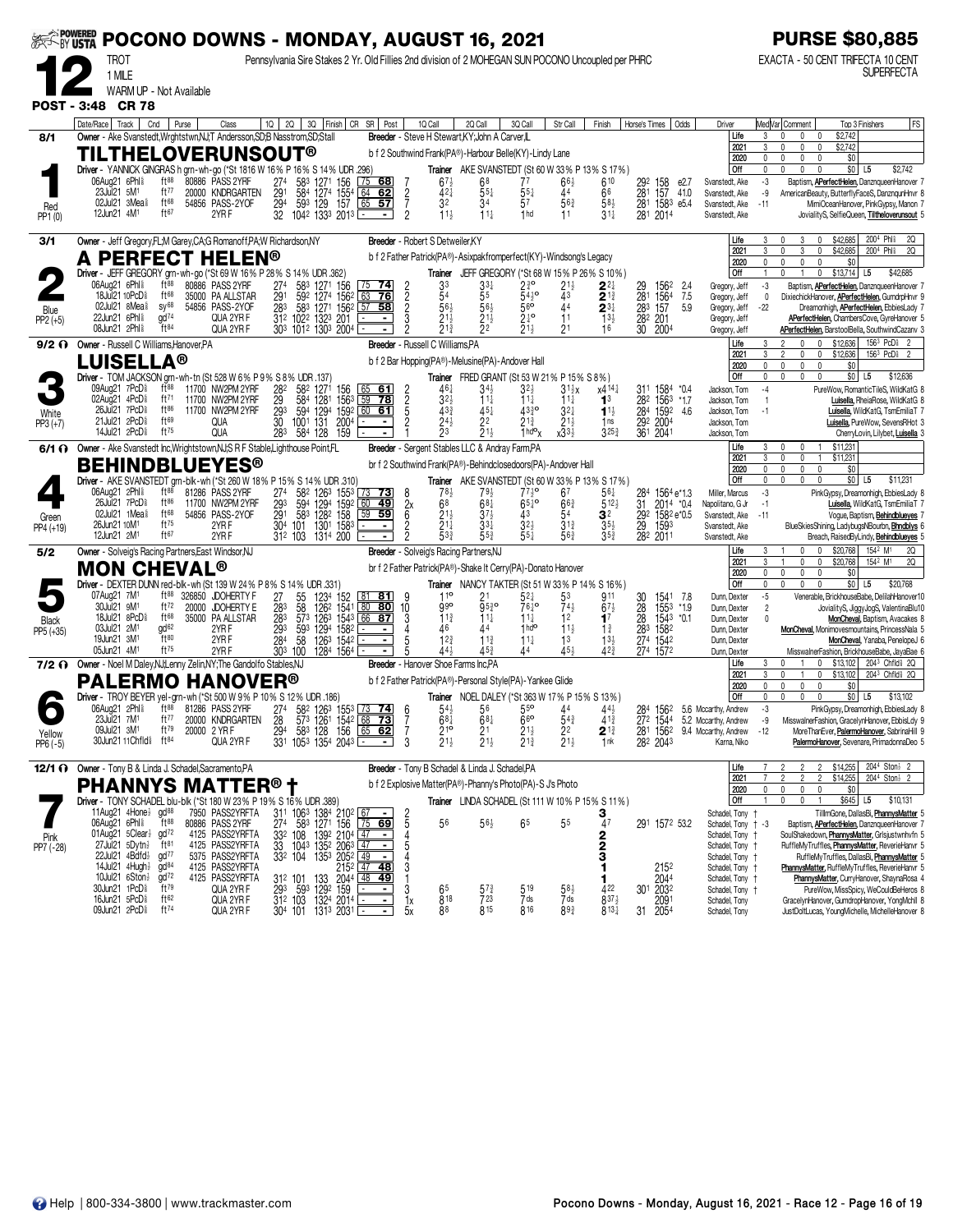|                    | <b>BY USTA</b> |                                                                           |                                      |       | POCONO DOWNS - MONDAY, AUGUST 16, 2021                                                             |                        |                                                                                     |                                                                          |                                                                                                                                                                                     |                      |                                    |                                                                                                             |                                                          |                                     |                                                                                                    |                        |                                  |                 |                                       |              |                        | <b>PURSE \$80,885</b>                                                                                |                                                                                             |
|--------------------|----------------|---------------------------------------------------------------------------|--------------------------------------|-------|----------------------------------------------------------------------------------------------------|------------------------|-------------------------------------------------------------------------------------|--------------------------------------------------------------------------|-------------------------------------------------------------------------------------------------------------------------------------------------------------------------------------|----------------------|------------------------------------|-------------------------------------------------------------------------------------------------------------|----------------------------------------------------------|-------------------------------------|----------------------------------------------------------------------------------------------------|------------------------|----------------------------------|-----------------|---------------------------------------|--------------|------------------------|------------------------------------------------------------------------------------------------------|---------------------------------------------------------------------------------------------|
|                    |                | TROT<br>1 MILE<br>WARM UP - Not Available                                 |                                      |       |                                                                                                    |                        |                                                                                     |                                                                          |                                                                                                                                                                                     |                      |                                    |                                                                                                             |                                                          |                                     | Pennsylvania Sire Stakes 2 Yr. Old Fillies 2nd division of 2 MOHEGAN SUN POCONO Uncoupled per PHRC |                        |                                  |                 |                                       |              |                        | EXACTA - 50 CENT TRIFECTA 10 CENT                                                                    | SUPERFECTA                                                                                  |
| <b>POST - 3:48</b> |                | <b>CR 78</b>                                                              |                                      |       |                                                                                                    |                        |                                                                                     |                                                                          |                                                                                                                                                                                     |                      |                                    |                                                                                                             |                                                          |                                     |                                                                                                    |                        |                                  |                 |                                       |              |                        |                                                                                                      |                                                                                             |
|                    | Date/Race      | Track                                                                     | Cnd                                  | Purse | Class                                                                                              | 1Q                     | 2Q                                                                                  |                                                                          | 3Q Finish CR SR Post                                                                                                                                                                |                      | 1Q Call                            | 2Q Call                                                                                                     | 3Q Call                                                  | Str Call                            | Finish                                                                                             |                        | Horse's Times                    | Odds            | Driver                                |              |                        | Med Var  Comment                                                                                     | FS<br>Top 3 Finishers                                                                       |
| 8/1                |                |                                                                           |                                      |       | Owner - Ake Svanstedt, Wrghtstwn, NJ; T Andersson, SD; B Nasstrom, SD; Stall<br>TILTHELOVERUNSOUT® |                        |                                                                                     |                                                                          |                                                                                                                                                                                     |                      |                                    | Breeder - Steve H Stewart, KY; John A Carver, IL<br>b f 2 Southwind Frank(PA®)-Harbour Belle(KY)-Lindy Lane |                                                          |                                     |                                                                                                    |                        |                                  |                 | Life                                  | 2021         | 3<br>3                 | \$2,742<br>$\mathbf{0}$<br>$\mathbf{0}$<br>\$2,742<br>$\mathbf{0}$<br>0                              |                                                                                             |
|                    |                |                                                                           |                                      |       | Driver - YANNICK GINGRAS h grn-wh-go (*St 1816 W 16% P 16% S 14% UDR .296)                         |                        |                                                                                     |                                                                          |                                                                                                                                                                                     |                      |                                    |                                                                                                             |                                                          |                                     | Trainer AKE SVANSTEDT (St 60 W 33% P 13% S 17%)                                                    |                        |                                  |                 | Off                                   | 2020         | 0<br>0                 | \$0<br>$\mathbf{0}$<br>0<br>0                                                                        | $$0$ L5<br>\$2,742                                                                          |
|                    |                | 06Aug21 6Phl <sup>§</sup><br>23Jul21 5M <sup>1</sup>                      | ft88<br>ft $77$                      | 80886 | <b>PASS 2YRF</b>                                                                                   |                        | 583                                                                                 | 1271 156                                                                 | 75<br>68                                                                                                                                                                            |                      | $67\frac{1}{2}$<br>$42\frac{1}{4}$ | 68                                                                                                          | 77                                                       | $66\frac{1}{2}$<br>44               | 610                                                                                                | 292                    | 158<br>157                       | e2.7            | Svanstedt, Ake                        |              | -3                     | Baptism, <b>APerfectHelen</b> , DanznqueenHanover                                                    |                                                                                             |
| Red                |                | 02Jul21 3Mea                                                              | ft68                                 | 20000 | KNDRGARTEN<br>54856 PASS-2YOF                                                                      | 291<br>29 <sup>4</sup> | 584<br>593                                                                          | $\frac{155}{157}$<br>$\frac{1274}{129}$                                  | 64<br>62<br>57<br>65                                                                                                                                                                | $\frac{2}{7}$        | 32                                 | $55\frac{1}{4}$<br>34                                                                                       | $55\frac{1}{4}$<br>57                                    | $56\frac{3}{4}$                     | 66<br>$58\frac{1}{2}$                                                                              | 281<br>281             | $158^3$ e5.4                     | 41.0            | Svanstedt, Ake<br>Svanstedt, Ake      |              | -9<br>$-11$            | AmericanBeauty, ButterflyFaceS, DanznqunHnvr                                                         | MimiOceanHanover, PinkGypsy, Manon                                                          |
| PP1(0)             |                | 12Jun21 4M <sup>1</sup>                                                   | ft67                                 |       | 2YRF                                                                                               | 32                     | 1042 1333 2013 -                                                                    |                                                                          |                                                                                                                                                                                     | $\overline{2}$       | $11\frac{1}{2}$                    | $11\frac{1}{4}$                                                                                             | 1 <sub>hd</sub>                                          | 11                                  | $31\frac{1}{4}$                                                                                    |                        | 281 2014                         |                 | Svanstedt, Ake                        |              |                        |                                                                                                      | JovialityS, SelfieQueen, Tiltheloverunsout 5                                                |
| 3/1                |                |                                                                           |                                      |       | Owner - Jeff Gregory, FL; M Garey, CA; G Romanoff, PA; W Richardson, NY                            |                        |                                                                                     |                                                                          |                                                                                                                                                                                     |                      | Breeder - Robert S Detweiler, KY   |                                                                                                             |                                                          |                                     |                                                                                                    |                        |                                  |                 | Life                                  | 2021         | 3                      | 3<br>\$42,685<br>$\Omega$<br>\$42,685<br>3<br>0                                                      | 200 <sup>4</sup> Phl <sup>§</sup><br>20<br>200 <sup>4</sup> Phl <sup>§</sup><br>20          |
|                    |                |                                                                           |                                      |       | <b>PERFECT HELEN®</b>                                                                              |                        |                                                                                     |                                                                          |                                                                                                                                                                                     |                      |                                    | b f 2 Father Patrick(PA®)-Asixpakfromperfect(KY)-Windsong's Legacy                                          |                                                          |                                     |                                                                                                    |                        |                                  |                 |                                       | 2020         | 0                      | \$0                                                                                                  |                                                                                             |
|                    |                | 06Aug21 6Phl                                                              | $ft^{88}$                            |       | Driver - JEFF GREGORY grn-wh-go (*St 69 W 16% P 28% S 14% UDR .362)<br>80886 PASS 2YRF             |                        | 583                                                                                 |                                                                          | <u>74</u>                                                                                                                                                                           |                      | Trainer                            | JEFF GREGORY (*St 68 W 15% P 26% S 10%)                                                                     |                                                          |                                     | $2^{2}$                                                                                            |                        |                                  | 2.4             | Off<br>Gregory, Jeff                  |              | -3                     | \$13,714<br>0<br>Baptism, <b>APerfectHelen</b> , DanznqueenHanover                                   | L5<br>\$42,685                                                                              |
|                    |                | 18Jul21 10PcD <sup>§</sup><br>02Jul21 8Mea                                | ft68<br>$\text{SV}^{68}$             |       | 35000 PA ALLSTAR<br>54856 PASS-2YOF                                                                | $^{274}_{291}$         | 592                                                                                 | 1271 156<br>1274 1562                                                    | 63<br>76                                                                                                                                                                            | $\frac{2}{2}$        | $3^{3}_{5^{4}}$<br>56              | 55                                                                                                          | $2\frac{3}{4}$ °<br>54 <sup>3</sup><br>$56$ <sup>o</sup> | $\frac{2^{1\frac{1}{2}}}{4^3}$      | $\overline{2}$ <sup>13</sup>                                                                       | $^{29}_{281}$          | 156 <sup>2</sup><br>1564         | 7.5             | Gregory, Jeff                         |              | 0                      | DixiechickHanover, APerfectHelen, GumdrpHnvr                                                         |                                                                                             |
| Blue<br>PP2 (+5)   |                | 22Jun21 6Phl <sup>§</sup>                                                 | $\frac{1}{2}$                        |       | QUA 2YR F                                                                                          | 283                    | 312 1022 1323 201<br>303 1012 1303 2004                                             | 583 1271 1562                                                            | $57$ 58                                                                                                                                                                             |                      | $2^{11}_{2}$<br>$2^{12}_{3}$       | $56\frac{1}{2}$<br>$\frac{2}{2}$ <sup>1<math>\frac{1}{2}</math></sup>                                       | $2^{\frac{1}{4}^{\mathbf{o}}}$                           | 44<br>11                            | $\mathbf{2}^{3\ddagger}$<br>$\frac{13\frac{1}{2}}{16}$                                             | 283<br>$\frac{28}{30}$ | 157<br>201<br>2004               | 5.9             | Gregory, Jeff<br>Gregory, Jeff        |              | -22                    | <b>APerfectHelen</b> , ChambersCove, GyreHanover                                                     | Dreamonhigh, <b>APerfectHelen</b> , EbbiesLady                                              |
| $9/2$ $\Omega$     |                | 08Jun21 2Phl <sup>§</sup><br>Owner - Russell C Williams, Hanover, PA      | $ft^{84}$                            |       | QUA 2YR F                                                                                          |                        |                                                                                     |                                                                          |                                                                                                                                                                                     |                      | Breeder - Russell C Williams, PA   |                                                                                                             | 21,                                                      | 21                                  |                                                                                                    |                        |                                  |                 | Gregory, Jeff<br>Life                 |              | 3                      | <b>APerfectHelen</b> , BarstoolBella, SouthwindCazanv<br>$\Omega$<br>$\mathbf{0}$<br>\$12,636        | $156^3$ PcD <sup>§</sup>                                                                    |
|                    |                | L <b>UISELLA®</b>                                                         |                                      |       |                                                                                                    |                        |                                                                                     |                                                                          |                                                                                                                                                                                     |                      |                                    | b f 2 Bar Hopping(PA®)-Melusine(PA)-Andover Hall                                                            |                                                          |                                     |                                                                                                    |                        |                                  |                 |                                       | 2021         | 3                      | \$12,636<br>0<br>$\Omega$                                                                            | $1563$ PcD <sup>§</sup>                                                                     |
|                    |                |                                                                           |                                      |       | Driver - TOM JACKSON grn-wh-tn (St 528 W 6% P 9% S 8% UDR .137                                     |                        |                                                                                     |                                                                          |                                                                                                                                                                                     |                      |                                    | <b>Trainer</b> FRED GRANT (St 53 W 21% P 15% S 8%)                                                          |                                                          |                                     |                                                                                                    |                        |                                  |                 | Off                                   | 2020         | 0<br>0                 | \$0<br>0<br>$\mathbf{0}$<br>0<br><sup>n</sup>                                                        | $$0$ L5<br>\$12,636                                                                         |
|                    |                | 09Aug21 7PcD <sup>5</sup><br>02Aug21 4PcD <sup>§</sup>                    | ft 88<br>ft71                        |       | 11700 NW2PM 2YRF<br>11700 NW2PM 2YRF                                                               | 282<br>29              | 582<br>584                                                                          | 1271<br>156<br>1281 1563                                                 | <u>_61</u><br>65<br>59<br><u>78</u>                                                                                                                                                 |                      | $46\frac{1}{4}$<br>3 <sub>2</sub>  | 34½<br>$11\frac{1}{4}$                                                                                      | 32}<br>$11\frac{1}{4}$                                   | $31\frac{1}{2}x$<br>$11\frac{1}{4}$ | x4 <sup>141</sup><br>1 <sup>3</sup>                                                                |                        | 311 1584<br>282 1563             | *0.4<br>*1.7    | Jackson, Tom<br>Jackson, Tom          |              | -4                     |                                                                                                      | PureWow, RomanticTileS, WildKatG<br>Luisella, RheiaRose, WildKatG                           |
| White              |                | 26Jul21 7PcD <sup>§</sup><br>21Jul21 2PcD <sup>§</sup>                    | $ft^{86}$<br>ft69                    |       | 11700 NW2PM 2YRF                                                                                   | $\frac{29}{30}$        | 594                                                                                 |                                                                          | 1294 1592 60 61<br>$\blacksquare$                                                                                                                                                   | <b>POND</b>          | $43\frac{3}{4}$                    | $45\frac{1}{4}$                                                                                             | 4330<br>$2^{1\frac{3}{4}}$                               | $3^{2}$<br>$21\frac{1}{2}$          | $1^{1}$                                                                                            | $\frac{284}{3}$        | 1592                             | 4.6             | Jackson, Tom                          |              | $-1$                   |                                                                                                      | Luisella, WildKatG, TsmEmiliaT                                                              |
| $PP3 (+7)$         |                | 14Jul21 2PcD <sup>§</sup>                                                 | ft75                                 |       | QUA<br>QUA                                                                                         | 283                    | 1001<br>131<br>584<br>128                                                           | 2004<br>159                                                              |                                                                                                                                                                                     |                      | $24\frac{1}{2}$<br>$\overline{2}3$ | 22<br>$\overline{2}$ 1 $\frac{1}{2}$                                                                        | $1 h d^o x$                                              | $x33\frac{1}{2}$                    | 1 <sub>ns</sub><br>$3^{25}$                                                                        | 361                    | 292 2004<br>2041                 |                 | Jackson, Tom<br>Jackson, Tom          |              |                        |                                                                                                      | <b>Luisella, PureWow, SevensRHot</b><br>CherryLovin, Lilybet, Luisella                      |
| 6/1 O              |                |                                                                           |                                      |       | Owner - Ake Svanstedt Inc, Wrightstown, NJ;S R F Stable, Lighthouse Point, FL                      |                        |                                                                                     |                                                                          |                                                                                                                                                                                     |                      |                                    | Breeder - Sergent Stables LLC & Andray Farm,PA                                                              |                                                          |                                     |                                                                                                    |                        |                                  |                 | Life                                  | 2021         | 3<br>3                 | \$11,231<br>0<br>0<br>$\overline{1}$<br>0<br>$\overline{1}$<br>\$11,231<br>0                         |                                                                                             |
|                    |                |                                                                           |                                      |       | <b>BEHINDBLUEYES®</b>                                                                              |                        |                                                                                     |                                                                          |                                                                                                                                                                                     |                      |                                    | br f 2 Southwind Frank(PA®)-Behindclosedoors(PA)-Andover Hall                                               |                                                          |                                     |                                                                                                    |                        |                                  |                 |                                       | 2020         | 0<br>0                 | \$0<br>$\mathbf{0}$<br>$\theta$<br>$\Omega$                                                          |                                                                                             |
|                    |                | 06Aug21 2Phl <sup>§</sup>                                                 | ft88                                 |       | Driver - AKE SVANSTEDT grn-blk-wh (*St 260 W 18% P 15% S 14% UDR 310)<br>81286 PASS 2YRF           | 274                    | 582                                                                                 | 126 <sup>3</sup> 155 <sup>3</sup>                                        | 73<br><u>73</u>                                                                                                                                                                     | 8                    | 78 <sub>3</sub>                    | 79,                                                                                                         | $77\frac{1}{2}$ <sup>o</sup>                             | 67                                  | Trainer AKE SVANSTEDT (St 60 W 33% P 13% S 17%)<br>56‡                                             | 284                    | 1564 e*1.3                       |                 | Off<br>Miller, Marcus                 |              | -3                     |                                                                                                      | $$0$   L5<br>\$11,231<br>PinkGypsy, Dreamonhigh, EbbiesLady 8                               |
|                    |                | 26Jul21 7PcD <sup>§</sup><br>02Jul21 1Mea                                 | ft86<br>$ft^{68}$                    |       | 11700 NW2PM 2YRF<br>54856 PASS-2YOF                                                                | 293<br>291             | 594<br>583                                                                          | 1294 1592<br>1282 158                                                    | $\begin{array}{c}\n\hline\n60 \\ \hline\n59\n\end{array}$<br><u>49</u><br>59                                                                                                        | 2x<br>$\overline{6}$ | 68<br>$21\frac{1}{2}$              | 68‡<br>$3^{7}\frac{1}{2}$                                                                                   | $65\frac{1}{4}$ o<br>43                                  | $66\frac{3}{4}$<br>54               | $5^{12}$<br>32                                                                                     | 31<br>292              | 2014 *0.4<br>1582 e*0.5          |                 | Napolitano, G Jr<br>Svanstedt, Ake    |              | $-1$<br>$-11$          |                                                                                                      | Luisella, WildKatG, TsmEmiliaT<br>Vogue, Baptism, Behindblueyes                             |
| Green<br>PP4 (+19) |                | 26Jun21 10M <sup>1</sup><br>12Jun21 2M <sup>1</sup>                       | $ft^{75}$<br>ft <sup>67</sup>        |       | 2YRF<br>2YRF                                                                                       | 304                    | 101<br>312 103                                                                      | 1301 1583<br>1314 200                                                    |                                                                                                                                                                                     |                      | $\bar{2}^{1\bar{1}}$<br>533        | $33\frac{1}{4}$<br>$55\frac{3}{4}$                                                                          | $32\frac{1}{2}$<br>$55\frac{1}{4}$                       | $3^{13}$<br>563                     | $35\frac{1}{2}$<br>$35\frac{3}{4}$                                                                 | 29                     | 1593<br>282 2011                 |                 | Svanstedt, Ake<br>Svanstedt, Ake      |              |                        | BlueSkiesShining, LadybugsNBourbn, <b>Bhndblys</b>                                                   | Breach, RaisedByLindy, Behindblueyes                                                        |
| 5/2                |                |                                                                           |                                      |       | Owner - Solveig's Racing Partners, East Windsor, NJ                                                |                        |                                                                                     |                                                                          |                                                                                                                                                                                     |                      |                                    | Breeder - Solveig's Racing Partners, NJ                                                                     |                                                          |                                     |                                                                                                    |                        |                                  |                 | Life                                  |              |                        | \$20,768                                                                                             | 154 <sup>2</sup> M <sup>1</sup><br>20                                                       |
|                    |                | MON CHEVAL®                                                               |                                      |       |                                                                                                    |                        |                                                                                     |                                                                          |                                                                                                                                                                                     |                      |                                    | br f 2 Father Patrick(PA®)-Shake It Cerry(PA)-Donato Hanover                                                |                                                          |                                     |                                                                                                    |                        |                                  |                 |                                       | 2021<br>2020 | 3<br>0                 | 0<br>0<br>\$20,768<br>\$0<br>$\mathbf{0}$<br>$\mathbf{0}$<br>0                                       | 20<br>154 <sup>2</sup> M <sup>1</sup>                                                       |
|                    |                |                                                                           |                                      |       | Driver - DEXTER DUNN red-blk-wh (St 139 W 24% P 8% S 14% UDR .331)                                 |                        |                                                                                     |                                                                          |                                                                                                                                                                                     |                      |                                    | Trainer NANCY TAKTER (St 51 W 33% P 14% S 16%)                                                              |                                                          |                                     |                                                                                                    |                        |                                  |                 | Off                                   |              | $\mathbf 0$            | $\mathbf{0}$                                                                                         | $$0$ L5<br>\$20,768                                                                         |
|                    |                | 07Aug21 7M<br>30Jul21 9M <sup>1</sup>                                     | ft $88$<br>ft $72$                   | 20000 | 326850 JDOHERTY F<br><b>JDOHERTY E</b>                                                             | 283<br>283             | 55<br>58                                                                            | $\begin{array}{c} 123^4 \\ 126^2 \\ 126^3 \\ 126^3 \\ 154^3 \end{array}$ | <u>81</u><br>$80$ 80                                                                                                                                                                | $\frac{10}{3}$       | 110<br>990                         | $95^{30}$                                                                                                   | 52‡<br>76 <sup>1</sup> °                                 | 53<br>$74\frac{1}{2}$               | 911<br>$67\frac{1}{2}$                                                                             | 30<br>$\frac{28}{28}$  | 1541<br>$\frac{1553}{1543}$      | - 7.8<br>$*1.9$ | Dunn, Dexter<br>Dunn, Dexter          |              | $-5$<br>$\overline{2}$ |                                                                                                      | Venerable, BrickhouseBabe, DelilahHanover1<br>JovialityS, JiggyJogS, ValentinaBlu10         |
| Black<br>PP5 (+35) |                | 18Jul21 8PcD <sup>§</sup><br>03Jul21 2M <sup>1</sup>                      | $ft^{68}$<br>gd <sup>62</sup>        |       | 35000 PA ALLSTAR<br>2YR F                                                                          | 293                    | 573<br>593                                                                          | 1294 1582                                                                | 66 87                                                                                                                                                                               |                      | $11\frac{3}{4}$<br>46              | 111                                                                                                         | 11}<br>1 <sup>h</sup>                                    | 12<br>$11\frac{1}{2}$               | $\mathbf{1}^7$<br>$1\frac{3}{4}$                                                                   |                        |                                  | $*0.1$          | Dunn, Dexter<br>Dunn, Dexter          |              | $\mathbf{0}$           | MonCheval, Monimovesmountains, PrincessNala                                                          | <b>MonCheval, Baptism, Avacakes</b>                                                         |
|                    |                | 19Jun21 3M <sup>1</sup><br>05Jun21 4M <sup>1</sup>                        | ft80<br>ft75                         |       | 2YR <sub>F</sub><br>2YR F                                                                          | 284<br>303             | 58<br>100                                                                           | $126^3$<br>1542<br>1284 1564                                             |                                                                                                                                                                                     |                      | 12 <sup>3</sup><br>444             | $11\frac{3}{4}$<br>453                                                                                      | $11\frac{1}{4}$                                          | 1 <sup>3</sup><br>$45\frac{1}{2}$   | $13\frac{1}{2}$<br>42 <sup>3</sup>                                                                 |                        | 283 1582<br>274 1542<br>274 1572 |                 | Dunn, Dexter<br>Dunn, Dexter          |              |                        | MisswalnerFashion, BrickhouseBabe, JayaBae                                                           | MonCheval, Yanaba, PenelopeJ 6                                                              |
|                    |                |                                                                           |                                      |       | 7/2 O Owner - Noel M Daley, NJ;Lenny Zelin, NY; The Gandolfo Stables, NJ                           |                        |                                                                                     |                                                                          |                                                                                                                                                                                     |                      |                                    | Breeder - Hanover Shoe Farms Inc,PA                                                                         |                                                          |                                     |                                                                                                    |                        |                                  |                 | Life                                  |              |                        | \$13,102<br>0                                                                                        | 2043 Chfld <sup>§</sup> 2Q                                                                  |
|                    |                | PALERMO                                                                   |                                      |       | <b>HANOVER®</b>                                                                                    |                        |                                                                                     |                                                                          |                                                                                                                                                                                     |                      |                                    | b f 2 Father Patrick(PA®)-Personal Style(PA)-Yankee Glide                                                   |                                                          |                                     |                                                                                                    |                        |                                  |                 |                                       | 2021<br>2020 | 3<br>0                 | \$13,102<br>0<br>0<br>$\mathbf{0}$<br>\$0<br>0                                                       | 2043 Chfld <sup>§</sup> 2Q                                                                  |
|                    |                | 06Aug21 2Phl <sup>§</sup>                                                 | $ft^{88}$                            |       | Driver - TROY BEYER yel-grn-wh (*St 500 W 9% P 10% S 12% UDR .186)<br>81286 PASS 2YRF              | 274                    |                                                                                     |                                                                          | 58 <sup>2</sup> 126 <sup>3</sup> 155 <sup>3</sup> 73 74                                                                                                                             |                      | $54\frac{1}{2}$                    | Trainer NOEL DALEY (*St 363 W 17 % P 15 % S 13 %)<br>56                                                     | $55^{\circ}$                                             | 44                                  | 44}                                                                                                |                        | 1562                             |                 | Off<br>5.6 Mccarthy, Andrew           |              | -3                     | $\mathbf{0}$<br>$\Omega$<br>$\theta$                                                                 | $$0$ L5<br>\$13,102<br>PinkGypsy, Dreamonhigh, EbbiesLady                                   |
|                    |                | 23Jul21 7M <sup>1</sup>                                                   | ft77                                 |       | 20000 KNDRGARTEN                                                                                   | 28                     |                                                                                     | 573 1261 1542 68                                                         | 73                                                                                                                                                                                  | 6                    | $68\frac{1}{4}$                    | 68‡                                                                                                         | 66                                                       | $54\frac{3}{4}$                     | $4^{13}$                                                                                           |                        |                                  |                 | 272 1544 5.2 Mccarthy, Andrew         |              | -9                     | MisswalnerFashion, GracelynHanover, EbbisLdy                                                         |                                                                                             |
| Yellow<br>PP6 (-5) |                | 09Jul21 3M <sup>1</sup><br>30Jun21 11 Chfld <sup>§</sup> ft <sup>84</sup> | ft <sup>79</sup>                     |       | 20000 2 YRF<br>QUA 2YR F                                                                           | 294                    | 331 1053 1354 2043 L-                                                               |                                                                          | 58 <sup>3</sup> 128 156 <u>65 62</u><br>- 1                                                                                                                                         | 3                    | $^{219}_{21\frac{1}{2}}$           | $^{21}$<br>$21\frac{1}{2}$                                                                                  | 21‡<br>$21\frac{3}{4}$                                   | 22<br>$21\frac{1}{2}$               | 21<br>1nk                                                                                          |                        | 281 1562<br>282 2043             |                 | 9.4 Mccarthy, Andrew<br>Karna, Niko   |              | $-12$                  |                                                                                                      | More Than Ever, PalermoHanover, Sabrina Hill 9<br>PalermoHanover, Sevenare, PrimadonnaDeo 5 |
|                    |                |                                                                           |                                      |       | 12/1 O Owner - Tony B & Linda J. Schadel, Sacramento, PA                                           |                        |                                                                                     |                                                                          |                                                                                                                                                                                     |                      |                                    | Breeder - Tony B Schadel & Linda J. Schadel, PA                                                             |                                                          |                                     |                                                                                                    |                        |                                  |                 | Life                                  |              |                        | $\overline{2}$<br>\$14,255<br>$\overline{2}$                                                         | 2044 Ston <sup>1</sup> 2                                                                    |
|                    |                |                                                                           |                                      |       | <b>PHANNYS MATTER®†</b>                                                                            |                        |                                                                                     |                                                                          |                                                                                                                                                                                     |                      |                                    | b f 2 Explosive Matter(PA®)-Phanny's Photo(PA)-S J's Photo                                                  |                                                          |                                     |                                                                                                    |                        |                                  |                 |                                       | 2021         |                        | \$14,255<br>$\mathfrak{D}$<br>2                                                                      | 2044 Ston <sup>3</sup> 2                                                                    |
|                    |                |                                                                           |                                      |       | Driver - TONY SCHADEL blu-blk (*St 180 W 23% P 19% S 16% UDR .389)                                 |                        |                                                                                     |                                                                          |                                                                                                                                                                                     |                      |                                    |                                                                                                             |                                                          |                                     | Trainer LINDA SCHADEL (St 111 W 10% P 15% S 11%)                                                   |                        |                                  |                 | Off                                   | 2020         | $\theta$               | $\mathbf 0$<br>\$0<br>0<br>$\mathbf 0$<br>$\mathbf{0}$<br>\$645 L5<br>$\mathbf{0}$<br>$\overline{1}$ | \$10,131                                                                                    |
|                    |                | 11Aug21 4Hone 3 gd <sup>88</sup><br>06Aug21 6Phls                         | $\mathrm{H}^{88}$                    |       | 7950 PASS2YRFTA<br>80886 PASS 2YRF                                                                 |                        |                                                                                     |                                                                          | 311 1063 1384 2102 67 -<br>274 583 1271 156 75 69                                                                                                                                   | $rac{2}{5}$          | 56                                 | $56\frac{1}{2}$                                                                                             | 65                                                       | 55                                  | $\frac{3}{47}$                                                                                     |                        | 291 1572 53.2                    |                 | Schadel, Tony +<br>Schadel, Tony + -3 |              |                        | Baptism, APerfectHelen, DanznqueenHanover                                                            | TillmGone, DallasBi, PhannysMatter                                                          |
| Pink               |                | 01Aug21 5Clear }                                                          | $gd^{72}$                            |       | 4125 PASS2YRFTA                                                                                    |                        |                                                                                     |                                                                          |                                                                                                                                                                                     |                      |                                    |                                                                                                             |                                                          |                                     |                                                                                                    |                        |                                  |                 | Schadel, Tony                         |              |                        | SoulShakedown, PhannysMatter, Grisjustwnhvfn 5                                                       |                                                                                             |
| PP7 (-28)          |                | 27Jul21 5Dytn <sup>1</sup><br>22Jul21 4Bdfd <sup>1</sup>                  | $ft^{81}$<br>gd <sup>77</sup>        |       | 4125 PASS2YRFTA<br>5375 PASS2YRFTA                                                                 |                        | $\frac{332}{33}$ 108 1392 2104 47<br>33 1043 1352 2063 47<br>332 104 1353 2052 49   |                                                                          | ÷                                                                                                                                                                                   | 5                    |                                    |                                                                                                             |                                                          |                                     | $\frac{2}{3}$                                                                                      |                        |                                  |                 | Schadel, Tony +<br>Schadel, Tony †    |              |                        | RuffleMyTruffles, PhannysMatter, ReverieHanvr 5                                                      | RuffleMyTruffles, DallasBi, PhannysMatter 5                                                 |
|                    |                | 14Jul21 $4$ Hugh $\frac{1}{2}$<br>10Jul21 6Ston <sup>3</sup>              | gd <sup>84</sup><br>gd <sup>72</sup> |       | 4125 PASS2YRFTA<br>4125 PASS2YRFTA                                                                 |                        | 312 101                                                                             |                                                                          | $\begin{array}{r} 2152 \overline{)147} = 48 \\ 101 133 2044 \overline{)48} = 49 \\ 593 1292 159 \overline{)129} = 102 \\ 103 1293 159 \overline{)1293} = 103 \\ \hline \end{array}$ | 3                    |                                    |                                                                                                             |                                                          |                                     |                                                                                                    |                        | 2152<br><b>2044</b>              |                 | Schadel, Tony †<br>Schadel, Tony +    |              |                        | PhannysMatter, RuffleMyTruffles, ReverieHanvr 5                                                      | PhannysMatter, CurryHanover, ShaynaRosa 4                                                   |
|                    |                | 30Jun21 1PcD <sup>§</sup><br>16Jun21 5PcD <sup>§</sup>                    | $\mathrm{H}^{79}$<br>ft62            |       | QUA 2YR F                                                                                          | 293                    |                                                                                     |                                                                          |                                                                                                                                                                                     | 3                    | 65                                 | $5^{7}$<br>723                                                                                              | 519<br>7 ds                                              | $58\frac{1}{2}$<br>7 ds             | 422<br>$8^{37\frac{1}{2}}$                                                                         | 301                    | 2032                             |                 | Schadel, Tony +                       |              |                        |                                                                                                      | PureWow, MissSpicy, WeCouldBeHeros 8                                                        |
|                    |                | 09Jun21 2PcD <sup>§</sup>                                                 | $ft^{74}$                            |       | QUA 2YR F<br>QUA 2YR F                                                                             |                        | $31^2$ 103 1324 2014 $\overline{)}$<br>304 101 131 <sup>3</sup> 2031 $\overline{)}$ |                                                                          | $\blacksquare$<br>$\blacksquare$                                                                                                                                                    | 1x<br>5x             | 818<br>88                          | 815                                                                                                         | 816                                                      | 893                                 | $813\frac{1}{4}$                                                                                   | 31                     | 2091<br>2054                     |                 | Schadel, Tony<br>Schadel, Tony        |              |                        | GracelynHanover, GumdropHanover, YongMchll 8<br>JustDoltLucas, YoungMichelle, MichelleHanover 8      |                                                                                             |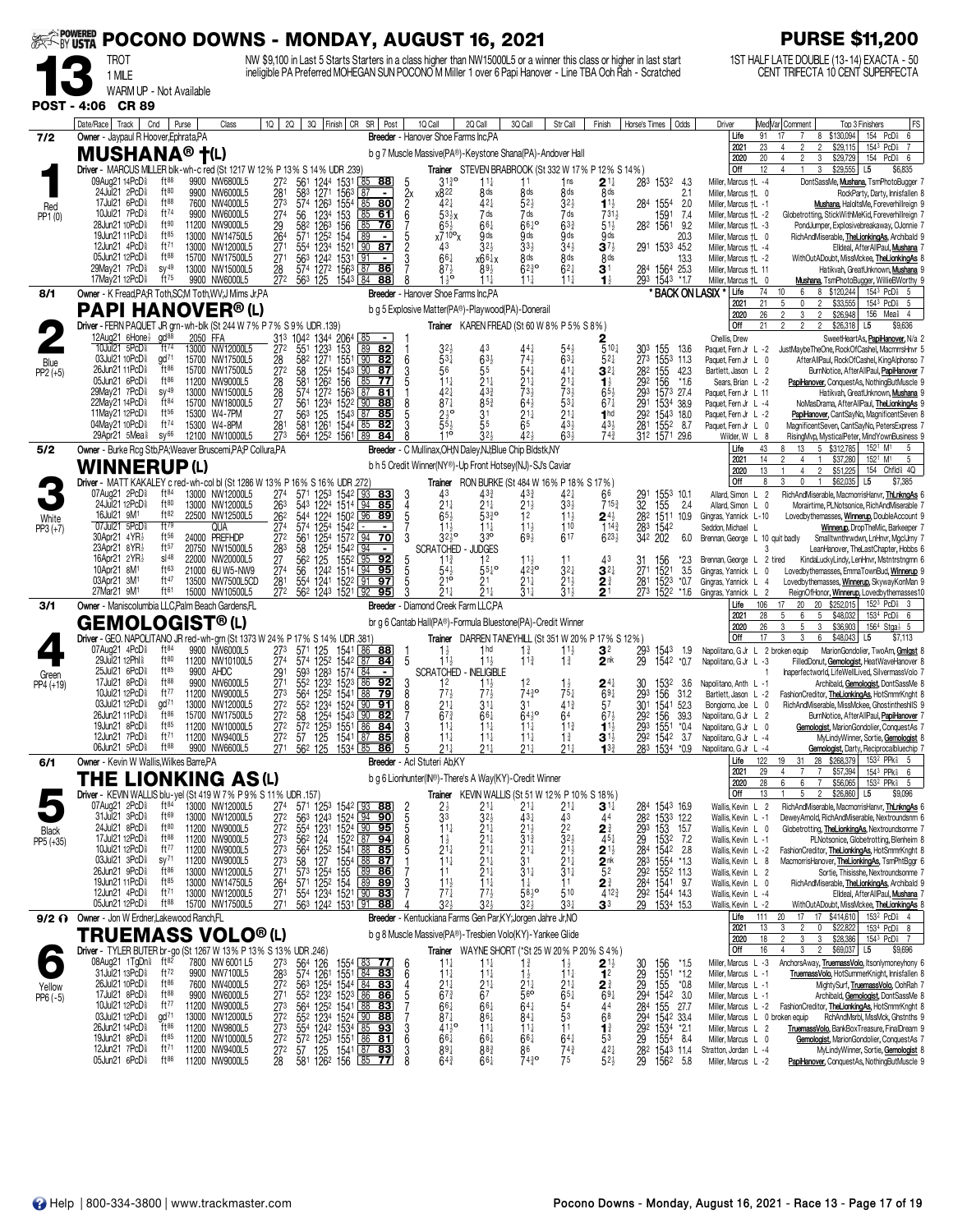|                    | <b>EXAMPOWERED</b><br>POCONO DOWNS - MONDAY, AUGUST 16, 2021                                                                                                                                                                                       |                                          |          |                                                       |                                            |                                                                                                                                                                            |                                     |                                                                              |                    |                                                                                                                          |                                                       |                                                    |                                                                        | <b>PURSE \$11,200</b>                                 |                                                                              |                                                                               |                                                                      |                                                                                                                                                                                                                                      |
|--------------------|----------------------------------------------------------------------------------------------------------------------------------------------------------------------------------------------------------------------------------------------------|------------------------------------------|----------|-------------------------------------------------------|--------------------------------------------|----------------------------------------------------------------------------------------------------------------------------------------------------------------------------|-------------------------------------|------------------------------------------------------------------------------|--------------------|--------------------------------------------------------------------------------------------------------------------------|-------------------------------------------------------|----------------------------------------------------|------------------------------------------------------------------------|-------------------------------------------------------|------------------------------------------------------------------------------|-------------------------------------------------------------------------------|----------------------------------------------------------------------|--------------------------------------------------------------------------------------------------------------------------------------------------------------------------------------------------------------------------------------|
|                    | NW \$9,100 in Last 5 Starts Starters in a class higher than NW15000L5 or a winner this class or higher in last start<br>TROT<br>ineligible PA Preferred MOHEGAN SUN POCONO M Miller 1 over 6 Papi Hanover - Line TBA Ooh Rah - Scratched<br>1 MILE |                                          |          |                                                       |                                            |                                                                                                                                                                            |                                     |                                                                              |                    |                                                                                                                          |                                                       |                                                    |                                                                        |                                                       | 1ST HALF LATE DOUBLE (13-14) EXACTA - 50<br>CENT TRIFECTA 10 CENT SUPERFECTA |                                                                               |                                                                      |                                                                                                                                                                                                                                      |
| <b>POST - 4:06</b> | WARM UP - Not Available<br><b>CR 89</b>                                                                                                                                                                                                            |                                          |          |                                                       |                                            |                                                                                                                                                                            |                                     |                                                                              |                    |                                                                                                                          |                                                       |                                                    |                                                                        |                                                       |                                                                              |                                                                               |                                                                      |                                                                                                                                                                                                                                      |
|                    | Date/Race Track                                                                                                                                                                                                                                    | Cnd<br>Purse                             |          | Class                                                 | 1Q  <br>2Q                                 | 3Q Finish CR                                                                                                                                                               |                                     | SR   Post                                                                    |                    | 1Q Call                                                                                                                  | 2Q Call                                               | 3Q Call                                            | Str Call                                                               | Finish                                                | Horse's Times                                                                | Odds                                                                          | Driver                                                               | FS<br>Med Var Comment<br>Top 3 Finishers                                                                                                                                                                                             |
| 7/2                | Owner - Jaypaul R Hoover, Ephrata, PA<br><b>MUSHANA® †</b> (L)                                                                                                                                                                                     |                                          |          |                                                       |                                            |                                                                                                                                                                            |                                     |                                                                              |                    | <b>Breeder</b> - Hanover Shoe Farms Inc.PA<br>b g 7 Muscle Massive(PA®)-Keystone Shana(PA)-Andover Hall                  |                                                       |                                                    |                                                                        |                                                       |                                                                              |                                                                               | Life<br>2021<br>2020                                                 | \$130,094<br>154 PcD <sup>§</sup><br>6<br>91<br>8<br>23<br>$\mathfrak{p}$<br>\$29,115<br>154 <sup>3</sup> PcD <sup>§</sup><br>$\overline{2}$<br>$\overline{7}$<br>4<br>PcD<br>20<br>$\overline{c}$<br>3<br>\$29,729<br>154<br>6<br>4 |
|                    | Driver - MARCUS MILLER blk-wh-c red (St 1217 W 12% P 13% S 14% UDR .239)<br>09Aug21 14PcD <sup>§</sup>                                                                                                                                             | ft88                                     |          | 9900 NW6800L5                                         | 272                                        | 561                                                                                                                                                                        | 1244 1531                           | $\lfloor 85 \rfloor$<br><u>88</u>                                            |                    | $31\frac{3}{4}$ <sup>o</sup>                                                                                             | $11\frac{1}{4}$                                       | 11                                                 | Trainer STEVEN BRABROOK (St 332 W 17% P 12% S 14%)<br>1ns              | $2^{\scriptscriptstyle \frac{11}{4}}$                 |                                                                              | 283 1532<br>-4.3                                                              | Off<br>Miller, Marcus +L -4                                          | 12<br>3<br>\$29,555<br>\$6,835<br>4<br>L5<br>DontSassMe, Mushana, TsmPhotoBugger 7                                                                                                                                                   |
| Red                | 24Jul21 2PcD<br>17Jul21 6PcD <sup>§</sup>                                                                                                                                                                                                          | ft80<br>ft88                             |          | 9900 NW6000L5<br>7600 NW4000L5                        | $\frac{281}{273}$                          | 58 <sup>3</sup> 1271<br>574 1263                                                                                                                                           |                                     | $\frac{1563}{1554}$ $\frac{87}{85}$ <b>80</b>                                | $\frac{2x}{6}$     | x822<br>$42\frac{1}{4}$                                                                                                  | 8 <sub>ds</sub><br>$42\frac{1}{4}$                    | 8 ds<br>$52\frac{1}{2}$                            | 8 <sub>ds</sub><br>$3^{2}$                                             | 8 <sub>ds</sub><br>$1^{11}$                           |                                                                              | 2.1<br>284 1554<br>2.0                                                        | Miller, Marcus +L 0<br>Miller, Marcus +L -1                          | RockParty, Darty, Innisfallen 8<br>Mushana, HaloltsMe, Foreverhillreign 9                                                                                                                                                            |
| PP1 (0)            | 10Jul21 7PcD <sup>§</sup><br>28Jun21 10PcD <sup>§</sup><br>19Jun21 11PcD <sup>§</sup>                                                                                                                                                              | ft74<br>ft 90<br>$ft^{85}$               |          | 9900 NW6000L5<br>11200 NW9000L5<br>13000 NW14750L5    | 274<br>$\frac{29}{264}$                    | 1234<br>56<br>126 <sup>3</sup> 156<br>125 <sup>2</sup> 154<br>582<br>571                                                                                                   | 153                                 | 85<br>61<br>85<br>76<br>89<br>$\blacksquare$                                 | 5                  | $53\frac{1}{2}x$<br>$65\frac{1}{2}$<br>$x7^{10}$ <sup>o</sup> x                                                          | 7 ds<br>$66\frac{1}{4}$<br>9 ds                       | 7 ds<br>$66\frac{1}{4}$<br>9ds                     | 7 ds<br>$63\frac{3}{4}$<br>9 ds                                        | 731}<br>$51\frac{1}{2}$<br>9ds                        |                                                                              | 1591<br>7.4<br>282 1561<br>9.2<br>20.3                                        | Miller, Marcus †L -2<br>Miller, Marcus †L -3<br>Miller, Marcus †L 0  | Globetrotting, StickWithMeKid, Foreverhillreign 7<br>PondJumper, Explosivebreakaway, OJonnie 7<br>RichAndMiserable, TheLionkingAs, Archibald 9                                                                                       |
|                    | 12Jun21 4PcD <sup>5</sup><br>05Jun21 12PcD <sup>§</sup>                                                                                                                                                                                            | ft71<br>$ft^{88}$                        |          | 13000 NW12000L5<br>15700 NW17500L5                    | $\bar{27}$ <sup>1</sup><br>271             | 1234<br>$55^{4}$                                                                                                                                                           | 1521                                | 87<br>90<br>91<br>$\overline{\phantom{a}}$                                   | $\overline{2}$     | 43<br>$66\frac{1}{4}$                                                                                                    | 32 <sub>3</sub><br>x66‡x                              | 33 <sup>1</sup><br>8 ds                            | $34\frac{1}{2}$<br>8 <sub>ds</sub>                                     | $3^{7}$<br>8 <sub>ds</sub>                            |                                                                              | 291 1533 45.2<br>13.3                                                         | Miller, Marcus +L -4<br>Miller, Marcus †L -2                         | Elldeal, AfterAllPaul, Mushana<br>WithOutADoubt, MissMckee, TheLionkingAs 8                                                                                                                                                          |
|                    | 29May21 7PcD <sup>§</sup><br>17May21 12PcD <sup>§</sup>                                                                                                                                                                                            | $sy^{49}$<br>$ft^{75}$                   |          | 13000 NW15000L5<br>9900 NW6000L5                      | 28<br>272                                  | 563 1242 1531<br>563 125                                                                                                                                                   | 1543 84                             | 87<br>86<br>88                                                               |                    | $87\frac{1}{2}$<br>$1^{10}$                                                                                              | $89\frac{1}{2}$<br>$11\frac{1}{4}$                    | $62^{30}_{4}$<br>$11\frac{1}{2}$                   | $62\frac{1}{4}$<br>$11\frac{1}{4}$                                     | 31<br>$\mathbf{1}_{2}^{1}$                            |                                                                              | 284 1564 25.3<br>293 1543<br>*1.7                                             | Miller, Marcus †L 11<br>Miller, Marcus † L 0                         | Hatikvah, GreatUnknown, Mushana 9<br>Mushana, TsmPhotoBugger, WillieBWorthy 9                                                                                                                                                        |
| 8/1                | Owner - K Fread, PA, R Toth, SC, M Toth, WV, J Mims Jr, PA<br><b>PAPI HANOVER®(L)</b>                                                                                                                                                              |                                          |          |                                                       |                                            |                                                                                                                                                                            |                                     |                                                                              |                    | Breeder - Hanover Shoe Farms Inc.PA<br>b g 5 Explosive Matter(PA®)-Playwood(PA)-Donerail                                 |                                                       |                                                    |                                                                        |                                                       |                                                                              | * BACK ON LASIX                                                               | Life<br>2021<br>2020                                                 | 10<br>8 \$120,244<br>$154^3$ PcD $6$ 5<br>74<br>6<br>21<br>\$33,555<br>1543 PcD <sub>8</sub> 5<br>$\mathbf{0}$<br>2<br>26<br>$\overline{2}$<br>3<br>$\overline{2}$<br>\$26,948<br>156 Mea <sup>§</sup> 4                             |
|                    | Driver - FERN PAQUET JR grn-wh-blk (St 244 W 7% P 7% S 9% UDR .139)<br>12Aug21 6Hone}                                                                                                                                                              | $\alpha$ d <sup>88</sup>                 | 2050 FFA |                                                       |                                            |                                                                                                                                                                            |                                     |                                                                              |                    |                                                                                                                          |                                                       |                                                    | Trainer KAREN FREAD (St 60 W 8% P 5% S 8%)                             |                                                       |                                                                              |                                                                               | Off<br>Chellis, Drew                                                 | 2<br>2<br>$\mathfrak{p}$<br>\$26,318<br>L <sub>5</sub><br>\$9,636<br>21<br>SweetHeartAs, PapiHanover, N/a 2                                                                                                                          |
| Blue               | 10Jul21 5PcD <sup>§</sup><br>03Jul21 10PcD <sup>§</sup>                                                                                                                                                                                            | ft74<br>gd <sup>71</sup>                 |          | 13000 NW12000L5<br>15700 NW17500L5                    | 28                                         | 31 <sup>3</sup> 1042<br>272 551<br>1344<br>1233<br>1271<br>582                                                                                                             | 206 <sup>4</sup><br>153<br>1551 L90 | 89<br>82<br> 82                                                              | 6                  | 32,<br>$5^{3}{}_{4}$                                                                                                     | $63\frac{1}{2}$                                       | 743                                                | $63\frac{1}{4}$                                                        | $5^{10}$<br>$5^{2}$                                   | 303 155<br>273                                                               | 13.6<br>1553 11.3                                                             | Paquet, Fern Jr L -2<br>Paquet, Fern Jr L 0                          | JustMaybeTheOne, RockOfCashel, MacmrrsHnvr 5<br>AfterAllPaul, RockOfCashel, KingAlphonso 7                                                                                                                                           |
| $PP2 (+5)$         | 26Jun21 11PcD <sup>§</sup><br>05Jun21 6PcD <sup>§</sup><br>29May21 7PcD <sup>§</sup>                                                                                                                                                               | ft86<br>ft $86$<br>$sy^{49}$             |          | 15700 NW17500L5<br>11200 NW9000L5                     | 27 <sup>2</sup><br>28                      | 58<br>$\frac{1254}{126^2}$<br>581                                                                                                                                          | 1543<br>156                         | 90<br>87<br>85<br>77                                                         |                    | 56<br>$11\frac{1}{4}$                                                                                                    | 55<br>$21\frac{1}{4}$<br>$43\frac{3}{4}$              | 54<br>211<br>$73\frac{1}{2}$                       | $41\frac{1}{4}$<br>$\frac{2^{11}}{7^{31}}$                             | $3^{2}$<br>$\mathbf{1}_{2}^{1}$                       | $\frac{28}{292}$                                                             | 155<br>42.3<br>156<br>$*1.6$                                                  | Bartlett, Jason L 2<br>Sears, Brian L -2                             | BurnNotice, AfterAllPaul, PapiHanover<br>PapiHanover, ConquestAs, NothingButMuscle 9                                                                                                                                                 |
|                    | 22Mav21 14PcD <sup>§</sup><br>11May21 12PcD <sup>§</sup>                                                                                                                                                                                           | $ft^{84}$<br>$ft^{56}$                   |          | 13000 NW15000L5<br>15700 NW18000L5<br>15300 W4-7PM    | 28<br>$\frac{27}{27}$                      | 574 1272 1563 87<br>$\frac{123}{125}$<br>$\frac{561}{563}$                                                                                                                 | 1522 00<br>1543 87                  | 81<br>88<br>85                                                               | 8<br>5             | 42<br>$87\frac{1}{4}$<br>$2\frac{1}{2}$ <sup>o</sup>                                                                     | $85\frac{3}{4}$<br>31                                 | $64\frac{1}{2}$<br>$21\frac{1}{4}$                 | $53\frac{1}{4}$<br>$21\frac{1}{4}$                                     | $65\frac{1}{2}$<br>$67\frac{1}{4}$<br>1 <sup>hd</sup> | 291                                                                          | 293 1573 27.4<br>1534 38.9<br>292 1543 18.0                                   | Paquet, Fern Jr L 11<br>Paquet, Fern Jr L -4<br>Paquet, Fern Jr L -2 | Hatikvah, GreatUnknown, Mushana 9<br>NoMasDrama, AfterAllPaul, TheLionkingAs 9<br>PapiHanover, CantSayNo, MagnificentSeven 8                                                                                                         |
|                    | 04Mav21 10PcD<br>29Apr21 5Mea <sup>§</sup>                                                                                                                                                                                                         | $ft^{74}$<br>$SV^{66}$                   |          | 15300 W4-8PM<br>12100 NW10000L5                       | 281<br>273                                 | 581<br>1261<br>564 1252 1561 89                                                                                                                                            | 1544 L85                            | 82<br>84                                                                     |                    | 55,<br>$10^{-1}$                                                                                                         | 55<br>32 <sub>3</sub>                                 | 65<br>424                                          | 433<br>$63\frac{1}{2}$                                                 | 433<br>$74\frac{3}{4}$                                | 281                                                                          | 1552 8.7<br>312 1571 29.6                                                     | Paquet, Fern Jr L 0<br>Wilder, W L 8                                 | MagnificentSeven, CantSayNo, PetersExpress<br>RisingMvp, MysticalPeter, MindYownBusiness                                                                                                                                             |
| 5/2                | Owner - Burke Rcg Stb, PA; Weaver Bruscemi, PA; P Collura, PA<br><b>WINNERUP(L)</b>                                                                                                                                                                |                                          |          |                                                       |                                            |                                                                                                                                                                            |                                     |                                                                              |                    | Breeder - C Mullinax, OH; N Daley, NJ; Blue Chip Bldstk, NY<br>b h 5 Credit Winner(NY®)-Up Front Hotsey(NJ)-SJ's Caviar  |                                                       |                                                    |                                                                        |                                                       |                                                                              |                                                                               | Life<br>2021                                                         | 5 \$312,785<br>152 <sup>1</sup> M <sup>1</sup><br>43<br>8<br>13<br>5<br>14<br>2<br>$\mathbf{1}$<br>\$37,280<br>152 <sup>1</sup> M <sup>1</sup><br>5<br>4<br>Chfld <sup>§</sup> 4Q<br>$\overline{2}$<br>154<br>4                      |
|                    | Driver - MATT KAKALEY c red-wh-col bl (St 1286 W 13% P 16% S 16% UDR 272<br>07Aug21 2PcD <sup>§</sup>                                                                                                                                              | $ft^{84}$                                |          | 13000 NW12000L5                                       | 274                                        | 571                                                                                                                                                                        |                                     | 1253 1542 93 83                                                              | 3                  | 43                                                                                                                       | $43\frac{3}{4}$                                       | $43\frac{3}{7}$                                    | Trainer RON BURKE (St 484 W 16% P 18% S 17%)<br>$42\frac{1}{4}$        | 66                                                    | 291                                                                          | 1553 10.1                                                                     | 2020<br>Off<br>Allard, Simon L                                       | 13<br>\$51,225<br>\$62,035<br>8<br>3<br>0<br>$\mathbf{1}$<br>L5<br>\$7,385<br>$\overline{2}$<br>RichAndMiserable, MacmorrisHanvr, ThLnkngAs 6                                                                                        |
| White              | 24Jul21 12PcD <sup>§</sup><br>16Jul21 9M <sup>1</sup>                                                                                                                                                                                              | $ft^{80}$<br>ft82                        |          | 13000 NW12000L5<br>22500 NW12500L5                    | 263<br>26 <sup>2</sup><br>274              | 543<br>$122^{4}$<br>544                                                                                                                                                    | 1224 1514 94                        | 85<br>1502 96 89                                                             | 4<br>$\frac{5}{7}$ | $21\frac{1}{4}$<br>$65\frac{1}{2}$                                                                                       | $21\frac{1}{4}$<br>$\bar{5}3\frac{3}{4}$ <sup>o</sup> | 21분<br>12                                          | $33\frac{1}{2}$<br>$11\frac{1}{2}$                                     | $715\frac{3}{4}$<br>$\mathbf{2}^{4\frac{1}{2}}$       | 32<br>282 1511                                                               | 155<br>2.4<br>10.9                                                            | Allard, Simon L 0<br>Gingras, Yannick L-10                           | Morairtime, PLNotsonice, RichAndMiserable 7<br>Lovedbythemasses, Winnerup, DoubleAccount 9                                                                                                                                           |
| $PP3 (+7)$         | 07Jul21 5PcD<br>30Apr21 4YR}<br>23Apr21 8YR}                                                                                                                                                                                                       | ft79<br>ft56<br>ft57                     |          | qua<br>24000 PREFHDP<br>20750 NW15000L5               | 272                                        | 1254<br>574<br>1254<br>561                                                                                                                                                 | 1542                                | $\sim$<br>$\blacksquare$<br>$157^2$ $94$ 70<br>$\sqrt{94}$<br>$\blacksquare$ | 3                  | $11\frac{1}{2}$<br>$32\frac{1}{2}$<br><b>SCRATCHED</b>                                                                   | $11\frac{1}{4}$<br>3 <sup>3</sup><br><b>JDGES</b>     | $11\frac{1}{2}$<br>$69\frac{1}{2}$                 | 110<br>617                                                             | $114\frac{3}{4}$<br>$6^{23\frac{1}{2}}$               | 283<br>342                                                                   | 1542<br>202<br>6.0                                                            | Seddon, Michael<br>Brennan, George L 10 quit badly                   | Winnerup, DropTheMic, Barkeeper 7<br>Smalltwnthrwdwn, LnHnvr, MgclJmy 7<br>3                                                                                                                                                         |
|                    | 16Apr21 $2YR\frac{1}{2}$<br>10Apr21 8M <sup>1</sup>                                                                                                                                                                                                | $s$ <sup>48</sup><br>ft63                |          | 22000 NW20000L5<br>21000 6U W5-NW9                    | 283<br>27<br>274                           | 1254<br>58<br>562<br>125<br>56                                                                                                                                             | 1542<br>1552 95<br>1242 1514 94     | 92<br>95                                                                     | 5                  | 11 <sup>3</sup><br>$54\frac{1}{2}$                                                                                       | 12<br>$55\frac{1}{4}$ <sup>o</sup>                    | $11\frac{1}{2}$<br>4230                            | 11<br>$3^{2+}$                                                         | 43<br>$3^{2+}$                                        | 31<br>27 <sup>1</sup>                                                        | 156<br>*2.3<br>1521<br>3.5                                                    | Brennan, George L 2 tired<br>Gingras, Yannick L                      | LeanHanover, TheLastChapter, Hobbs 6<br>KindaLuckyLindy, LenHnvr, Mstntrstngmn 6<br>Lovedbythemasses, EmmaTownBud, Winnerup 9<br>0                                                                                                   |
|                    | 03Apr21 3M1<br>27Mar21 9M1                                                                                                                                                                                                                         | ft47<br>ft61                             |          | 13500 NW7500L5CD<br>15000 NW10500L5                   | $\frac{281}{272}$                          | 55 <sup>4</sup><br>562 1243 1521 92                                                                                                                                        | 1241 1522 91                        | 97<br>95                                                                     | 5<br>3             | $21^{\circ}$<br>$\bar{2}$ 1 $\frac{1}{4}$                                                                                | 2 <sup>1</sup><br>$21\frac{1}{4}$                     | $21\frac{1}{4}$<br>$31\frac{1}{4}$                 | $21\frac{1}{2}$<br>$31\frac{1}{2}$                                     | 2∛<br>$\overline{2}$ 1                                | 281<br>273 1522                                                              | 1523<br>*0.7<br>*1.6                                                          | Gingras, Yannick L 4<br>Gingras, Yannick                             | Lovedbythemasses, Winnerup, SkywayKonMan 9<br>$\overline{2}$<br>ReignOfHonor, Winnerup, Lovedbythemasses10                                                                                                                           |
| 3/1                | Owner - Maniscolumbia LLC, Palm Beach Gardens, FL<br><b>GEMOLOGIST®(L)</b>                                                                                                                                                                         |                                          |          |                                                       |                                            |                                                                                                                                                                            |                                     |                                                                              |                    | Breeder - Diamond Creek Farm LLC.PA<br>br g 6 Cantab Hall(PA®)-Formula Bluestone(PA)-Credit Winner                       |                                                       |                                                    |                                                                        |                                                       |                                                                              |                                                                               | Life<br>2021<br>2020                                                 | 20 \$252,015<br>106<br>17<br>20<br>$152^3$ PcD $3$<br>28<br>5<br>6<br>5<br>\$48,032<br>153 <sup>4</sup> PcD <sub>8</sub> 6<br>26<br>5<br>\$36,903<br>$156^4$ Stga $\frac{1}{2}$ 5<br>3<br>3                                          |
|                    | Driver - GEO. NAPOLITANO JR red-wh-grn (St 1373 W 24% P 17% S 14% UDR .381)<br>07Aug21 4PcD <sup>§</sup>                                                                                                                                           | ft <sup>84</sup>                         |          | 9900 NW6000L5                                         | 273                                        | 571 125                                                                                                                                                                    | 1541                                | 86<br>88                                                                     |                    | $1\frac{1}{2}$                                                                                                           | 1 <sub>hd</sub>                                       | $1\frac{3}{4}$                                     | Trainer DARREN TANEYHILL (St 351 W 20% P 17% S 12%)<br>$11\frac{1}{2}$ | 32                                                    | 293                                                                          | 1543<br>1.9                                                                   | Off                                                                  | 17<br>3<br>3<br>6<br>\$48,043<br>L5<br>\$7,113<br>Napolitano, G Jr L 2 broken equip<br>MarionGondolier, TwoAm, Gmlgst                                                                                                                |
| Green              | 29Jul21 12Phl <sup>§</sup><br>25Jul21 6PcD                                                                                                                                                                                                         | ft80<br>$ft^{85}$                        |          | 11200 NW10100L5<br>9900 AHDC                          | 274<br>$\frac{29}{27}$ <sup>1</sup>        | 574 1252 1542<br>593                                                                                                                                                       | 1283 1574 84                        | 87<br>84                                                                     | 5                  | $11\frac{1}{2}$<br><b>SCRATCHED</b>                                                                                      | $11\frac{1}{2}$<br>- INELIGIBLE                       | $11\frac{3}{4}$                                    | $1\frac{3}{4}$                                                         | 2 <sup>nk</sup>                                       | 29                                                                           | 1542<br>$*0.7$                                                                | Napolitano, G Jr L -3                                                | FilledDonut, Gemologist, HeatWaveHanover 8<br>Inaperfectworld, LifeWellLived, SilvermassVolo 7                                                                                                                                       |
| PP4 (+19)          | 17Jul21 8PcD <sup>§</sup><br>10Jul21 12PcD <sup>§</sup><br>03Jul21 12PcD <sup>§</sup>                                                                                                                                                              | ft88<br>ft77<br>gd <sup>71</sup>         |          | 9900 NW6000L5<br>11200 NW9000L5                       | 273                                        | 123 <sup>2</sup><br>552<br>564                                                                                                                                             | 1523 86<br>1252 1541 88             | 92<br>79<br>91                                                               | 3<br>8             | 12<br>773                                                                                                                | $11\frac{1}{2}$<br>$77\frac{1}{2}$                    | 12<br>7430                                         | $1\frac{1}{2}$<br>$75\frac{1}{4}$                                      | $24\frac{1}{4}$<br>69 <sub>1</sub>                    | 30<br>293                                                                    | 1532<br>-3.6<br>156<br>31.2                                                   | Napolitano, Anth L -1<br>Bartlett, Jason L -2                        | Archibald, Gemologist, DontSassMe 8<br>FashionCreditor, TheLionkingAs, HotSmmrKnght 8                                                                                                                                                |
|                    | 26Jun21 11PcD <sup>§</sup><br>19Jun21 8PcD <sup>§</sup>                                                                                                                                                                                            | ft $86$<br>ft $85$                       |          | 13000 NW12000L5<br>15700 NW17500L5<br>11200 NW10000L5 | 272<br>272<br>272                          | 552<br>58<br>1254                                                                                                                                                          | 1234 1524 90<br>1543 90             | 82<br>84                                                                     | 3                  | $21\frac{1}{4}$<br>$67\frac{3}{4}$<br>$11\frac{1}{4}$                                                                    | $31\frac{1}{4}$<br>$66\frac{1}{4}$<br>$11\frac{1}{4}$ | 3 <sup>1</sup><br>$64^{10}_{2}$<br>$11\frac{1}{4}$ | $41\frac{3}{4}$<br>64<br>$11\frac{3}{4}$                               | 57<br>$67\frac{1}{2}$<br>$1^{1}$                      | 30 <sup>1</sup><br>292 156                                                   | 1541 52.3<br>39.3<br>293 1551 *0.4                                            | Bongiorno, Joe L 0<br>Napolitano, G Jr L<br>Napolitano, G Jr L 0     | RichAndMiserable, MissMckee, GhostintheshllS 9<br>BurnNotice, AfterAllPaul, PapiHanover 7<br>$\overline{2}$<br>Gemologist, MarionGondolier, ConquestAs 7                                                                             |
|                    | 12Jun21 7PcD <sup>§</sup><br>06Jun21 5PcD <sup>§</sup>                                                                                                                                                                                             | ft71<br>ft88                             |          | 11200 NW9400L5<br>9900 NW6600L5                       | $\overline{272}$<br>271                    | 572 1253 1551<br>57 125 1541 87<br>562 125 1534 85                                                                                                                         |                                     | 85<br><u>86</u>                                                              | 8<br>5             | $11\frac{1}{4}$<br>$21\frac{1}{4}$                                                                                       | $11\frac{1}{4}$<br>$21\frac{1}{4}$                    | $11\frac{1}{4}$<br>$21\frac{1}{4}$                 | $1\frac{3}{4}$<br>$21\frac{1}{4}$                                      | $\mathbf{3}$ 1 $\frac{1}{2}$<br>$13\frac{3}{4}$       |                                                                              | 292 1542 3.7<br>283 1534<br>*0.9                                              | Napolitano, G Jr L -4<br>Napolitano, G Jr L -4                       | MyLindyWinner, Sortie, Gemologist 8<br>Gemologist, Darty, Reciprocalbluechip                                                                                                                                                         |
| 6/1                | Owner - Kevin W Wallis, Wilkes Barre, PA<br>THE LIONKING AS(L)                                                                                                                                                                                     |                                          |          |                                                       |                                            |                                                                                                                                                                            |                                     |                                                                              |                    | Breeder - Acl Stuteri Ab,KY<br>b g 6 Lionhunter(IN®)-There's A Way(KY)-Credit Winner                                     |                                                       |                                                    |                                                                        |                                                       |                                                                              |                                                                               | Life<br>2021<br>2020                                                 | 122<br>\$268,379<br>153 <sup>2</sup> PPk \$5<br>19<br>28<br>31<br>29<br>$\overline{7}$<br>$\overline{7}$<br>1543 PPk \$6<br>4<br>\$57,394<br>28<br>6<br>6<br>$\overline{7}$<br>153 <sup>2</sup> PPk <sup>§</sup> 5<br>\$56,065       |
|                    | Driver - KEVIN WALLIS blu-yel (St 419 W 7% P 9% S 11% UDR .157)<br>07Aug21 2PcD <sup>§</sup>                                                                                                                                                       | $ft^{84}$                                |          | 13000 NW12000L5                                       | 27 <sup>4</sup>                            |                                                                                                                                                                            |                                     |                                                                              |                    |                                                                                                                          | 21‡                                                   | $21\frac{1}{4}$                                    | Trainer KEVIN WALLIS (St 51 W 12% P 10% S 18%)<br>$21\frac{1}{4}$      | $\mathbf{3}$ 1 $\ddagger$                             |                                                                              | 284 1543 16.9                                                                 | Off<br>Wallis, Kevin L                                               | 13<br>5<br>$\overline{2}$<br>\$26,860<br>L5<br>\$9,096<br>$\overline{2}$<br>RichAndMiserable, MacmorrisHanvr, ThLnkngAs 6                                                                                                            |
| <b>Black</b>       | 31Jul21 3PcD <sup>§</sup><br>24Jul21 8PcD <sup>§</sup>                                                                                                                                                                                             | ft <sup>69</sup><br>ft80                 |          | 13000 NW12000L5<br>11200 NW9000L5                     | $\frac{272}{272}$                          | 571 1253 1542 93 88<br>563 1243 1524 94 90<br>554 1231 1524 90 95<br>562 124 1522 87 94                                                                                    |                                     |                                                                              | 2<br>5<br>5<br>5   | $\frac{2\frac{1}{2}}{3^3}$<br>$11\frac{1}{4}$                                                                            | $\frac{3^{2\frac{1}{2}}}{2^{1\frac{1}{4}}}$           | 431<br>$2^{1\frac{1}{2}}$                          | $\frac{43}{22}$                                                        | 44<br>$2^{\frac{3}{4}}$                               |                                                                              | 282 1533 12.2<br>293 153 15.7<br>29 1532 7.2<br>284 1542 2.8<br>283 1554 *1.3 | Wallis, Kevin L -1<br>Wallis, Kevin L 0                              | DeweyArnold, RichAndMiserable, Nextroundsnm 6<br>Globetrotting, TheLionkingAs, Nextroundsonme 7                                                                                                                                      |
| PP5 (+35)          | 17Jul21 12PcD <sup>§</sup><br>10Jul21 12PcD <sup>§</sup><br>03Jul21 3PcD <sup>§</sup>                                                                                                                                                              | $ft^{88}$<br>ft77<br>$sy^{71}$           |          | 11200 NW9000L5<br>11200 NW9000L5<br>11200 NW9000L5    | 273<br>273<br>$\overline{27}$ <sub>3</sub> |                                                                                                                                                                            |                                     |                                                                              | 8<br>5             | $1\frac{1}{2}$<br>$2\frac{1}{4}$                                                                                         | $\frac{2}{2}$<br>$\frac{1}{4}$<br>$\frac{1}{4}$       | $3^{13}$<br>$\frac{21}{3}$ <sup>1</sup>            | $2^{1\frac{1}{2}}$<br>$2^{1\frac{1}{4}}$                               | $45\frac{1}{4}$                                       |                                                                              |                                                                               | Wallis, Kevin L -1<br>Wallis, Kevin L -2                             | PLNotsonice, Globetrotting, Blenheim 8<br>FashionCreditor, TheLionkingAs, HotSmmrKnght 8                                                                                                                                             |
|                    | 26Jun21 9PcD <sup>§</sup><br>19Jun21 11PcD <sup>§</sup>                                                                                                                                                                                            | $ft^{86}$<br>$ft^{85}$                   |          | 13000 NW12000L5<br>13000 NW14750L5                    | 271                                        | $564 \t1252 \t1541 \t168 \t1855$<br>$584 \t1252 \t1554 \t168 \t185$<br>$573 \t1254 \t155 \t189 \t186$<br>$571 \t1252 \t154 \t189 \t189$<br>$554 \t1234 \t1521 \t190 \t183$ |                                     |                                                                              | 3                  | 11<br>$11\frac{1}{2}$                                                                                                    | $21\frac{1}{4}$<br>$11\frac{1}{4}$                    | $31\frac{1}{4}$<br>$1\frac{1}{4}$                  | $31\frac{1}{4}$<br>11                                                  | $2^{11/2}$<br>$2^{nk}$<br>$5^2$                       |                                                                              | 292 1552 11.3                                                                 | Wallis, Kevin L 8<br>Wallis, Kevin L 2<br>Wallis, Kevin L 0          | MacmorrisHanover, TheLionkingAs, TsmPhtBggr 6<br>Sortie, Thisisshe, Nextroundsonme 7<br>RichAndMiserable, TheLionkingAs, Archibald 9                                                                                                 |
|                    | 12Jun21 4PcD <sup>§</sup><br>05Jun21 12PcD <sup>§</sup>                                                                                                                                                                                            | ft71<br>ft $88$                          |          | 13000 NW12000L5<br>15700 NW17500L5                    | $\frac{264}{271}$<br>271                   | 563 1242 1531 91 88                                                                                                                                                        |                                     |                                                                              |                    | $77\frac{1}{4}$<br>3 <sup>2</sup>                                                                                        | $77\frac{1}{2}$<br>32 <sub>3</sub>                    | 5810<br>$32\frac{1}{2}$                            | 510<br>$33\frac{1}{4}$                                                 | $2\frac{3}{4}$<br>412 $\frac{3}{4}$<br>33             |                                                                              | 284 1541 9.7<br>292 1544 14.3<br>29 1534 15.3                                 | Wallis, Kevin L -4<br>Wallis, Kevin L -2                             | Elldeal, AfterAllPaul, Mushana 7<br>WithOutADoubt, MissMckee, TheLionkingAs 8                                                                                                                                                        |
|                    | 9/2 O Owner - Jon W Erdner, Lakewood Ranch, FL<br><b>TRUEMASS VOLO® (L)</b>                                                                                                                                                                        |                                          |          |                                                       |                                            |                                                                                                                                                                            |                                     |                                                                              |                    | Breeder - Kentuckiana Farms Gen Par, KY; Jorgen Jahre Jr, NO<br>b g 8 Muscle Massive(PA®)-Tresbien Volo(KY)-Yankee Glide |                                                       |                                                    |                                                                        |                                                       |                                                                              |                                                                               | Life<br>2021                                                         | 20<br>17 \$414,610<br>153 <sup>2</sup> PcD <sub>8</sub> 4<br>111<br>17<br>13<br>$\overline{2}$<br>\$22,822<br>153 <sup>4</sup> PcD <sub>1</sub> 8<br>0<br>18<br>3<br>154 <sup>3</sup> PcD <sup>§</sup> 7<br>$\overline{c}$           |
|                    | Driver - TYLER BUTER br-go (St 1267 W 13% P 13% S 13% UDR .246)<br>08Aug21 1TgDn <sup>§</sup> ft <sup>82</sup> 7800 NW 6001 L5 273 564 126                                                                                                         |                                          |          |                                                       |                                            |                                                                                                                                                                            |                                     |                                                                              | b                  | Trainer                                                                                                                  | $11\frac{1}{4}$                                       | $1\frac{3}{4}$                                     | WAYNE SHORT (*St 25 W 20% P 20% S 4%)                                  | $2^{1\frac{1}{2}}$                                    |                                                                              |                                                                               | 2020<br>Off<br>Miller, Marcus L -3                                   | $\mathbf{3}$<br>\$28,386<br>$\overline{4}$<br>3<br>$\overline{2}$<br>\$69,037<br>L <sub>5</sub><br>\$9,696<br>16<br>AnchorsAway, TruemassVolo, Itsonlymoneyhony 6                                                                    |
| Yellow             | 31Jul21 13PcD <sup>§</sup><br>26Jul21 10PcD <sup>§</sup>                                                                                                                                                                                           | ft72<br>$ft^{86}$                        |          | 9900 NW7100L5<br>7600 NW4000L5                        | $\frac{273}{283}$<br>272                   | 564<br>574<br>126<br>1261<br>563                                                                                                                                           |                                     | 1554 83 77<br>1551 84 83<br>1254 1544 84 83                                  | 6                  | $\frac{11}{11}$<br>$21\frac{1}{4}$                                                                                       | $11\frac{1}{4}$<br>$21\frac{1}{4}$                    | $1\frac{1}{2}$<br>$21\frac{1}{4}$                  | $1\frac{1}{2}$<br>$11\frac{1}{4}$<br>$21\frac{1}{4}$                   | 1 <sup>2</sup><br>2∛                                  |                                                                              | 30 156 *1.5<br>29 155 *1.2<br>29 155 *0.8<br>294 1542 3.0<br>284 155 27.7     | Miller, Marcus L -1<br>Miller, Marcus L -1                           | TruemassVolo, HotSummerKnight, Innisfallen 8<br>MightySurf, TruemassVolo, OohRah 7                                                                                                                                                   |
| $PP6(-5)$          | 17Jul21 8PcD <sup>§</sup><br>10Jul21 12PcD <sup>§</sup>                                                                                                                                                                                            | $ft^{88}$<br>ft77                        |          | 9900 NW6000L5<br>11200 NW9000L5                       | $\frac{271}{273}$                          | $\frac{552}{564}$                                                                                                                                                          |                                     | 123 <sup>2</sup> 152 <sup>3</sup> 86 86                                      | $\frac{5}{7}$      | $67\frac{3}{4}$<br>664                                                                                                   | 6 <sup>7</sup><br>$66\frac{1}{4}$                     | 56<br>$64\frac{1}{4}$                              | $\frac{6}{5}$ <sup>5<sup>1</sup></sup>                                 | $69\frac{1}{4}$<br>44                                 |                                                                              |                                                                               | Miller, Marcus L -1<br>Miller, Marcus L -2                           | Archibald, Gemologist, DontSassMe 8<br>FashionCreditor, TheLionkingAs, HotSmmrKnght 8                                                                                                                                                |
|                    | 03Jul21 12PcD <sup>§</sup><br>26Jun21 14PcD <sup>§</sup><br>19Jun21 8PcD <sup>§</sup>                                                                                                                                                              | gd <sup>71</sup><br>ft $86$<br>$ft^{85}$ |          | 13000 NW12000L5<br>11200 NW9800L5<br>11200 NW10000L5  | 27 <sup>2</sup><br>$\frac{273}{272}$       | 552 1234 1524 90 88                                                                                                                                                        |                                     |                                                                              | $\frac{3}{6}$      | $87\frac{1}{4}$<br>$41^{10}_{2}$<br>$66\overline{4}$                                                                     | 861<br>$11\frac{1}{4}$<br>$66\frac{1}{4}$             | 841<br>$11\frac{1}{4}$<br>$66\frac{1}{4}$          | $\overline{5}3$<br>11<br>$64\frac{1}{4}$                               | 68<br>$1\frac{3}{4}$<br>53                            | 294<br>$\frac{29^2}{29}$                                                     | 1542 33.4<br>1534 *2.1<br>1554 8.4                                            | Miller, Marcus L 2<br>Miller, Marcus L 0                             | Miller, Marcus L 0 broken equip<br>RchAndMsrbl, MssMck, Ghstnths 9<br>TruemassVolo, BankBoxTreasure, FinalDream 9<br>Gemologist, MarionGondolier, ConquestAs 7                                                                       |
|                    | 12Jun21 7PcD <sup>§</sup><br>05Jun21 6PcD <sup>§</sup>                                                                                                                                                                                             | ft <sup>71</sup><br>$ft^{86}$            |          | 11200 NW9400L5<br>11200 NW9000L5                      | 272<br>28                                  | 354 1242 1534 85 93<br>572 1253 1551 86 81<br>57 125 1541 87 83<br>581 1262 156 85 77                                                                                      |                                     |                                                                              | 3                  | 891<br>$64\frac{3}{4}$                                                                                                   | 883<br>$66\frac{1}{4}$                                | 86<br>7430                                         | $\frac{743}{75}$                                                       | 42 <sub>1</sub><br>$5^{2}$                            | 29                                                                           | 282 1543 11.4<br>1562 5.8                                                     | Stratton, Jordan L -4<br>Miller, Marcus L -2                         | MyLindyWinner, Sortie, Gemologist 8<br>PapiHanover, ConquestAs, NothingButMuscle 9                                                                                                                                                   |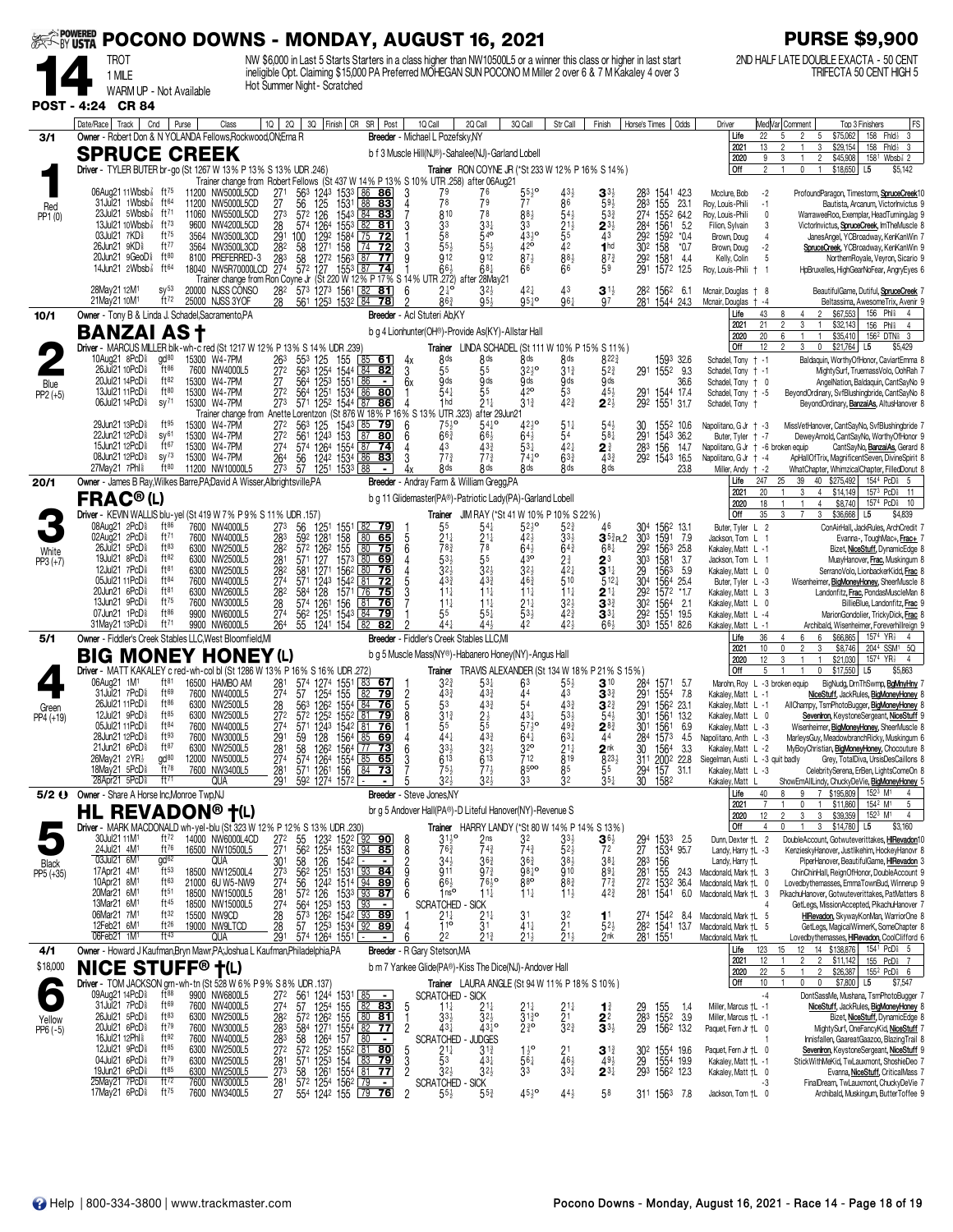| <b>EXAMPOWERED</b>  |                                                                                                                                                                    | POCONO DOWNS - MONDAY, AUGUST 16, 2021                                                                                                                                                                                                                                                                                                                                                                                                                      | <b>PURSE \$9,900</b>                                                                                                                                                                                                                           |
|---------------------|--------------------------------------------------------------------------------------------------------------------------------------------------------------------|-------------------------------------------------------------------------------------------------------------------------------------------------------------------------------------------------------------------------------------------------------------------------------------------------------------------------------------------------------------------------------------------------------------------------------------------------------------|------------------------------------------------------------------------------------------------------------------------------------------------------------------------------------------------------------------------------------------------|
|                     | TROT<br>1 MILE                                                                                                                                                     | NW \$6,000 in Last 5 Starts Starters in a class higher than NW10500L5 or a winner this class or higher in last start<br>ineligible Opt. Claiming \$15,000 PA Preferred MOHEGAN SUN POCONO M Miller 2 over 6 & 7 M Kakaley 4 over 3                                                                                                                                                                                                                          | 2ND HALF LATE DOUBLE EXACTA - 50 CENT<br>TRIFECTA 50 CENT HIGH 5                                                                                                                                                                               |
|                     | WARM UP - Not Available                                                                                                                                            | Hot Summer Night - Scratched                                                                                                                                                                                                                                                                                                                                                                                                                                |                                                                                                                                                                                                                                                |
|                     | POST - 4:24 CR 84                                                                                                                                                  |                                                                                                                                                                                                                                                                                                                                                                                                                                                             |                                                                                                                                                                                                                                                |
| 3/1                 | Date/Race<br>Track<br>Cnd<br>Purse<br>Class<br>Owner - Robert Don & N YOLANDA Fellows.Rockwood.ON:Erna R                                                           | $10 \mid 20$<br>3Q Finish CR SR Post<br>10 Call<br>2Q Call<br>3Q Call<br>Str Call<br>Horse's Times<br>Odds<br>Finish<br>Breeder - Michael L Pozefskv.NY                                                                                                                                                                                                                                                                                                     | Med Var  Comment<br>FS<br>Driver<br>Top 3 Finishers<br>158 Fhld <sub>2</sub> 3<br>22<br>\$75,062<br>Life<br>5<br>$\overline{2}$<br>5                                                                                                           |
|                     | <b>SPRUCE CREEK</b>                                                                                                                                                | b f 3 Muscle Hill(NJ®)-Sahalee(NJ)-Garland Lobell                                                                                                                                                                                                                                                                                                                                                                                                           | 3<br>\$29,154<br>$FhId_2$ 3<br>2021<br>13<br>158<br>$\overline{2}$<br>\$45,908<br>158 <sup>1</sup> Wbsb <sup>2</sup> 2<br>2020<br>9<br>3                                                                                                       |
|                     | Driver - TYLER BUTER br-go (St 1267 W 13% P 13% S 13% UDR .246)                                                                                                    | Trainer RON COYNE JR (*St 233 W 12% P 16% S 14%)<br>Trainer change from Robert Fellows (St 437 W 14% P 13% S 10% UTR 258) after 06Aug21                                                                                                                                                                                                                                                                                                                     | Off<br>2<br>\$18,650<br>L5<br>\$5,142<br>0                                                                                                                                                                                                     |
| Red                 | $06$ Aug21 11 Wbsb $\frac{75}{8}$ ft <sup>75</sup><br>11200 NW5000L5CD<br>31Jul21 1Wbsb <sup>3</sup><br>ft $64$<br>11200 NW5000L5CD                                | 56 <sup>3</sup> 124 <sup>3</sup> 153 <sup>3</sup> 86 86<br>56 125 1531 88 83<br>$^{271}_{27}$<br>3<br>79<br>283<br>1541 42.3<br>76<br>43,<br>155<br>78<br>86<br>79<br>77<br>$59\frac{1}{2}$<br>283<br>23.1                                                                                                                                                                                                                                                  | Mcclure, Bob<br>$-2$<br>ProfoundParagon, Timestorm, SpruceCreek1<br>Roy, Louis-Phili<br>$-1$<br>Bautista, Arcanum, Victorlnvictus 9                                                                                                            |
| PP1 (0)             | $23$ Jul $21$ 5Wbsb $\frac{7}{8}$<br>ft $^{71}$<br>11060 NW5500L5CD<br>13Jul21 10Wbsb <sup>7</sup><br>ft $^{73}$<br>9600                                           | 126<br>1543 84<br>273<br>572<br>810<br>78<br>88}<br>$54\frac{1}{2}$<br>274<br>83<br>$5^{3}$<br>1552 64.2<br>$\frac{21\overline{3}}{5^{5}}$<br>1561<br>1592<br>$\frac{28}{29}$<br>574<br>1264<br>$155^{3}$<br>82<br>33<br>33<br>284<br>292<br>5.2<br>NW4200L5CD<br>81<br>3<br>$2^{3}\frac{1}{2}$                                                                                                                                                             | Roy, Louis-Phili<br>$\mathbf{0}$<br>WarraweeRoo, Exemplar, HeadTurningJag 9<br>Filion, Sylvain<br>3<br>Victorlnvictus, SpruceCreek, ImTheMuscle 8                                                                                              |
|                     | ft75<br>03Jul21 7KD <sup>§</sup><br>3564 NW3500L3CD<br>26Jun21 9KD <sup>§</sup><br>ft77<br>3564 NW3500L3CD                                                         | $\overline{72}$<br>58<br>540<br>4310<br>1584<br>43<br>100<br>1292<br>  75<br>*0.4<br>$42^{\circ}$<br>42<br>55<br>$302$ 158<br>1271 158<br>3<br>1 <sub>hd</sub><br>282<br>58<br>72<br>*0.7                                                                                                                                                                                                                                                                   | Brown, Doug<br>$\overline{4}$<br>JanesAngel, YCBroadway, KenKanWin 7<br>Brown, Doug<br>$-2$<br>SpruceCreek, YCBroadway, KenKanWin 9                                                                                                            |
|                     | ft80<br>20Jun21 9GeoD <sup>§</sup><br>8100 PREFERRED-3<br>14Jun21 2Wbsb}<br>ft64<br>18040 NW5R70000LCD                                                             | 58 127 <sup>2</sup> 156 <sup>3</sup><br>57 <sup>2</sup> 127 155 <sup>3</sup><br>912<br>873<br>88}<br>$\frac{283}{274}$<br>87<br>912<br>$87\frac{3}{4}$<br>1581<br><u>77</u><br>29 <sup>2</sup><br>291<br>44<br>66<br>1553 87<br>$66\frac{1}{2}$<br>$68\frac{1}{4}$<br>1572<br>- 74<br>59<br>12.5                                                                                                                                                            | Kelly, Colin<br>5<br>NorthernRoyale, Veyron, Sicario 9<br>Roy, Louis-Phili<br>HpBruxelles, HighGearNoFear, AngryEyes 6                                                                                                                         |
|                     | 28May21 12M1<br>$SV^{53}$<br>20000 NJSS CONSO                                                                                                                      | Trainer change from Ron Coyne Jr (St 220 W 12% P 17% S 14% UTR 272) after 28May21<br>282<br>573 1273 1561 82<br>561 1253 1532 84<br>$2\frac{1}{6}$<br>8 <sup>63</sup><br>81<br>6<br>43<br>282<br>1562<br>3 <sup>1</sup><br>-6.1                                                                                                                                                                                                                             | BeautifulGame, Dutiful, SpruceCreek<br>Mcnair, Douglas<br>$+8$                                                                                                                                                                                 |
| 10/1                | ft72<br>21May21 10M1<br>25000 NJSS 3YOF<br>Owner - Tony B & Linda J. Schadel, Sacramento, PA                                                                       | $95\frac{1}{2}$<br>$951$ °<br>96 <sup>1</sup><br>28<br>281<br>78<br>97<br>1544 24.3<br>Breeder - Acl Stuteri Ab.KY                                                                                                                                                                                                                                                                                                                                          | Mcnair, Douglas<br>Beltassima, AwesomeTrix, Avenir<br>$-4$<br>43<br>\$67,553<br>156 Phl <sup>\$</sup><br>Life<br>$\overline{4}$                                                                                                                |
|                     | <b>BANZAI AS t</b>                                                                                                                                                 | b g 4 Lionhunter(OH®)-Provide As(KY)-Allstar Hall                                                                                                                                                                                                                                                                                                                                                                                                           | Phis<br>2021<br>21<br>2<br>3<br>\$32,143<br>156<br>$\overline{4}$<br>20<br>2020<br>6<br>\$35,410<br>156 <sup>2</sup> DTN <sub>8</sub> 3<br>$\mathbf{1}$<br>$\mathbf{1}$                                                                        |
|                     | Driver - MARCUS MILLER blk-wh-c red (St 1217 W 12% P 13% S 14% UDR .239)<br>10Aug21 8PcD <sup>§</sup><br>gd <sup>80</sup><br>15300 W4-7PM                          | Trainer LINDA SCHADEL (St 111 W 10% P 15% S 11%)<br>263<br>553<br>8 <sup>ds</sup><br>8 <sup>ds</sup><br>8 ds<br>8 <sub>ds</sub><br>$8^{22\frac{3}{4}}$<br>1593 32.6<br>125<br>155<br><u>85</u><br><u>61</u><br>4х                                                                                                                                                                                                                                           | Off<br>12<br>$\mathfrak{p}$<br>3<br>$\pmb{0}$<br>\$21,764<br>\$5,429<br>L <sub>5</sub><br>Schadel, Tony + -1<br>Baldaquin, WorthyOfHonor, CaviartEmma 8                                                                                        |
| Blue                | 26Jul21 10PcD <sup>§</sup><br>ft86<br>7600 NW4000L5<br>ft82<br>20Jul21 14PcD <sup>§</sup><br>15300<br><b>W4-7PM</b>                                                | $\frac{1254}{125^3}$<br>$\frac{27}{27}$<br>563<br>$\frac{1544}{155}$<br>55<br>$32^{10}$<br>$3^{13}$<br>$5^{2^{3}}$<br>84<br>3<br>82<br>55<br>1552 9.3<br>291<br>564<br>6x<br>9 <sub>ds</sub><br>$9d\overline{s}$<br>9 <sub>ds</sub><br>86<br>9ds<br>9ds<br>36.6<br>$\overline{\phantom{a}}$                                                                                                                                                                 | Schadel, Tony + -1<br>MightySurf, TruemassVolo, OohRah 7<br>Schadel, Tony + 0<br>AngelNation, Baldaguin, CantSayNo 9                                                                                                                           |
| $PP2 (+5)$          | ft80<br>13Jul21 11 PcD <sup>§</sup><br>15300 W4-7PM<br>06Jul21 14PcD <sup>§</sup><br>$sy^{71}$<br>15300 W4-7PM                                                     | 541<br>42 <sup>o</sup><br>55<br>53<br>45}<br>272<br>564<br>1251 1534 86 80<br>125 <sup>2</sup> 1544 87 86<br>291 1544 17.4<br>292 1551 31.7<br>$\overline{273}$<br>$21\frac{1}{4}$<br>42 <sup>3</sup><br>$2^{2\frac{1}{2}}$<br>571<br>1 <sub>hd</sub><br>$3^{13}$                                                                                                                                                                                           | Schadel, Tony + -5<br>BeyondOrdinary, SvfBlushingbride, CantSayNo 8<br>Schadel, Tony +<br>BeyondOrdinary, BanzaiAs, AltusHanover 8                                                                                                             |
|                     | 29Jun21 13PcD <sup>§</sup><br>ft95<br>15300 W4-7PM                                                                                                                 | UTR .323)<br>Trainer change from Anette Lorentzon (St 876 W 18% P 16% S 13%<br>after 29Jun21<br>$75\frac{1}{2}$ <sup>o</sup><br>$42^{10}_{2}$<br>272<br>563<br>125<br>1543 <u>  85</u><br>6<br>$54\frac{1}{4}$ <sup>o</sup><br>$51\frac{1}{4}$<br>$54\frac{1}{2}$<br>30<br><u>79</u><br>1552 10.6                                                                                                                                                           | Napolitano, G Jr + -3<br>MissVetHanover, CantSayNo, SvfBlushingbride 7                                                                                                                                                                         |
|                     | 22Jun21 12PcD <sup>§</sup><br>SV <sup>61</sup><br>15300 W4-7PM<br>ft $67$<br>15Jun21 12PcD <sup>§</sup><br>15300 W4-7PM<br>08Jun21 12PcD <sup>§</sup><br>$sy^{73}$ | 561 1243 153  <br>574 1264 1554  <br>$\sqrt{87}$<br>54<br>291<br>272<br>80<br>$66\frac{3}{4}$<br>66}<br>$64\frac{1}{2}$<br>$58\frac{1}{4}$<br>6<br>1543 36.2<br>$53\frac{1}{4}$<br>421<br>274<br>43<br>433<br>283 156<br>  87<br>-74<br>24<br>14.7<br>$77\frac{3}{4}$                                                                                                                                                                                       | Buter. Tyler + -7<br>DeweyArnold, CantSayNo, WorthyOfHonor 9<br>Napolitano, G Jr + -6 broken equip<br>CantSavNo. BanzaiAs, Gerard 8                                                                                                            |
|                     | 15300 W4-7PM<br>27May21 7Phl \$<br>$ft^{80}$<br>11200 NW10000L5                                                                                                    | $77\frac{3}{4}$<br>74 <sup>1</sup> °<br>$63\frac{3}{4}$<br>292 1543 16.5<br>264<br>124 <sup>2</sup> 153 <sup>4</sup> 86<br>83<br>$43\frac{3}{4}$<br>56<br>273<br>1251 1533 88<br>57<br>8 <sub>ds</sub><br><b>R</b> ds<br>23.8<br>8 <sub>ds</sub><br>8 <sub>ds</sub><br>8ds                                                                                                                                                                                  | Napolitano, G Jr + -4<br>ApHallOfTrix, MagnificentSeven, DivineSpirit 8<br>Miller, Andy $\dagger$ -2<br>WhatChapter, WhimzicalChapter, FilledDonut 8                                                                                           |
| 20/1                | Owner - James B Ray, Wilkes Barre, PA, David A Wisser, Albrightsville, PA<br><b>FRAC®(L)</b>                                                                       | Breeder - Andray Farm & William Gregg, PA<br>b g 11 Glidemaster(PA®)-Patriotic Lady(PA)-Garland Lobell                                                                                                                                                                                                                                                                                                                                                      | 1544 PcD <sub>8</sub> 5<br>Life<br>247<br>25<br>39<br>40<br>\$275,492<br>20<br>2021<br>3<br>$\overline{4}$<br>\$14,149<br>157 <sup>3</sup> PcD <sup>§</sup><br>11<br>1574 PcD <sup>\$</sup>                                                    |
|                     | Driver - KEVIN WALLIS blu-yel (St 419 W 7% P 9% S 11% UDR .157)                                                                                                    | JIM RAY (*St 41 W 10% P 10% S 22%)<br>Trainer                                                                                                                                                                                                                                                                                                                                                                                                               | \$8,740<br>18<br>10<br>2020<br>4<br>Off<br>$\mathbf{3}$<br>35<br>3<br>$\overline{7}$<br>\$36,668<br>L5<br>\$4,839                                                                                                                              |
|                     | 08Aug21 2PcD <sup>§</sup><br>ft $86$<br>7600 NW4000L5<br>02Aug21 2PcD <sup>§</sup><br>ft $71$<br>7600 NW4000L5                                                     | 56<br>1551<br>55<br>$54\frac{1}{4}$<br>$52\frac{1}{2}$<br>304<br>1562 13.1<br>273<br>1251<br>82 79<br>$5^{2}$<br>46<br>592 1281<br>158<br>155<br>80<br>$2^{11}_{83}$<br>21‡<br>33,<br>303 1591 7.9<br>283<br>65<br>5<br>42}<br>$3^{53}$ PL2                                                                                                                                                                                                                 | Buter, Tyler L 2<br>ConAirHall, JackRules, ArchCredit 7<br>Jackson, Tom L<br>Evanna-, ToughMac+, Frac+                                                                                                                                         |
| White<br>$PP3 (+7)$ | 26Jul21 5PcD<br>ft83<br>6300 NW2500L5<br>19Jul21 8PcD <sup>§</sup><br>ft82<br>6300 NW2500L5<br>ft81                                                                | 180<br>572 1262<br>6<br>78<br>$64\frac{3}{4}$<br>292 1563 25.8<br>282<br>75<br>$64\frac{1}{2}$<br>$68\frac{1}{4}$<br>157 <sup>3</sup> 80<br>55<br>430<br>30 <sup>3</sup><br>281<br>127<br>5 <sup>3</sup><br>$2\frac{3}{4}$<br>571<br>69<br>$2^3$<br>1581<br>3.7                                                                                                                                                                                             | Kakaley, Matt L -1<br>Bizet, NiceStuff, DynamicEdge 8<br>Jackson, Tom L 1<br>MuayHanover, Frac, Muskingum 8                                                                                                                                    |
|                     | 12Jul21 7PcD <sup>§</sup><br>6300 NW2500L5<br>05Jul21 11PcD<br>ft84<br>7600 NW4000L5<br>20Jun21 6PcD <sup>§</sup><br>ft81                                          | 282<br>1271<br>1562<br>3 <sub>2</sub><br>$3^{2}$<br>$32\frac{1}{2}$<br>$42\frac{1}{4}$<br>3 <sup>11</sup><br>$\frac{29}{30^4}$<br>581<br>  80<br>76<br>1563<br>5.9<br>433<br>510<br>43 <sup>3</sup><br>$46\frac{3}{4}$<br>274<br>81<br>$5^{12}$<br>571<br>1243<br>1542<br>72<br>1564 25.4<br>282<br>584<br>$11\frac{1}{4}$<br>$11\frac{1}{4}$<br>$11\frac{1}{4}$<br>$11\frac{1}{4}$<br>292<br>75<br>1572 *1.7                                               | Kakaley, Matt L 0<br>SerranoVolo, LionbackerKidd, Frac 8<br>Buter, Tyler L -3<br>Wisenheimer, BigMoneyHoney, SheerMuscle 8                                                                                                                     |
|                     | 6300 NW2600L5<br>13Jun21 9PcD <sup>§</sup><br>ft $^{75}$<br>7600 NW3000L5<br>07Jun21 1PcD <sup>§</sup><br>ft86<br>9900 NW6000L5                                    | 128<br>1571 76<br>$2^{11}$<br>28<br>574 1261 156<br>$11\frac{1}{4}$<br>$11\frac{1}{4}$<br>$21\frac{1}{4}$<br>$3^{2}$<br>$3^{3}$<br>302 1564<br>$\lfloor 81$<br>76<br>2.1<br>274<br>$\overline{84}$<br>55<br>$42\frac{3}{4}$<br>$55\frac{1}{4}$<br>$53\frac{1}{2}$<br>292 1551 19.5<br><u>79</u><br>$3^{3}{}_{7}$                                                                                                                                            | Kakaley, Matt L 3<br>Landonfitz, Frac, PondasMuscleMan 8<br>Kakaley, Matt L 0<br>BillieBlue, Landonfitz, Frac 9<br>Kakaley, Matt L -4<br>MarionGondolier, TrickyDick, Frac                                                                     |
|                     | ft71<br>31May21 13PcD <sup>§</sup><br>9900 NW6000L5                                                                                                                | 56 <sup>2</sup> 1251 1543<br>55 1241 154<br>424<br>264<br>$44+$<br>443<br>42<br>$\overline{82}$<br>$66\frac{1}{2}$<br>303 1551 82.6<br>$\sqrt{82}$                                                                                                                                                                                                                                                                                                          | Kakaley, Matt L -1<br>Archibald, Wisenheimer, Foreverhillreign<br>6                                                                                                                                                                            |
| 5/1                 | Owner - Fiddler's Creek Stables LLC, West Bloomfield, MI<br><b>BIG MONEY HONEY (L)</b>                                                                             | Breeder - Fiddler's Creek Stables LLC.MI<br>b g 5 Muscle Mass(NY®)-Habanero Honey(NY)-Angus Hall                                                                                                                                                                                                                                                                                                                                                            | \$66,865<br>Life<br>36<br>6<br>1574 YR <sub>2</sub><br>4<br>-4<br>2021<br>10<br>$\overline{2}$<br>3<br>\$8,746<br>2044 SSM1 5Q<br>0<br>1574 YR <sub>2</sub><br>12<br>\$21,030<br>2020<br>3<br>$\overline{1}$<br>$\overline{4}$<br>$\mathbf{1}$ |
|                     | Driver - MATT KAKALEY c red-wh-col bl (St 1286 W 13% P 16% S 16% UDR .272)<br>ft <sup>81</sup>                                                                     | Trainer TRAVIS ALEXANDER (St 134 W 18% P 21% S 15%)                                                                                                                                                                                                                                                                                                                                                                                                         | Off<br>5<br>0<br>$$17,550$ L5<br>\$5,863<br>1                                                                                                                                                                                                  |
|                     | 06Aug21 1M <sup>1</sup><br>16500 HAMBO AM<br>31Jul21 7PcD <sup>§</sup><br>ft69<br>7600 NW4000L5<br>$ft^{86}$<br>26Jul21 11PcD <sup>§</sup>                         | $3^{2^{3}}$<br>281<br>274<br>574 1274 1551 83<br>$5^{3}$<br>$3^{10}$<br>284<br>67<br>63<br>$55\frac{1}{2}$<br>1571<br>-5.7<br>$\frac{2}{5}$<br>44<br>57<br>1254 155<br>82<br>$43\frac{3}{4}$<br>433<br>43<br>291<br>79<br>$3^{3}$<br>1554 7.8<br>43 <sup>3</sup>                                                                                                                                                                                            | Marohn, Roy L -3 broken equip<br>BigNudg, DrnThSwmp, BgMnyHny<br>Kakaley, Matt L -1<br>NiceStuff, JackRules, BigMoneyHoney                                                                                                                     |
| Green<br>PP4 (+19)  | 6300 NW2500L5<br>$ft^{85}$<br>12Jul21 9PcD <sup>§</sup><br>6300 NW2500L5<br>$ft^{84}$<br>05Jul21 11PcD <sup>§</sup>                                                | 126 <sup>2</sup> 1554 84<br>53<br>$43\frac{3}{4}$<br>54<br>28<br>563<br>76<br>291<br>1562 23.1<br>$3^{2}$<br>30 <sup>1</sup><br>272<br>572 1252 1552 81<br>8<br>79<br>$3^{13}$<br>$2\frac{1}{5}$<br>431<br>$53\frac{1}{2}$<br>1561 13.2<br>$54\frac{1}{2}$<br>57                                                                                                                                                                                            | AllChampy, TsmPhotoBugger, BigMoneyHoney<br>Kakaley, Matt L -1<br>Seveniron, KeystoneSergeant, NiceStuff<br>Kakaley, Matt L 0                                                                                                                  |
|                     | 7600 NW4000L5<br>ft93<br>28Jun21 12PcD <sup>§</sup><br>7600 NW3000L5<br>21Jun21 6PcD <sup>§</sup><br>ft87<br>6300 NW2500L5                                         | 30 <sup>1</sup><br>2/۹<br>5/1<br>1243<br>1542<br>უა<br>20<br>156'<br>6.9<br>59 128 1564 85 69<br>58 1262 1564 77 73<br>57 1264 1554 85 65<br>$43\frac{3}{4}$<br>44<br>$6^{41}_{32}$<br>$63\frac{1}{4}$<br>291<br>44<br>284 1573 4.5<br>30 1564 3.3<br>311 2002 22.8<br>$32\frac{1}{2}$<br>2 <sup>nk</sup>                                                                                                                                                   | Kakaley, Matt L -3<br>Wisenheimer, <b>BigMoneyHoney</b> , SheerMuscle &<br>Napolitano, Anth L -3<br>MarleysGuy, MeadowbranchRicky, Muskingum 6<br>MyBoyChristian, BigMoneyHoney, Chocouture 8<br>Kakaley, Matt L -2                            |
|                     | 26May21 2YR1<br>gd <sup>80</sup><br>12000 NW5000L5<br>18May21 5PcD <sup>§</sup><br>$ft^{78}$<br>7600 NW3400L5                                                      | $\frac{281}{274}$<br>$3^{3\frac{1}{2}}$<br>613<br>$\frac{21}{8}$<br>819<br>712<br>613<br>$8^{23}$<br>8500<br>$77\frac{1}{2}$<br>281<br>571 1261 156<br><u>84</u><br><u>73</u><br>$75\frac{1}{2}$<br>85<br>55                                                                                                                                                                                                                                                | Grey, TotalDiva, UrsisDesCaillons 8<br>Siegelman, Austi L -3 quit badly<br>Kakaley, Matt L -3<br>CelebritySerena, ErBen, LightsComeOn 8                                                                                                        |
| $5/2$ $\Theta$      | 28Apr21 5PcD <sup>§</sup><br>ft $71$<br>QUA                                                                                                                        | 294 157 31.1<br>30 1582<br>291<br>$592$ $1274$ $1572$ $\equiv$<br>32 <sub>3</sub><br>32}<br>32<br>33<br>$35\frac{1}{4}$<br>Breeder - Steve Jones, NY                                                                                                                                                                                                                                                                                                        | Kakaley, Matt<br>ShowEmAllLindy, ChuckyDeVie, BigMoneyHoney 5<br>Life<br>40<br>8<br>9<br>7 \$195,809<br>$152^3$ M <sup>1</sup>                                                                                                                 |
|                     | Owner - Share A Horse Inc, Monroe Twp, NJ<br><b>HL REVADON® †(L)</b>                                                                                               | br g 5 Andover Hall(PA®)-D Liteful Hanover(NY)-Revenue S                                                                                                                                                                                                                                                                                                                                                                                                    | 154 <sup>2</sup> M <sup>1</sup><br>5<br>2021<br>0<br>\$11,860<br>3<br>\$39,359<br>152 <sup>3</sup> M <sup>1</sup><br>2020<br>12<br>$\overline{c}$<br>3<br>4                                                                                    |
|                     | Driver - MARK MACDONALD wh-yel-blu (St 323 W 12% P 12% S 13% UDR .230<br>30Jul21 11M <sup>1</sup><br>ft <sup>72</sup><br>14000 NW6000L4CD                          | Trainer HARRY LANDY (*St 80 W 14% P 14<br>S 13%<br>$3^{110}$<br>$\mathbf{3}$ <sup>6</sup><br>32                                                                                                                                                                                                                                                                                                                                                             | Off<br>\$14,780<br>\$3,160<br>4<br>3<br>L5<br>$\mathbf{1}$<br>Dunn, Dexter +L 2<br>DoubleAccount, Gotwuteverittakes, HIRevadon10                                                                                                               |
|                     | ft76<br>24Jul21 4M <sup>1</sup><br>16500 NW10500L5<br>03Jul21 6M <sup>1</sup><br>gd <sub>62</sub><br>QUA                                                           | 55<br>56 <sup>2</sup><br>58<br>$\frac{92}{94}$ 85<br>272<br>1522<br>1232<br>2ns<br>294 1533 2.5<br>27 1534 95.7<br>283 156<br>8<br>33)<br>$\frac{27}{30}$ <sup>1</sup><br>$\frac{125}{126}$<br>743<br>153 <sup>2</sup><br>1542<br>85<br>$\frac{8}{2}$<br>763<br>$74\frac{3}{4}$<br>$5^{2}$<br>72<br>$38\frac{1}{2}$<br>34 <sub>2</sub><br>$36\frac{3}{4}$<br>$36\frac{3}{4}$<br>$38\frac{1}{4}$<br>۱.                                                       | KenzieskyHanover, Justlikehim, HockeyHanovr 8<br>Landy, Harry +L -3<br>Landy, Harry †L<br>PiperHanover, BeautifulGame, HRevadon 3                                                                                                              |
| Black<br>PP5 (+35)  | $ft^{53}$<br>17Apr21 4M <sup>1</sup><br>18500 NW12500L4<br>10Apr21 8M <sup>1</sup><br>ft63<br>21000 6U W5-NW9                                                      | 1531 93 84<br>9<br>911<br>98 <sub>1</sub> °<br>910<br>273<br>562<br>$97\frac{3}{4}$<br>89 <sub>1</sub><br>281 155<br>1251<br>24.3<br>76,9<br>880<br>274<br>$66\frac{1}{2}$<br>883<br>$77\frac{3}{4}$<br>56<br>6<br>36.4                                                                                                                                                                                                                                     | ChinChinHall, ReignOfHonor, DoubleAccount 9<br>Macdonald, Mark +L 3<br>Macdonald, Mark +L<br>Lovedbythemasses, EmmaTownBud, Winnerup 9<br>0                                                                                                    |
|                     | 20Mar21 6M1<br>18500 NW15000L5<br>$ft^{51}$<br>13Mar21 6M1<br>ft45<br>18500 NW15000L5                                                                              | 1242 1514 94 89<br>126 1533 93 87<br>27 <sup>2</sup> 153 <sup>2</sup><br>281 1541<br>$\overline{28}$<br>572<br>$11\frac{1}{4}$<br>$11\frac{1}{4}$<br>42 <sub>4</sub><br>1 <sup>nc</sup><br>$11\frac{1}{2}$<br>6<br>6.0<br>274<br>153<br><b>SCRATCHED</b><br>564<br>1253<br><b>SICK</b><br>$\blacksquare$                                                                                                                                                    | Macdonald, Mark +L 3<br>PikachuHanover, Gotwuteverittakes, PatMatters 8<br>GetLegs, MissionAccepted, PikachuHanover 7<br>4                                                                                                                     |
|                     | ft32<br>06Mar21 7M1<br>15500 NW9CD<br>12Feb21 6M <sup>1</sup><br>ft $26$<br>19000 NW9LTCD                                                                          | 126 <sup>2</sup> 1542 93 89<br>125 <sup>3</sup> 1534 92 89<br>$\frac{28}{28}$<br>$\frac{21}{3}$<br>573<br>$2^{11}_{4}$<br>31<br>$\frac{3^2}{2^1}$<br>274 1542<br>282 1541<br>$11$<br>$52\frac{1}{2}$<br>8.4<br>57<br>411<br>13.7                                                                                                                                                                                                                            | HIRevadon, SkywayKonMan, WarriorOne 8<br>Macdonald, Mark +L 5<br>Macdonald, Mark +L 5<br>GetLegs, MagicalWinnerK, SomeChapter 8                                                                                                                |
| 4/1                 | ft43<br>06Feb21 1M <sup>1</sup><br>QUA<br>Owner - Howard J Kaufman, Bryn Mawr, PA; Joshua L Kaufman, Philadelphia, PA                                              | 22<br>$21\frac{1}{2}$<br>2nk<br>291<br>21}<br>$21\frac{1}{2}$<br>281 1551<br>574 1264 1551<br>հ<br>$\blacksquare$<br>Breeder - R Gary Stetson, MA                                                                                                                                                                                                                                                                                                           | Macdonald, Mark +L<br>Lovedbythemasses, HIRevadon, CoolClifford 6<br>14 \$138,876<br>154 <sup>1</sup> PcD <sub>8</sub> 5<br>Life<br>123<br>15<br>12                                                                                            |
| \$18,000            | <b>NICE STUFF® †(L)</b>                                                                                                                                            | b m 7 Yankee Glide(PA®)-Kiss The Dice(NJ)-Andover Hall                                                                                                                                                                                                                                                                                                                                                                                                      | 12<br>155 PcD <sub>i</sub> 7<br>2021<br>$\overline{2}$<br>$\overline{2}$<br>\$11,142<br>22<br>5<br>$\overline{2}$<br>\$26,387<br>155 <sup>2</sup> PcD 6<br>2020<br>$\mathbf{1}$                                                                |
|                     | Driver - TOM JACKSON grn-wh-tn (St 528 W 6% P 9% S 8% UDR .137)<br>09Aug21 14PcD <sup>§</sup><br>$ft^{88}$<br>9900 NW6800L5                                        | <b>Trainer</b> LAURA ANGLE (St 94 W 11% P 18% S 10%)                                                                                                                                                                                                                                                                                                                                                                                                        | Off<br>10<br>\$7,800 L5<br>0<br>0<br>\$7,547<br>$-4$<br>DontSassMe, Mushana, TsmPhotoBugger                                                                                                                                                    |
|                     | 31Jul21 7PcD <sup>§</sup><br>ft <sup>69</sup><br>7600 NW4000L5<br>26Jul21 5PcD <sup>§</sup><br>ft83<br>6300 NW2500L5                                               | $\frac{27^2}{27^4}$<br>561 1244 1531<br>57 1254 155<br>572 1262 155<br>$\frac{85}{82}$ 83<br>SCRATCHED - SICK<br>1 <sup>11</sup> <sub>4</sub> 2 <sup>1</sup> <sub>4</sub><br>5<br>155<br>$21\frac{1}{4}$<br>$^{21}_{21}$<br>29<br>28 <sup>3</sup><br>29<br>1.4<br>$\mathbf{1}^{\frac{3}{4}}$<br>$31^{30}_{4}$<br>1552<br>$32\frac{1}{2}$<br>80 81<br>3.9<br>282<br>331                                                                                      | NiceStuff, JackRules, BigMoneyHoney &<br>Miller, Marcus +L -1<br>Miller, Marcus +L -1<br>Bizet, NiceStuff, DynamicEdge 8                                                                                                                       |
| Yellow<br>PP6 (-5)  | ft79<br>20Jul21 6PcD <sup>§</sup><br>7600 NW3000L5<br>7600 NW4000L5<br>16Jul21 12Phl <sup>§</sup><br>ft92                                                          | $\frac{2^2}{3^3}$<br>$32\frac{3}{4}$<br>584 1271 1554 82 77<br>58 1264 157 80 -<br>572 1252 1552 81 80<br>$\overline{2}$<br>$2^{30}$<br>1562 13.2<br>$\frac{283}{283}$<br>$43\frac{1}{4}$<br>$43^{10}$<br><b>SCRATCHED</b><br><b>JUDGES</b>                                                                                                                                                                                                                 | Paquet, Fern Jr +L 0<br>MightySurf, OneFancyKid, NiceStuff 7<br>Innisfallen, GaareatGaazoo, BlazingTrail 8                                                                                                                                     |
|                     | ft85<br>12Jul21 9PcD <sup>§</sup><br>6300 NW2500L5<br>04Jul21 6PcD <sup>§</sup><br>ft <sup>79</sup>                                                                | $1\frac{1}{2}$ <sup>o</sup><br>272<br>5<br>$3^{13}$<br>2 <sup>1</sup><br>$\mathbf{3}^{13}$<br>30 <sup>2</sup> 1554 19.6<br>$21\frac{1}{4}$<br>$43\frac{1}{4}$<br>53<br>56}<br>$46\frac{1}{2}$<br>$49\frac{1}{2}$                                                                                                                                                                                                                                            | Paquet, Fern Jr +L 0<br>Seveniron, KeystoneSergeant, NiceStuff 9<br>StickWithMeKid, TwLauxmont, ShoshieDeo 7<br>Kakaley, Matt +L -1                                                                                                            |
|                     | 6300 NW2500L5<br>6300 NW2500L5<br>19Jun21 6PcD <sup>§</sup><br>$ft^{85}$<br>25May21 7PcD <sup>§</sup><br>ft72<br>7600 NW3000L5                                     | $\frac{571}{5253}$ $\frac{1253}{154}$ $\frac{154}{1554}$ $\frac{1253}{151}$ $\frac{1254}{1562}$ $\frac{1254}{1562}$ $\frac{1254}{1562}$ $\frac{1254}{1562}$ $\frac{1254}{1562}$ $\frac{1254}{1562}$ $\frac{1254}{1562}$ $\frac{1254}{1562}$ $\frac{1254}{1562}$ $\frac{1254}{1562}$<br>$\frac{3}{2}$<br>29 1554 199<br>293 1562 12.3<br>$\frac{281}{273}$<br>$3^{3}$<br>$3^{21}$<br>33<br>3 <sup>2</sup><br>$2^{3}{}^{1}$<br>281<br><b>SCRATCHED - SICK</b> | Kakaley, Matt +L 0<br>Evanna, NiceStuff, CriticalMass<br>FinalDream, TwLauxmont, ChuckyDeVie 7<br>-3                                                                                                                                           |
|                     | $ft^{75}$<br>17May21 6PcD <sup>§</sup><br>7600 NW3400L5                                                                                                            | 27<br>554 1242 155 79 76<br>$\overline{2}$<br>$45\frac{1}{2}$ <sup>o</sup><br>58<br>$5^{5^{3}}$<br>$44\frac{1}{2}$<br>311 1563 78<br>55)                                                                                                                                                                                                                                                                                                                    | Jackson, Tom +L 0<br>Archibald, Muskingum, ButterToffee 9                                                                                                                                                                                      |